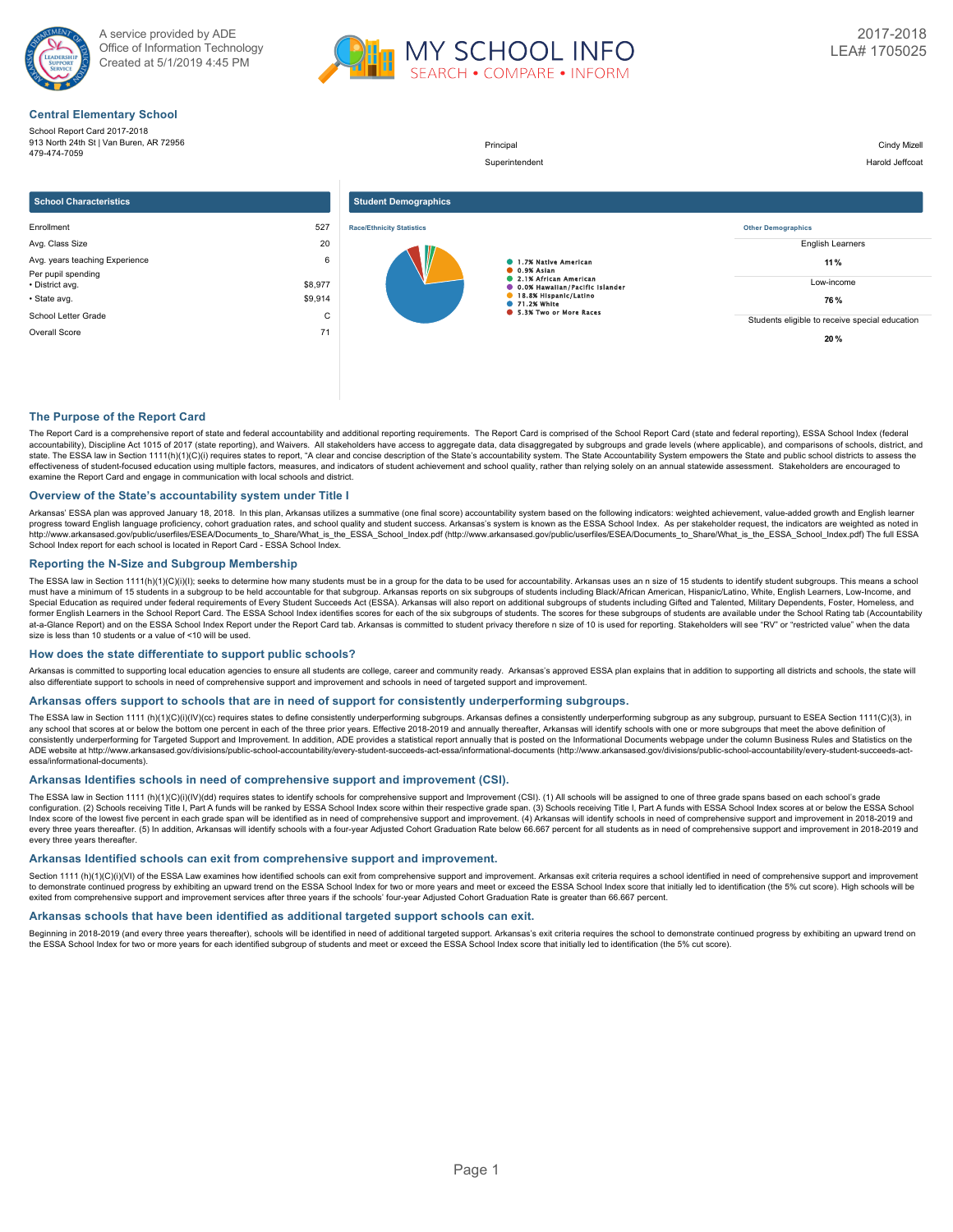

A service provided by ADE Office of Information Technology Created at 5/1/2019 4:45 PM



#### **Central Elementary School**

School Report Card 2017-2018 913 North 24th St | Van Buren, AR 72956 479-474-7059

Principal Cindy Mizell Superintendent Harold Jeffcoat **School Characteristics** Enrollment 527 Avg. Class Size 20 Avg. years teaching Experience 6 Per pupil spending • District avg.  $$8,977$ • State avg. \$9,914 School Letter Grade C Overall Score 71 **Student Demographics Race/Ethnicity Statistics** 1.7% Native American 0.9% Asian<br>2.1% African American<br>0.0% Hawaiian/Pacific Islander<br>18.8% Hispanic/Latino<br>71.2% White<br>5.3% Two or More Races **Other Demographics** English Learners **11 %** Low-income **76 %** Students eligible to receive special education **20 %**

#### **The Purpose of the Report Card**

The Report Card is a comprehensive report of state and federal accountability and additional reporting requirements. The Report Card is comprised of the School Report Card (state and federal reporting), ESSA School Index ( accountability), Discipline Act 1015 of 2017 (state reporting), and Waivers. All stakeholders have access to aggregate data, data disaggregated by subgroups and grade levels (where applicable), and comparisons of schools, state. The ESSA law in Section 1111(h)(1)(C)(i) requires states to report, "A clear and concise description of the State's accountability system. The State Accountability System empowers the State and public school distric effectiveness of student-focused education using multiple factors, measures, and indicators of student achievement and school quality, rather than relying solely on an annual statewide assessment. Stakeholders are encoura

#### **Overview of the State's accountability system under Title I**

Arkansas' ESSA plan was approved January 18, 2018. In this plan, Arkansas utilizes a summative (one final score) accountability system based on the following indicators: weighted achievement, value-added growth and English progress toward English language proficiency, cohort graduation rates, and school quality and student success. Arkansas's system is known as the ESSA School Index. As per stakeholder request, the indicators are weighted as School Index report for each school is located in Report Card - ESSA School Index.

#### **Reporting the N-Size and Subgroup Membership**

The ESSA law in Section 1111(h)(1)(C)(i)(l); seeks to determine how many students must be in a group for the data to be used for accountability. Arkansas uses an n size of 15 students to identify student subgroups. This me must have a minimum of 15 students in a subgroup to be held accountable for that subgroup. Arkansas reports on six subgroups of students including Black/African American, Hispanic/Latino, White, English Learners, Low-Incom Special Education as required under federal requirements of Every Student Succeeds Act (ESSA). Arkansas will also report on additional subgroups of students including Gifted and Talented, Military Dependents, Foster, Homel former English Learners in the School Report Card. The ESSA School Index identifies scores for each of the six subgroups of students. The scores for these subgroups of students are available under the School Rating tab (Ac at-a-Glance Report) and on the ESSA School Index Report under the Report Card tab. Arkansas is committed to student privacy therefore n size of 10 is used for reporting. Stakeholders will see "RV" or "restricted value" whe size is less than 10 students or a value of <10 will be used.

#### **How does the state differentiate to support public schools?**

Arkansas is committed to supporting local education agencies to ensure all students are college, career and community ready. Arkansas's approved ESSA plan explains that in addition to supporting all districts and schools, also differentiate support to schools in need of comprehensive support and improvement and schools in need of targeted support and improvement.

#### **Arkansas offers support to schools that are in need of support for consistently underperforming subgroups.**

The ESSA law in Section 1111 (h)(1)(O)(i)(IV)(cc) requires states to define consistently underperforming subgroups. Arkansas defines a consistently underperforming subgroups as any subgroup, pursuant to ESEA Section 1111(C any school that scores at or below the bottom one percent in each of the three prior years. Effective 2018-2019 and annually thereafter. Arkansas will identify schools with one or more subgroups that meet the above definit consistently underperforming for Targeted Support and Improvement. In addition, ADE provides a statistical report annually that is posted on the Informational Documents webpage under the column Business Rules and Statistic ADE website at http://www.arkansased.gov/divisions/public-school-accountability/every-student-succeeds-act-essa/informational-documents (http://www.arkansased.gov/divisions/public-school-accountability/every-student-succee essa/informational-documents).

#### **Arkansas Identifies schools in need of comprehensive support and improvement (CSI).**

The ESSA law in Section 1111 (h)(1)(C)(i)(IV)(dd) requires states to identify schools for comprehensive support and Improvement (CSI). (1) All schools will be assigned to one of three grade spans based on each school's gra configuration. (2) Schools receiving Title I, Part A funds will be ranked by ESSA School Index score within their respective grade span. (3) Schools receiving Title I, Part A funds with ESSA School Index scores at or below every three years thereafter. (5) In addition, Arkansas will identify schools with a four-year Adjusted Cohort Graduation Rate below 66.667 percent for all students as in need of comprehensive support and improvement in 20 every three years thereafter.

#### **Arkansas Identified schools can exit from comprehensive support and improvement.**

Section 1111 (h)(1)(C)(i)(VI) of the ESSA Law examines how identified schools can exit from comprehensive support and improvement. Arkansas exit criteria requires a school identified in need of comprehensive support and im to demonstrate continued progress by exhibiting an upward trend on the ESSA School Index for two or more years and meet or exceed the ESSA School Index score that initially led to identification (the 5% cut score). High sc exited from comprehensive support and improvement services after three years if the schools' four-year Adjusted Cohort Graduation Rate is greater than 66.667 percent.

#### **Arkansas schools that have been identified as additional targeted support schools can exit.**

Beginning in 2018-2019 (and every three years thereafter), schools will be identified in need of additional targeted support. Arkansas's exit criteria requires the school to demonstrate continued progress by exhibiting an the ESSA School Index for two or more years for each identified subgroup of students and meet or exceed the ESSA School Index score that initially led to identification (the 5% cut score).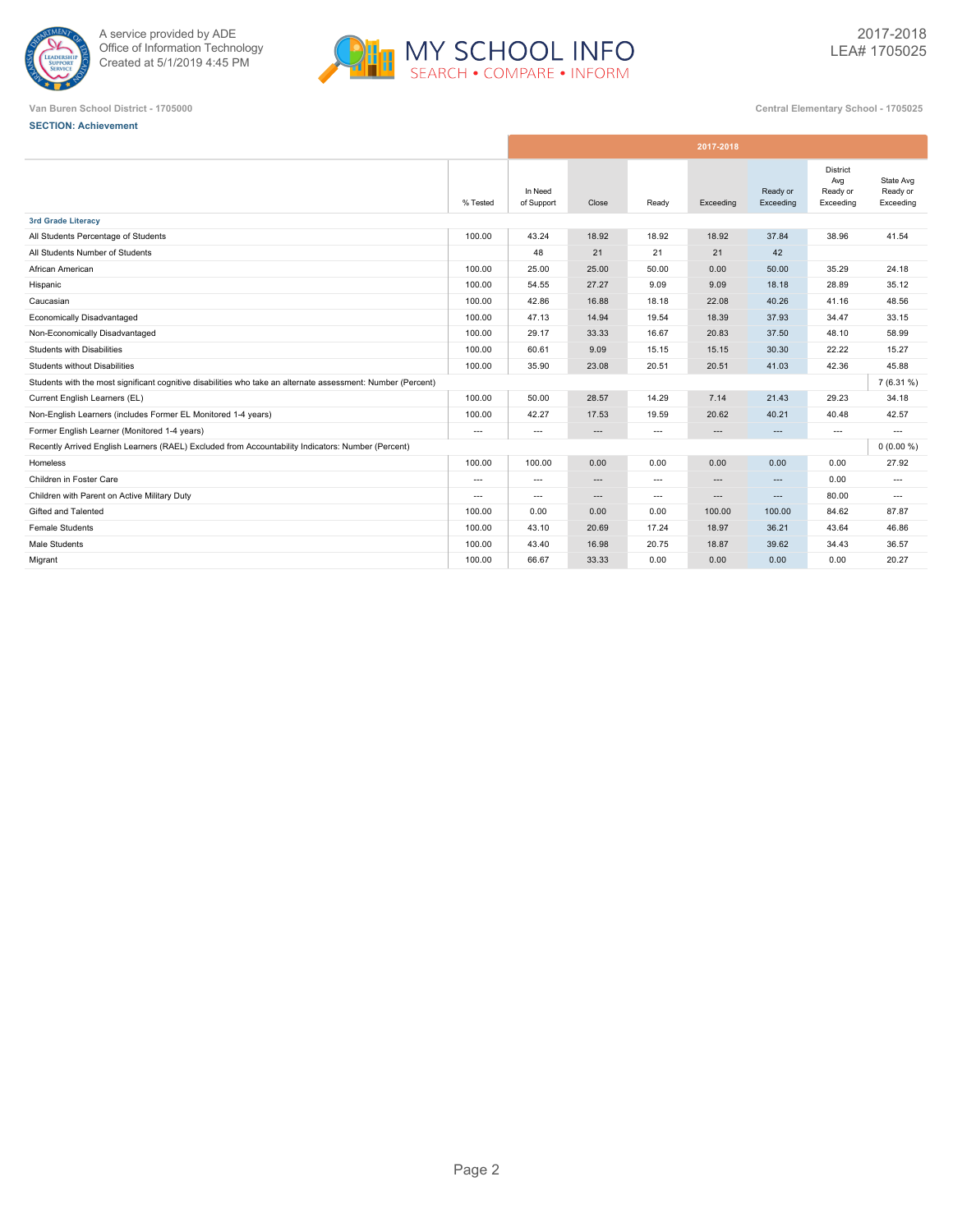



|                                                                                                              |                |                          |                   |                | 2017-2018                |                       |                                          |                                    |
|--------------------------------------------------------------------------------------------------------------|----------------|--------------------------|-------------------|----------------|--------------------------|-----------------------|------------------------------------------|------------------------------------|
|                                                                                                              | % Tested       | In Need<br>of Support    | Close             | Ready          | Exceeding                | Ready or<br>Exceeding | District<br>Avg<br>Ready or<br>Exceeding | State Avg<br>Ready or<br>Exceeding |
| <b>3rd Grade Literacy</b>                                                                                    |                |                          |                   |                |                          |                       |                                          |                                    |
| All Students Percentage of Students                                                                          | 100.00         | 43.24                    | 18.92             | 18.92          | 18.92                    | 37.84                 | 38.96                                    | 41.54                              |
| All Students Number of Students                                                                              |                | 48                       | 21                | 21             | 21                       | 42                    |                                          |                                    |
| African American                                                                                             | 100.00         | 25.00                    | 25.00             | 50.00          | 0.00                     | 50.00                 | 35.29                                    | 24.18                              |
| Hispanic                                                                                                     | 100.00         | 54.55                    | 27.27             | 9.09           | 9.09                     | 18.18                 | 28.89                                    | 35.12                              |
| Caucasian                                                                                                    | 100.00         | 42.86                    | 16.88             | 18.18          | 22.08                    | 40.26                 | 41.16                                    | 48.56                              |
| Economically Disadvantaged                                                                                   | 100.00         | 47.13                    | 14.94             | 19.54          | 18.39                    | 37.93                 | 34.47                                    | 33.15                              |
| Non-Economically Disadvantaged                                                                               | 100.00         | 29.17                    | 33.33             | 16.67          | 20.83                    | 37.50                 | 48.10                                    | 58.99                              |
| Students with Disabilities                                                                                   | 100.00         | 60.61                    | 9.09              | 15.15          | 15.15                    | 30.30                 | 22.22                                    | 15.27                              |
| <b>Students without Disabilities</b>                                                                         | 100.00         | 35.90                    | 23.08             | 20.51          | 20.51                    | 41.03                 | 42.36                                    | 45.88                              |
| Students with the most significant cognitive disabilities who take an alternate assessment: Number (Percent) |                |                          |                   |                |                          |                       |                                          | $7(6.31\%)$                        |
| Current English Learners (EL)                                                                                | 100.00         | 50.00                    | 28.57             | 14.29          | 7.14                     | 21.43                 | 29.23                                    | 34.18                              |
| Non-English Learners (includes Former EL Monitored 1-4 years)                                                | 100.00         | 42.27                    | 17.53             | 19.59          | 20.62                    | 40.21                 | 40.48                                    | 42.57                              |
| Former English Learner (Monitored 1-4 years)                                                                 | $\overline{a}$ | $\overline{\phantom{a}}$ | $\cdots$          | $\overline{a}$ | $\overline{\phantom{a}}$ | $\cdots$              | $\overline{a}$                           | ---                                |
| Recently Arrived English Learners (RAEL) Excluded from Accountability Indicators: Number (Percent)           |                |                          |                   |                |                          |                       |                                          | $0(0.00\%)$                        |
| Homeless                                                                                                     | 100.00         | 100.00                   | 0.00              | 0.00           | 0.00                     | 0.00                  | 0.00                                     | 27.92                              |
| Children in Foster Care                                                                                      | $---$          | $\hspace{0.05cm} \ldots$ | $\qquad \qquad -$ | $---$          | $---$                    | $---$                 | 0.00                                     | $---$                              |
| Children with Parent on Active Military Duty                                                                 | $\overline{a}$ | $\hspace{0.05cm} \ldots$ | $\qquad \qquad -$ | $---$          | $---$                    | $\cdots$              | 80.00                                    | ---                                |
| Gifted and Talented                                                                                          | 100.00         | 0.00                     | 0.00              | 0.00           | 100.00                   | 100.00                | 84.62                                    | 87.87                              |
| Female Students                                                                                              | 100.00         | 43.10                    | 20.69             | 17.24          | 18.97                    | 36.21                 | 43.64                                    | 46.86                              |
| Male Students                                                                                                | 100.00         | 43.40                    | 16.98             | 20.75          | 18.87                    | 39.62                 | 34.43                                    | 36.57                              |
| Migrant                                                                                                      | 100.00         | 66.67                    | 33.33             | 0.00           | 0.00                     | 0.00                  | 0.00                                     | 20.27                              |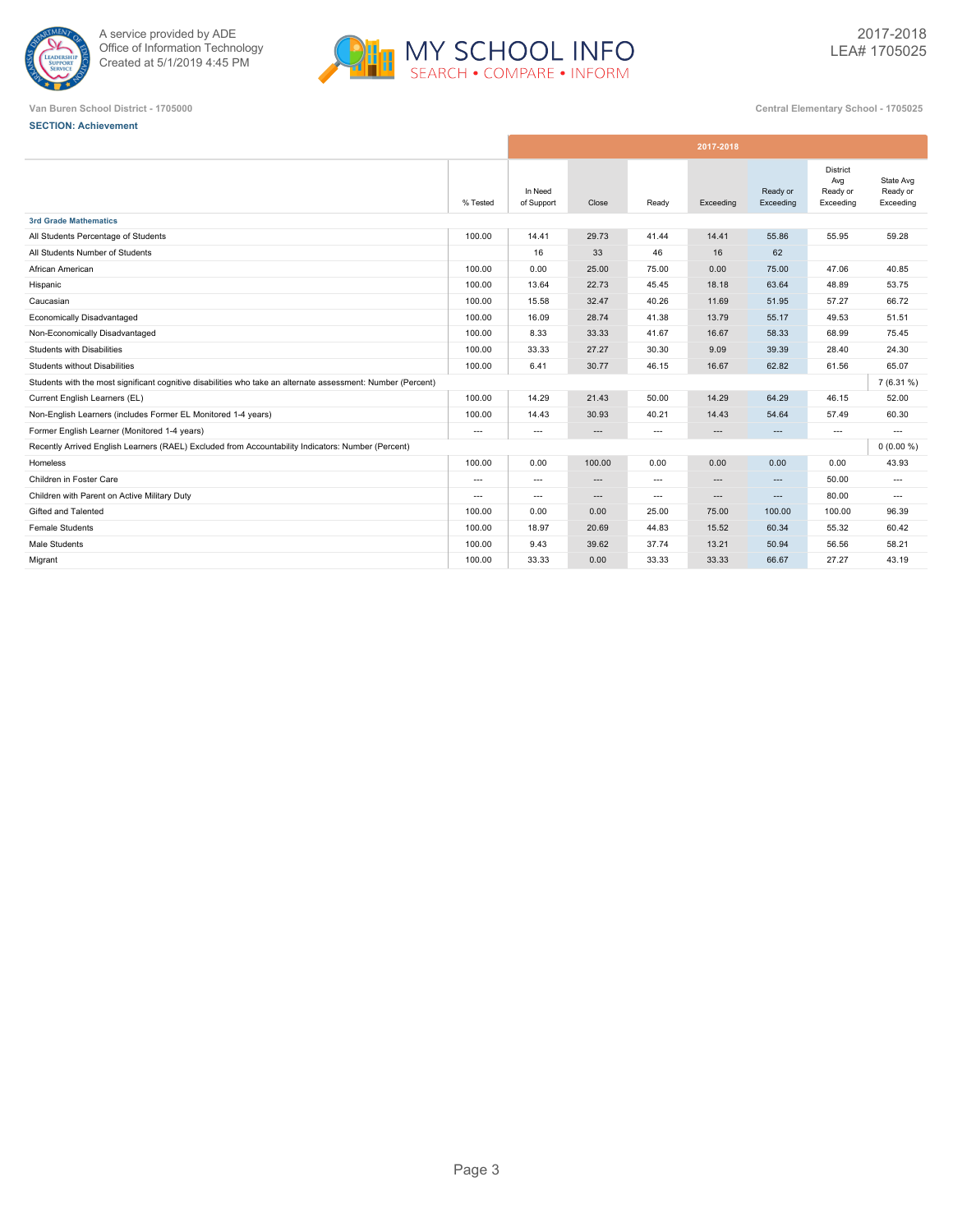



|                                                                                                              |                      |                        |                          |                          | 2017-2018                |                               |                                          |                                    |
|--------------------------------------------------------------------------------------------------------------|----------------------|------------------------|--------------------------|--------------------------|--------------------------|-------------------------------|------------------------------------------|------------------------------------|
|                                                                                                              | % Tested             | In Need<br>of Support  | Close                    | Ready                    | Exceeding                | Ready or<br>Exceeding         | District<br>Avg<br>Ready or<br>Exceeding | State Avg<br>Ready or<br>Exceeding |
| <b>3rd Grade Mathematics</b>                                                                                 |                      |                        |                          |                          |                          |                               |                                          |                                    |
| All Students Percentage of Students                                                                          | 100.00               | 14.41                  | 29.73                    | 41.44                    | 14.41                    | 55.86                         | 55.95                                    | 59.28                              |
| All Students Number of Students                                                                              |                      | 16                     | 33                       | 46                       | 16                       | 62                            |                                          |                                    |
| African American                                                                                             | 100.00               | 0.00                   | 25.00                    | 75.00                    | 0.00                     | 75.00                         | 47.06                                    | 40.85                              |
| Hispanic                                                                                                     | 100.00               | 13.64                  | 22.73                    | 45.45                    | 18.18                    | 63.64                         | 48.89                                    | 53.75                              |
| Caucasian                                                                                                    | 100.00               | 15.58                  | 32.47                    | 40.26                    | 11.69                    | 51.95                         | 57.27                                    | 66.72                              |
| Economically Disadvantaged                                                                                   | 100.00               | 16.09                  | 28.74                    | 41.38                    | 13.79                    | 55.17                         | 49.53                                    | 51.51                              |
| Non-Economically Disadvantaged                                                                               | 100.00               | 8.33                   | 33.33                    | 41.67                    | 16.67                    | 58.33                         | 68.99                                    | 75.45                              |
| <b>Students with Disabilities</b>                                                                            | 100.00               | 33.33                  | 27.27                    | 30.30                    | 9.09                     | 39.39                         | 28.40                                    | 24.30                              |
| <b>Students without Disabilities</b>                                                                         | 100.00               | 6.41                   | 30.77                    | 46.15                    | 16.67                    | 62.82                         | 61.56                                    | 65.07                              |
| Students with the most significant cognitive disabilities who take an alternate assessment: Number (Percent) |                      |                        |                          |                          |                          |                               |                                          | 7 (6.31 %)                         |
| Current English Learners (EL)                                                                                | 100.00               | 14.29                  | 21.43                    | 50.00                    | 14.29                    | 64.29                         | 46.15                                    | 52.00                              |
| Non-English Learners (includes Former EL Monitored 1-4 years)                                                | 100.00               | 14.43                  | 30.93                    | 40.21                    | 14.43                    | 54.64                         | 57.49                                    | 60.30                              |
| Former English Learner (Monitored 1-4 years)                                                                 | $\qquad \qquad - -$  | $\qquad \qquad \cdots$ | $\hspace{0.05cm} \ldots$ | $\hspace{0.05cm} \ldots$ | $\hspace{0.05cm} \ldots$ | $\hspace{1.5cm} \textbf{---}$ | $\hspace{0.05cm} \ldots$                 | $\cdots$                           |
| Recently Arrived English Learners (RAEL) Excluded from Accountability Indicators: Number (Percent)           |                      |                        |                          |                          |                          |                               |                                          | $0(0.00\%)$                        |
| Homeless                                                                                                     | 100.00               | 0.00                   | 100.00                   | 0.00                     | 0.00                     | 0.00                          | 0.00                                     | 43.93                              |
| Children in Foster Care                                                                                      | $---$                | $\cdots$               | $\cdots$                 | $  -$                    | $\cdots$                 | $\cdots$                      | 50.00                                    | $\qquad \qquad -$                  |
| Children with Parent on Active Military Duty                                                                 | $\sim$ $\sim$ $\sim$ | $\cdots$               | $\hspace{0.05cm} \ldots$ | $  -$                    | $\hspace{0.05cm} \ldots$ | $\cdots$                      | 80.00                                    | $\cdots$                           |
| Gifted and Talented                                                                                          | 100.00               | 0.00                   | 0.00                     | 25.00                    | 75.00                    | 100.00                        | 100.00                                   | 96.39                              |
| <b>Female Students</b>                                                                                       | 100.00               | 18.97                  | 20.69                    | 44.83                    | 15.52                    | 60.34                         | 55.32                                    | 60.42                              |
| Male Students                                                                                                | 100.00               | 9.43                   | 39.62                    | 37.74                    | 13.21                    | 50.94                         | 56.56                                    | 58.21                              |
| Migrant                                                                                                      | 100.00               | 33.33                  | 0.00                     | 33.33                    | 33.33                    | 66.67                         | 27.27                                    | 43.19                              |
|                                                                                                              |                      |                        |                          |                          |                          |                               |                                          |                                    |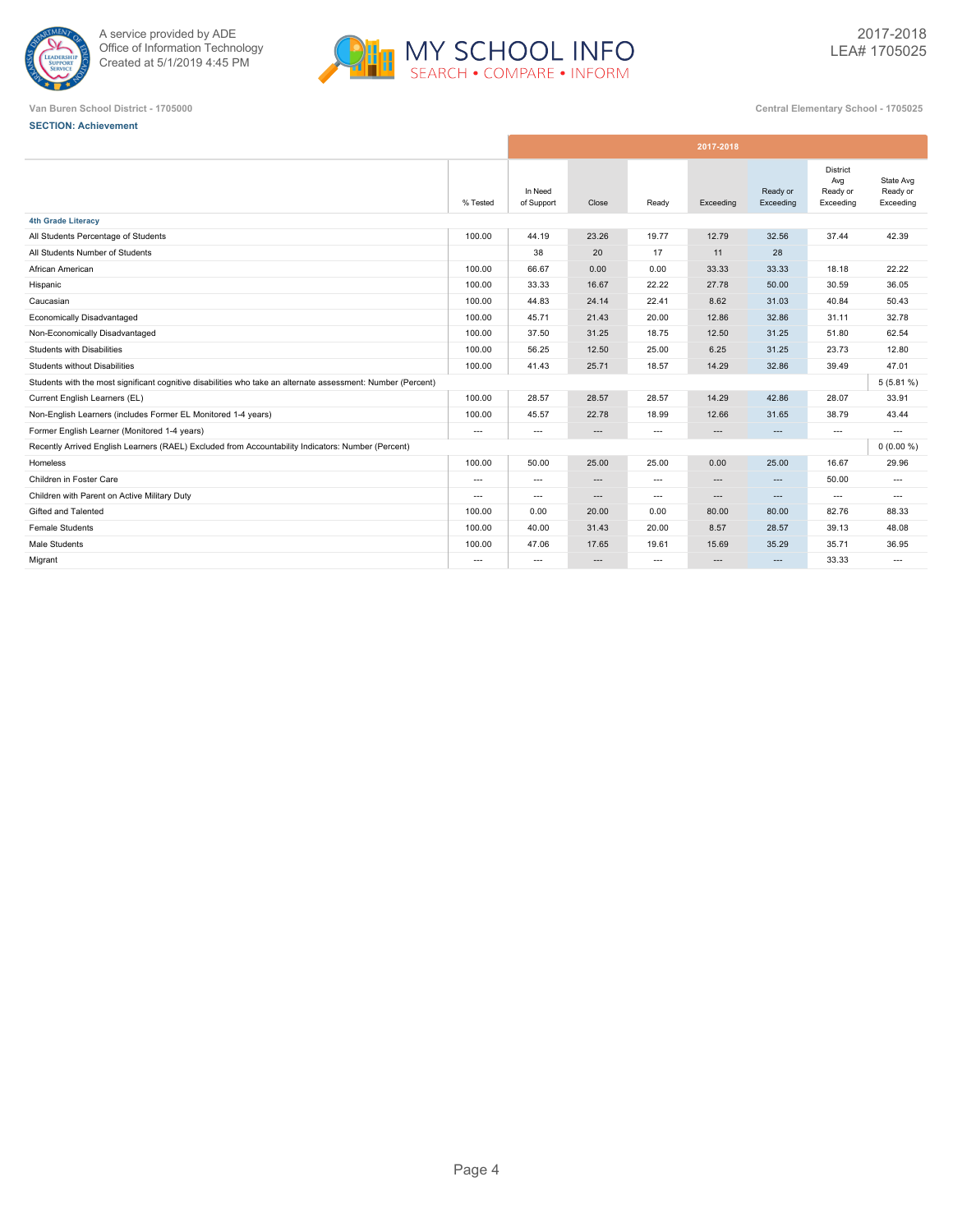



|                                                                                                              |                          |                          |          |                          | 2017-2018                |                       |                                          |                                    |
|--------------------------------------------------------------------------------------------------------------|--------------------------|--------------------------|----------|--------------------------|--------------------------|-----------------------|------------------------------------------|------------------------------------|
|                                                                                                              | % Tested                 | In Need<br>of Support    | Close    | Ready                    | Exceeding                | Ready or<br>Exceeding | District<br>Avg<br>Ready or<br>Exceeding | State Avg<br>Ready or<br>Exceeding |
| <b>4th Grade Literacy</b>                                                                                    |                          |                          |          |                          |                          |                       |                                          |                                    |
| All Students Percentage of Students                                                                          | 100.00                   | 44.19                    | 23.26    | 19.77                    | 12.79                    | 32.56                 | 37.44                                    | 42.39                              |
| All Students Number of Students                                                                              |                          | 38                       | 20       | 17                       | 11                       | 28                    |                                          |                                    |
| African American                                                                                             | 100.00                   | 66.67                    | 0.00     | 0.00                     | 33.33                    | 33.33                 | 18.18                                    | 22.22                              |
| Hispanic                                                                                                     | 100.00                   | 33.33                    | 16.67    | 22.22                    | 27.78                    | 50.00                 | 30.59                                    | 36.05                              |
| Caucasian                                                                                                    | 100.00                   | 44.83                    | 24.14    | 22.41                    | 8.62                     | 31.03                 | 40.84                                    | 50.43                              |
| Economically Disadvantaged                                                                                   | 100.00                   | 45.71                    | 21.43    | 20.00                    | 12.86                    | 32.86                 | 31.11                                    | 32.78                              |
| Non-Economically Disadvantaged                                                                               | 100.00                   | 37.50                    | 31.25    | 18.75                    | 12.50                    | 31.25                 | 51.80                                    | 62.54                              |
| <b>Students with Disabilities</b>                                                                            | 100.00                   | 56.25                    | 12.50    | 25.00                    | 6.25                     | 31.25                 | 23.73                                    | 12.80                              |
| <b>Students without Disabilities</b>                                                                         | 100.00                   | 41.43                    | 25.71    | 18.57                    | 14.29                    | 32.86                 | 39.49                                    | 47.01                              |
| Students with the most significant cognitive disabilities who take an alternate assessment: Number (Percent) |                          |                          |          |                          |                          |                       |                                          | $5(5.81\%)$                        |
| Current English Learners (EL)                                                                                | 100.00                   | 28.57                    | 28.57    | 28.57                    | 14.29                    | 42.86                 | 28.07                                    | 33.91                              |
| Non-English Learners (includes Former EL Monitored 1-4 years)                                                | 100.00                   | 45.57                    | 22.78    | 18.99                    | 12.66                    | 31.65                 | 38.79                                    | 43.44                              |
| Former English Learner (Monitored 1-4 years)                                                                 | $\cdots$                 | $\hspace{0.05cm} \ldots$ | $\cdots$ | $\hspace{0.05cm} \ldots$ | $\cdots$                 | $\cdots$              | $\overline{\phantom{a}}$                 | ---                                |
| Recently Arrived English Learners (RAEL) Excluded from Accountability Indicators: Number (Percent)           |                          |                          |          |                          |                          |                       |                                          | $0(0.00\%)$                        |
| Homeless                                                                                                     | 100.00                   | 50.00                    | 25.00    | 25.00                    | 0.00                     | 25.00                 | 16.67                                    | 29.96                              |
| Children in Foster Care                                                                                      | $\cdots$                 | $\hspace{0.05cm} \ldots$ | $\cdots$ | $---$                    | $---$                    | $\cdots$              | 50.00                                    | $---$                              |
| Children with Parent on Active Military Duty                                                                 | $\hspace{0.05cm} \ldots$ | $\hspace{0.05cm} \ldots$ | $\cdots$ | $\sim$ $\sim$            | $\hspace{0.05cm} \ldots$ | $\cdots$              | $\cdots$                                 | $\cdots$                           |
| Gifted and Talented                                                                                          | 100.00                   | 0.00                     | 20.00    | 0.00                     | 80.00                    | 80.00                 | 82.76                                    | 88.33                              |
| <b>Female Students</b>                                                                                       | 100.00                   | 40.00                    | 31.43    | 20.00                    | 8.57                     | 28.57                 | 39.13                                    | 48.08                              |
| Male Students                                                                                                | 100.00                   | 47.06                    | 17.65    | 19.61                    | 15.69                    | 35.29                 | 35.71                                    | 36.95                              |
| Migrant                                                                                                      | $\cdots$                 | $---$                    | $\cdots$ | $---$                    | $---$                    | $\cdots$              | 33.33                                    | $---$                              |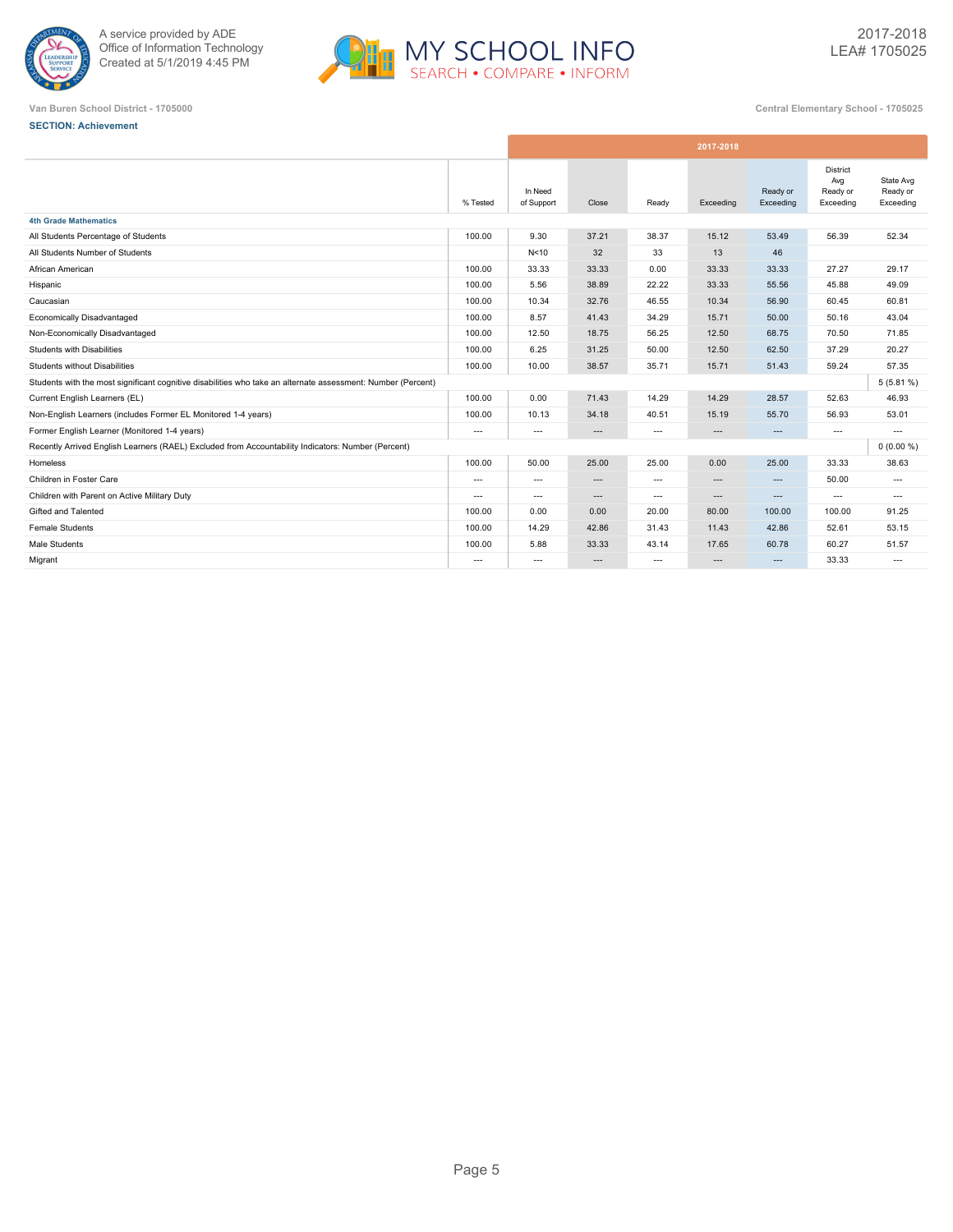



|                                                                                                              |                          |                          |                          |                          | 2017-2018 |                               |                                          |                                    |
|--------------------------------------------------------------------------------------------------------------|--------------------------|--------------------------|--------------------------|--------------------------|-----------|-------------------------------|------------------------------------------|------------------------------------|
|                                                                                                              | % Tested                 | In Need<br>of Support    | Close                    | Ready                    | Exceeding | Ready or<br>Exceeding         | District<br>Avg<br>Ready or<br>Exceeding | State Avg<br>Ready or<br>Exceeding |
| <b>4th Grade Mathematics</b>                                                                                 |                          |                          |                          |                          |           |                               |                                          |                                    |
| All Students Percentage of Students                                                                          | 100.00                   | 9.30                     | 37.21                    | 38.37                    | 15.12     | 53.49                         | 56.39                                    | 52.34                              |
| All Students Number of Students                                                                              |                          | N<10                     | 32                       | 33                       | 13        | 46                            |                                          |                                    |
| African American                                                                                             | 100.00                   | 33.33                    | 33.33                    | 0.00                     | 33.33     | 33.33                         | 27.27                                    | 29.17                              |
| Hispanic                                                                                                     | 100.00                   | 5.56                     | 38.89                    | 22.22                    | 33.33     | 55.56                         | 45.88                                    | 49.09                              |
| Caucasian                                                                                                    | 100.00                   | 10.34                    | 32.76                    | 46.55                    | 10.34     | 56.90                         | 60.45                                    | 60.81                              |
| Economically Disadvantaged                                                                                   | 100.00                   | 8.57                     | 41.43                    | 34.29                    | 15.71     | 50.00                         | 50.16                                    | 43.04                              |
| Non-Economically Disadvantaged                                                                               | 100.00                   | 12.50                    | 18.75                    | 56.25                    | 12.50     | 68.75                         | 70.50                                    | 71.85                              |
| Students with Disabilities                                                                                   | 100.00                   | 6.25                     | 31.25                    | 50.00                    | 12.50     | 62.50                         | 37.29                                    | 20.27                              |
| Students without Disabilities                                                                                | 100.00                   | 10.00                    | 38.57                    | 35.71                    | 15.71     | 51.43                         | 59.24                                    | 57.35                              |
| Students with the most significant cognitive disabilities who take an alternate assessment: Number (Percent) |                          |                          |                          |                          |           |                               |                                          | $5(5.81\%)$                        |
| Current English Learners (EL)                                                                                | 100.00                   | 0.00                     | 71.43                    | 14.29                    | 14.29     | 28.57                         | 52.63                                    | 46.93                              |
| Non-English Learners (includes Former EL Monitored 1-4 years)                                                | 100.00                   | 10.13                    | 34.18                    | 40.51                    | 15.19     | 55.70                         | 56.93                                    | 53.01                              |
| Former English Learner (Monitored 1-4 years)                                                                 | $\overline{\phantom{a}}$ | $\overline{\phantom{a}}$ | $\cdots$                 | $\overline{a}$           | $\cdots$  | $\hspace{1.5cm} \textbf{---}$ | $---$                                    | ---                                |
| Recently Arrived English Learners (RAEL) Excluded from Accountability Indicators: Number (Percent)           |                          |                          |                          |                          |           |                               |                                          | $0(0.00\%)$                        |
| Homeless                                                                                                     | 100.00                   | 50.00                    | 25.00                    | 25.00                    | 0.00      | 25.00                         | 33.33                                    | 38.63                              |
| Children in Foster Care                                                                                      | $\overline{a}$           | $---$                    | $---$                    | $---$                    | $---$     | $---$                         | 50.00                                    | $---$                              |
| Children with Parent on Active Military Duty                                                                 | $---$                    | $\hspace{0.05cm} \ldots$ | $\overline{\phantom{a}}$ | $\overline{\phantom{a}}$ | $\cdots$  | $\cdots$                      | $\qquad \qquad -$                        | $---$                              |
| Gifted and Talented                                                                                          | 100.00                   | 0.00                     | 0.00                     | 20.00                    | 80.00     | 100.00                        | 100.00                                   | 91.25                              |
| <b>Female Students</b>                                                                                       | 100.00                   | 14.29                    | 42.86                    | 31.43                    | 11.43     | 42.86                         | 52.61                                    | 53.15                              |
| Male Students                                                                                                | 100.00                   | 5.88                     | 33.33                    | 43.14                    | 17.65     | 60.78                         | 60.27                                    | 51.57                              |
| Migrant                                                                                                      | $---$                    | $\hspace{0.05cm} \ldots$ | $---$                    | $---$                    | $---$     | $\cdots$                      | 33.33                                    | $---$                              |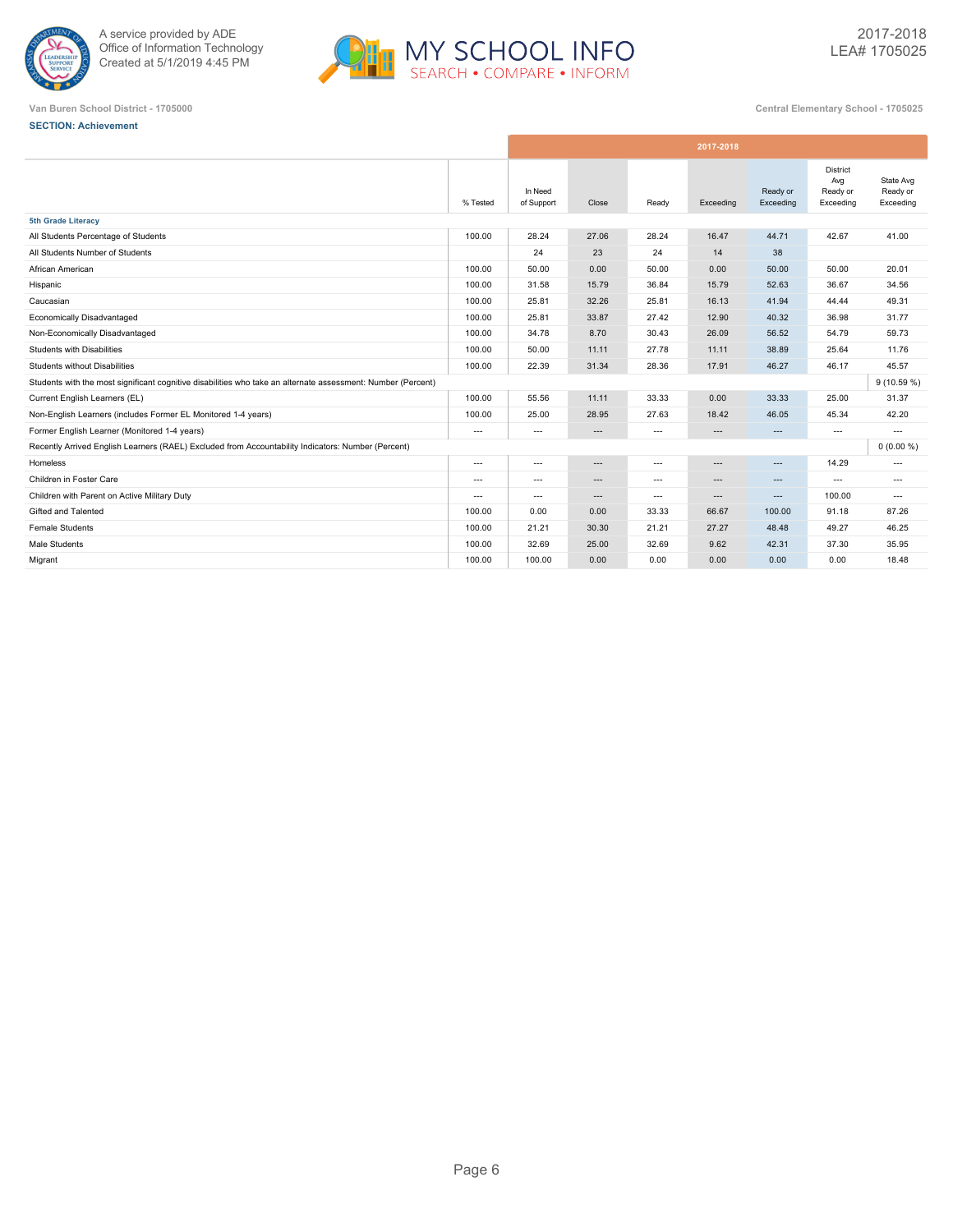



|                                                                                                              |                          |                          |                          |                          | 2017-2018                |                          |                                          |                                    |
|--------------------------------------------------------------------------------------------------------------|--------------------------|--------------------------|--------------------------|--------------------------|--------------------------|--------------------------|------------------------------------------|------------------------------------|
|                                                                                                              | % Tested                 | In Need<br>of Support    | Close                    | Ready                    | Exceeding                | Ready or<br>Exceeding    | District<br>Avg<br>Ready or<br>Exceeding | State Avg<br>Ready or<br>Exceeding |
| <b>5th Grade Literacy</b>                                                                                    |                          |                          |                          |                          |                          |                          |                                          |                                    |
| All Students Percentage of Students                                                                          | 100.00                   | 28.24                    | 27.06                    | 28.24                    | 16.47                    | 44.71                    | 42.67                                    | 41.00                              |
| All Students Number of Students                                                                              |                          | 24                       | 23                       | 24                       | 14                       | 38                       |                                          |                                    |
| African American                                                                                             | 100.00                   | 50.00                    | 0.00                     | 50.00                    | 0.00                     | 50.00                    | 50.00                                    | 20.01                              |
| Hispanic                                                                                                     | 100.00                   | 31.58                    | 15.79                    | 36.84                    | 15.79                    | 52.63                    | 36.67                                    | 34.56                              |
| Caucasian                                                                                                    | 100.00                   | 25.81                    | 32.26                    | 25.81                    | 16.13                    | 41.94                    | 44.44                                    | 49.31                              |
| Economically Disadvantaged                                                                                   | 100.00                   | 25.81                    | 33.87                    | 27.42                    | 12.90                    | 40.32                    | 36.98                                    | 31.77                              |
| Non-Economically Disadvantaged                                                                               | 100.00                   | 34.78                    | 8.70                     | 30.43                    | 26.09                    | 56.52                    | 54.79                                    | 59.73                              |
| <b>Students with Disabilities</b>                                                                            | 100.00                   | 50.00                    | 11.11                    | 27.78                    | 11.11                    | 38.89                    | 25.64                                    | 11.76                              |
| <b>Students without Disabilities</b>                                                                         | 100.00                   | 22.39                    | 31.34                    | 28.36                    | 17.91                    | 46.27                    | 46.17                                    | 45.57                              |
| Students with the most significant cognitive disabilities who take an alternate assessment: Number (Percent) |                          |                          |                          |                          |                          |                          |                                          | $9(10.59\%)$                       |
| Current English Learners (EL)                                                                                | 100.00                   | 55.56                    | 11.11                    | 33.33                    | 0.00                     | 33.33                    | 25.00                                    | 31.37                              |
| Non-English Learners (includes Former EL Monitored 1-4 years)                                                | 100.00                   | 25.00                    | 28.95                    | 27.63                    | 18.42                    | 46.05                    | 45.34                                    | 42.20                              |
| Former English Learner (Monitored 1-4 years)                                                                 | $---$                    | $\cdots$                 | $\hspace{0.05cm} \ldots$ | $\hspace{0.05cm} \ldots$ | $\hspace{0.05cm} \ldots$ | $\hspace{0.05cm} \ldots$ | $\hspace{0.05cm} \ldots$                 | $\cdots$                           |
| Recently Arrived English Learners (RAEL) Excluded from Accountability Indicators: Number (Percent)           |                          |                          |                          |                          |                          |                          |                                          | $0(0.00\%)$                        |
| Homeless                                                                                                     | $---$                    | $\cdots$                 | $\cdots$                 | $  -$                    | $\cdots$                 | $\cdots$                 | 14.29                                    | $\cdots$                           |
| Children in Foster Care                                                                                      | $\hspace{0.05cm} \ldots$ | $\hspace{0.05cm} \ldots$ | $\cdots$                 | $\cdots$                 | $\cdots$                 | $\cdots$                 | $\cdots$                                 | $\cdots$                           |
| Children with Parent on Active Military Duty                                                                 | $\sim$ $\sim$ $\sim$     | $\cdots$                 | $\cdots$                 | $\cdots$                 | $\cdots$                 | $\cdots$                 | 100.00                                   | $\cdots$                           |
| Gifted and Talented                                                                                          | 100.00                   | 0.00                     | 0.00                     | 33.33                    | 66.67                    | 100.00                   | 91.18                                    | 87.26                              |
| <b>Female Students</b>                                                                                       | 100.00                   | 21.21                    | 30.30                    | 21.21                    | 27.27                    | 48.48                    | 49.27                                    | 46.25                              |
| Male Students                                                                                                | 100.00                   | 32.69                    | 25.00                    | 32.69                    | 9.62                     | 42.31                    | 37.30                                    | 35.95                              |
| Migrant                                                                                                      | 100.00                   | 100.00                   | 0.00                     | 0.00                     | 0.00                     | 0.00                     | 0.00                                     | 18.48                              |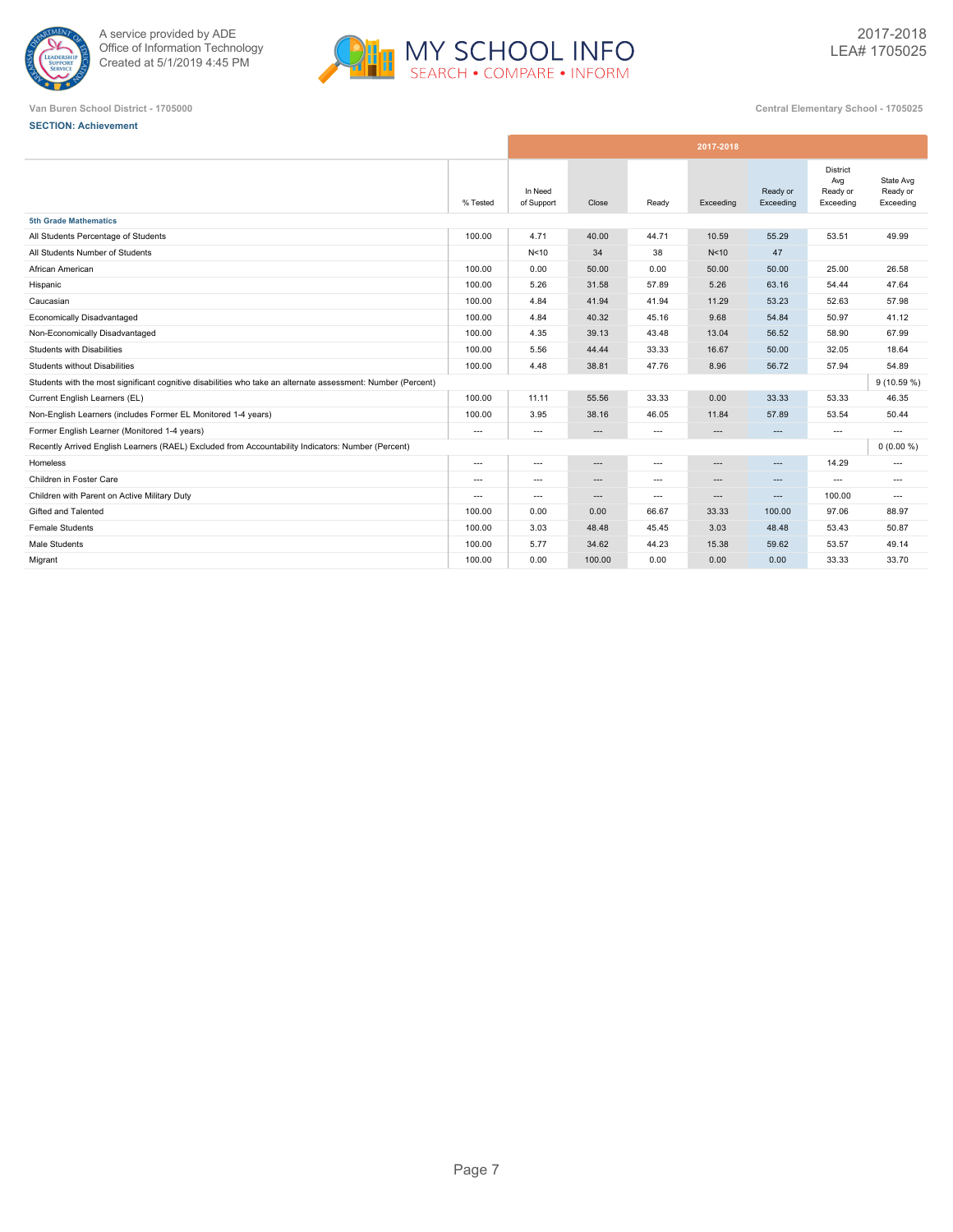

í.



## **Van Buren School District - 1705000 Central Elementary School - 1705025**

|                                                                                                              |                          |                       |                          |       | 2017-2018                |                          |                                                 |                                    |
|--------------------------------------------------------------------------------------------------------------|--------------------------|-----------------------|--------------------------|-------|--------------------------|--------------------------|-------------------------------------------------|------------------------------------|
|                                                                                                              | % Tested                 | In Need<br>of Support | Close                    | Ready | Exceeding                | Ready or<br>Exceeding    | <b>District</b><br>Avg<br>Ready or<br>Exceeding | State Avg<br>Ready or<br>Exceeding |
| <b>5th Grade Mathematics</b>                                                                                 |                          |                       |                          |       |                          |                          |                                                 |                                    |
| All Students Percentage of Students                                                                          | 100.00                   | 4.71                  | 40.00                    | 44.71 | 10.59                    | 55.29                    | 53.51                                           | 49.99                              |
| All Students Number of Students                                                                              |                          | N <sub>10</sub>       | 34                       | 38    | N<10                     | 47                       |                                                 |                                    |
| African American                                                                                             | 100.00                   | 0.00                  | 50.00                    | 0.00  | 50.00                    | 50.00                    | 25.00                                           | 26.58                              |
| Hispanic                                                                                                     | 100.00                   | 5.26                  | 31.58                    | 57.89 | 5.26                     | 63.16                    | 54.44                                           | 47.64                              |
| Caucasian                                                                                                    | 100.00                   | 4.84                  | 41.94                    | 41.94 | 11.29                    | 53.23                    | 52.63                                           | 57.98                              |
| Economically Disadvantaged                                                                                   | 100.00                   | 4.84                  | 40.32                    | 45.16 | 9.68                     | 54.84                    | 50.97                                           | 41.12                              |
| Non-Economically Disadvantaged                                                                               | 100.00                   | 4.35                  | 39.13                    | 43.48 | 13.04                    | 56.52                    | 58.90                                           | 67.99                              |
| <b>Students with Disabilities</b>                                                                            | 100.00                   | 5.56                  | 44.44                    | 33.33 | 16.67                    | 50.00                    | 32.05                                           | 18.64                              |
| <b>Students without Disabilities</b>                                                                         | 100.00                   | 4.48                  | 38.81                    | 47.76 | 8.96                     | 56.72                    | 57.94                                           | 54.89                              |
| Students with the most significant cognitive disabilities who take an alternate assessment: Number (Percent) |                          |                       |                          |       |                          |                          |                                                 | $9(10.59\%)$                       |
| Current English Learners (EL)                                                                                | 100.00                   | 11.11                 | 55.56                    | 33.33 | 0.00                     | 33.33                    | 53.33                                           | 46.35                              |
| Non-English Learners (includes Former EL Monitored 1-4 years)                                                | 100.00                   | 3.95                  | 38.16                    | 46.05 | 11.84                    | 57.89                    | 53.54                                           | 50.44                              |
| Former English Learner (Monitored 1-4 years)                                                                 | $\sim$ $\sim$ $\sim$     | $\cdots$              | $\cdots$                 | $  -$ | $\hspace{0.05cm} \ldots$ | $\sim$ $\sim$            | $\cdots$                                        | $\cdots$                           |
| Recently Arrived English Learners (RAEL) Excluded from Accountability Indicators: Number (Percent)           |                          |                       |                          |       |                          |                          |                                                 | $0(0.00\%)$                        |
| Homeless                                                                                                     | $---$                    | $---$                 | $\hspace{0.05cm} \ldots$ | $  -$ | $\cdots$                 | $\cdots$                 | 14.29                                           | $\cdots$                           |
| Children in Foster Care                                                                                      | $\hspace{0.05cm} \ldots$ | $\cdots$              | $\cdots$                 | $---$ | $\sim$ $\sim$            | $\cdots$                 | $\cdots$                                        | $---$                              |
| Children with Parent on Active Military Duty                                                                 | $\sim$ $\sim$            | $---$                 | $\cdots$                 | $  -$ | $\hspace{0.05cm} \ldots$ | $\hspace{0.05cm} \ldots$ | 100.00                                          | $\cdots$                           |
| Gifted and Talented                                                                                          | 100.00                   | 0.00                  | 0.00                     | 66.67 | 33.33                    | 100.00                   | 97.06                                           | 88.97                              |
| <b>Female Students</b>                                                                                       | 100.00                   | 3.03                  | 48.48                    | 45.45 | 3.03                     | 48.48                    | 53.43                                           | 50.87                              |
| Male Students                                                                                                | 100.00                   | 5.77                  | 34.62                    | 44.23 | 15.38                    | 59.62                    | 53.57                                           | 49.14                              |
| Migrant                                                                                                      | 100.00                   | 0.00                  | 100.00                   | 0.00  | 0.00                     | 0.00                     | 33.33                                           | 33.70                              |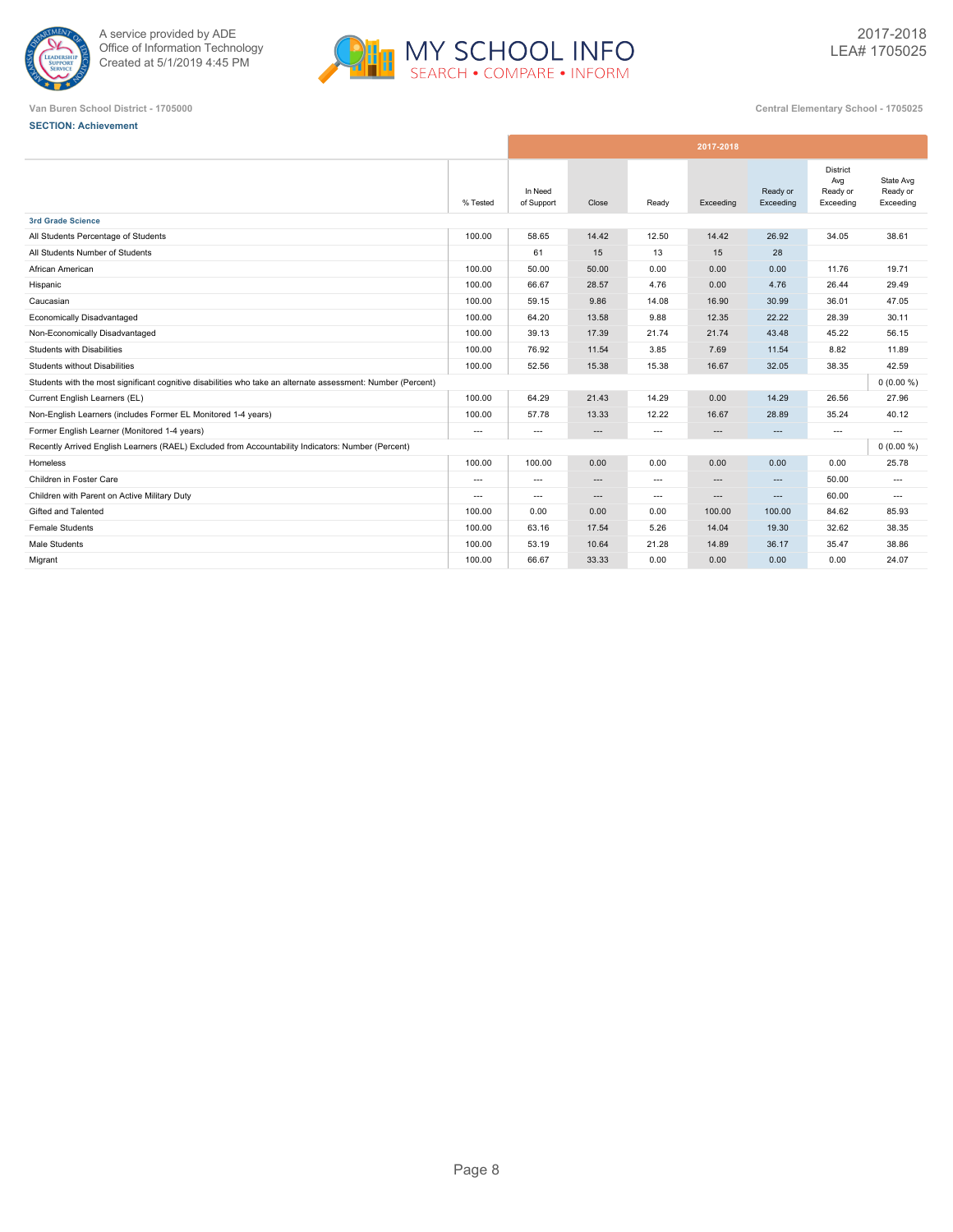



|                                                                                                              |               |                          |                          |                          | 2017-2018                |                          |                                          |                                    |
|--------------------------------------------------------------------------------------------------------------|---------------|--------------------------|--------------------------|--------------------------|--------------------------|--------------------------|------------------------------------------|------------------------------------|
|                                                                                                              | % Tested      | In Need<br>of Support    | Close                    | Ready                    | Exceeding                | Ready or<br>Exceeding    | District<br>Avg<br>Ready or<br>Exceeding | State Avg<br>Ready or<br>Exceeding |
| 3rd Grade Science                                                                                            |               |                          |                          |                          |                          |                          |                                          |                                    |
| All Students Percentage of Students                                                                          | 100.00        | 58.65                    | 14.42                    | 12.50                    | 14.42                    | 26.92                    | 34.05                                    | 38.61                              |
| All Students Number of Students                                                                              |               | 61                       | 15                       | 13                       | 15                       | 28                       |                                          |                                    |
| African American                                                                                             | 100.00        | 50.00                    | 50.00                    | 0.00                     | 0.00                     | 0.00                     | 11.76                                    | 19.71                              |
| Hispanic                                                                                                     | 100.00        | 66.67                    | 28.57                    | 4.76                     | 0.00                     | 4.76                     | 26.44                                    | 29.49                              |
| Caucasian                                                                                                    | 100.00        | 59.15                    | 9.86                     | 14.08                    | 16.90                    | 30.99                    | 36.01                                    | 47.05                              |
| Economically Disadvantaged                                                                                   | 100.00        | 64.20                    | 13.58                    | 9.88                     | 12.35                    | 22.22                    | 28.39                                    | 30.11                              |
| Non-Economically Disadvantaged                                                                               | 100.00        | 39.13                    | 17.39                    | 21.74                    | 21.74                    | 43.48                    | 45.22                                    | 56.15                              |
| <b>Students with Disabilities</b>                                                                            | 100.00        | 76.92                    | 11.54                    | 3.85                     | 7.69                     | 11.54                    | 8.82                                     | 11.89                              |
| <b>Students without Disabilities</b>                                                                         | 100.00        | 52.56                    | 15.38                    | 15.38                    | 16.67                    | 32.05                    | 38.35                                    | 42.59                              |
| Students with the most significant cognitive disabilities who take an alternate assessment: Number (Percent) |               |                          |                          |                          |                          |                          |                                          | $0(0.00\%)$                        |
| Current English Learners (EL)                                                                                | 100.00        | 64.29                    | 21.43                    | 14.29                    | 0.00                     | 14.29                    | 26.56                                    | 27.96                              |
| Non-English Learners (includes Former EL Monitored 1-4 years)                                                | 100.00        | 57.78                    | 13.33                    | 12.22                    | 16.67                    | 28.89                    | 35.24                                    | 40.12                              |
| Former English Learner (Monitored 1-4 years)                                                                 | $\ldots$      | $\hspace{0.05cm} \ldots$ | $\hspace{0.05cm} \ldots$ | $\hspace{0.05cm} \ldots$ | $\hspace{0.05cm} \ldots$ | $\hspace{0.05cm} \ldots$ | $\cdots$                                 | $---$                              |
| Recently Arrived English Learners (RAEL) Excluded from Accountability Indicators: Number (Percent)           |               |                          |                          |                          |                          |                          |                                          | $0(0.00\%)$                        |
| Homeless                                                                                                     | 100.00        | 100.00                   | 0.00                     | 0.00                     | 0.00                     | 0.00                     | 0.00                                     | 25.78                              |
| Children in Foster Care                                                                                      | $\cdots$      | $\hspace{0.05cm} \ldots$ | $\cdots$                 | $\hspace{0.05cm} \ldots$ | $\cdots$                 | $\cdots$                 | 50.00                                    | $---$                              |
| Children with Parent on Active Military Duty                                                                 | $\sim$ $\sim$ | $\hspace{0.05cm} \ldots$ | $\hspace{0.05cm} \ldots$ | $\hspace{0.05cm} \ldots$ | $\hspace{0.05cm} \ldots$ | $\hspace{0.05cm} \ldots$ | 60.00                                    | $---$                              |
| Gifted and Talented                                                                                          | 100.00        | 0.00                     | 0.00                     | 0.00                     | 100.00                   | 100.00                   | 84.62                                    | 85.93                              |
| Female Students                                                                                              | 100.00        | 63.16                    | 17.54                    | 5.26                     | 14.04                    | 19.30                    | 32.62                                    | 38.35                              |
| Male Students                                                                                                | 100.00        | 53.19                    | 10.64                    | 21.28                    | 14.89                    | 36.17                    | 35.47                                    | 38.86                              |
| Migrant                                                                                                      | 100.00        | 66.67                    | 33.33                    | 0.00                     | 0.00                     | 0.00                     | 0.00                                     | 24.07                              |
|                                                                                                              |               |                          |                          |                          |                          |                          |                                          |                                    |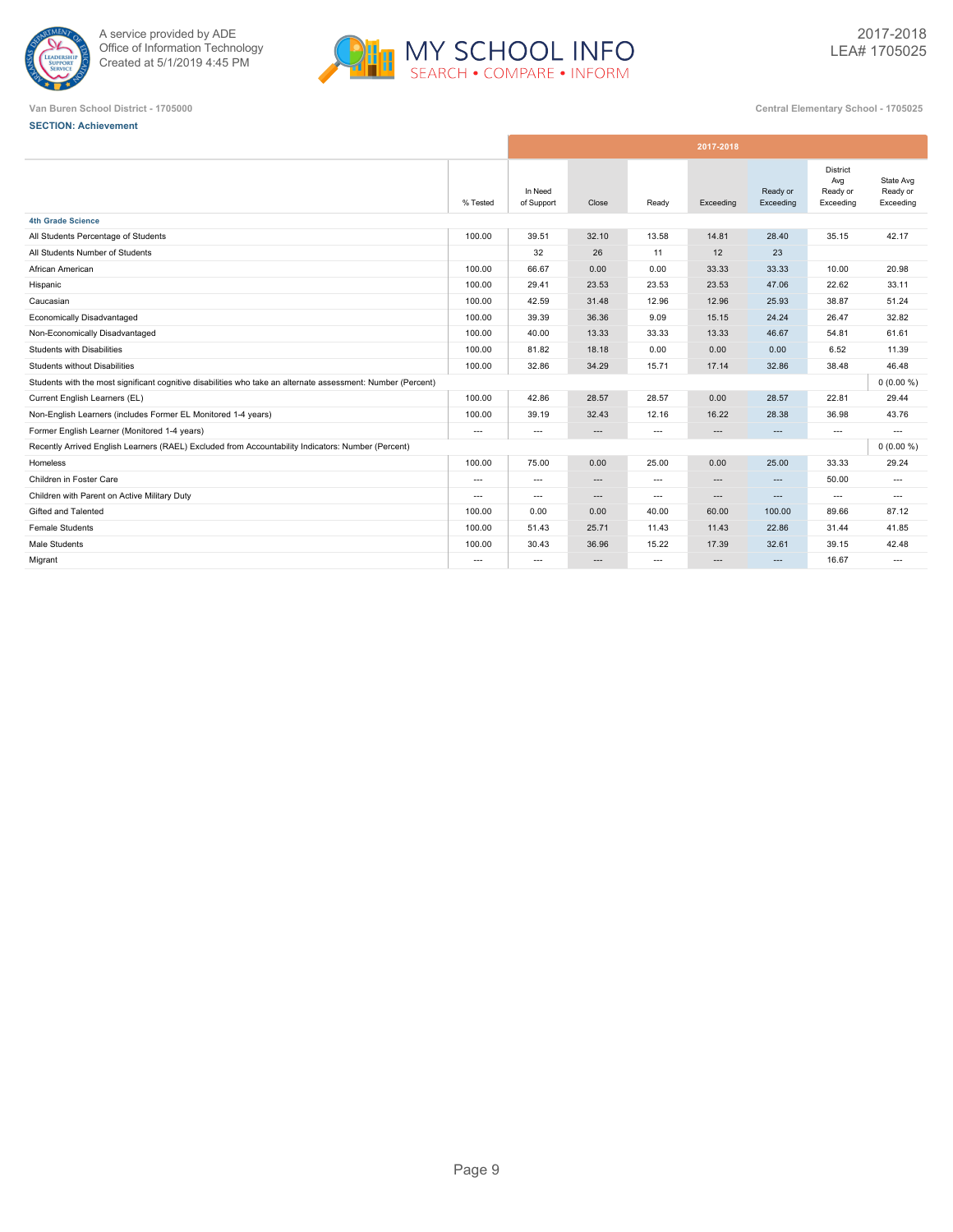



|                                                                                                              |                          | 2017-2018             |                          |          |                          |                       |                                          |                                    |
|--------------------------------------------------------------------------------------------------------------|--------------------------|-----------------------|--------------------------|----------|--------------------------|-----------------------|------------------------------------------|------------------------------------|
|                                                                                                              | % Tested                 | In Need<br>of Support | Close                    | Ready    | Exceeding                | Ready or<br>Exceeding | District<br>Avg<br>Ready or<br>Exceeding | State Avg<br>Ready or<br>Exceeding |
| <b>4th Grade Science</b>                                                                                     |                          |                       |                          |          |                          |                       |                                          |                                    |
| All Students Percentage of Students                                                                          | 100.00                   | 39.51                 | 32.10                    | 13.58    | 14.81                    | 28.40                 | 35.15                                    | 42.17                              |
| All Students Number of Students                                                                              |                          | 32                    | 26                       | 11       | 12                       | 23                    |                                          |                                    |
| African American                                                                                             | 100.00                   | 66.67                 | 0.00                     | 0.00     | 33.33                    | 33.33                 | 10.00                                    | 20.98                              |
| Hispanic                                                                                                     | 100.00                   | 29.41                 | 23.53                    | 23.53    | 23.53                    | 47.06                 | 22.62                                    | 33.11                              |
| Caucasian                                                                                                    | 100.00                   | 42.59                 | 31.48                    | 12.96    | 12.96                    | 25.93                 | 38.87                                    | 51.24                              |
| Economically Disadvantaged                                                                                   | 100.00                   | 39.39                 | 36.36                    | 9.09     | 15.15                    | 24.24                 | 26.47                                    | 32.82                              |
| Non-Economically Disadvantaged                                                                               | 100.00                   | 40.00                 | 13.33                    | 33.33    | 13.33                    | 46.67                 | 54.81                                    | 61.61                              |
| <b>Students with Disabilities</b>                                                                            | 100.00                   | 81.82                 | 18.18                    | 0.00     | 0.00                     | 0.00                  | 6.52                                     | 11.39                              |
| <b>Students without Disabilities</b>                                                                         | 100.00                   | 32.86                 | 34.29                    | 15.71    | 17.14                    | 32.86                 | 38.48                                    | 46.48                              |
| Students with the most significant cognitive disabilities who take an alternate assessment: Number (Percent) |                          |                       |                          |          |                          |                       |                                          | $0(0.00\%)$                        |
| Current English Learners (EL)                                                                                | 100.00                   | 42.86                 | 28.57                    | 28.57    | 0.00                     | 28.57                 | 22.81                                    | 29.44                              |
| Non-English Learners (includes Former EL Monitored 1-4 years)                                                | 100.00                   | 39.19                 | 32.43                    | 12.16    | 16.22                    | 28.38                 | 36.98                                    | 43.76                              |
| Former English Learner (Monitored 1-4 years)                                                                 | $---$                    | $---$                 | $\hspace{0.05cm} \ldots$ | $  -$    | $\hspace{0.05cm} \ldots$ | $\sim$ $\sim$         | $\cdots$                                 | $---$                              |
| Recently Arrived English Learners (RAEL) Excluded from Accountability Indicators: Number (Percent)           |                          |                       |                          |          |                          |                       |                                          | $0(0.00\%)$                        |
| Homeless                                                                                                     | 100.00                   | 75.00                 | 0.00                     | 25.00    | 0.00                     | 25.00                 | 33.33                                    | 29.24                              |
| Children in Foster Care                                                                                      | $\sim$ $\sim$            | $\cdots$              | $\cdots$                 | $\cdots$ | $\cdots$                 | $\sim$ $\sim$         | 50.00                                    | $\cdots$                           |
| Children with Parent on Active Military Duty                                                                 | $\hspace{0.05cm} \ldots$ | $\cdots$              | $\cdots$                 | $  -$    | $\hspace{0.05cm} \ldots$ | $\cdots$              | $\cdots$                                 | $\cdots$                           |
| Gifted and Talented                                                                                          | 100.00                   | 0.00                  | 0.00                     | 40.00    | 60.00                    | 100.00                | 89.66                                    | 87.12                              |
| <b>Female Students</b>                                                                                       | 100.00                   | 51.43                 | 25.71                    | 11.43    | 11.43                    | 22.86                 | 31.44                                    | 41.85                              |
| Male Students                                                                                                | 100.00                   | 30.43                 | 36.96                    | 15.22    | 17.39                    | 32.61                 | 39.15                                    | 42.48                              |
| Migrant                                                                                                      | $---$                    | $---$                 | $---$                    | $---$    | $\cdots$                 | $\sim$ $\sim$         | 16.67                                    | $---$                              |
|                                                                                                              |                          |                       |                          |          |                          |                       |                                          |                                    |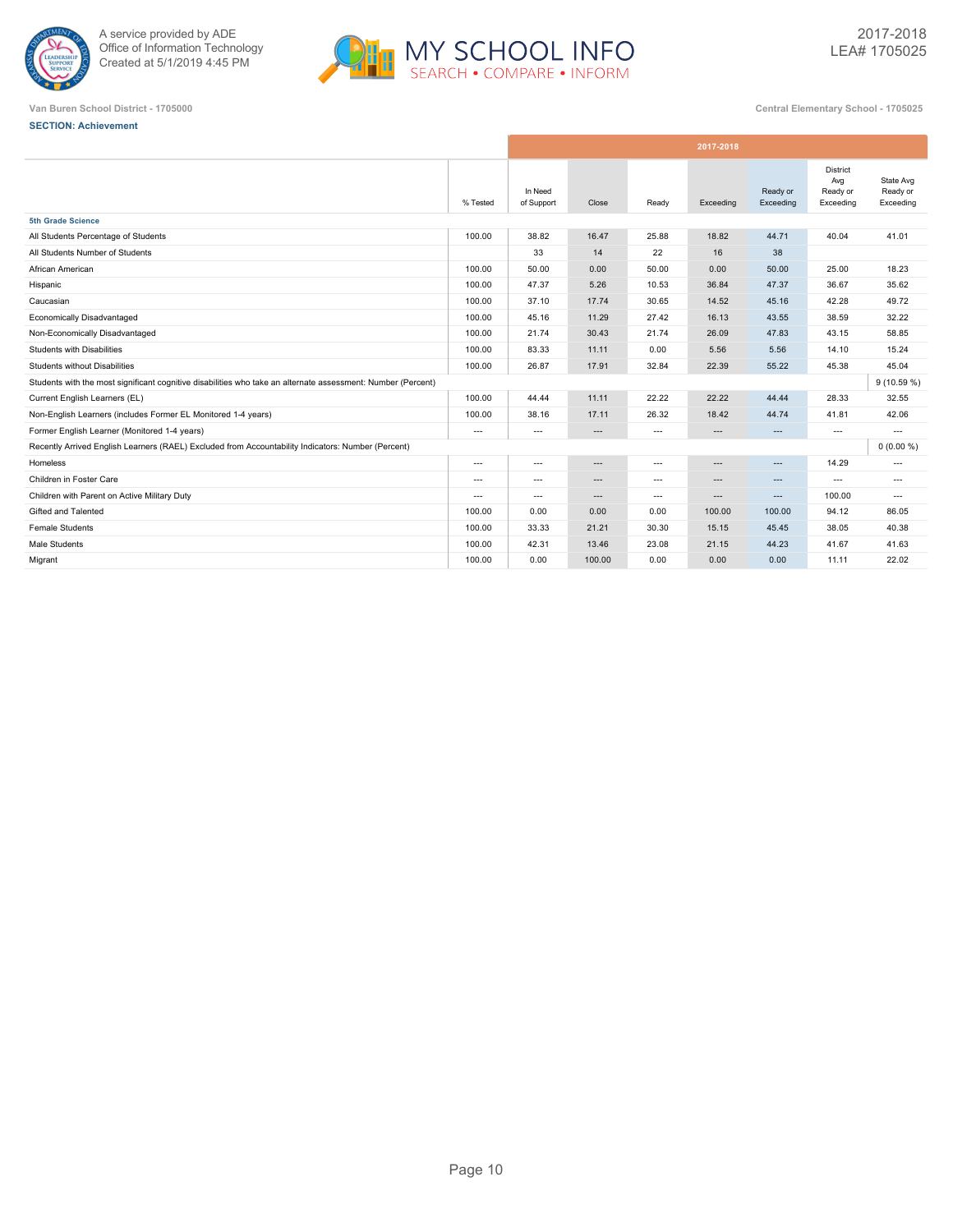



|                                                                                                              |               |                          |                          |                          | 2017-2018                |                               |                                                 |                                    |
|--------------------------------------------------------------------------------------------------------------|---------------|--------------------------|--------------------------|--------------------------|--------------------------|-------------------------------|-------------------------------------------------|------------------------------------|
|                                                                                                              | % Tested      | In Need<br>of Support    | Close                    | Ready                    | Exceeding                | Ready or<br>Exceeding         | <b>District</b><br>Avg<br>Ready or<br>Exceeding | State Avg<br>Ready or<br>Exceeding |
| <b>5th Grade Science</b>                                                                                     |               |                          |                          |                          |                          |                               |                                                 |                                    |
| All Students Percentage of Students                                                                          | 100.00        | 38.82                    | 16.47                    | 25.88                    | 18.82                    | 44.71                         | 40.04                                           | 41.01                              |
| All Students Number of Students                                                                              |               | 33                       | 14                       | 22                       | 16                       | 38                            |                                                 |                                    |
| African American                                                                                             | 100.00        | 50.00                    | 0.00                     | 50.00                    | 0.00                     | 50.00                         | 25.00                                           | 18.23                              |
| Hispanic                                                                                                     | 100.00        | 47.37                    | 5.26                     | 10.53                    | 36.84                    | 47.37                         | 36.67                                           | 35.62                              |
| Caucasian                                                                                                    | 100.00        | 37.10                    | 17.74                    | 30.65                    | 14.52                    | 45.16                         | 42.28                                           | 49.72                              |
| Economically Disadvantaged                                                                                   | 100.00        | 45.16                    | 11.29                    | 27.42                    | 16.13                    | 43.55                         | 38.59                                           | 32.22                              |
| Non-Economically Disadvantaged                                                                               | 100.00        | 21.74                    | 30.43                    | 21.74                    | 26.09                    | 47.83                         | 43.15                                           | 58.85                              |
| <b>Students with Disabilities</b>                                                                            | 100.00        | 83.33                    | 11.11                    | 0.00                     | 5.56                     | 5.56                          | 14.10                                           | 15.24                              |
| <b>Students without Disabilities</b>                                                                         | 100.00        | 26.87                    | 17.91                    | 32.84                    | 22.39                    | 55.22                         | 45.38                                           | 45.04                              |
| Students with the most significant cognitive disabilities who take an alternate assessment: Number (Percent) |               |                          |                          |                          |                          |                               |                                                 | $9(10.59\%)$                       |
| Current English Learners (EL)                                                                                | 100.00        | 44.44                    | 11.11                    | 22.22                    | 22.22                    | 44.44                         | 28.33                                           | 32.55                              |
| Non-English Learners (includes Former EL Monitored 1-4 years)                                                | 100.00        | 38.16                    | 17.11                    | 26.32                    | 18.42                    | 44.74                         | 41.81                                           | 42.06                              |
| Former English Learner (Monitored 1-4 years)                                                                 | $\cdots$      | ---                      | $\hspace{0.05cm} \ldots$ | ---                      | $\hspace{0.05cm} \ldots$ | $\hspace{1.5cm} \textbf{---}$ | $\cdots$                                        | ---                                |
| Recently Arrived English Learners (RAEL) Excluded from Accountability Indicators: Number (Percent)           |               |                          |                          |                          |                          |                               |                                                 | $0(0.00\%)$                        |
| Homeless                                                                                                     | $\cdots$      | $\hspace{0.05cm} \ldots$ | $\cdots$                 | $---$                    | $---$                    | $\cdots$                      | 14.29                                           | $---$                              |
| Children in Foster Care                                                                                      | $\cdots$      | $\hspace{0.05cm} \ldots$ | $\cdots$                 | $\hspace{0.05cm} \ldots$ | $---$                    | $\cdots$                      | $\overline{\phantom{a}}$                        | $---$                              |
| Children with Parent on Active Military Duty                                                                 | $\sim$ $\sim$ | $\cdots$                 | $\cdots$                 | $\cdots$                 | $\cdots$                 | $\cdots$                      | 100.00                                          | ---                                |
| Gifted and Talented                                                                                          | 100.00        | 0.00                     | 0.00                     | 0.00                     | 100.00                   | 100.00                        | 94.12                                           | 86.05                              |
| Female Students                                                                                              | 100.00        | 33.33                    | 21.21                    | 30.30                    | 15.15                    | 45.45                         | 38.05                                           | 40.38                              |
| Male Students                                                                                                | 100.00        | 42.31                    | 13.46                    | 23.08                    | 21.15                    | 44.23                         | 41.67                                           | 41.63                              |
| Migrant                                                                                                      | 100.00        | 0.00                     | 100.00                   | 0.00                     | 0.00                     | 0.00                          | 11.11                                           | 22.02                              |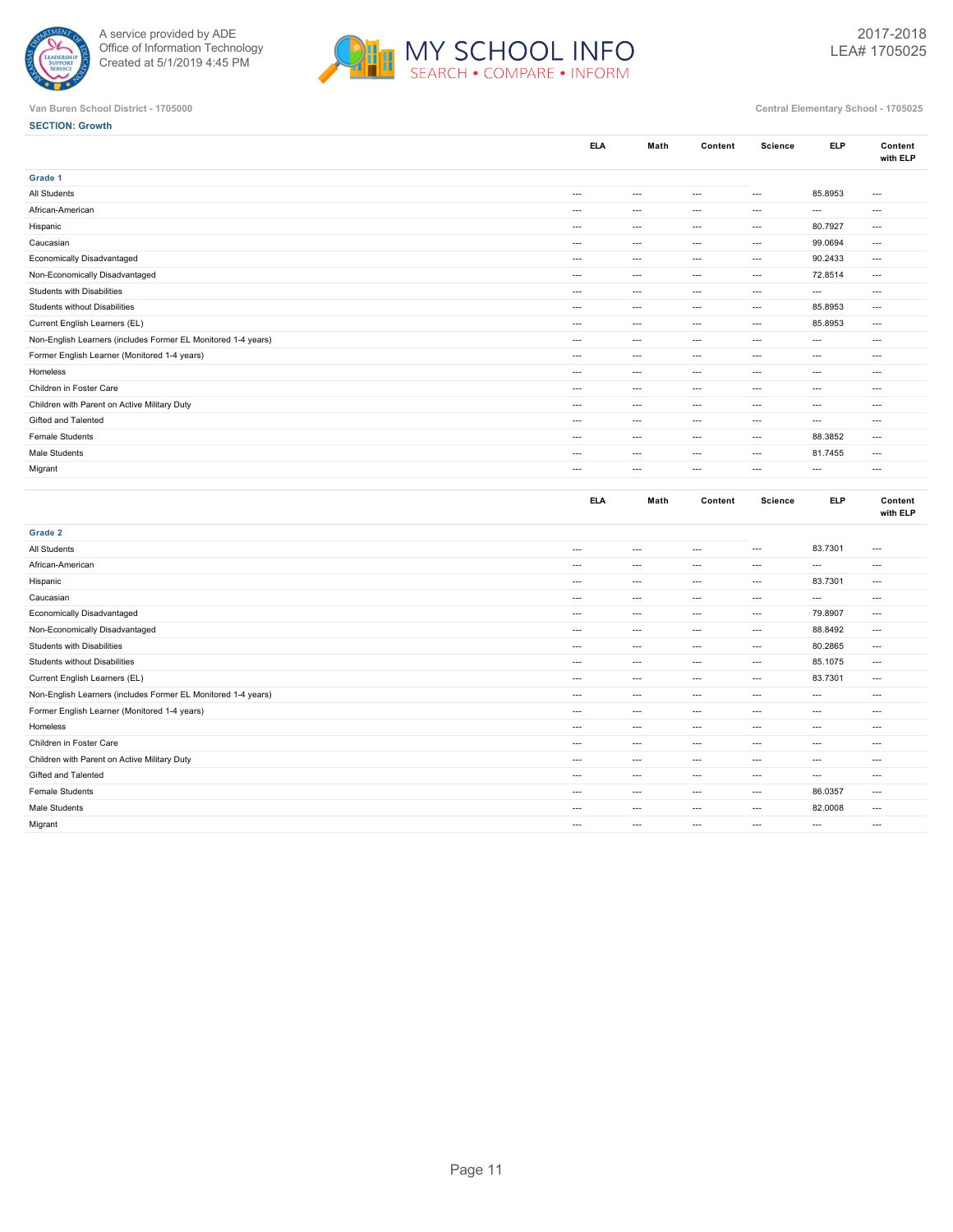

**SECTION: Growth**



|                                                               | <b>ELA</b>        | Math          | Content                  | <b>Science</b>           | <b>ELP</b> | Content<br>with ELP      |
|---------------------------------------------------------------|-------------------|---------------|--------------------------|--------------------------|------------|--------------------------|
| Grade 1                                                       |                   |               |                          |                          |            |                          |
| All Students                                                  | $---$             | $---$         | $  -$                    | $\sim$ $\sim$            | 85.8953    | $\hspace{0.05cm} \ldots$ |
| African-American                                              | $---$             | $\cdots$      | $  -$                    | $\sim$ $\sim$            | $---$      | $\cdots$                 |
| Hispanic                                                      | $\qquad \qquad -$ | $\cdots$      | $---$                    | $\sim$ $\sim$            | 80.7927    | $\hspace{0.05cm} \ldots$ |
| Caucasian                                                     | $\cdots$          | $\sim$ $\sim$ | $\hspace{0.05cm} \ldots$ | $\hspace{0.05cm} \ldots$ | 99.0694    | $\hspace{0.05cm} \ldots$ |
| Economically Disadvantaged                                    | $---$             | $---$         | $---$                    | $\hspace{0.05cm} \ldots$ | 90.2433    | $\hspace{0.05cm} \ldots$ |
| Non-Economically Disadvantaged                                | $\qquad \qquad -$ | $\cdots$      | $\hspace{0.05cm} \ldots$ | $\sim$ $\sim$            | 72.8514    | $\hspace{0.05cm} \ldots$ |
| Students with Disabilities                                    | $\qquad \qquad -$ | $\cdots$      | $\hspace{0.05cm} \ldots$ | $\cdots$                 | $---$      | $\cdots$                 |
| <b>Students without Disabilities</b>                          | $---$             | $---$         | $---$                    | $\cdots$                 | 85.8953    | $\hspace{0.05cm} \ldots$ |
| Current English Learners (EL)                                 | $---$             | $---$         | $  -$                    | $---$                    | 85.8953    | $---$                    |
| Non-English Learners (includes Former EL Monitored 1-4 years) | $---$             | $\sim$ $\sim$ | $\hspace{0.05cm} \ldots$ | $\hspace{0.05cm} \ldots$ | $\cdots$   | $\cdots$                 |
| Former English Learner (Monitored 1-4 years)                  | $\cdots$          | $\sim$ $\sim$ | $\hspace{0.05cm} \ldots$ | $\hspace{0.05cm} \ldots$ | $\cdots$   | $\hspace{0.05cm} \ldots$ |
| Homeless                                                      | $---$             | $\cdots$      | $\hspace{0.05cm} \ldots$ | $\cdots$                 | $---$      | $\cdots$                 |
| Children in Foster Care                                       | $---$             | $---$         | $---$                    | $\cdots$                 | $---$      | $\cdots$                 |
| Children with Parent on Active Military Duty                  | $---$             | $---$         | $  -$                    | $---$                    | $---$      | $---$                    |
| Gifted and Talented                                           | $---$             | $\sim$ $\sim$ | $\hspace{0.05cm} \ldots$ | $\sim$ $\sim$            | $\cdots$   | $\hspace{0.05cm} \ldots$ |
| Female Students                                               | $- - -$           | $---$         | $  -$                    | $---$                    | 88.3852    | $---$                    |
| <b>Male Students</b>                                          | $\qquad \qquad -$ | $\sim$ $\sim$ | $\hspace{0.05cm} \ldots$ | $\hspace{0.05cm} \ldots$ | 81.7455    | $\hspace{0.05cm} \ldots$ |
| Migrant                                                       | $\cdots$          | $\cdots$      | $\hspace{0.05cm} \ldots$ | $\cdots$                 | $\cdots$   | $\cdots$                 |
|                                                               |                   |               |                          |                          |            |                          |
|                                                               | <b>ELA</b>        | Math          | Content                  | <b>Science</b>           | <b>ELP</b> | Content                  |

|                                                               |       |                          |                          |               |                   | with ELP          |
|---------------------------------------------------------------|-------|--------------------------|--------------------------|---------------|-------------------|-------------------|
| Grade 2                                                       |       |                          |                          |               |                   |                   |
| All Students                                                  | $---$ | $\cdots$                 | $\sim$ $\sim$            | $---$         | 83.7301           | $\cdots$          |
| African-American                                              | $---$ | $---$                    | $---$                    | $---$         | $---$             | $---$             |
| Hispanic                                                      | $---$ | $---$                    | $\sim$ $\sim$            | $\sim$ $\sim$ | 83.7301           | $\cdots$          |
| Caucasian                                                     | $---$ | $\sim$ $\sim$            | $\sim$ $\sim$            | $\sim$ $\sim$ | $\cdots$          | $\qquad \qquad -$ |
| Economically Disadvantaged                                    | $---$ | $\hspace{0.05cm} \ldots$ | $\sim$ $\sim$            | $\sim$ $\sim$ | 79.8907           | $\cdots$          |
| Non-Economically Disadvantaged                                | $---$ | $---$                    | $---$                    | $---$         | 88.8492           | $\cdots$          |
| Students with Disabilities                                    | $---$ | $---$                    | $---$                    | $\sim$ $\sim$ | 80.2865           | $\cdots$          |
| Students without Disabilities                                 | $---$ | $---$                    | $---$                    | $\sim$ $\sim$ | 85.1075           | $\cdots$          |
| Current English Learners (EL)                                 | $---$ | $\hspace{0.05cm} \ldots$ | $\cdots$                 | $\sim$ $\sim$ | 83.7301           | $\cdots$          |
| Non-English Learners (includes Former EL Monitored 1-4 years) | $---$ | $---$                    | $  -$                    | $---$         | $---$             | $---$             |
| Former English Learner (Monitored 1-4 years)                  | $---$ | $---$                    | $---$                    | $---$         | $\qquad \qquad -$ | $\qquad \qquad -$ |
| Homeless                                                      | $---$ | $---$                    | $---$                    | $---$         | $---$             | $---$             |
| Children in Foster Care                                       | $---$ | $---$                    | $\sim$ $\sim$            | $\sim$ $\sim$ | $\cdots$          | $\qquad \qquad -$ |
| Children with Parent on Active Military Duty                  | $---$ | $---$                    | $---$                    | $---$         | $---$             | $---$             |
| Gifted and Talented                                           | $---$ | $---$                    | $---$                    | $---$         | $---$             | $\qquad \qquad -$ |
| Female Students                                               | $---$ | $---$                    | $\hspace{0.05cm} \ldots$ | $\sim$ $\sim$ | 86.0357           | $\cdots$          |
| Male Students                                                 | $---$ | $---$                    | $\sim$ $\sim$            | $\sim$ $\sim$ | 82.0008           | $\cdots$          |
| Migrant                                                       | $---$ | $---$                    | $---$                    | $---$         | $---$             | $\qquad \qquad -$ |
|                                                               |       |                          |                          |               |                   |                   |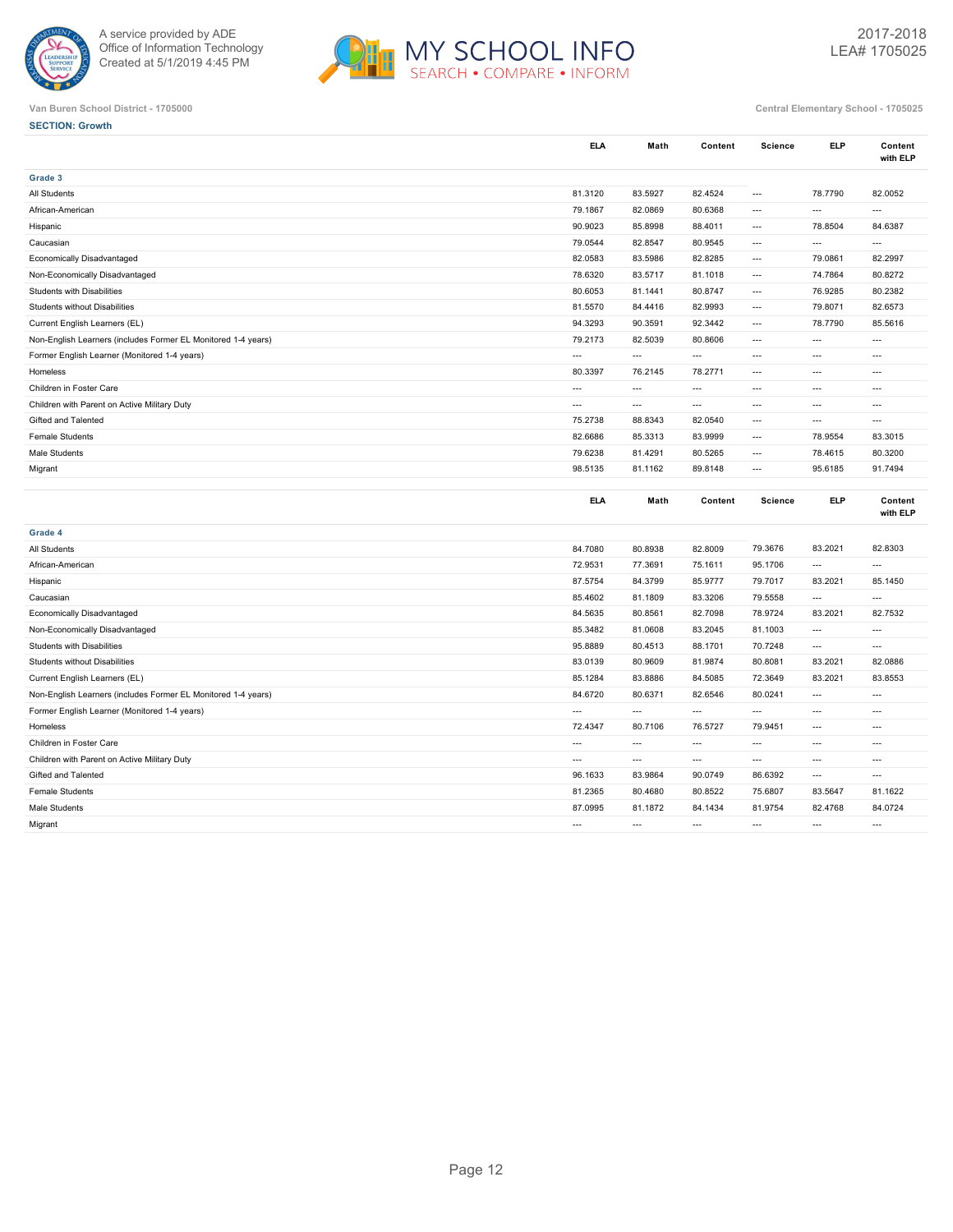

**SECTION: Growth**



|                                                               | <b>ELA</b>               | Math                     | Content                  | <b>Science</b>           | <b>ELP</b>               | Content<br>with ELP      |
|---------------------------------------------------------------|--------------------------|--------------------------|--------------------------|--------------------------|--------------------------|--------------------------|
| Grade 3                                                       |                          |                          |                          |                          |                          |                          |
| All Students                                                  | 81.3120                  | 83.5927                  | 82.4524                  | $\overline{a}$           | 78.7790                  | 82.0052                  |
| African-American                                              | 79.1867                  | 82.0869                  | 80.6368                  | $\overline{a}$           | $\overline{a}$           | $\overline{a}$           |
| Hispanic                                                      | 90.9023                  | 85.8998                  | 88.4011                  | $---$                    | 78.8504                  | 84.6387                  |
| Caucasian                                                     | 79.0544                  | 82.8547                  | 80.9545                  | $\overline{a}$           | $\overline{\phantom{a}}$ | $\overline{a}$           |
| Economically Disadvantaged                                    | 82.0583                  | 83.5986                  | 82.8285                  | $\overline{a}$           | 79.0861                  | 82.2997                  |
| Non-Economically Disadvantaged                                | 78.6320                  | 83.5717                  | 81.1018                  | $\overline{\phantom{a}}$ | 74.7864                  | 80.8272                  |
| Students with Disabilities                                    | 80.6053                  | 81.1441                  | 80.8747                  | $\overline{a}$           | 76.9285                  | 80.2382                  |
| Students without Disabilities                                 | 81.5570                  | 84.4416                  | 82.9993                  | $\overline{\phantom{a}}$ | 79.8071                  | 82.6573                  |
| Current English Learners (EL)                                 | 94.3293                  | 90.3591                  | 92.3442                  | $\overline{a}$           | 78.7790                  | 85.5616                  |
| Non-English Learners (includes Former EL Monitored 1-4 years) | 79.2173                  | 82.5039                  | 80.8606                  | $\overline{\phantom{a}}$ | $\overline{\phantom{a}}$ | $\overline{\phantom{a}}$ |
| Former English Learner (Monitored 1-4 years)                  | $\overline{a}$           | $\overline{a}$           | $\overline{a}$           | $---$                    | $---$                    | $-$                      |
| Homeless                                                      | 80.3397                  | 76.2145                  | 78.2771                  | $\overline{\phantom{a}}$ | $\overline{\phantom{a}}$ | $\overline{\phantom{a}}$ |
| Children in Foster Care                                       | $\overline{a}$           | $\overline{\phantom{a}}$ | $\overline{\phantom{a}}$ | $\overline{a}$           | $\overline{\phantom{a}}$ | $\overline{a}$           |
| Children with Parent on Active Military Duty                  | $\overline{\phantom{a}}$ | ---                      | $\overline{\phantom{a}}$ | $\overline{a}$           | $\overline{\phantom{a}}$ | $\overline{\phantom{a}}$ |
| Gifted and Talented                                           | 75.2738                  | 88.8343                  | 82.0540                  | $\overline{\phantom{a}}$ | $\overline{\phantom{a}}$ | $\overline{\phantom{a}}$ |
| <b>Female Students</b>                                        | 82.6686                  | 85.3313                  | 83.9999                  | ---                      | 78.9554                  | 83.3015                  |
| Male Students                                                 | 79.6238                  | 81.4291                  | 80.5265                  | $\overline{\phantom{a}}$ | 78.4615                  | 80.3200                  |
| Migrant                                                       | 98.5135                  | 81.1162                  | 89.8148                  | $\overline{\phantom{a}}$ | 95.6185                  | 91.7494                  |
|                                                               |                          |                          |                          |                          |                          |                          |
|                                                               |                          |                          |                          |                          |                          |                          |
|                                                               | <b>ELA</b>               | Math                     | Content                  | <b>Science</b>           | <b>ELP</b>               | Content<br>with ELP      |
| Grade 4                                                       |                          |                          |                          |                          |                          |                          |
| All Students                                                  | 84.7080                  | 80.8938                  | 82.8009                  | 79.3676                  | 83.2021                  | 82.8303                  |
| African-American                                              | 72.9531                  | 77.3691                  | 75.1611                  | 95.1706                  | $\overline{\phantom{a}}$ | $\overline{\phantom{a}}$ |
| Hispanic                                                      | 87.5754                  | 84.3799                  | 85.9777                  | 79.7017                  | 83.2021                  | 85.1450                  |
| Caucasian                                                     | 85.4602                  | 81.1809                  | 83.3206                  | 79.5558                  | $\overline{\phantom{a}}$ | $\overline{a}$           |
| Economically Disadvantaged                                    | 84.5635                  | 80.8561                  | 82.7098                  | 78.9724                  | 83.2021                  | 82.7532                  |
| Non-Economically Disadvantaged                                | 85.3482                  | 81.0608                  | 83.2045                  | 81.1003                  | $\overline{\phantom{a}}$ | $\hspace{0.05cm} \ldots$ |
| Students with Disabilities                                    | 95.8889                  | 80.4513                  | 88.1701                  | 70.7248                  | $\overline{\phantom{a}}$ | $\overline{\phantom{a}}$ |
| <b>Students without Disabilities</b>                          | 83.0139                  | 80.9609                  | 81.9874                  | 80.8081                  | 83.2021                  | 82.0886                  |
| Current English Learners (EL)                                 | 85.1284                  | 83.8886                  | 84.5085                  | 72.3649                  | 83.2021                  | 83.8553                  |
| Non-English Learners (includes Former EL Monitored 1-4 years) | 84.6720                  | 80.6371                  | 82.6546                  | 80.0241                  | $\overline{\phantom{a}}$ | $\overline{\phantom{a}}$ |
| Former English Learner (Monitored 1-4 years)                  | $\overline{a}$           | $\overline{\phantom{a}}$ | ---                      | $\overline{a}$           | $\overline{\phantom{a}}$ | $\overline{a}$           |
| Homeless                                                      | 72.4347                  | 80.7106                  | 76.5727                  | 79.9451                  | $\overline{\phantom{a}}$ | $\overline{\phantom{a}}$ |
| Children in Foster Care                                       | $\overline{a}$           | $\overline{\phantom{a}}$ | ---                      | ---                      | $\overline{\phantom{a}}$ | $\overline{\phantom{a}}$ |
| Children with Parent on Active Military Duty                  | $\overline{\phantom{a}}$ | $\cdots$                 | $\overline{\phantom{a}}$ | $\overline{\phantom{a}}$ | $\overline{\phantom{a}}$ | $\overline{\phantom{a}}$ |
| Gifted and Talented                                           | 96.1633                  | 83.9864                  | 90.0749                  | 86.6392                  | $\overline{\phantom{a}}$ | $\overline{\phantom{a}}$ |
| <b>Female Students</b>                                        | 81.2365                  | 80.4680                  | 80.8522                  | 75.6807                  | 83.5647                  | 81.1622                  |
| Male Students                                                 | 87.0995                  | 81.1872                  | 84.1434                  | 81.9754                  | 82.4768                  | 84.0724                  |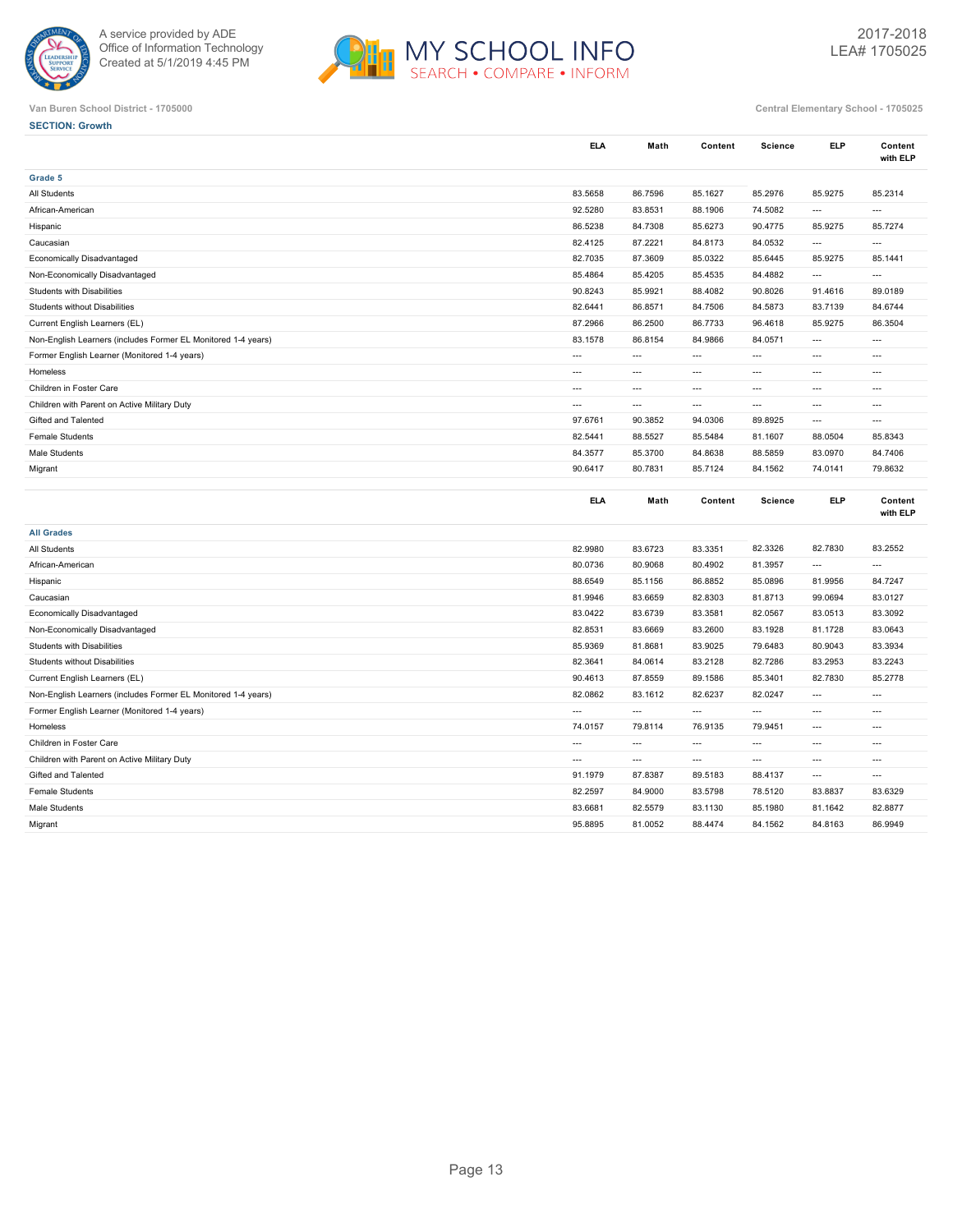

**SECTION: Growth**



### **Van Buren School District - 1705000 Central Elementary School - 1705025**

|                                                               | <b>ELA</b>               | Math                     | Content                  | <b>Science</b>           | <b>ELP</b>               | Content<br>with ELP      |
|---------------------------------------------------------------|--------------------------|--------------------------|--------------------------|--------------------------|--------------------------|--------------------------|
| Grade 5                                                       |                          |                          |                          |                          |                          |                          |
| All Students                                                  | 83.5658                  | 86.7596                  | 85.1627                  | 85.2976                  | 85.9275                  | 85.2314                  |
| African-American                                              | 92.5280                  | 83.8531                  | 88.1906                  | 74.5082                  | $\overline{\phantom{a}}$ | $\overline{a}$           |
| Hispanic                                                      | 86.5238                  | 84.7308                  | 85.6273                  | 90.4775                  | 85.9275                  | 85.7274                  |
| Caucasian                                                     | 82.4125                  | 87.2221                  | 84.8173                  | 84.0532                  | $\hspace{0.05cm} \ldots$ | $\overline{\phantom{a}}$ |
| Economically Disadvantaged                                    | 82.7035                  | 87.3609                  | 85.0322                  | 85.6445                  | 85.9275                  | 85.1441                  |
| Non-Economically Disadvantaged                                | 85.4864                  | 85.4205                  | 85.4535                  | 84.4882                  | $\overline{\phantom{a}}$ | $\cdots$                 |
| Students with Disabilities                                    | 90.8243                  | 85.9921                  | 88.4082                  | 90.8026                  | 91.4616                  | 89.0189                  |
| <b>Students without Disabilities</b>                          | 82.6441                  | 86.8571                  | 84.7506                  | 84.5873                  | 83.7139                  | 84.6744                  |
| Current English Learners (EL)                                 | 87.2966                  | 86.2500                  | 86.7733                  | 96.4618                  | 85.9275                  | 86.3504                  |
| Non-English Learners (includes Former EL Monitored 1-4 years) | 83.1578                  | 86.8154                  | 84.9866                  | 84.0571                  | $\overline{a}$           | $\overline{a}$           |
| Former English Learner (Monitored 1-4 years)                  | $\overline{\phantom{a}}$ | $\overline{a}$           | $\overline{\phantom{a}}$ | $\overline{a}$           | $\overline{\phantom{a}}$ | $\overline{a}$           |
| Homeless                                                      | $\overline{a}$           | ---                      | ---                      | ---                      | $\overline{a}$           | $\overline{a}$           |
| Children in Foster Care                                       | $\overline{a}$           | $\overline{\phantom{a}}$ | $\overline{\phantom{a}}$ | $\overline{\phantom{a}}$ | $\overline{\phantom{a}}$ | $\overline{\phantom{a}}$ |
| Children with Parent on Active Military Duty                  | $---$                    | $\overline{a}$           | $---$                    | $\overline{a}$           | $---$                    | $---$                    |
| Gifted and Talented                                           | 97.6761                  | 90.3852                  | 94.0306                  | 89.8925                  | $\overline{a}$           | $\overline{a}$           |
| <b>Female Students</b>                                        | 82.5441                  | 88.5527                  | 85.5484                  | 81.1607                  | 88.0504                  | 85.8343                  |
| Male Students                                                 | 84.3577                  | 85.3700                  | 84.8638                  | 88.5859                  | 83.0970                  | 84.7406                  |
|                                                               | 90.6417                  | 80.7831                  | 85.7124                  | 84.1562                  | 74.0141                  | 79.8632                  |
| Migrant                                                       |                          |                          |                          |                          |                          |                          |
|                                                               | <b>ELA</b>               | Math                     | Content                  | <b>Science</b>           | <b>ELP</b>               | Content<br>with ELP      |
| <b>All Grades</b>                                             |                          |                          |                          |                          |                          |                          |
| All Students                                                  | 82.9980                  | 83.6723                  | 83.3351                  | 82.3326                  | 82.7830                  | 83.2552                  |
| African-American                                              | 80.0736                  | 80.9068                  | 80.4902                  | 81.3957                  | $\overline{a}$           | $\overline{a}$           |
| Hispanic                                                      | 88.6549                  | 85.1156                  | 86.8852                  | 85.0896                  | 81.9956                  | 84.7247                  |
| Caucasian                                                     | 81.9946                  | 83.6659                  | 82.8303                  | 81.8713                  | 99.0694                  | 83.0127                  |
| Economically Disadvantaged                                    | 83.0422                  | 83.6739                  | 83.3581                  | 82.0567                  | 83.0513                  | 83.3092                  |
| Non-Economically Disadvantaged                                | 82.8531                  | 83.6669                  | 83.2600                  | 83.1928                  | 81.1728                  | 83.0643                  |
| Students with Disabilities                                    | 85.9369                  | 81.8681                  | 83.9025                  | 79.6483                  | 80.9043                  | 83.3934                  |
| <b>Students without Disabilities</b>                          | 82.3641                  | 84.0614                  | 83.2128                  | 82.7286                  | 83.2953                  | 83.2243                  |
| Current English Learners (EL)                                 | 90.4613                  | 87.8559                  | 89.1586                  | 85.3401                  | 82.7830                  | 85.2778                  |
| Non-English Learners (includes Former EL Monitored 1-4 years) | 82.0862                  | 83.1612                  | 82.6237                  | 82.0247                  | $\overline{\phantom{a}}$ | $\overline{a}$           |
| Former English Learner (Monitored 1-4 years)                  | ---                      | ---                      | ---                      | ---                      | $\overline{a}$           | $\overline{a}$           |
| Homeless                                                      | 74.0157                  | 79.8114                  | 76.9135                  | 79.9451                  | $---$                    | $\overline{a}$           |
| Children in Foster Care                                       | $\overline{a}$           | ---                      | ---                      | $---$                    | $\overline{\phantom{a}}$ | $---$                    |
| Children with Parent on Active Military Duty                  | $\overline{a}$           | $\overline{a}$           | $\overline{a}$           | $-$                      | $\overline{a}$           | $---$                    |
| Gifted and Talented                                           | 91.1979                  | 87.8387                  | 89.5183                  | 88.4137                  | $\overline{\phantom{a}}$ | $---$                    |
| <b>Female Students</b>                                        | 82.2597                  | 84.9000                  | 83.5798                  | 78.5120                  | 83.8837                  | 83.6329                  |

95.8895 81.0052 88.4474 84.1562 84.8163 86.9949 المراجع المستحدث المستحدث المستحدث المستحدث المستحدث المستحدث المستحدث المستحدث المستحدث المستحدث المستحدث المستحدث المستحدث المستحدث المستحدث المستحدث المستحدث المستحدث الم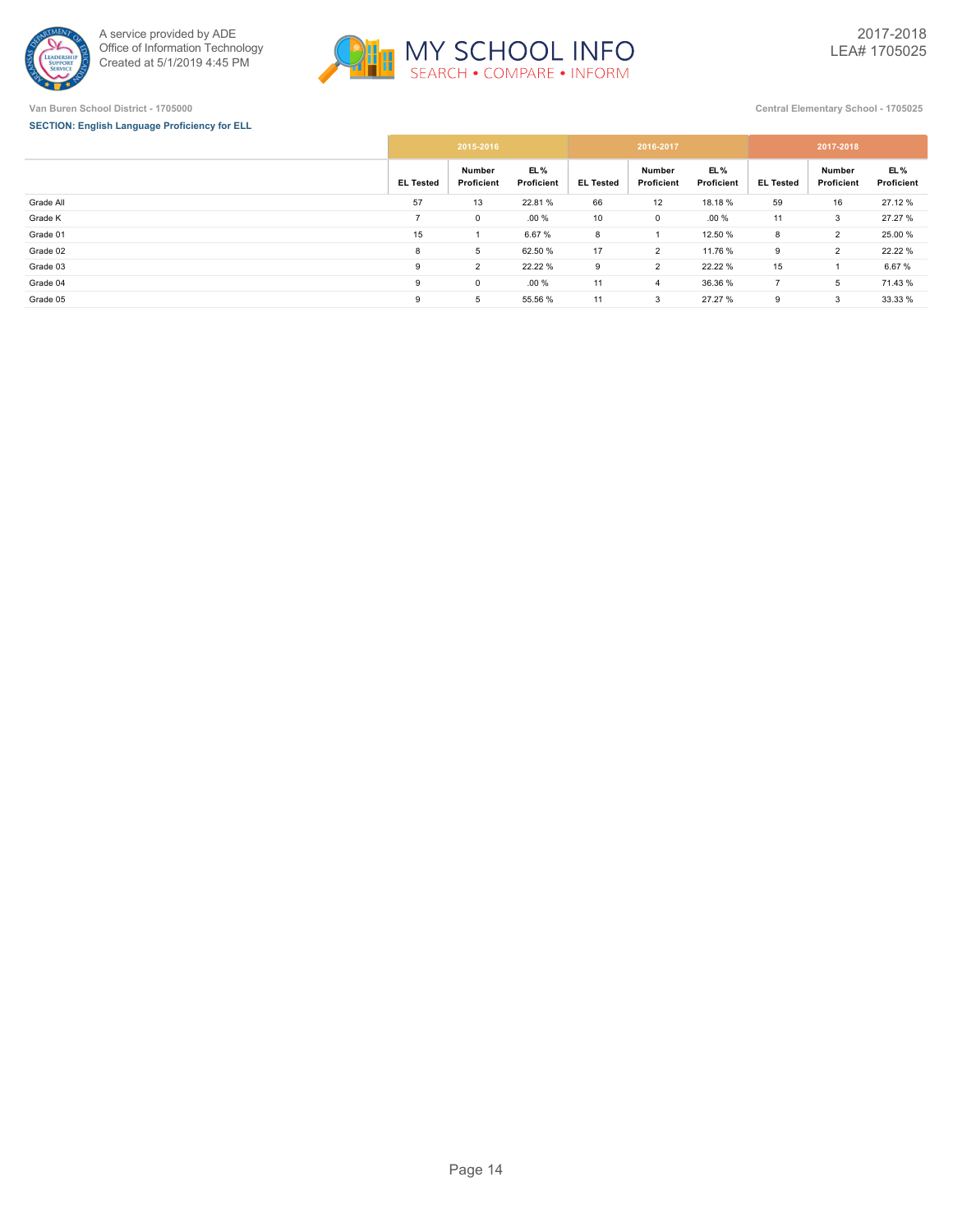

A service provided by ADE Office of Information Technology Created at 5/1/2019 4:45 PM



**Van Buren School District - 1705000 Central Elementary School - 1705025**

### **SECTION: English Language Proficiency for ELL**

|           |                  | 2015-2016            |                   |                  | 2016-2017            |                    | 2017-2018        |                      |                    |  |
|-----------|------------------|----------------------|-------------------|------------------|----------------------|--------------------|------------------|----------------------|--------------------|--|
|           | <b>EL Tested</b> | Number<br>Proficient | EL%<br>Proficient | <b>EL Tested</b> | Number<br>Proficient | EL %<br>Proficient | <b>EL Tested</b> | Number<br>Proficient | EL %<br>Proficient |  |
| Grade All | 57               | 13                   | 22.81 %           | 66               | 12                   | 18.18 %            | 59               | 16                   | 27.12 %            |  |
| Grade K   | $\overline{ }$   | $\mathbf 0$          | .00%              | 10               | 0                    | .00%               | 11               | 3                    | 27.27 %            |  |
| Grade 01  | 15               |                      | 6.67 %            | 8                |                      | 12.50 %            | 8                | $\overline{2}$       | 25.00 %            |  |
| Grade 02  | 8                | 5                    | 62.50 %           | 17               | $\overline{2}$       | 11.76 %            | 9                | $\overline{2}$       | 22.22 %            |  |
| Grade 03  | 9                | $\overline{2}$       | 22.22 %           | 9                | $\overline{2}$       | 22.22 %            | 15               |                      | 6.67%              |  |
| Grade 04  | 9                | $\mathbf 0$          | .00%              | 11               | $\overline{4}$       | 36.36 %            | 7                | 5                    | 71.43 %            |  |
| Grade 05  | 9                | 5                    | 55.56 %           | 11               | 3                    | 27.27 %            | 9                | 3                    | 33.33 %            |  |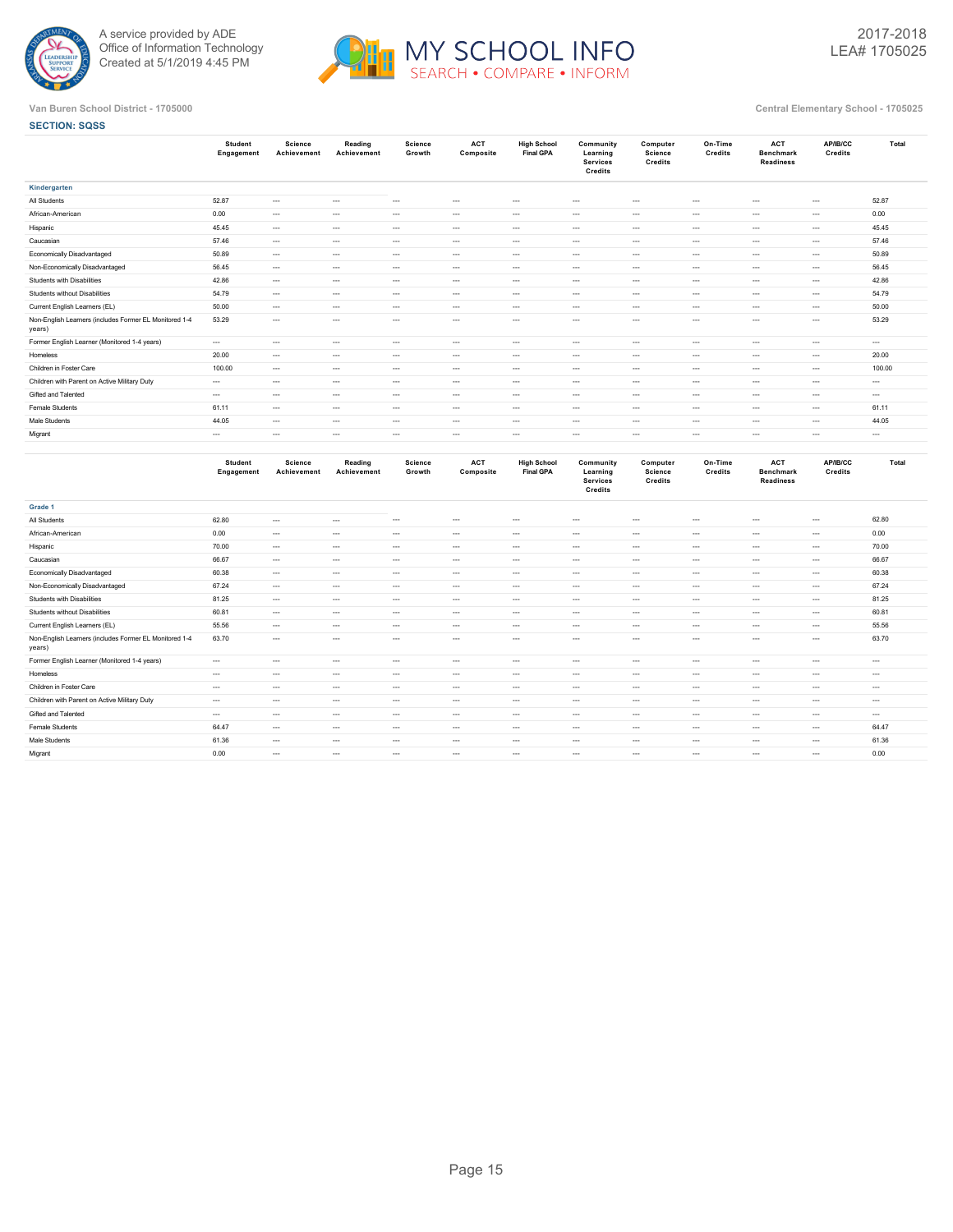



|                                                                  | <b>Student</b><br>Engagement | Science<br>Achievement | Reading<br>Achievement | Science<br>Growth | <b>ACT</b><br>Composite | <b>High School</b><br><b>Final GPA</b> | Community<br>Learning<br><b>Services</b><br>Credits | Computer<br>Science<br>Credits | On-Time<br>Credits | <b>ACT</b><br><b>Benchmark</b><br><b>Readiness</b> | AP/IB/CC<br>Credits | Total   |
|------------------------------------------------------------------|------------------------------|------------------------|------------------------|-------------------|-------------------------|----------------------------------------|-----------------------------------------------------|--------------------------------|--------------------|----------------------------------------------------|---------------------|---------|
| Kindergarten                                                     |                              |                        |                        |                   |                         |                                        |                                                     |                                |                    |                                                    |                     |         |
| All Students                                                     | 52.87                        | $\cdots$               | $\cdots$               |                   | $\cdots$                |                                        | $---$                                               | $\cdots$                       | $\sim$             | $\cdots$                                           | $---$               | 52.87   |
| African-American                                                 | 0.00                         | $\cdots$               | $\cdots$               | $---$             |                         |                                        | $---$                                               | $\cdots$                       | $\sim$             | $\cdots$                                           | $---$               | 0.00    |
| Hispanic                                                         | 45.45                        | $\cdots$               | ---                    | $---$             |                         |                                        | $---$                                               | $\cdots$                       | $\sim$             | $\cdots$                                           | $---$               | 45.45   |
| Caucasian                                                        | 57.46                        | $---$                  | $\cdots$               | $\cdots$          | $---$                   |                                        | $---$                                               | $\cdots$                       | $\sim$             | $\cdots$                                           | $---$               | 57.46   |
| Economically Disadvantaged                                       | 50.89                        | $---$                  | $\cdots$               | $---$             |                         |                                        | $---$                                               | $\cdots$                       | $\cdots$           | $\cdots$                                           | $---$               | 50.89   |
| Non-Economically Disadvantaged                                   | 56.45                        | $\cdots$               | $\cdots$               | $\cdots$          | $\cdots$                | $\cdots$                               | $\cdots$                                            | $\cdots$                       | $\cdots$           | $\cdots$                                           | $---$               | 56.45   |
| Students with Disabilities                                       | 42.86                        | $\cdots$               | $\cdots$               | $\cdots$          | $\cdots$                | $\cdots$                               | $---$                                               | $\cdots$                       | $\sim$             | $\cdots$                                           | $---$               | 42.86   |
| Students without Disabilities                                    | 54.79                        | $\cdots$               | $\cdots$               | $---$             |                         |                                        | $---$                                               | $\cdots$                       | $\cdots$           | $\cdots$                                           | $---$               | 54.79   |
| Current English Learners (EL)                                    | 50.00                        | $---$                  | $\cdots$               | $\cdots$          | $\cdots$                |                                        | $---$                                               | $\cdots$                       | $\sim$             | $\cdots$                                           | $---$               | 50.00   |
| Non-English Learners (includes Former EL Monitored 1-4<br>years) | 53.29                        | $\cdots$               |                        |                   |                         |                                        | $---$                                               | $\cdots$                       | $\sim$             | $\cdots$                                           | $---$               | 53.29   |
| Former English Learner (Monitored 1-4 years)                     | $-1$                         | $\cdots$               | $\cdots$               | $\cdots$          | $\cdots$                | $\cdots$                               | $\cdots$                                            | $\cdots$                       | $\cdots$           | $\cdots$                                           | $---$               | $- - -$ |
| Homeless                                                         | 20.00                        | $---$                  | $\cdots$               | $---$             | $\sim$                  | $\cdots$                               | $\cdots$                                            | $\cdots$                       | $\cdots$           | $\cdots$                                           | $---$               | 20.00   |
| Children in Foster Care                                          | 100.00                       | $\cdots$               | $\cdots$               | $---$             |                         |                                        | $---$                                               | $\cdots$                       | $\sim$             | $\cdots$                                           | $---$               | 100.00  |
| Children with Parent on Active Military Duty                     | $-1$                         | $\cdots$               | $\cdots$               | $---$             |                         |                                        | $---$                                               | $\cdots$                       | $\sim$             | $\cdots$                                           | $---$               | $- - -$ |
| Gifted and Talented                                              | $-1$                         | $\cdots$               | $\cdots$               | $---$             |                         |                                        | $---$                                               | $\cdots$                       | $\sim$             | $\cdots$                                           | $---$               | $- - -$ |
| Female Students                                                  | 61.11                        | $---$                  | $\cdots$               | $\cdots$          | $\sim$                  |                                        | $\cdots$                                            | $\cdots$                       | $\sim$             | $\cdots$                                           | $\cdots$            | 61.11   |
| Male Students                                                    | 44.05                        | $---$                  | $\cdots$               | $\sim$ $\sim$     | $\sim$                  |                                        | $\cdots$                                            | $\cdots$                       | $\cdots$           | $\cdots$                                           | $---$               | 44.05   |
| Migrant                                                          | $-1$                         | $---$                  |                        | $\cdots$          |                         |                                        | $---$                                               | $\cdots$                       | $\sim$             | $\cdots$                                           | $---$               | $- - -$ |
|                                                                  |                              |                        |                        |                   |                         |                                        |                                                     |                                |                    |                                                    |                     |         |

|                                                                  | <b>Student</b><br>Engagement | Science<br>Achievement | Reading<br>Achievement | Science<br>Growth | <b>ACT</b><br>Composite | <b>High School</b><br><b>Final GPA</b> | Community<br>Learning<br><b>Services</b><br>Credits | Computer<br>Science<br>Credits | On-Time<br>Credits | <b>ACT</b><br><b>Benchmark</b><br><b>Readiness</b> | AP/IB/CC<br>Credits | Total    |
|------------------------------------------------------------------|------------------------------|------------------------|------------------------|-------------------|-------------------------|----------------------------------------|-----------------------------------------------------|--------------------------------|--------------------|----------------------------------------------------|---------------------|----------|
| Grade 1                                                          |                              |                        |                        |                   |                         |                                        |                                                     |                                |                    |                                                    |                     |          |
| All Students                                                     | 62.80                        | $\cdots$               | $\cdots$               | $\cdots$          | $\sim$                  |                                        | $---$                                               | $\cdots$                       | $\sim$             | $\cdots$                                           | $---$               | 62.80    |
| African-American                                                 | 0.00                         | $\cdots$               | $\cdots$               | $\sim$            | $\cdots$                | $\cdots$                               | $---$                                               | $\sim$                         | $\sim$             | $-1$                                               | $---$               | 0.00     |
| Hispanic                                                         | 70.00                        | $\cdots$               | $\cdots$               | $\sim$            | $\cdots$                | $---$                                  | $---$                                               | $\sim$                         | $\sim$             | $\cdots$                                           | $---$               | 70.00    |
| Caucasian                                                        | 66.67                        | $\cdots$               | $\cdots$               | $\sim$            | $\cdots$                | $\cdots$                               | $---$                                               | $\sim$                         | $\sim$             | $\cdots$                                           | $---$               | 66.67    |
| <b>Economically Disadvantaged</b>                                | 60.38                        | $\cdots$               | $\cdots$               | $\sim$            | $\cdots$                | $---$                                  | $---$                                               | $\sim$                         | $\sim$             | $\cdots$                                           | $---$               | 60.38    |
| Non-Economically Disadvantaged                                   | 67.24                        | $\cdots$               | $\cdots$               | $\sim$            | $\cdots$                | $\cdots$                               | $\cdots$                                            | $\sim$                         | $\sim$             | $-1$                                               | $\cdots$            | 67.24    |
| Students with Disabilities                                       | 81.25                        | $\cdots$               | $\cdots$               | $- - -$           | $\cdots$                | $---$                                  | $---$                                               | $\sim$                         | $\sim$             | $\cdots$                                           | $---$               | 81.25    |
| Students without Disabilities                                    | 60.81                        | $---$                  | $\cdots$               | $\sim$            | $\cdots$                | $---$                                  | $---$                                               | $\sim$                         | $\sim$             | $\cdots$                                           | $---$               | 60.81    |
| Current English Learners (EL)                                    | 55.56                        | $---$                  | $\cdots$               | $\sim$            | $\cdots$                | $---$                                  | $---$                                               | $\sim$                         | $\sim$             | $\cdots$                                           | $---$               | 55.56    |
| Non-English Learners (includes Former EL Monitored 1-4<br>years) | 63.70                        | $---$                  | $\cdots$               | $\sim$            | $\cdots$                | $---$                                  | $---$                                               | $\sim$                         | $\sim$             | $\cdots$                                           | $---$               | 63.70    |
| Former English Learner (Monitored 1-4 years)                     | $\cdots$                     | $\cdots$               | $\cdots$               | $\sim$            | $\cdots$                | $---$                                  | $---$                                               | $\sim$                         | $\sim$             | $\cdots$                                           | $---$               | $\cdots$ |
| Homeless                                                         | $\cdots$                     | $---$                  | $\cdots$               | $\sim$            | $\cdots$                | $---$                                  | $---$                                               | $\sim$                         | $\sim$             | $\cdots$                                           | $---$               | $---$    |
| Children in Foster Care                                          | $\cdots$                     | $---$                  | $\cdots$               | $\sim$            | $\cdots$                | $\cdots$                               | $---$                                               | $\sim$                         | $\sim$             | $-1$                                               | $---$               | $- - -$  |
| Children with Parent on Active Military Duty                     | $-1$                         | $---$                  | $\cdots$               | $\sim$            | $\cdots$                | $\cdots$                               | $---$                                               | $\sim$                         | $\sim$             | $-1$                                               | $---$               | $-1$     |
| Gifted and Talented                                              | $-1$                         | $\cdots$               | $\cdots$               | $- - -$           | $\cdots$                | $---$                                  | $---$                                               | $\sim$                         | $\sim$             | $\cdots$                                           | $---$               | $---$    |
| Female Students                                                  | 64.47                        | $\cdots$               | $\cdots$               | $- - -$           | $\sim$                  | $\cdots$                               | $---$                                               | $\sim$ $\sim$                  | $\sim$             | $\cdots$                                           | $\cdots$            | 64.47    |
| Male Students                                                    | 61.36                        | $---$                  | $\cdots$               | $- - -$           | $\cdots$                | $\cdots$                               | $---$                                               | $\cdots$                       | $\sim$             | $\sim$                                             | $\cdots$            | 61.36    |
| Migrant                                                          | 0.00                         | $\cdots$               | $\cdots$               | $- - -$           | $\cdots$                | $- - -$                                | $\cdots$                                            | $\cdots$                       | $\cdots$           | $\cdots$                                           | $---$               | 0.00     |
|                                                                  |                              |                        |                        |                   |                         |                                        |                                                     |                                |                    |                                                    |                     |          |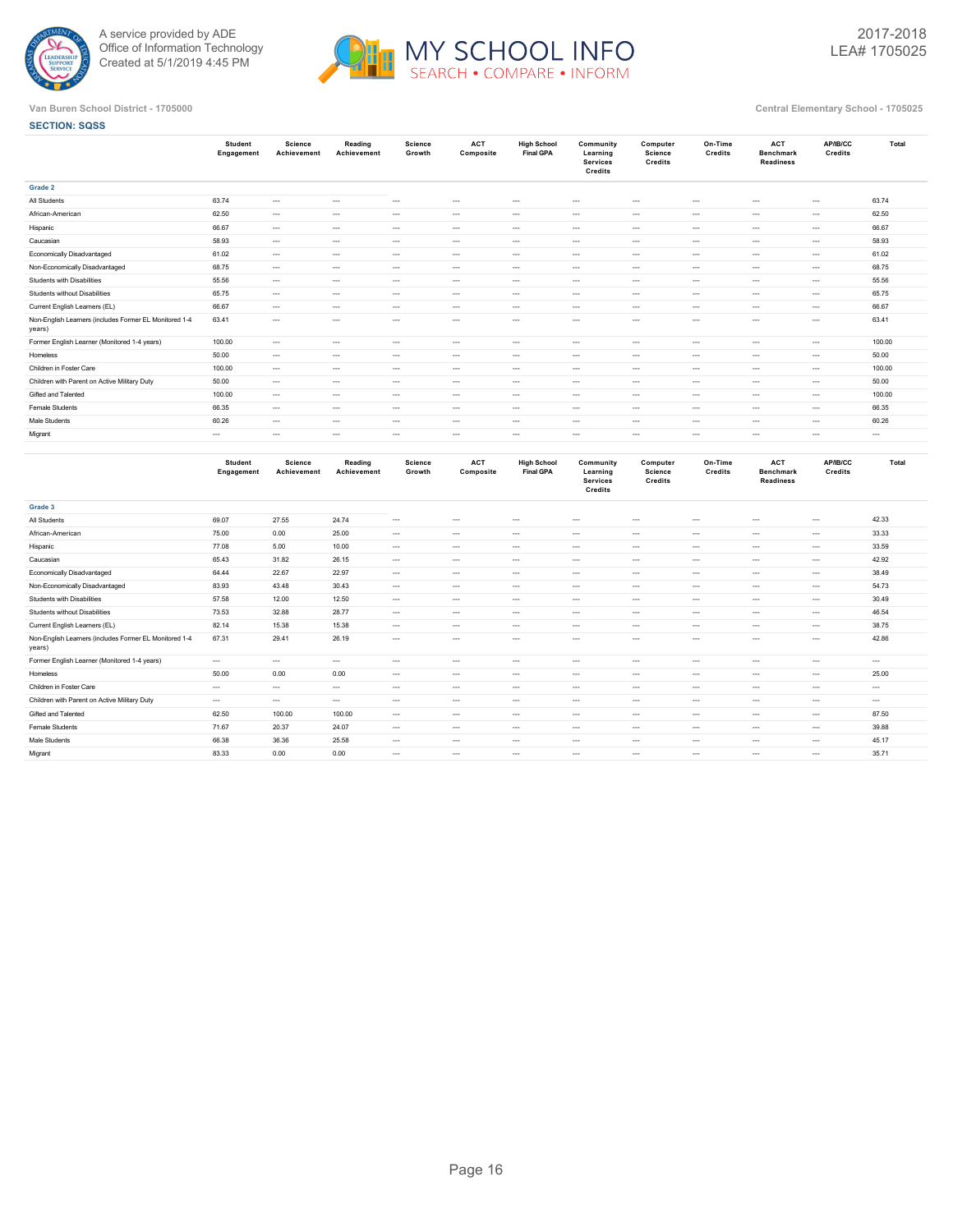



|                                                                  | <b>Student</b><br>Engagement | Science<br>Achievement | Reading<br>Achievement | Science<br>Growth | <b>ACT</b><br>Composite | <b>High School</b><br><b>Final GPA</b> | Community<br>Learning<br><b>Services</b><br>Credits | Computer<br>Science<br><b>Credits</b> | On-Time<br>Credits | <b>ACT</b><br><b>Benchmark</b><br>Readiness | AP/IB/CC<br>Credits | Total   |
|------------------------------------------------------------------|------------------------------|------------------------|------------------------|-------------------|-------------------------|----------------------------------------|-----------------------------------------------------|---------------------------------------|--------------------|---------------------------------------------|---------------------|---------|
| Grade 2                                                          |                              |                        |                        |                   |                         |                                        |                                                     |                                       |                    |                                             |                     |         |
| All Students                                                     | 63.74                        | $\cdots$               | $\cdots$               | $\cdots$          |                         | $\cdots$                               | $\cdots$                                            | $\cdots$                              | $\cdots$           | $\cdots$                                    | $\cdots$            | 63.74   |
| African-American                                                 | 62.50                        | $\cdots$               | $\cdots$               | $\cdots$          | $\cdots$                | $---$                                  | $---$                                               | $\cdots$                              | $\sim$             | $\cdots$                                    | $\cdots$            | 62.50   |
| Hispanic                                                         | 66.67                        | $\cdots$               | $\cdots$               | $\cdots$          | $---$                   | $---$                                  | $---$                                               | $\cdots$                              | $\cdots$           | $\cdots$                                    | $\cdots$            | 66.67   |
| Caucasian                                                        | 58.93                        | $\cdots$               | $\cdots$               | $\cdots$          | $\cdots$                | $- - -$                                | $\cdots$                                            | $\cdots$                              | $\sim$             | $\cdots$                                    | $\cdots$            | 58.93   |
| Economically Disadvantaged                                       | 61.02                        | $\cdots$               | $\cdots$               | $\cdots$          | $\cdots$                | $---$                                  | $---$                                               | $\cdots$                              | $\sim$             | $\cdots$                                    | $\cdots$            | 61.02   |
| Non-Economically Disadvantaged                                   | 68.75                        | $\cdots$               | $\cdots$               | $\cdots$          | $\cdots$                | $- - -$                                | $---$                                               | $\cdots$                              | $\sim$             | $\cdots$                                    | $\cdots$            | 68.75   |
| Students with Disabilities                                       | 55.56                        | $\cdots$               | $\cdots$               | $\cdots$          | $\cdots$                | $---$                                  | $---$                                               | $\cdots$                              | $\sim$             | $\cdots$                                    | $\cdots$            | 55.56   |
| Students without Disabilities                                    | 65.75                        | $\cdots$               | $\cdots$               | $\cdots$          | $\cdots$                | $---$                                  | $---$                                               | $\cdots$                              | $\sim$             | $\cdots$                                    | $\cdots$            | 65.75   |
| Current English Learners (EL)                                    | 66.67                        | $\cdots$               | $\cdots$               | $\cdots$          | $---$                   | $---$                                  | $---$                                               | $\cdots$                              | $\cdots$           | $\cdots$                                    | $\cdots$            | 66.67   |
| Non-English Learners (includes Former EL Monitored 1-4<br>years) | 63.41                        | $\cdots$               | $\cdots$               | $- - -$           | $\cdots$                | $\cdots$                               | $---$                                               | $---$                                 | $\cdots$           | $\sim$                                      | $\cdots$            | 63.41   |
| Former English Learner (Monitored 1-4 years)                     | 100.00                       | $\cdots$               | $\cdots$               | $\cdots$          | $\cdots$                | $\cdots$                               |                                                     | $\cdots$                              | $\cdots$           | $\cdots$                                    | $\ldots$            | 100.00  |
| Homeless                                                         | 50.00                        | $\cdots$               | $\cdots$               | $\cdots$          | $\sim$                  | $---$                                  | $---$                                               | $\cdots$                              | $\sim$             | $\cdots$                                    | $\cdots$            | 50.00   |
| Children in Foster Care                                          | 100.00                       | $\cdots$               | $\cdots$               | $\cdots$          | $\cdots$                | $\cdots$                               | $---$                                               | $- - -$                               | $\sim$             | $\cdots$                                    | $\cdots$            | 100.00  |
| Children with Parent on Active Military Duty                     | 50.00                        | $\cdots$               | $\cdots$               | $\cdots$          | $\cdots$                | $---$                                  | $---$                                               | $\cdots$                              | $\sim$             | $\cdots$                                    | $\cdots$            | 50.00   |
| Gifted and Talented                                              | 100.00                       | $\cdots$               | $\cdots$               | $\cdots$          | $---$                   | $---$                                  | $---$                                               | $\cdots$                              | $\cdots$           | $\cdots$                                    | $\cdots$            | 100.00  |
| Female Students                                                  | 66.35                        | $\cdots$               | $\cdots$               | $\cdots$          | $\cdots$                | $---$                                  | $---$                                               | $\cdots$                              | $\cdots$           | $\cdots$                                    | $\cdots$            | 66.35   |
| Male Students                                                    | 60.26                        | $\cdots$               | $\cdots$               | $\cdots$          | $\cdots$                | $\cdots$                               | $\cdots$                                            | $\cdots$                              | $\sim$             | $\cdots$                                    | $\cdots$            | 60.26   |
| Migrant                                                          | $\cdots$                     | $\cdots$               | $\cdots$               | $\cdots$          | $---$                   | $---$                                  | $---$                                               | $\cdots$                              | $\cdots$           | $\cdots$                                    | $\cdots$            | $- - -$ |
|                                                                  |                              |                        |                        |                   |                         |                                        |                                                     |                                       |                    |                                             |                     |         |

| Grade 3<br>42.33<br>27.55<br>All Students<br>69.07<br>24.74<br>$\cdots$<br>$\sim$<br>$\cdots$<br>$---$<br>$---$<br>$\cdots$<br>$\cdots$<br>$\cdots$<br>African-American<br>25.00<br>75.00<br>0.00<br>33.33<br>$\cdots$<br>$\cdots$<br>$\cdots$<br>$---$<br>$\cdots$<br>$\cdots$<br>$\cdots$<br>$\cdots$<br>5.00<br>10.00<br>77.08<br>33.59<br>Hispanic<br>$\sim$<br>$\cdots$<br>$\cdots$<br>$---$<br>$\cdots$<br>$\cdots$<br>$-1$<br>$\cdots$<br>42.92<br>65.43<br>31.82<br>26.15<br>Caucasian<br>$---$<br>$\cdots$<br>$\cdots$<br>$\sim$<br>$\cdots$<br>$---$<br>$\cdots$<br>$\sim$<br>22.67<br>22.97<br>38.49<br>Economically Disadvantaged<br>64.44<br>$\sim$<br>$\cdots$<br>$---$<br>$---$<br>$\cdots$<br>$\cdots$<br>$\cdots$<br>$\cdots$<br>43.48<br>30.43<br>54.73<br>Non-Economically Disadvantaged<br>83.93<br>$\cdots$<br>$\sim$<br>$\cdots$<br>$---$<br>$---$<br>$\cdots$<br>$\cdots$<br>$\cdots$<br>Students with Disabilities<br>12.00<br>12.50<br>30.49<br>57.58<br>$\sim$<br>$\cdots$<br>$\cdots$<br>$\cdots$<br>$\cdots$<br>$---$<br>$\sim$<br>$\cdots$<br>Students without Disabilities<br>28.77<br>46.54<br>73.53<br>32.88<br>$\sim$<br>$\cdots$<br>$\cdots$<br>$\cdots$<br>$\cdots$<br>$\cdots$<br>$-1$<br>$\cdots$<br>38.75<br>Current English Learners (EL)<br>82.14<br>15.38<br>15.38<br>$\sim$<br>$\cdots$<br>$\cdots$<br>$---$<br>$\cdots$<br>$\cdots$<br>$-1$<br>$\cdots$<br>Non-English Learners (includes Former EL Monitored 1-4<br>26.19<br>42.86<br>67.31<br>29.41<br>$\cdots$<br>$\cdots$<br>---<br>$---$<br>$\cdots$<br>$\sim$<br>$\cdots$<br>$\cdots$<br>years)<br>Former English Learner (Monitored 1-4 years)<br>$- - -$<br>$---$<br>$\cdots$<br>$\cdots$<br>$\cdots$<br>$\cdots$<br>$---$<br>$---$<br>$\cdots$<br>$-1$<br>$\cdots$<br>$---$<br>0.00<br>0.00<br>Homeless<br>50.00<br>25.00<br>$\sim$<br>$\cdots$<br>$\cdots$<br>$---$<br>$\cdots$<br>$\cdots$<br>$-1$<br>$\cdots$<br>Children in Foster Care<br>$- - -$<br>$\cdots$<br>$---$<br>$\cdots$<br>$\cdots$<br>$\cdots$<br>$\cdots$<br>$\cdots$<br>$\cdots$<br>$\sim$<br>$\cdots$<br>$\cdots$<br>Children with Parent on Active Military Duty<br>$- - -$<br>$---$<br>$\cdots$<br>$\cdots$<br>$\cdots$<br>$\cdots$<br>$\cdots$<br>$\cdots$<br>$\cdots$<br>$\cdots$<br>$\cdots$<br>$\cdots$<br>Gifted and Talented<br>87.50<br>62.50<br>100.00<br>100.00<br>$\sim$<br>$\cdots$<br>$\cdots$<br>$---$<br>$---$<br>$\cdots$<br>$\cdots$<br>$\cdots$<br>Female Students<br>71.67<br>20.37<br>24.07<br>39.88<br>$\sim$<br>$\sim$<br>$---$<br>$---$<br>$\cdots$<br>$\cdots$<br>$-1$<br>$\cdots$<br>Male Students<br>66.38<br>36.36<br>25.58<br>45.17<br>$\cdots$<br>$---$<br>$\cdots$<br>$\cdots$<br>$\cdots$<br>$\cdots$<br>$\sim$<br>$\cdots$<br>83.33<br>0.00<br>0.00<br>35.71<br>Migrant<br>$\cdots$<br>$\cdots$<br>$\cdots$<br>$---$<br>$\cdots$<br>$\cdots$<br>$-1$<br>$\cdots$ | <b>Student</b><br>Engagement | Science<br>Achievement | Reading<br>Achievement | Science<br>Growth | <b>ACT</b><br>Composite | <b>High School</b><br><b>Final GPA</b> | Community<br>Learning<br><b>Services</b><br>Credits | Computer<br>Science<br>Credits | On-Time<br>Credits | <b>ACT</b><br><b>Benchmark</b><br><b>Readiness</b> | AP/IB/CC<br>Credits | Total |
|---------------------------------------------------------------------------------------------------------------------------------------------------------------------------------------------------------------------------------------------------------------------------------------------------------------------------------------------------------------------------------------------------------------------------------------------------------------------------------------------------------------------------------------------------------------------------------------------------------------------------------------------------------------------------------------------------------------------------------------------------------------------------------------------------------------------------------------------------------------------------------------------------------------------------------------------------------------------------------------------------------------------------------------------------------------------------------------------------------------------------------------------------------------------------------------------------------------------------------------------------------------------------------------------------------------------------------------------------------------------------------------------------------------------------------------------------------------------------------------------------------------------------------------------------------------------------------------------------------------------------------------------------------------------------------------------------------------------------------------------------------------------------------------------------------------------------------------------------------------------------------------------------------------------------------------------------------------------------------------------------------------------------------------------------------------------------------------------------------------------------------------------------------------------------------------------------------------------------------------------------------------------------------------------------------------------------------------------------------------------------------------------------------------------------------------------------------------------------------------------------------------------------------------------------------------------------------------------------------------------------------------------------------------------------------------------------------------------------------------------------------------------------------------------------------------------------------------------------------------------------|------------------------------|------------------------|------------------------|-------------------|-------------------------|----------------------------------------|-----------------------------------------------------|--------------------------------|--------------------|----------------------------------------------------|---------------------|-------|
|                                                                                                                                                                                                                                                                                                                                                                                                                                                                                                                                                                                                                                                                                                                                                                                                                                                                                                                                                                                                                                                                                                                                                                                                                                                                                                                                                                                                                                                                                                                                                                                                                                                                                                                                                                                                                                                                                                                                                                                                                                                                                                                                                                                                                                                                                                                                                                                                                                                                                                                                                                                                                                                                                                                                                                                                                                                                           |                              |                        |                        |                   |                         |                                        |                                                     |                                |                    |                                                    |                     |       |
|                                                                                                                                                                                                                                                                                                                                                                                                                                                                                                                                                                                                                                                                                                                                                                                                                                                                                                                                                                                                                                                                                                                                                                                                                                                                                                                                                                                                                                                                                                                                                                                                                                                                                                                                                                                                                                                                                                                                                                                                                                                                                                                                                                                                                                                                                                                                                                                                                                                                                                                                                                                                                                                                                                                                                                                                                                                                           |                              |                        |                        |                   |                         |                                        |                                                     |                                |                    |                                                    |                     |       |
|                                                                                                                                                                                                                                                                                                                                                                                                                                                                                                                                                                                                                                                                                                                                                                                                                                                                                                                                                                                                                                                                                                                                                                                                                                                                                                                                                                                                                                                                                                                                                                                                                                                                                                                                                                                                                                                                                                                                                                                                                                                                                                                                                                                                                                                                                                                                                                                                                                                                                                                                                                                                                                                                                                                                                                                                                                                                           |                              |                        |                        |                   |                         |                                        |                                                     |                                |                    |                                                    |                     |       |
|                                                                                                                                                                                                                                                                                                                                                                                                                                                                                                                                                                                                                                                                                                                                                                                                                                                                                                                                                                                                                                                                                                                                                                                                                                                                                                                                                                                                                                                                                                                                                                                                                                                                                                                                                                                                                                                                                                                                                                                                                                                                                                                                                                                                                                                                                                                                                                                                                                                                                                                                                                                                                                                                                                                                                                                                                                                                           |                              |                        |                        |                   |                         |                                        |                                                     |                                |                    |                                                    |                     |       |
|                                                                                                                                                                                                                                                                                                                                                                                                                                                                                                                                                                                                                                                                                                                                                                                                                                                                                                                                                                                                                                                                                                                                                                                                                                                                                                                                                                                                                                                                                                                                                                                                                                                                                                                                                                                                                                                                                                                                                                                                                                                                                                                                                                                                                                                                                                                                                                                                                                                                                                                                                                                                                                                                                                                                                                                                                                                                           |                              |                        |                        |                   |                         |                                        |                                                     |                                |                    |                                                    |                     |       |
|                                                                                                                                                                                                                                                                                                                                                                                                                                                                                                                                                                                                                                                                                                                                                                                                                                                                                                                                                                                                                                                                                                                                                                                                                                                                                                                                                                                                                                                                                                                                                                                                                                                                                                                                                                                                                                                                                                                                                                                                                                                                                                                                                                                                                                                                                                                                                                                                                                                                                                                                                                                                                                                                                                                                                                                                                                                                           |                              |                        |                        |                   |                         |                                        |                                                     |                                |                    |                                                    |                     |       |
|                                                                                                                                                                                                                                                                                                                                                                                                                                                                                                                                                                                                                                                                                                                                                                                                                                                                                                                                                                                                                                                                                                                                                                                                                                                                                                                                                                                                                                                                                                                                                                                                                                                                                                                                                                                                                                                                                                                                                                                                                                                                                                                                                                                                                                                                                                                                                                                                                                                                                                                                                                                                                                                                                                                                                                                                                                                                           |                              |                        |                        |                   |                         |                                        |                                                     |                                |                    |                                                    |                     |       |
|                                                                                                                                                                                                                                                                                                                                                                                                                                                                                                                                                                                                                                                                                                                                                                                                                                                                                                                                                                                                                                                                                                                                                                                                                                                                                                                                                                                                                                                                                                                                                                                                                                                                                                                                                                                                                                                                                                                                                                                                                                                                                                                                                                                                                                                                                                                                                                                                                                                                                                                                                                                                                                                                                                                                                                                                                                                                           |                              |                        |                        |                   |                         |                                        |                                                     |                                |                    |                                                    |                     |       |
|                                                                                                                                                                                                                                                                                                                                                                                                                                                                                                                                                                                                                                                                                                                                                                                                                                                                                                                                                                                                                                                                                                                                                                                                                                                                                                                                                                                                                                                                                                                                                                                                                                                                                                                                                                                                                                                                                                                                                                                                                                                                                                                                                                                                                                                                                                                                                                                                                                                                                                                                                                                                                                                                                                                                                                                                                                                                           |                              |                        |                        |                   |                         |                                        |                                                     |                                |                    |                                                    |                     |       |
|                                                                                                                                                                                                                                                                                                                                                                                                                                                                                                                                                                                                                                                                                                                                                                                                                                                                                                                                                                                                                                                                                                                                                                                                                                                                                                                                                                                                                                                                                                                                                                                                                                                                                                                                                                                                                                                                                                                                                                                                                                                                                                                                                                                                                                                                                                                                                                                                                                                                                                                                                                                                                                                                                                                                                                                                                                                                           |                              |                        |                        |                   |                         |                                        |                                                     |                                |                    |                                                    |                     |       |
|                                                                                                                                                                                                                                                                                                                                                                                                                                                                                                                                                                                                                                                                                                                                                                                                                                                                                                                                                                                                                                                                                                                                                                                                                                                                                                                                                                                                                                                                                                                                                                                                                                                                                                                                                                                                                                                                                                                                                                                                                                                                                                                                                                                                                                                                                                                                                                                                                                                                                                                                                                                                                                                                                                                                                                                                                                                                           |                              |                        |                        |                   |                         |                                        |                                                     |                                |                    |                                                    |                     |       |
|                                                                                                                                                                                                                                                                                                                                                                                                                                                                                                                                                                                                                                                                                                                                                                                                                                                                                                                                                                                                                                                                                                                                                                                                                                                                                                                                                                                                                                                                                                                                                                                                                                                                                                                                                                                                                                                                                                                                                                                                                                                                                                                                                                                                                                                                                                                                                                                                                                                                                                                                                                                                                                                                                                                                                                                                                                                                           |                              |                        |                        |                   |                         |                                        |                                                     |                                |                    |                                                    |                     |       |
|                                                                                                                                                                                                                                                                                                                                                                                                                                                                                                                                                                                                                                                                                                                                                                                                                                                                                                                                                                                                                                                                                                                                                                                                                                                                                                                                                                                                                                                                                                                                                                                                                                                                                                                                                                                                                                                                                                                                                                                                                                                                                                                                                                                                                                                                                                                                                                                                                                                                                                                                                                                                                                                                                                                                                                                                                                                                           |                              |                        |                        |                   |                         |                                        |                                                     |                                |                    |                                                    |                     |       |
|                                                                                                                                                                                                                                                                                                                                                                                                                                                                                                                                                                                                                                                                                                                                                                                                                                                                                                                                                                                                                                                                                                                                                                                                                                                                                                                                                                                                                                                                                                                                                                                                                                                                                                                                                                                                                                                                                                                                                                                                                                                                                                                                                                                                                                                                                                                                                                                                                                                                                                                                                                                                                                                                                                                                                                                                                                                                           |                              |                        |                        |                   |                         |                                        |                                                     |                                |                    |                                                    |                     |       |
|                                                                                                                                                                                                                                                                                                                                                                                                                                                                                                                                                                                                                                                                                                                                                                                                                                                                                                                                                                                                                                                                                                                                                                                                                                                                                                                                                                                                                                                                                                                                                                                                                                                                                                                                                                                                                                                                                                                                                                                                                                                                                                                                                                                                                                                                                                                                                                                                                                                                                                                                                                                                                                                                                                                                                                                                                                                                           |                              |                        |                        |                   |                         |                                        |                                                     |                                |                    |                                                    |                     |       |
|                                                                                                                                                                                                                                                                                                                                                                                                                                                                                                                                                                                                                                                                                                                                                                                                                                                                                                                                                                                                                                                                                                                                                                                                                                                                                                                                                                                                                                                                                                                                                                                                                                                                                                                                                                                                                                                                                                                                                                                                                                                                                                                                                                                                                                                                                                                                                                                                                                                                                                                                                                                                                                                                                                                                                                                                                                                                           |                              |                        |                        |                   |                         |                                        |                                                     |                                |                    |                                                    |                     |       |
|                                                                                                                                                                                                                                                                                                                                                                                                                                                                                                                                                                                                                                                                                                                                                                                                                                                                                                                                                                                                                                                                                                                                                                                                                                                                                                                                                                                                                                                                                                                                                                                                                                                                                                                                                                                                                                                                                                                                                                                                                                                                                                                                                                                                                                                                                                                                                                                                                                                                                                                                                                                                                                                                                                                                                                                                                                                                           |                              |                        |                        |                   |                         |                                        |                                                     |                                |                    |                                                    |                     |       |
|                                                                                                                                                                                                                                                                                                                                                                                                                                                                                                                                                                                                                                                                                                                                                                                                                                                                                                                                                                                                                                                                                                                                                                                                                                                                                                                                                                                                                                                                                                                                                                                                                                                                                                                                                                                                                                                                                                                                                                                                                                                                                                                                                                                                                                                                                                                                                                                                                                                                                                                                                                                                                                                                                                                                                                                                                                                                           |                              |                        |                        |                   |                         |                                        |                                                     |                                |                    |                                                    |                     |       |
|                                                                                                                                                                                                                                                                                                                                                                                                                                                                                                                                                                                                                                                                                                                                                                                                                                                                                                                                                                                                                                                                                                                                                                                                                                                                                                                                                                                                                                                                                                                                                                                                                                                                                                                                                                                                                                                                                                                                                                                                                                                                                                                                                                                                                                                                                                                                                                                                                                                                                                                                                                                                                                                                                                                                                                                                                                                                           |                              |                        |                        |                   |                         |                                        |                                                     |                                |                    |                                                    |                     |       |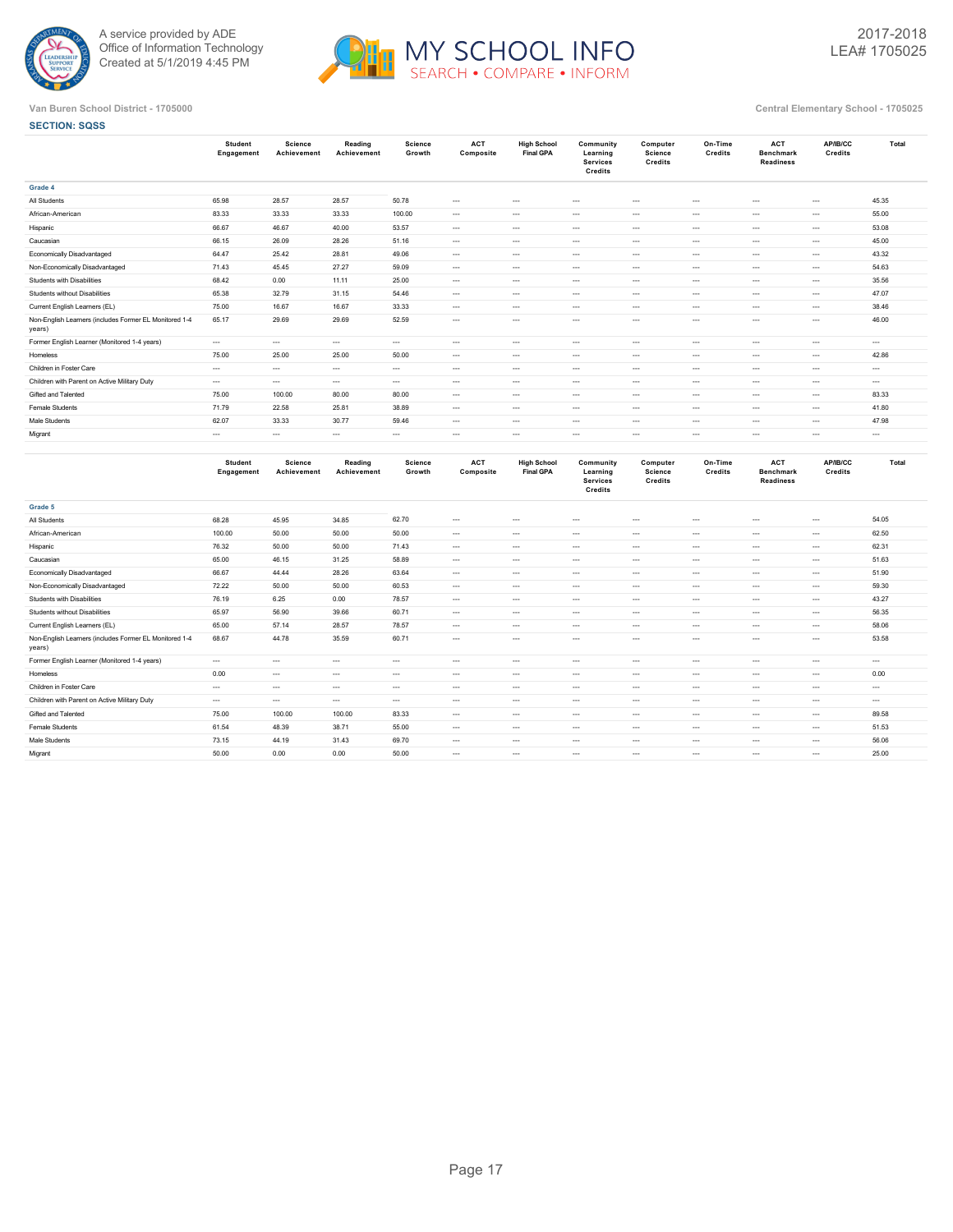



|                                                                  | <b>Student</b><br>Engagement | Science<br>Achievement | Reading<br>Achievement | Science<br>Growth | <b>ACT</b><br>Composite | <b>High School</b><br><b>Final GPA</b> | Community<br>Learning<br><b>Services</b><br>Credits | Computer<br>Science<br>Credits | On-Time<br>Credits | <b>ACT</b><br><b>Benchmark</b><br><b>Readiness</b> | AP/IB/CC<br>Credits | Total    |
|------------------------------------------------------------------|------------------------------|------------------------|------------------------|-------------------|-------------------------|----------------------------------------|-----------------------------------------------------|--------------------------------|--------------------|----------------------------------------------------|---------------------|----------|
| Grade 4                                                          |                              |                        |                        |                   |                         |                                        |                                                     |                                |                    |                                                    |                     |          |
| All Students                                                     | 65.98                        | 28.57                  | 28.57                  | 50.78             | $\cdots$                | $\cdots$                               | $\cdots$                                            | $\cdots$                       | $\sim$             | $\cdots$                                           | $\cdots$            | 45.35    |
| African-American                                                 | 83.33                        | 33.33                  | 33.33                  | 100.00            | $\cdots$                | $\cdots$                               | $\cdots$                                            | $\sim$ $ -$                    | $\cdots$           | $\cdots$                                           | $\cdots$            | 55.00    |
| Hispanic                                                         | 66.67                        | 46.67                  | 40.00                  | 53.57             | $\cdots$                | $\cdots$                               | $\cdots$                                            | $\cdots$                       | $\cdots$           | $\sim$                                             | $\cdots$            | 53.08    |
| Caucasian                                                        | 66.15                        | 26.09                  | 28.26                  | 51.16             | $\cdots$                | $\cdots$                               | $\cdots$                                            | $\cdots$                       | $\sim$             | $\cdots$                                           | $\cdots$            | 45.00    |
| Economically Disadvantaged                                       | 64.47                        | 25.42                  | 28.81                  | 49.06             | $\cdots$                | $\cdots$                               | $\cdots$                                            | $\cdots$                       | $\sim$             | $\cdots$                                           | $\cdots$            | 43.32    |
| Non-Economically Disadvantaged                                   | 71.43                        | 45.45                  | 27.27                  | 59.09             | $\cdots$                | $\cdots$                               | $\cdots$                                            | $\cdots$                       | $\sim$             | $\cdots$                                           | $\cdots$            | 54.63    |
| Students with Disabilities                                       | 68.42                        | 0.00                   | 11.11                  | 25.00             | $\cdots$                | $\cdots$                               | $\cdots$                                            | $\cdots$                       | $\sim$             | $\cdots$                                           | $\cdots$            | 35.56    |
| Students without Disabilities                                    | 65.38                        | 32.79                  | 31.15                  | 54.46             | $\cdots$                | $\cdots$                               | $\cdots$                                            | $\cdots$                       | $\sim$             | $\cdots$                                           | $\cdots$            | 47.07    |
| Current English Learners (EL)                                    | 75.00                        | 16.67                  | 16.67                  | 33.33             | $\cdots$                | $\cdots$                               | $\cdots$                                            | $\cdots$                       | $\sim$             | $\cdots$                                           | $\cdots$            | 38.46    |
| Non-English Learners (includes Former EL Monitored 1-4<br>years) | 65.17                        | 29.69                  | 29.69                  | 52.59             | $\cdots$                | $---$                                  | $\cdots$                                            | $\cdots$                       | $\sim$             | $\sim$                                             | $\cdots$            | 46.00    |
| Former English Learner (Monitored 1-4 years)                     | $\cdots$                     | $\cdots$               | $\cdots$               | $\cdots$          | $\cdots$                | $---$                                  | $\cdots$                                            | $\cdots$                       | $\sim$             | $\sim$                                             | $\cdots$            | $\cdots$ |
| Homeless                                                         | 75.00                        | 25.00                  | 25.00                  | 50.00             | $\cdots$                | $\cdots$                               | $\cdots$                                            | $\cdots$                       | $\sim$             | $\sim$                                             | $\cdots$            | 42.86    |
| Children in Foster Care                                          | $\cdots$                     | $\cdots$               |                        | $\sim$ $ -$       | $\cdots$                | $\cdots$                               | $\cdots$                                            | $\cdots$                       | $\cdots$           | $\sim$                                             | $\cdots$            | $\cdots$ |
| Children with Parent on Active Military Duty                     | $\cdots$                     | $\cdots$               | $\cdots$               | $\cdots$          | $\cdots$                | $\cdots$                               | $\cdots$                                            | $\cdots$                       | $\cdots$           | $\cdots$                                           | $---$               | $\cdots$ |
| Gifted and Talented                                              | 75.00                        | 100.00                 | 80.00                  | 80.00             | $\cdots$                | $\cdots$                               | $\cdots$                                            | $\cdots$                       | $\sim$             | $\cdots$                                           | $\cdots$            | 83.33    |
| Female Students                                                  | 71.79                        | 22.58                  | 25.81                  | 38.89             | $\cdots$                | $\cdots$                               | $\cdots$                                            | $\cdots$                       | $\sim$             | $\cdots$                                           | $\cdots$            | 41.80    |
| Male Students                                                    | 62.07                        | 33.33                  | 30.77                  | 59.46             | $\cdots$                | $\cdots$                               | $\cdots$                                            | $\cdots$                       | $\cdots$           | $\cdots$                                           | $\cdots$            | 47.98    |
| Migrant                                                          | $\cdots$                     | $\cdots$               | $\cdots$               | $\cdots$          | $\cdots$                | $\cdots$                               | $\cdots$                                            | $\cdots$                       | $\cdots$           | $\cdots$                                           | $\cdots$            | $\cdots$ |
|                                                                  |                              |                        |                        |                   |                         |                                        |                                                     |                                |                    |                                                    |                     |          |

|                                                                  | <b>Student</b><br>Engagement | <b>Science</b><br>Achievement | Reading<br>Achievement | <b>Science</b><br>Growth | <b>ACT</b><br>Composite | <b>High School</b><br><b>Final GPA</b> | Community<br>Learning<br><b>Services</b><br>Credits | Computer<br>Science<br>Credits | On-Time<br>Credits | <b>ACT</b><br><b>Benchmark</b><br><b>Readiness</b> | AP/IB/CC<br>Credits | Total    |
|------------------------------------------------------------------|------------------------------|-------------------------------|------------------------|--------------------------|-------------------------|----------------------------------------|-----------------------------------------------------|--------------------------------|--------------------|----------------------------------------------------|---------------------|----------|
| Grade 5                                                          |                              |                               |                        |                          |                         |                                        |                                                     |                                |                    |                                                    |                     |          |
| All Students                                                     | 68.28                        | 45.95                         | 34.85                  | 62.70                    | $\sim$                  | $\cdots$                               | $\cdots$                                            | $\cdots$                       |                    | $\cdots$                                           | $\cdots$            | 54.05    |
| African-American                                                 | 100.00                       | 50.00                         | 50.00                  | 50.00                    | $\sim$                  | $\cdots$                               | $---$                                               | $\cdots$                       | $\cdots$           | $\sim$                                             | $\cdots$            | 62.50    |
| Hispanic                                                         | 76.32                        | 50.00                         | 50.00                  | 71.43                    | $\sim$                  | $\cdots$                               | $---$                                               | $\cdots$                       |                    | $\cdots$                                           | $\cdots$            | 62.31    |
| Caucasian                                                        | 65.00                        | 46.15                         | 31.25                  | 58.89                    | $\sim$                  | $\cdots$                               | $\cdots$                                            | $\cdots$                       | $\cdots$           | $\sim$                                             | $\cdots$            | 51.63    |
| Economically Disadvantaged                                       | 66.67                        | 44.44                         | 28.26                  | 63.64                    | $\sim$                  | $\cdots$                               | $\cdots$                                            | $\cdots$                       |                    | $\cdots$                                           | $\cdots$            | 51.90    |
| Non-Economically Disadvantaged                                   | 72.22                        | 50.00                         | 50.00                  | 60.53                    | $\sim$                  | $\cdots$                               | $\cdots$                                            | $\cdots$                       |                    | $\cdots$                                           | $\cdots$            | 59.30    |
| Students with Disabilities                                       | 76.19                        | 6.25                          | 0.00                   | 78.57                    | $\sim$                  | $\cdots$                               | $\cdots$                                            | $\cdots$                       |                    | $\cdots$                                           | $\cdots$            | 43.27    |
| Students without Disabilities                                    | 65.97                        | 56.90                         | 39.66                  | 60.71                    | $\sim$                  | $\cdots$                               | $---$                                               | $\cdots$                       |                    | $\cdots$                                           | $\cdots$            | 56.35    |
| Current English Learners (EL)                                    | 65.00                        | 57.14                         | 28.57                  | 78.57                    | $\sim$                  | $\cdots$                               | $---$                                               | $\cdots$                       |                    | $\sim$                                             | $\cdots$            | 58.06    |
| Non-English Learners (includes Former EL Monitored 1-4<br>years) | 68.67                        | 44.78                         | 35.59                  | 60.71                    | $\sim$                  | $\cdots$                               | $\cdots$                                            | $\cdots$                       |                    | $\cdots$                                           | $\cdots$            | 53.58    |
| Former English Learner (Monitored 1-4 years)                     | $\cdots$                     | $---$                         | $\cdots$               | $---$                    | $\sim$                  | $\cdots$                               | $---$                                               | $\cdots$                       |                    | $---$                                              | $\cdots$            | $\cdots$ |
| Homeless                                                         | 0.00                         | $\cdots$                      | $\cdots$               | $\cdots$                 | $\sim$                  | $\cdots$                               | $\cdots$                                            | $\cdots$                       | $\cdots$           | $\cdots$                                           | $\cdots$            | 0.00     |
| Children in Foster Care                                          | $\cdots$                     | $\cdots$                      | $- - -$                | $\cdots$                 | $\sim$                  | $\cdots$                               | $---$                                               | $\cdots$                       |                    | $\cdots$                                           | $\cdots$            | $\cdots$ |
| Children with Parent on Active Military Duty                     | $\cdots$                     | $---$                         | $\cdots$               | $- - -$                  | $\sim$                  | $\cdots$                               | $---$                                               | $\cdots$                       |                    | $\sim$                                             | $\cdots$            | $\cdots$ |
| Gifted and Talented                                              | 75.00                        | 100.00                        | 100.00                 | 83.33                    | $\sim$                  | $\cdots$                               | $---$                                               | $\cdots$                       |                    | $\sim$                                             | $\cdots$            | 89.58    |
| Female Students                                                  | 61.54                        | 48.39                         | 38.71                  | 55.00                    | $\sim$                  | $\cdots$                               | $---$                                               | $\cdots$                       |                    | $---$                                              | $\cdots$            | 51.53    |
| Male Students                                                    | 73.15                        | 44.19                         | 31.43                  | 69.70                    | $\sim$                  | $\cdots$                               | $\cdots$                                            | $\cdots$                       | $\cdots$           | $\cdots$                                           | $\cdots$            | 56.06    |
| Migrant                                                          | 50.00                        | 0.00                          | 0.00                   | 50.00                    | $-1$                    | $\cdots$                               | $\cdots$                                            | $\cdots$                       | $\cdots$           | $\cdots$                                           | $\cdots$            | 25.00    |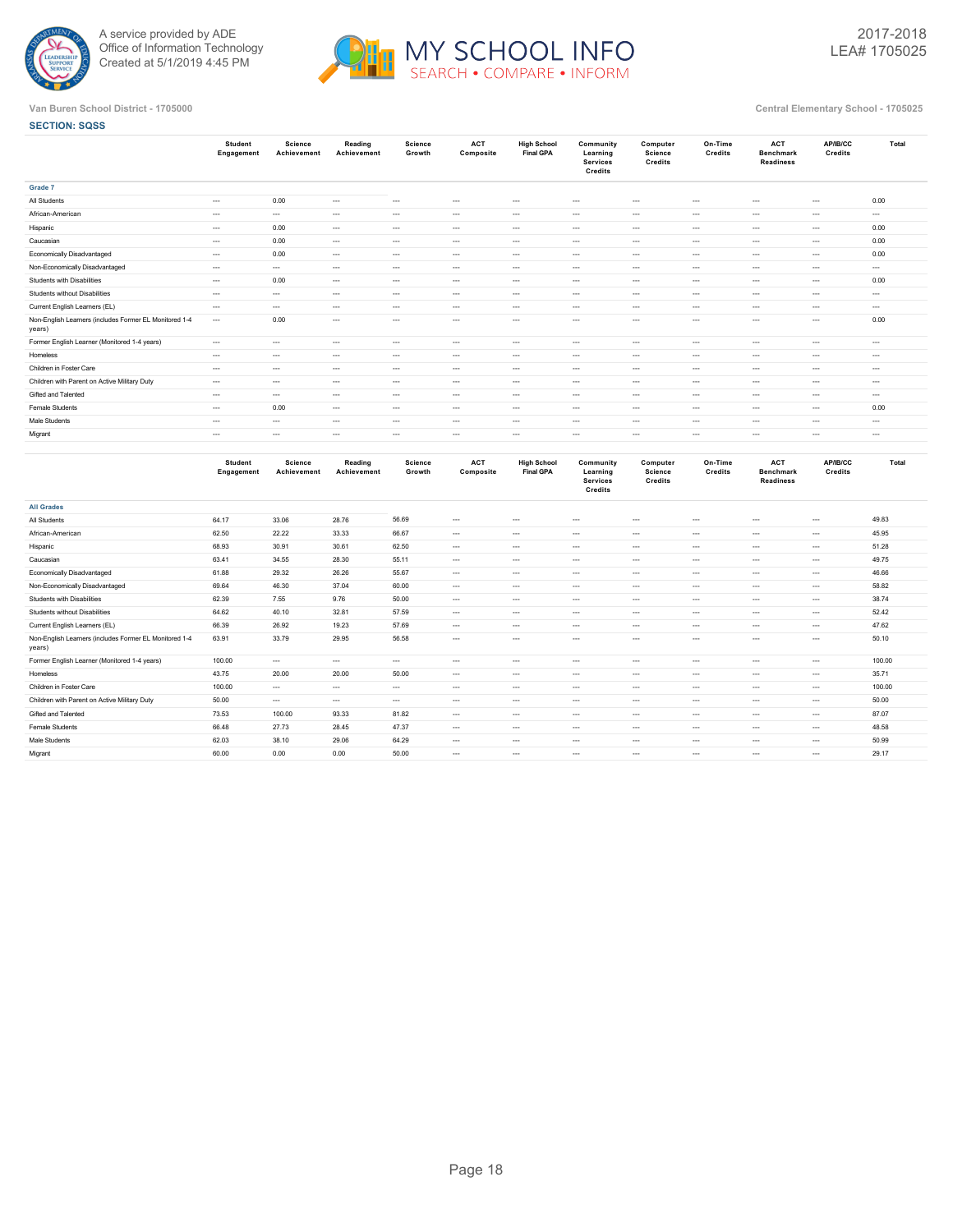



|                                                                  | <b>Student</b><br>Engagement | Science<br>Achievement | Reading<br>Achievement | <b>Science</b><br>Growth | <b>ACT</b><br>Composite | <b>High School</b><br><b>Final GPA</b> | Community<br>Learning<br><b>Services</b><br>Credits | Computer<br>Science<br>Credits | On-Time<br>Credits | <b>ACT</b><br><b>Benchmark</b><br><b>Readiness</b> | AP/IB/CC<br>Credits | Total    |
|------------------------------------------------------------------|------------------------------|------------------------|------------------------|--------------------------|-------------------------|----------------------------------------|-----------------------------------------------------|--------------------------------|--------------------|----------------------------------------------------|---------------------|----------|
| Grade 7                                                          |                              |                        |                        |                          |                         |                                        |                                                     |                                |                    |                                                    |                     |          |
| All Students                                                     | $-1$                         | 0.00                   | $\cdots$               | $\cdots$                 | $\sim$                  | $\cdots$                               | $---$                                               | $\cdots$                       | $\sim$             | $\cdots$                                           | $---$               | 0.00     |
| African-American                                                 | $-1$                         | $---$                  | $\cdots$               | $\cdots$                 | $\cdots$                | $\cdots$                               | $\cdots$                                            | $\cdots$                       | $\cdots$           | $\cdots$                                           | $---$               | $- - -$  |
| Hispanic                                                         | $-1$                         | 0.00                   | $\cdots$               | $---$                    | $\cdots$                |                                        | $\cdots$                                            | $\cdots$                       | $\cdots$           | $\cdots$                                           | $---$               | 0.00     |
| Caucasian                                                        | $\sim$                       | 0.00                   | $\cdots$               | $\cdots$                 | $---$                   | $---$                                  | $---$                                               | $\cdots$                       | $\sim$             | $\cdots$                                           | $---$               | 0.00     |
| <b>Economically Disadvantaged</b>                                | $-1$                         | 0.00                   | $\cdots$               | $---$                    |                         |                                        | $---$                                               | $\cdots$                       | $\sim$             | $\cdots$                                           | $---$               | 0.00     |
| Non-Economically Disadvantaged                                   | $-1$                         | $---$                  | $\cdots$               | $\sim$ $\sim$            | $\sim$                  | $\cdots$                               | $\cdots$                                            | $\cdots$                       | $\cdots$           | $\cdots$                                           | $---$               | $\cdots$ |
| Students with Disabilities                                       | $\sim$ $\sim$                | 0.00                   | $\cdots$               | $\cdots$                 | $\sim$                  | $\cdots$                               | $\cdots$                                            | $\cdots$                       | $\cdots$           | $\cdots$                                           | $---$               | 0.00     |
| Students without Disabilities                                    | $\sim$ $\sim$                | $\cdots$               | $\cdots$               | $---$                    | $\sim$                  |                                        | $\cdots$                                            | $\cdots$                       | $\cdots$           | $\cdots$                                           | $---$               | $-1$     |
| Current English Learners (EL)                                    | $\sim$ $\sim$                | $---$                  | $\cdots$               | $\cdots$                 | $\sim$                  |                                        | $\cdots$                                            | $\cdots$                       | $\cdots$           | $\cdots$                                           | $---$               | $\cdots$ |
| Non-English Learners (includes Former EL Monitored 1-4<br>years) | $\sim$                       | 0.00                   | ---                    |                          |                         |                                        | $---$                                               | $\cdots$                       | $\sim$             | $\cdots$                                           | $---$               | 0.00     |
| Former English Learner (Monitored 1-4 years)                     | $\sim$ $\sim$                | $---$                  | $\cdots$               | $\cdots$                 | $---$                   | $\cdots$                               | $\cdots$                                            | $\cdots$                       | $\cdots$           | $\cdots$                                           | $---$               | $\cdots$ |
| Homeless                                                         | $-1$                         | $\cdots$               | $\cdots$               | $\cdots$                 | $\cdots$                | $\cdots$                               | $\cdots$                                            | $\cdots$                       | $\cdots$           | $\cdots$                                           | $---$               | $\cdots$ |
| Children in Foster Care                                          | $-1$                         | $\cdots$               | $\cdots$               | $---$                    |                         |                                        | $---$                                               | $\cdots$                       | $\sim$             | $\cdots$                                           | $---$               | $\cdots$ |
| Children with Parent on Active Military Duty                     | $-1$                         | $---$                  | $\cdots$               | $\sim$ $\sim$            | $\sim$                  |                                        | $\cdots$                                            | $\cdots$                       | $\cdots$           | $\cdots$                                           | $---$               | $\cdots$ |
| Gifted and Talented                                              | $-1$                         | $\cdots$               | $\cdots$               | $---$                    |                         |                                        | $---$                                               | $\cdots$                       | $\cdots$           | $\cdots$                                           | $---$               | $- - -$  |
| Female Students                                                  | $-1$                         | 0.00                   | $\cdots$               | $\sim$ $\sim$            | $\sim$                  | $\cdots$                               | $\cdots$                                            | $\cdots$                       | $\cdots$           | $\cdots$                                           | $---$               | 0.00     |
| Male Students                                                    | $-1$                         | $---$                  | $\cdots$               | $\sim$ $\sim$            | $-1$                    | $\cdots$                               | $\cdots$                                            | $\cdots$                       | $\cdots$           | $\cdots$                                           | $---$               | $\cdots$ |
| Migrant                                                          | $-1$                         | $---$                  | $\cdots$               | $\cdots$                 |                         | $---$                                  | $---$                                               | $\cdots$                       | $\cdots$           | $\cdots$                                           | $---$               | $\cdots$ |
|                                                                  |                              |                        |                        |                          |                         |                                        |                                                     |                                |                    |                                                    |                     |          |

|                                                                  | <b>Student</b><br>Engagement | Science<br>Achievement | Reading<br>Achievement | Science<br>Growth | <b>ACT</b><br>Composite | <b>High School</b><br><b>Final GPA</b> | Community<br>Learning<br><b>Services</b><br>Credits | Computer<br>Science<br>Credits | On-Time<br>Credits | <b>ACT</b><br><b>Benchmark</b><br><b>Readiness</b> | AP/IB/CC<br>Credits | Total  |
|------------------------------------------------------------------|------------------------------|------------------------|------------------------|-------------------|-------------------------|----------------------------------------|-----------------------------------------------------|--------------------------------|--------------------|----------------------------------------------------|---------------------|--------|
| <b>All Grades</b>                                                |                              |                        |                        |                   |                         |                                        |                                                     |                                |                    |                                                    |                     |        |
| All Students                                                     | 64.17                        | 33.06                  | 28.76                  | 56.69             | $\sim$                  | $- - -$                                | $---$                                               | $\cdots$                       | $\cdots$           | $\sim$                                             | $\cdots$            | 49.83  |
| African-American                                                 | 62.50                        | 22.22                  | 33.33                  | 66.67             | $\sim$                  | $\cdots$                               | $\cdots$                                            | $---$                          | $\cdots$           | $\cdots$                                           | $---$               | 45.95  |
| Hispanic                                                         | 68.93                        | 30.91                  | 30.61                  | 62.50             | $-1$                    | $\cdots$                               | $\cdots$                                            | $\cdots$                       | $\cdots$           | $\sim$                                             | $---$               | 51.28  |
| Caucasian                                                        | 63.41                        | 34.55                  | 28.30                  | 55.11             | $\sim$                  | $\cdots$                               | $\cdots$                                            | $---$                          | $\cdots$           | $\cdots$                                           | $---$               | 49.75  |
| Economically Disadvantaged                                       | 61.88                        | 29.32                  | 26.26                  | 55.67             | $\sim$                  | $- - -$                                | $---$                                               | $\cdots$                       | $\sim$             | $\sim$                                             | $\cdots$            | 46.66  |
| Non-Economically Disadvantaged                                   | 69.64                        | 46.30                  | 37.04                  | 60.00             | $\sim$                  | $\cdots$                               | $\cdots$                                            | $---$                          | $\cdots$           | $\cdots$                                           | $---$               | 58.82  |
| Students with Disabilities                                       | 62.39                        | 7.55                   | 9.76                   | 50.00             | $-1$                    | $\cdots$                               | $\cdots$                                            | $\cdots$                       | $\sim$             | $\cdots$                                           | $---$               | 38.74  |
| Students without Disabilities                                    | 64.62                        | 40.10                  | 32.81                  | 57.59             | $\sim$                  | $\cdots$                               | $\cdots$                                            | $---$                          | $\cdots$           | $\cdots$                                           | $\cdots$            | 52.42  |
| Current English Learners (EL)                                    | 66.39                        | 26.92                  | 19.23                  | 57.69             | $\sim$                  | $\cdots$                               | $\cdots$                                            | $---$                          | $\cdots$           | $\cdots$                                           | $\cdots$            | 47.62  |
| Non-English Learners (includes Former EL Monitored 1-4<br>years) | 63.91                        | 33.79                  | 29.95                  | 56.58             | $\sim$                  | $- - -$                                | $---$                                               | $\cdots$                       | $\cdots$           | $\sim$                                             | $\cdots$            | 50.10  |
| Former English Learner (Monitored 1-4 years)                     | 100.00                       | $\cdots$               | $\cdots$               | $\sim$            | $\sim$                  | $\cdots$                               | $---$                                               | $---$                          | $\cdots$           | $\cdots$                                           | $---$               | 100.00 |
| Homeless                                                         | 43.75                        | 20.00                  | 20.00                  | 50.00             | $\sim$                  | $- - -$                                | $\cdots$                                            | $\cdots$                       | $\sim$             | $\sim$                                             | $\cdots$            | 35.71  |
| Children in Foster Care                                          | 100.00                       | $\cdots$               | $-1$                   | $\sim$ $\sim$     | $\sim$                  | $\cdots$                               | $\cdots$                                            | $---$                          | $\cdots$           | $\cdots$                                           | $---$               | 100.00 |
| Children with Parent on Active Military Duty                     | 50.00                        | $---$                  | $---$                  | $\sim$            | $\sim$                  | $\cdots$                               | $\cdots$                                            | $---$                          | $\cdots$           | $\cdots$                                           | $---$               | 50.00  |
| Gifted and Talented                                              | 73.53                        | 100.00                 | 93.33                  | 81.82             | $-1$                    | $\cdots$                               | $\cdots$                                            | $\cdots$                       | $\cdots$           | $\cdots$                                           | $---$               | 87.07  |
| Female Students                                                  | 66.48                        | 27.73                  | 28.45                  | 47.37             | $\sim$                  | $\cdots$                               | $\cdots$                                            | $---$                          | $\cdots$           | $\cdots$                                           | $---$               | 48.58  |
| Male Students                                                    | 62.03                        | 38.10                  | 29.06                  | 64.29             | $\sim$                  | $\cdots$                               | $\cdots$                                            | $\cdots$                       | $\cdots$           | $\cdots$                                           | $\cdots$            | 50.99  |
| Migrant                                                          | 60.00                        | 0.00                   | 0.00                   | 50.00             | ---                     | $\cdots$                               | $\cdots$                                            | $\cdots$                       | $\cdots$           | $\sim$                                             | $---$               | 29.17  |
|                                                                  |                              |                        |                        |                   |                         |                                        |                                                     |                                |                    |                                                    |                     |        |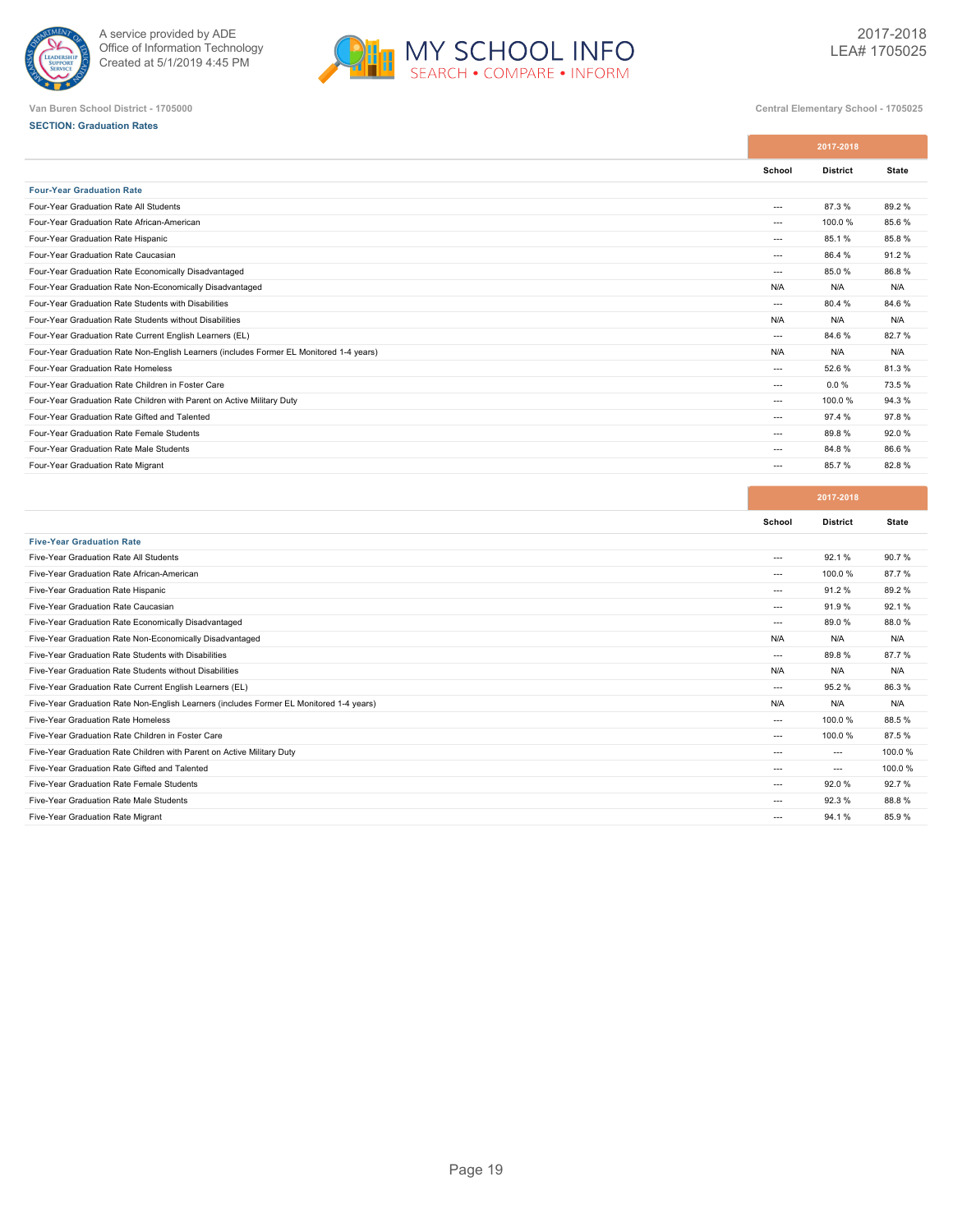



### **SECTION: Graduation Rates**

|                                                                                         |                          | 2017-2018       |              |
|-----------------------------------------------------------------------------------------|--------------------------|-----------------|--------------|
|                                                                                         | School                   | <b>District</b> | <b>State</b> |
| <b>Four-Year Graduation Rate</b>                                                        |                          |                 |              |
| Four-Year Graduation Rate All Students                                                  | $---$                    | 87.3%           | 89.2%        |
| Four-Year Graduation Rate African-American                                              | $---$                    | 100.0%          | 85.6%        |
| Four-Year Graduation Rate Hispanic                                                      | $---$                    | 85.1%           | 85.8%        |
| Four-Year Graduation Rate Caucasian                                                     | $---$                    | 86.4 %          | 91.2%        |
| Four-Year Graduation Rate Economically Disadvantaged                                    | $\hspace{0.05cm} \ldots$ | 85.0%           | 86.8%        |
| Four-Year Graduation Rate Non-Economically Disadvantaged                                | N/A                      | N/A             | N/A          |
| Four-Year Graduation Rate Students with Disabilities                                    | $\hspace{0.05cm} \ldots$ | 80.4 %          | 84.6%        |
| Four-Year Graduation Rate Students without Disabilities                                 | N/A                      | N/A             | N/A          |
| Four-Year Graduation Rate Current English Learners (EL)                                 | $\hspace{0.05cm} \ldots$ | 84.6%           | 82.7 %       |
| Four-Year Graduation Rate Non-English Learners (includes Former EL Monitored 1-4 years) | N/A                      | N/A             | N/A          |
| Four-Year Graduation Rate Homeless                                                      | $---$                    | 52.6%           | 81.3%        |
| Four-Year Graduation Rate Children in Foster Care                                       | $---$                    | 0.0%            | 73.5 %       |
| Four-Year Graduation Rate Children with Parent on Active Military Duty                  | $---$                    | 100.0%          | 94.3%        |
| Four-Year Graduation Rate Gifted and Talented                                           | $---$                    | 97.4 %          | 97.8%        |
| Four-Year Graduation Rate Female Students                                               | $\hspace{0.05cm} \ldots$ | 89.8%           | 92.0%        |
| Four-Year Graduation Rate Male Students                                                 | $---$                    | 84.8%           | 86.6%        |
| Four-Year Graduation Rate Migrant                                                       | $---$                    | 85.7 %          | 82.8%        |
|                                                                                         |                          |                 |              |

|                                                                                         |          | 2017-2018       |              |
|-----------------------------------------------------------------------------------------|----------|-----------------|--------------|
|                                                                                         | School   | <b>District</b> | <b>State</b> |
| <b>Five-Year Graduation Rate</b>                                                        |          |                 |              |
| Five-Year Graduation Rate All Students                                                  | $---$    | 92.1%           | 90.7%        |
| Five-Year Graduation Rate African-American                                              | $---$    | 100.0%          | 87.7%        |
| Five-Year Graduation Rate Hispanic                                                      | $---$    | 91.2%           | 89.2%        |
| Five-Year Graduation Rate Caucasian                                                     | $---$    | 91.9%           | 92.1%        |
| Five-Year Graduation Rate Economically Disadvantaged                                    | $---$    | 89.0%           | 88.0%        |
| Five-Year Graduation Rate Non-Economically Disadvantaged                                | N/A      | <b>N/A</b>      | N/A          |
| Five-Year Graduation Rate Students with Disabilities                                    | $---$    | 89.8%           | 87.7%        |
| Five-Year Graduation Rate Students without Disabilities                                 | N/A      | N/A             | N/A          |
| Five-Year Graduation Rate Current English Learners (EL)                                 | $---$    | 95.2%           | 86.3%        |
| Five-Year Graduation Rate Non-English Learners (includes Former EL Monitored 1-4 years) | N/A      | N/A             | N/A          |
| Five-Year Graduation Rate Homeless                                                      | $\cdots$ | 100.0%          | 88.5%        |
| Five-Year Graduation Rate Children in Foster Care                                       | $---$    | 100.0%          | 87.5%        |
| Five-Year Graduation Rate Children with Parent on Active Military Duty                  | $---$    | $---$           | 100.0%       |
| Five-Year Graduation Rate Gifted and Talented                                           | $---$    | $\cdots$        | 100.0%       |
| Five-Year Graduation Rate Female Students                                               | $---$    | 92.0%           | 92.7%        |
| Five-Year Graduation Rate Male Students                                                 | $\cdots$ | 92.3%           | 88.8%        |
| Five-Year Graduation Rate Migrant                                                       | $---$    | 94.1%           | 85.9%        |
|                                                                                         |          |                 |              |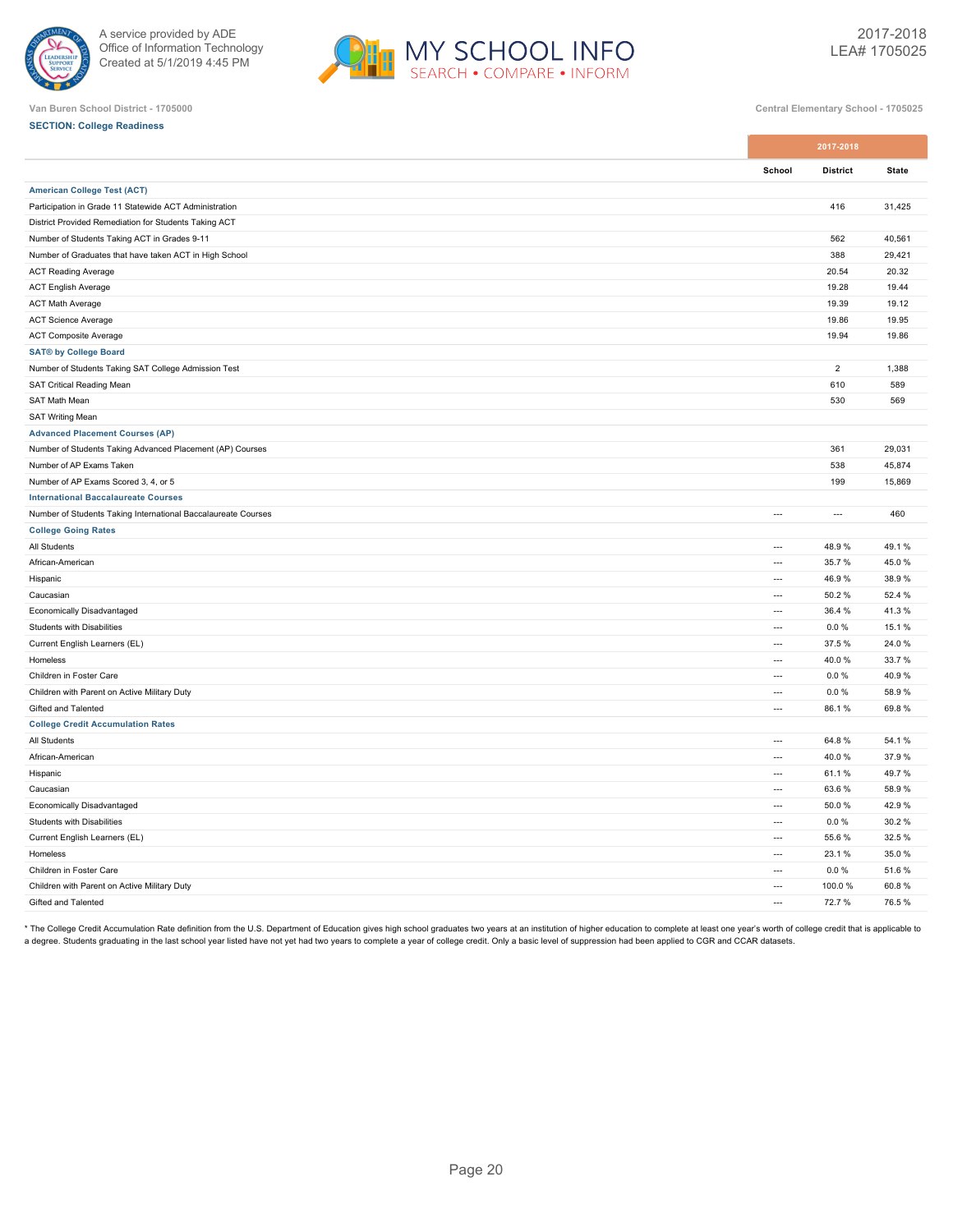

**SECTION: College Readiness**



**Van Buren School District - 1705000 Central Elementary School - 1705025**

|                                                               | 2017-2018                |                          |                |
|---------------------------------------------------------------|--------------------------|--------------------------|----------------|
|                                                               | School                   | <b>District</b>          | <b>State</b>   |
| <b>American College Test (ACT)</b>                            |                          |                          |                |
| Participation in Grade 11 Statewide ACT Administration        |                          | 416                      | 31,425         |
| District Provided Remediation for Students Taking ACT         |                          |                          |                |
| Number of Students Taking ACT in Grades 9-11                  |                          | 562                      | 40,561         |
| Number of Graduates that have taken ACT in High School        |                          | 388                      | 29,421         |
| <b>ACT Reading Average</b>                                    |                          | 20.54                    | 20.32          |
| <b>ACT English Average</b>                                    |                          | 19.28                    | 19.44          |
| <b>ACT Math Average</b>                                       |                          | 19.39                    | 19.12          |
| <b>ACT Science Average</b>                                    |                          | 19.86                    | 19.95          |
| <b>ACT Composite Average</b>                                  |                          | 19.94                    | 19.86          |
| <b>SAT® by College Board</b>                                  |                          |                          |                |
| Number of Students Taking SAT College Admission Test          |                          | $\overline{2}$           | 1,388          |
| SAT Critical Reading Mean                                     |                          | 610                      | 589            |
| SAT Math Mean                                                 |                          | 530                      | 569            |
| <b>SAT Writing Mean</b>                                       |                          |                          |                |
| <b>Advanced Placement Courses (AP)</b>                        |                          |                          |                |
| Number of Students Taking Advanced Placement (AP) Courses     |                          | 361                      | 29,031         |
| Number of AP Exams Taken                                      |                          | 538                      | 45,874         |
| Number of AP Exams Scored 3, 4, or 5                          |                          | 199                      | 15,869         |
| <b>International Baccalaureate Courses</b>                    |                          |                          |                |
| Number of Students Taking International Baccalaureate Courses | $\overline{\phantom{a}}$ | $\overline{\phantom{a}}$ | 460            |
| <b>College Going Rates</b>                                    |                          |                          |                |
| All Students                                                  | $\overline{\phantom{a}}$ | 48.9%                    | 49.1%          |
| African-American                                              | $\overline{a}$           | 35.7%                    | 45.0%          |
| Hispanic                                                      | $\overline{a}$           | 46.9%                    | 38.9%          |
| Caucasian                                                     | $---$                    | 50.2%                    | 52.4 %         |
| Economically Disadvantaged                                    | $\overline{\phantom{a}}$ | 36.4%                    | 41.3%          |
| Students with Disabilities                                    | $\overline{a}$           | $0.0 \%$                 | 15.1 %         |
| Current English Learners (EL)                                 | $\overline{a}$           | 37.5%                    | 24.0%          |
| Homeless                                                      | ---                      | 40.0%                    | 33.7%          |
| Children in Foster Care                                       | $\overline{\phantom{a}}$ | 0.0%                     | 40.9%          |
| Children with Parent on Active Military Duty                  | $---$                    | $0.0 \%$                 | 58.9%          |
| Gifted and Talented                                           | $\overline{\phantom{a}}$ | 86.1%                    | 69.8%          |
| <b>College Credit Accumulation Rates</b>                      |                          |                          |                |
| All Students                                                  | $\overline{a}$           | 64.8%                    | 54.1%          |
| African-American                                              | $\overline{a}$           | 40.0%                    | 37.9%          |
| Hispanic                                                      | $\overline{\phantom{a}}$ | 61.1%                    | 49.7%          |
| Caucasian                                                     | $\overline{\phantom{a}}$ | 63.6%                    | 58.9%          |
| Economically Disadvantaged                                    | $\overline{\phantom{a}}$ | 50.0%                    | 42.9%          |
| Students with Disabilities                                    | $\hspace{0.05cm} \cdots$ | 0.0%                     | 30.2%          |
| Current English Learners (EL)                                 | $\overline{a}$           | 55.6%                    | 32.5%          |
| Homeless                                                      | $---$                    | 23.1%                    | 35.0%          |
| Children in Foster Care                                       | $\overline{a}$           | 0.0%                     | 51.6%<br>60.8% |
| Children with Parent on Active Military Duty                  | $\overline{\phantom{a}}$ | 100.0%<br>72.7%          |                |
| Gifted and Talented                                           | $\overline{a}$           |                          | 76.5%          |

\* The College Credit Accumulation Rate definition from the U.S. Department of Education gives high school graduates two years at an institution of higher education to complete at least one year's worth of college credit th a degree. Students graduating in the last school year listed have not yet had two years to complete a year of college credit. Only a basic level of suppression had been applied to CGR and CCAR datasets.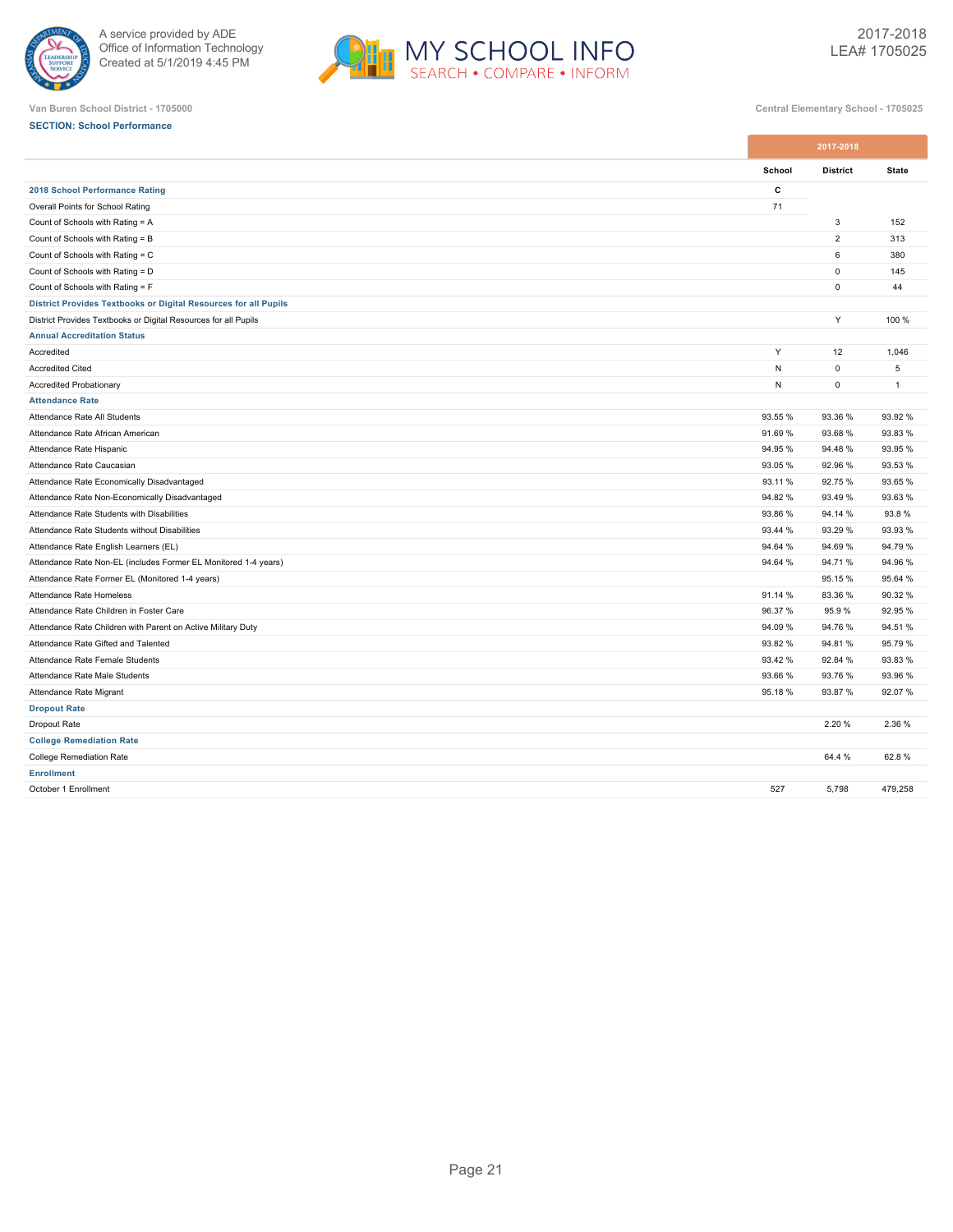



**SECTION: School Performance**

|                                                                 | 2017-2018 |                 |              |
|-----------------------------------------------------------------|-----------|-----------------|--------------|
|                                                                 | School    | <b>District</b> | <b>State</b> |
| 2018 School Performance Rating                                  | c         |                 |              |
| Overall Points for School Rating                                | 71        |                 |              |
| Count of Schools with Rating = A                                |           | 3               | 152          |
| Count of Schools with Rating = B                                |           | $\overline{2}$  | 313          |
| Count of Schools with Rating = C                                |           | 6               | 380          |
| Count of Schools with Rating = D                                |           | 0               | 145          |
| Count of Schools with Rating = F                                |           | $\mathbf 0$     | 44           |
| District Provides Textbooks or Digital Resources for all Pupils |           |                 |              |
| District Provides Textbooks or Digital Resources for all Pupils |           | Υ               | 100 %        |
| <b>Annual Accreditation Status</b>                              |           |                 |              |
| Accredited                                                      | Y         | 12              | 1,046        |
| <b>Accredited Cited</b>                                         | N         | 0               | 5            |
| <b>Accredited Probationary</b>                                  | N         | 0               | $\mathbf{1}$ |
| <b>Attendance Rate</b>                                          |           |                 |              |
| Attendance Rate All Students                                    | 93.55%    | 93.36 %         | 93.92 %      |
| Attendance Rate African American                                | 91.69%    | 93.68 %         | 93.83 %      |
| Attendance Rate Hispanic                                        | 94.95%    | 94.48 %         | 93.95 %      |
| Attendance Rate Caucasian                                       | 93.05%    | 92.96 %         | 93.53 %      |
| Attendance Rate Economically Disadvantaged                      | 93.11%    | 92.75 %         | 93.65 %      |
| Attendance Rate Non-Economically Disadvantaged                  | 94.82%    | 93.49 %         | 93.63%       |
| Attendance Rate Students with Disabilities                      | 93.86%    | 94.14 %         | 93.8%        |
| Attendance Rate Students without Disabilities                   | 93.44 %   | 93.29 %         | 93.93 %      |
| Attendance Rate English Learners (EL)                           | 94.64 %   | 94.69 %         | 94.79%       |
| Attendance Rate Non-EL (includes Former EL Monitored 1-4 years) | 94.64 %   | 94.71%          | 94.96 %      |
| Attendance Rate Former EL (Monitored 1-4 years)                 |           | 95.15 %         | 95.64 %      |
| Attendance Rate Homeless                                        | 91.14 %   | 83.36 %         | 90.32 %      |
| Attendance Rate Children in Foster Care                         | 96.37%    | 95.9%           | 92.95 %      |
| Attendance Rate Children with Parent on Active Military Duty    | 94.09%    | 94.76%          | 94.51 %      |
| Attendance Rate Gifted and Talented                             | 93.82 %   | 94.81%          | 95.79%       |
| Attendance Rate Female Students                                 | 93.42%    | 92.84 %         | 93.83%       |
| Attendance Rate Male Students                                   | 93.66%    | 93.76 %         | 93.96 %      |
| Attendance Rate Migrant                                         | 95.18%    | 93.87 %         | 92.07%       |
| <b>Dropout Rate</b>                                             |           |                 |              |
| Dropout Rate                                                    |           | 2.20%           | 2.36 %       |
| <b>College Remediation Rate</b>                                 |           |                 |              |
| <b>College Remediation Rate</b>                                 |           | 64.4 %          | 62.8%        |
| <b>Enrollment</b>                                               |           |                 |              |
| October 1 Enrollment                                            | 527       | 5,798           | 479,258      |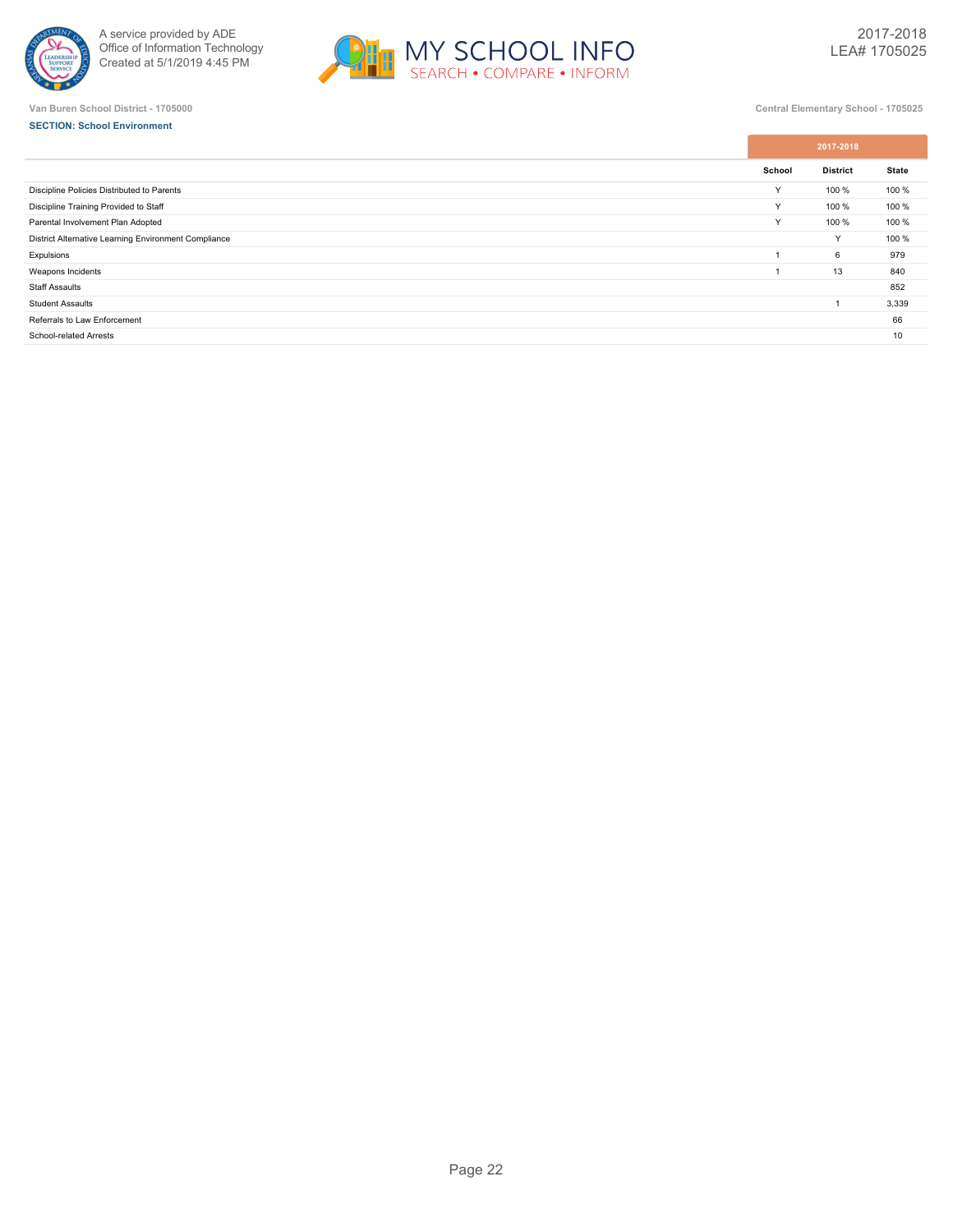



| <b>SECTION: School Environment</b>                   |        |                 |       |
|------------------------------------------------------|--------|-----------------|-------|
|                                                      |        | 2017-2018       |       |
|                                                      | School | <b>District</b> | State |
| Discipline Policies Distributed to Parents           | Y      | 100 %           | 100 % |
| Discipline Training Provided to Staff                | Y      | 100 %           | 100 % |
| Parental Involvement Plan Adopted                    | Y      | 100 %           | 100 % |
| District Alternative Learning Environment Compliance |        | Y               | 100 % |
| Expulsions                                           |        | 6               | 979   |
| Weapons Incidents                                    |        | 13              | 840   |
| <b>Staff Assaults</b>                                |        |                 | 852   |
| <b>Student Assaults</b>                              |        |                 | 3,339 |
| Referrals to Law Enforcement                         |        |                 | 66    |
| School-related Arrests                               |        |                 | 10    |
|                                                      |        |                 |       |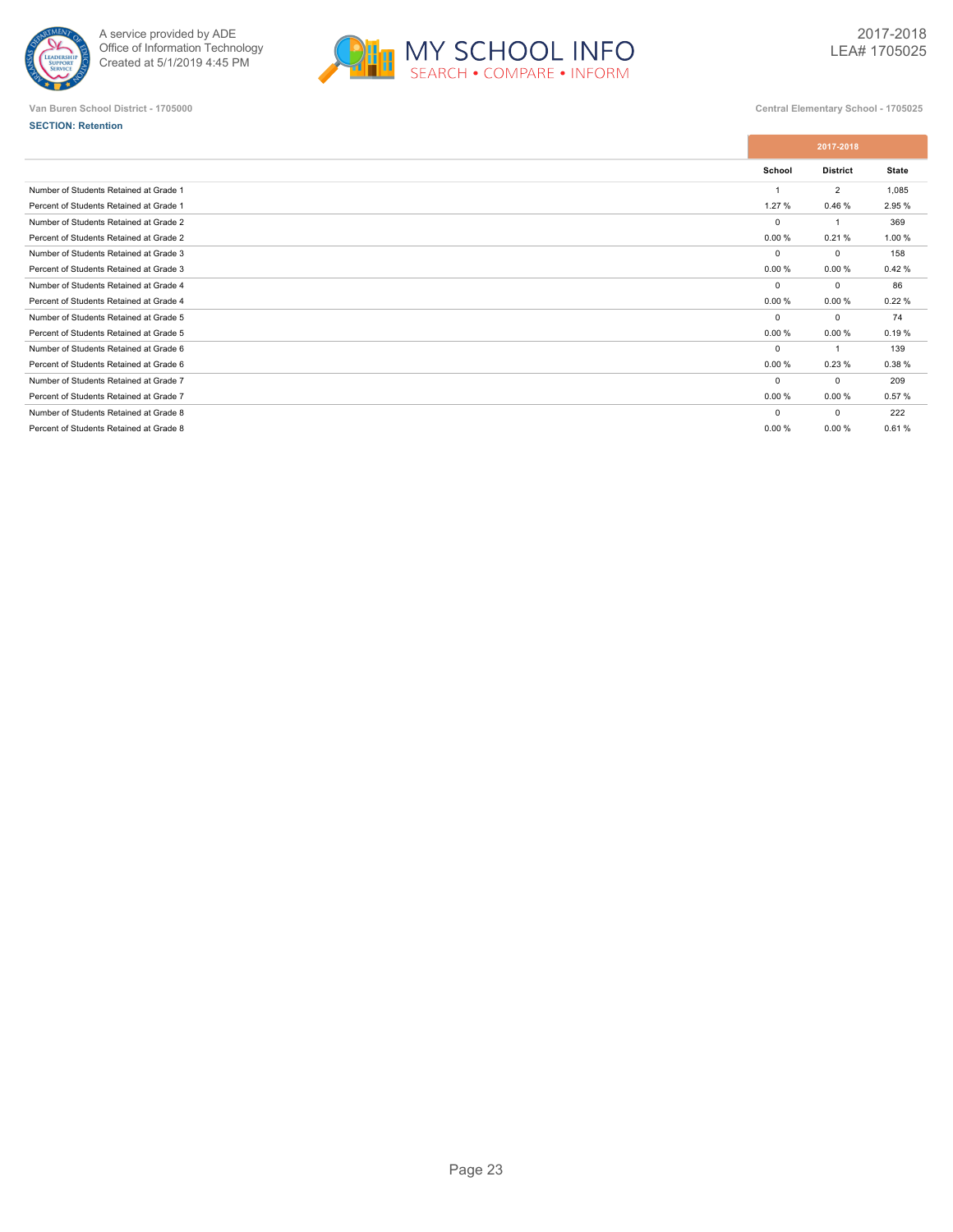



### **SECTION: Retention**

|                                         | School | <b>District</b> | <b>State</b> |
|-----------------------------------------|--------|-----------------|--------------|
| Number of Students Retained at Grade 1  |        | $\overline{2}$  | 1,085        |
| Percent of Students Retained at Grade 1 | 1.27 % | 0.46%           | 2.95 %       |
| Number of Students Retained at Grade 2  | 0      |                 | 369          |
| Percent of Students Retained at Grade 2 | 0.00%  | 0.21%           | 1.00 %       |
| Number of Students Retained at Grade 3  | 0      | $\mathbf 0$     | 158          |
| Percent of Students Retained at Grade 3 | 0.00%  | 0.00%           | 0.42%        |
| Number of Students Retained at Grade 4  | 0      | 0               | 86           |
| Percent of Students Retained at Grade 4 | 0.00%  | 0.00%           | 0.22%        |
| Number of Students Retained at Grade 5  | 0      | 0               | 74           |
| Percent of Students Retained at Grade 5 | 0.00%  | 0.00%           | 0.19%        |
| Number of Students Retained at Grade 6  | 0      | 1               | 139          |
| Percent of Students Retained at Grade 6 | 0.00%  | 0.23%           | 0.38%        |
| Number of Students Retained at Grade 7  | 0      | 0               | 209          |
| Percent of Students Retained at Grade 7 | 0.00%  | 0.00%           | 0.57%        |
| Number of Students Retained at Grade 8  | 0      | 0               | 222          |
| Percent of Students Retained at Grade 8 | 0.00%  | 0.00%           | 0.61%        |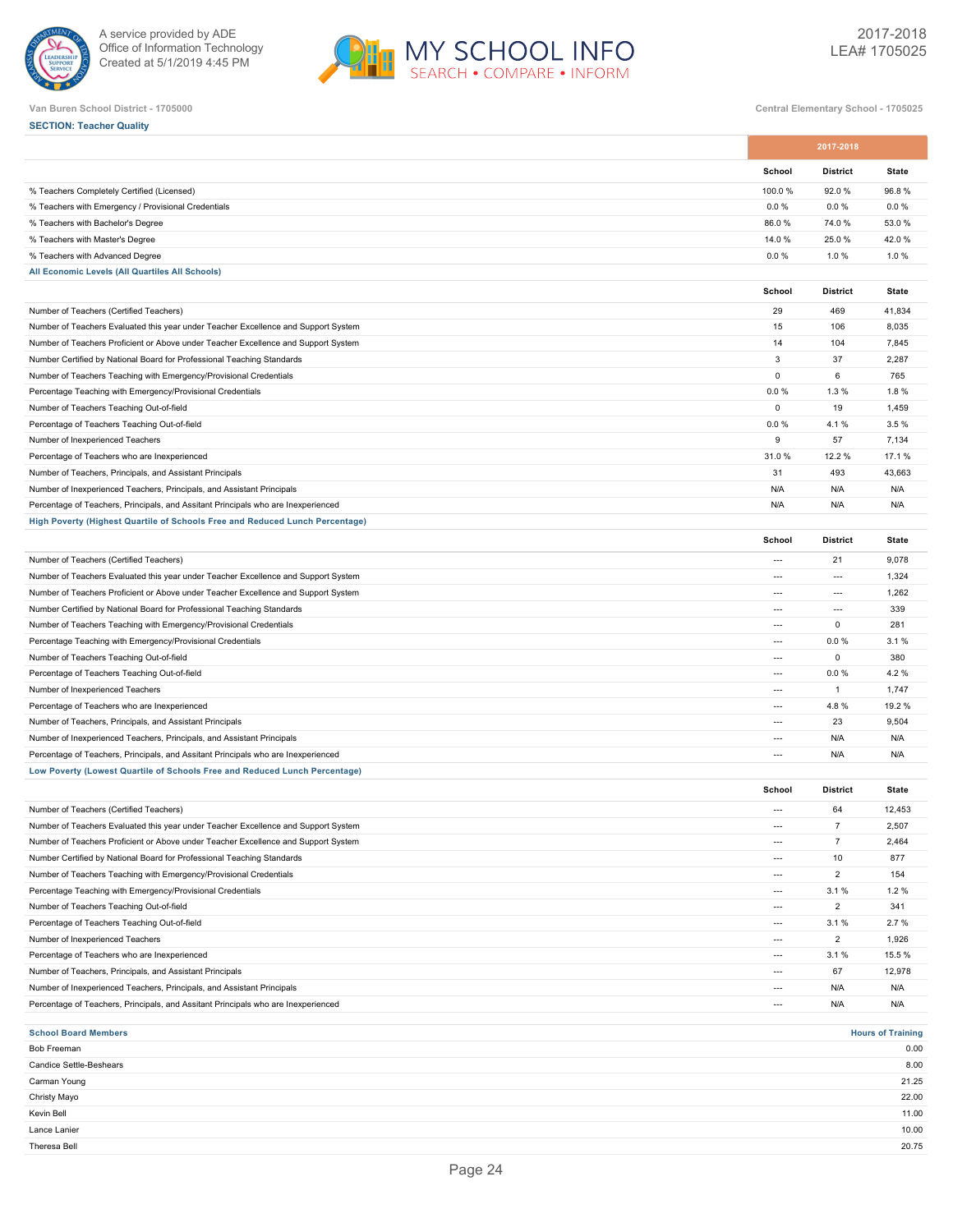



# **SECTION: Teacher Quality**

|                                                                                                                                    | School                   | <b>District</b>          | State                    |
|------------------------------------------------------------------------------------------------------------------------------------|--------------------------|--------------------------|--------------------------|
| % Teachers Completely Certified (Licensed)                                                                                         | 100.0%                   | 92.0%                    | 96.8%                    |
| % Teachers with Emergency / Provisional Credentials                                                                                | 0.0%                     | 0.0%                     | 0.0 %                    |
| % Teachers with Bachelor's Degree                                                                                                  | 86.0%                    | 74.0%                    | 53.0 %                   |
| % Teachers with Master's Degree                                                                                                    | 14.0 %                   | 25.0%                    | 42.0%                    |
| % Teachers with Advanced Degree                                                                                                    | 0.0%                     | 1.0%                     | 1.0%                     |
| All Economic Levels (All Quartiles All Schools)                                                                                    |                          |                          |                          |
|                                                                                                                                    | School                   | <b>District</b>          | <b>State</b>             |
| Number of Teachers (Certified Teachers)                                                                                            | 29                       | 469                      | 41,834                   |
| Number of Teachers Evaluated this year under Teacher Excellence and Support System                                                 | 15                       | 106                      | 8,035                    |
| Number of Teachers Proficient or Above under Teacher Excellence and Support System                                                 | 14                       | 104                      | 7,845                    |
| Number Certified by National Board for Professional Teaching Standards                                                             | 3                        | 37                       | 2,287                    |
| Number of Teachers Teaching with Emergency/Provisional Credentials                                                                 | $\mathsf 0$              | 6                        | 765                      |
| Percentage Teaching with Emergency/Provisional Credentials                                                                         | 0.0%                     | 1.3%                     | 1.8%                     |
| Number of Teachers Teaching Out-of-field                                                                                           | $\mathsf 0$              | 19                       | 1,459                    |
| Percentage of Teachers Teaching Out-of-field                                                                                       | 0.0%                     | 4.1%                     | 3.5%                     |
| Number of Inexperienced Teachers                                                                                                   | 9                        | 57                       | 7,134                    |
|                                                                                                                                    | 31.0%                    | 12.2 %                   | 17.1 %                   |
| Percentage of Teachers who are Inexperienced                                                                                       |                          |                          | 43,663                   |
| Number of Teachers, Principals, and Assistant Principals<br>Number of Inexperienced Teachers, Principals, and Assistant Principals | 31<br>N/A                | 493<br>N/A               | N/A                      |
|                                                                                                                                    | N/A                      | N/A                      | N/A                      |
| Percentage of Teachers, Principals, and Assitant Principals who are Inexperienced                                                  |                          |                          |                          |
| High Poverty (Highest Quartile of Schools Free and Reduced Lunch Percentage)                                                       |                          |                          |                          |
|                                                                                                                                    | School                   | <b>District</b>          | <b>State</b>             |
| Number of Teachers (Certified Teachers)                                                                                            | $\hspace{0.05cm} \ldots$ | 21                       | 9,078                    |
| Number of Teachers Evaluated this year under Teacher Excellence and Support System                                                 | ---                      | $\overline{a}$           | 1,324                    |
| Number of Teachers Proficient or Above under Teacher Excellence and Support System                                                 | $\overline{\phantom{a}}$ | $\hspace{0.05cm} \ldots$ | 1,262                    |
| Number Certified by National Board for Professional Teaching Standards                                                             | $---$                    | $\overline{a}$           | 339                      |
| Number of Teachers Teaching with Emergency/Provisional Credentials                                                                 | $\hspace{0.05cm} \ldots$ | 0                        | 281                      |
| Percentage Teaching with Emergency/Provisional Credentials                                                                         | ---                      | 0.0%                     | 3.1%                     |
| Number of Teachers Teaching Out-of-field                                                                                           | $\overline{a}$           | $\mathsf 0$              | 380                      |
| Percentage of Teachers Teaching Out-of-field                                                                                       | ---                      | 0.0%                     | 4.2%                     |
| Number of Inexperienced Teachers                                                                                                   | $\sim$ $\sim$            | $\mathbf{1}$             | 1,747                    |
| Percentage of Teachers who are Inexperienced                                                                                       | ---                      | 4.8%                     | 19.2 %                   |
| Number of Teachers, Principals, and Assistant Principals                                                                           | ---                      | 23                       | 9,504                    |
| Number of Inexperienced Teachers, Principals, and Assistant Principals                                                             | $---$                    | N/A                      | N/A                      |
| Percentage of Teachers, Principals, and Assitant Principals who are Inexperienced                                                  | $\overline{a}$           | N/A                      | N/A                      |
| Low Poverty (Lowest Quartile of Schools Free and Reduced Lunch Percentage)                                                         |                          |                          |                          |
|                                                                                                                                    | School                   | <b>District</b>          | <b>State</b>             |
| Number of Teachers (Certified Teachers)                                                                                            | ---                      | 64                       | 12,453                   |
| Number of Teachers Evaluated this year under Teacher Excellence and Support System                                                 | ---                      | $\overline{7}$           | 2,507                    |
| Number of Teachers Proficient or Above under Teacher Excellence and Support System                                                 | ---                      | $\overline{7}$           | 2,464                    |
| Number Certified by National Board for Professional Teaching Standards                                                             | $\hspace{0.05cm} \ldots$ | 10                       | 877                      |
| Number of Teachers Teaching with Emergency/Provisional Credentials                                                                 | ---                      | $\overline{\mathbf{c}}$  | 154                      |
| Percentage Teaching with Emergency/Provisional Credentials                                                                         | $\overline{a}$           | 3.1%                     | 1.2%                     |
| Number of Teachers Teaching Out-of-field                                                                                           | ---                      | $\overline{2}$           | 341                      |
| Percentage of Teachers Teaching Out-of-field                                                                                       | $\overline{a}$           | 3.1%                     | 2.7%                     |
| Number of Inexperienced Teachers                                                                                                   | ---                      | $\overline{2}$           | 1,926                    |
| Percentage of Teachers who are Inexperienced                                                                                       | ---                      | 3.1%                     | 15.5 %                   |
| Number of Teachers, Principals, and Assistant Principals                                                                           | $---$                    | 67                       | 12,978                   |
| Number of Inexperienced Teachers, Principals, and Assistant Principals                                                             | $\overline{a}$           | N/A                      | N/A                      |
| Percentage of Teachers, Principals, and Assitant Principals who are Inexperienced                                                  | $---$                    | N/A                      | N/A                      |
|                                                                                                                                    |                          |                          |                          |
| <b>School Board Members</b>                                                                                                        |                          |                          | <b>Hours of Training</b> |
| Bob Freeman                                                                                                                        |                          |                          | 0.00                     |
| Candice Settle-Beshears                                                                                                            |                          |                          | 8.00                     |
| Carman Young                                                                                                                       |                          |                          | 21.25                    |
| Christy Mayo                                                                                                                       |                          |                          | 22.00                    |
| Kevin Bell                                                                                                                         |                          |                          | 11.00                    |

Lance Lanier 10.00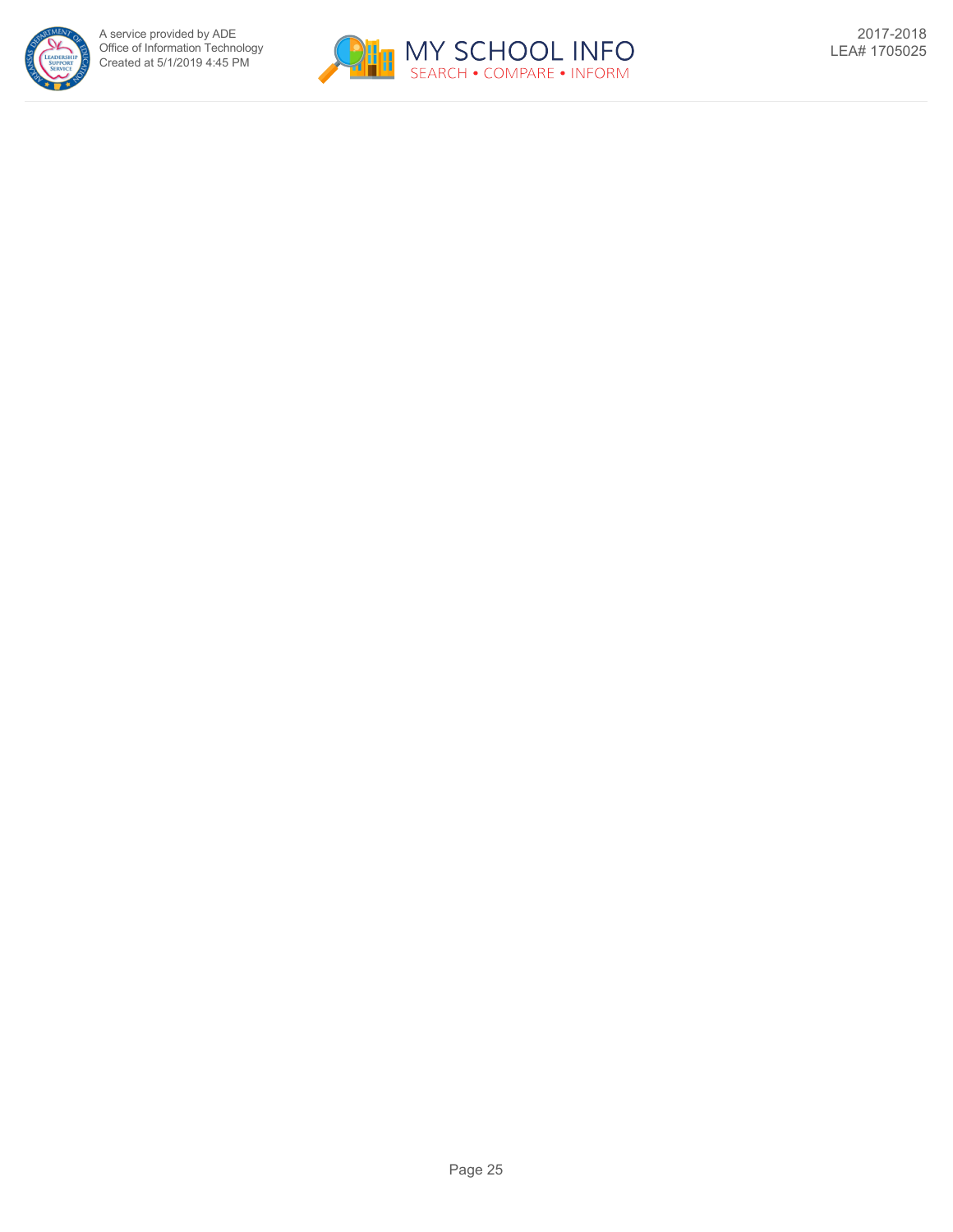

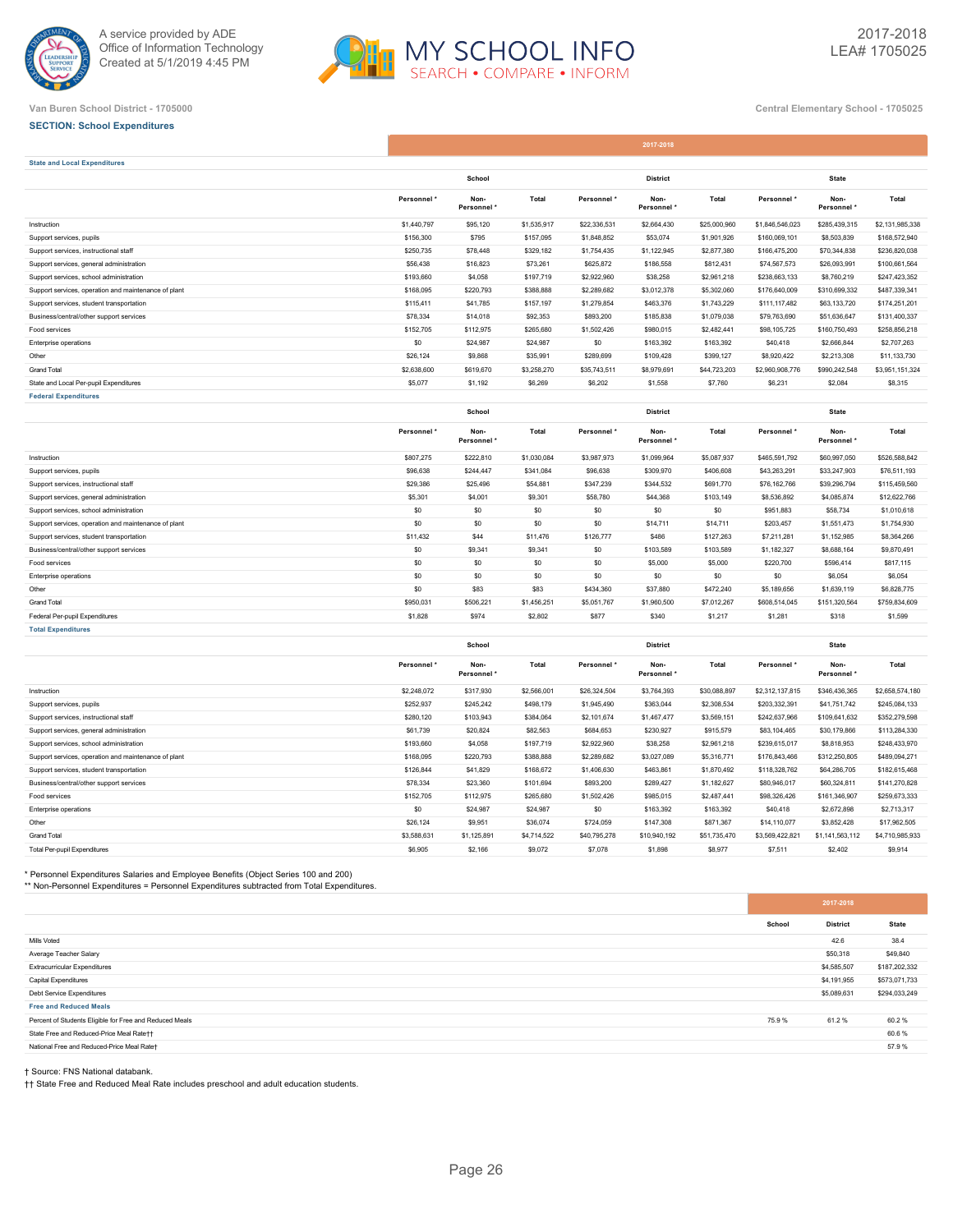



### **SECTION: School Expenditures**

|                                                      |                        |                                |             |              | 2017-2018           |              |                        |                                |                 |
|------------------------------------------------------|------------------------|--------------------------------|-------------|--------------|---------------------|--------------|------------------------|--------------------------------|-----------------|
| <b>State and Local Expenditures</b>                  |                        |                                |             |              |                     |              |                        |                                |                 |
|                                                      |                        | School                         |             |              | <b>District</b>     |              |                        | <b>State</b>                   |                 |
|                                                      | Personnel *            | Non-<br>Personnel <sup>'</sup> | Total       | Personnel *  | Non-<br>Personnel*  | Total        | Personnel *            | Non-<br>Personnel <sup>*</sup> | Total           |
| Instruction                                          | \$1,440,797            | \$95,120                       | \$1,535,917 | \$22,336,531 | \$2,664,430         | \$25,000,960 | \$1,846,546,023        | \$285,439,315                  | \$2.131.985.338 |
| Support services, pupils                             | \$156,300              | \$795                          | \$157,095   | \$1,848,852  | \$53,074            | \$1,901,926  | \$160,069,101          | \$8,503,839                    | \$168,572,940   |
| Support services, instructional staff                | \$250,735              | \$78,448                       | \$329,182   | \$1,754,435  | \$1,122,945         | \$2,877,380  | \$166,475,200          | \$70,344,838                   | \$236,820,038   |
| Support services, general administration             | \$56,438               | \$16,823                       | \$73,261    | \$625,872    | \$186,558           | \$812,431    | \$74,567,573           | \$26,093,991                   | \$100,661,564   |
| Support services, school administration              | \$193,660              | \$4,058                        | \$197,719   | \$2,922,960  | \$38,258            | \$2,961,218  | \$238,663,133          | \$8,760,219                    | \$247,423,352   |
| Support services, operation and maintenance of plant | \$168,095              | \$220,793                      | \$388,888   | \$2,289,682  | \$3,012,378         | \$5,302,060  | \$176,640,009          | \$310,699,332                  | \$487,339,341   |
| Support services, student transportation             | \$115,411              | \$41,785                       | \$157,197   | \$1,279,854  | \$463,376           | \$1,743,229  | \$111,117,482          | \$63,133,720                   | \$174,251,201   |
| Business/central/other support services              | \$78,334               | \$14,018                       | \$92,353    | \$893,200    | \$185,838           | \$1,079,038  | \$79,763,690           | \$51,636,647                   | \$131,400,337   |
| Food services                                        | \$152,705              | \$112,975                      | \$265,680   | \$1,502,426  | \$980,015           | \$2,482,441  | \$98,105,725           | \$160,750,493                  | \$258,856,218   |
| Enterprise operations                                | \$0                    | \$24,987                       | \$24,987    | \$0          | \$163,392           | \$163,392    | \$40,418               | \$2,666,844                    | \$2,707,263     |
| Other                                                | \$26,124               | \$9,868                        | \$35,991    | \$289,699    | \$109,428           | \$399,127    | \$8,920,422            | \$2,213,308                    | \$11,133,730    |
| <b>Grand Total</b>                                   | \$2,638,600            | \$619,670                      | \$3,258,270 | \$35,743,511 | \$8,979,691         | \$44,723,203 | \$2,960,908,776        | \$990,242,548                  | \$3,951,151,324 |
| State and Local Per-pupil Expenditures               | \$5,077                | \$1,192                        | \$6,269     | \$6,202      | \$1,558             | \$7,760      | \$6,231                | \$2,084                        | \$8,315         |
| <b>Federal Expenditures</b>                          |                        |                                |             |              |                     |              |                        |                                |                 |
|                                                      |                        | School                         |             |              | <b>District</b>     |              |                        | <b>State</b>                   |                 |
|                                                      | Personnel *            | Non-<br>Personnel <sup>'</sup> | Total       | Personnel *  | Non-<br>Personnel*  | Total        | Personnel <sup>'</sup> | Non-<br>Personnel <sup>*</sup> | Total           |
| Instruction                                          | \$807,275              | \$222,810                      | \$1,030,084 | \$3,987,973  | \$1,099,964         | \$5,087,937  | \$465,591,792          | \$60,997,050                   | \$526,588,842   |
| Support services, pupils                             | \$96,638               | \$244,447                      | \$341,084   | \$96,638     | \$309,970           | \$406,608    | \$43,263,291           | \$33,247,903                   | \$76,511,193    |
| Support services, instructional staff                | \$29,386               | \$25,496                       | \$54,881    | \$347,239    | \$344,532           | \$691,770    | \$76,162,766           | \$39,296,794                   | \$115,459,560   |
| Support services, general administration             | \$5,301                | \$4,001                        | \$9,301     | \$58,780     | \$44,368            | \$103,149    | \$8,536,892            | \$4,085,874                    | \$12,622,766    |
| Support services, school administration              | \$0                    | \$0                            | \$0         | \$0          | \$0                 | \$0          | \$951,883              | \$58,734                       | \$1,010,618     |
| Support services, operation and maintenance of plant | \$0                    | \$0                            | \$0         | \$0          | \$14,711            | \$14,711     | \$203,457              | \$1,551,473                    | \$1,754,930     |
| Support services, student transportation             | \$11,432               | \$44                           | \$11,476    | \$126,777    | \$486               | \$127,263    | \$7,211,281            | \$1,152,985                    | \$8,364,266     |
| Business/central/other support services              | \$0                    | \$9,341                        | \$9,341     | \$0          | \$103,589           | \$103,589    | \$1,182,327            | \$8,688,164                    | \$9,870,491     |
| Food services                                        | \$0                    | \$0                            | \$0         | \$0          | \$5,000             | \$5,000      | \$220,700              | \$596,414                      | \$817,115       |
| Enterprise operations                                | \$0                    | \$0                            | \$0         | \$0          | \$0                 | \$0          | \$0                    | \$6,054                        | \$6,054         |
| Other                                                | \$0                    | \$83                           | \$83        | \$434.360    | \$37,880            | \$472,240    | \$5,189,656            | \$1,639,119                    | \$6,828,775     |
| <b>Grand Total</b>                                   | \$950,031              | \$506,221                      | \$1,456,251 | \$5,051,767  | \$1,960,500         | \$7,012,267  | \$608,514,045          | \$151,320,564                  | \$759,834,609   |
| Federal Per-pupil Expenditures                       | \$1,828                | \$974                          | \$2,802     | <b>\$877</b> | \$340               | \$1,217      | \$1,281                | \$318                          | \$1,599         |
| <b>Total Expenditures</b>                            |                        |                                |             |              |                     |              |                        |                                |                 |
|                                                      |                        | School                         |             |              | <b>District</b>     |              |                        | <b>State</b>                   |                 |
|                                                      | Personnel <sup>®</sup> | Non-<br>Personnel <sup>'</sup> | Total       | Personnel    | Non-<br>Personnel * | Total        | Personnel              | Non-<br>Personnel *            | Total           |
|                                                      |                        |                                |             |              |                     |              |                        |                                |                 |

|                                                      |             | 191 <i>3</i> VIII 191 |             |              | 191 <i>3</i> 911191 |              |                 | 191 <i>0</i> 9111191 |                 |
|------------------------------------------------------|-------------|-----------------------|-------------|--------------|---------------------|--------------|-----------------|----------------------|-----------------|
| Instruction                                          | \$2,248,072 | \$317,930             | \$2,566,001 | \$26,324,504 | \$3,764,393         | \$30,088,897 | \$2,312,137,815 | \$346,436,365        | \$2.658.574.180 |
| Support services, pupils                             | \$252,937   | \$245,242             | \$498,179   | \$1,945,490  | \$363,044           | \$2,308,534  | \$203.332.391   | \$41,751,742         | \$245,084,133   |
| Support services, instructional staff                | \$280,120   | \$103,943             | \$384,064   | \$2,101,674  | \$1,467,477         | \$3,569,151  | \$242,637,966   | \$109,641,632        | \$352,279,598   |
| Support services, general administration             | \$61,739    | \$20,824              | \$82,563    | \$684,653    | \$230,927           | \$915,579    | \$83,104,465    | \$30,179,866         | \$113,284,330   |
| Support services, school administration              | \$193,660   | \$4,058               | \$197,719   | \$2,922,960  | \$38,258            | \$2,961,218  | \$239,615,017   | \$8,818,953          | \$248,433,970   |
| Support services, operation and maintenance of plant | \$168,095   | \$220,793             | \$388,888   | \$2,289,682  | \$3,027,089         | \$5,316,771  | \$176,843,466   | \$312,250,805        | \$489,094,271   |
| Support services, student transportation             | \$126,844   | \$41,829              | \$168,672   | \$1,406,630  | \$463,861           | \$1,870,492  | \$118,328,762   | \$64,286,705         | \$182,615,468   |
| Business/central/other support services              | \$78,334    | \$23,360              | \$101,694   | \$893,200    | \$289,427           | \$1,182,627  | \$80,946,017    | \$60,324,811         | \$141,270,828   |
| Food services                                        | \$152,705   | \$112,975             | \$265,680   | \$1,502,426  | \$985,015           | \$2,487,441  | \$98,326,426    | \$161,346,907        | \$259,673,333   |
| Enterprise operations                                | \$0         | \$24,987              | \$24,987    | \$0          | \$163,392           | \$163,392    | \$40,418        | \$2,672,898          | \$2,713,317     |
| Other                                                | \$26,124    | \$9,951               | \$36,074    | \$724,059    | \$147,308           | \$871,367    | \$14,110,077    | \$3,852,428          | \$17,962,505    |
| Grand Total                                          | \$3,588,631 | \$1,125,891           | \$4,714,522 | \$40,795,278 | \$10,940.192        | \$51,735,470 | \$3,569,422,821 | \$1,141,563,112      | \$4,710,985,933 |
| <b>Total Per-pupil Expenditures</b>                  | \$6,905     | \$2,166               | \$9,072     | \$7,078      | \$1,898             | \$8,977      | \$7,511         | \$2,402              | \$9,914         |

\* Personnel Expenditures Salaries and Employee Benefits (Object Series 100 and 200)

\*\* Non-Personnel Expenditures = Personnel Expenditures subtracted from Total Expenditures.

|                                                         | 2017-2018 |                 |               |
|---------------------------------------------------------|-----------|-----------------|---------------|
|                                                         | School    | <b>District</b> | State         |
| Mills Voted                                             |           | 42.6            | 38.4          |
| Average Teacher Salary                                  |           | \$50,318        | \$49,840      |
| <b>Extracurricular Expenditures</b>                     |           | \$4,585,507     | \$187,202,332 |
| Capital Expenditures                                    |           | \$4,191,955     | \$573,071,733 |
| Debt Service Expenditures                               |           | \$5,089,631     | \$294,033,249 |
| <b>Free and Reduced Meals</b>                           |           |                 |               |
| Percent of Students Eligible for Free and Reduced Meals | 75.9%     | 61.2%           | 60.2%         |
| State Free and Reduced-Price Meal Rate††                |           |                 | 60.6%         |
| National Free and Reduced-Price Meal Rate+              |           |                 | 57.9%         |
|                                                         |           |                 |               |

† Source: FNS National databank.

†† State Free and Reduced Meal Rate includes preschool and adult education students.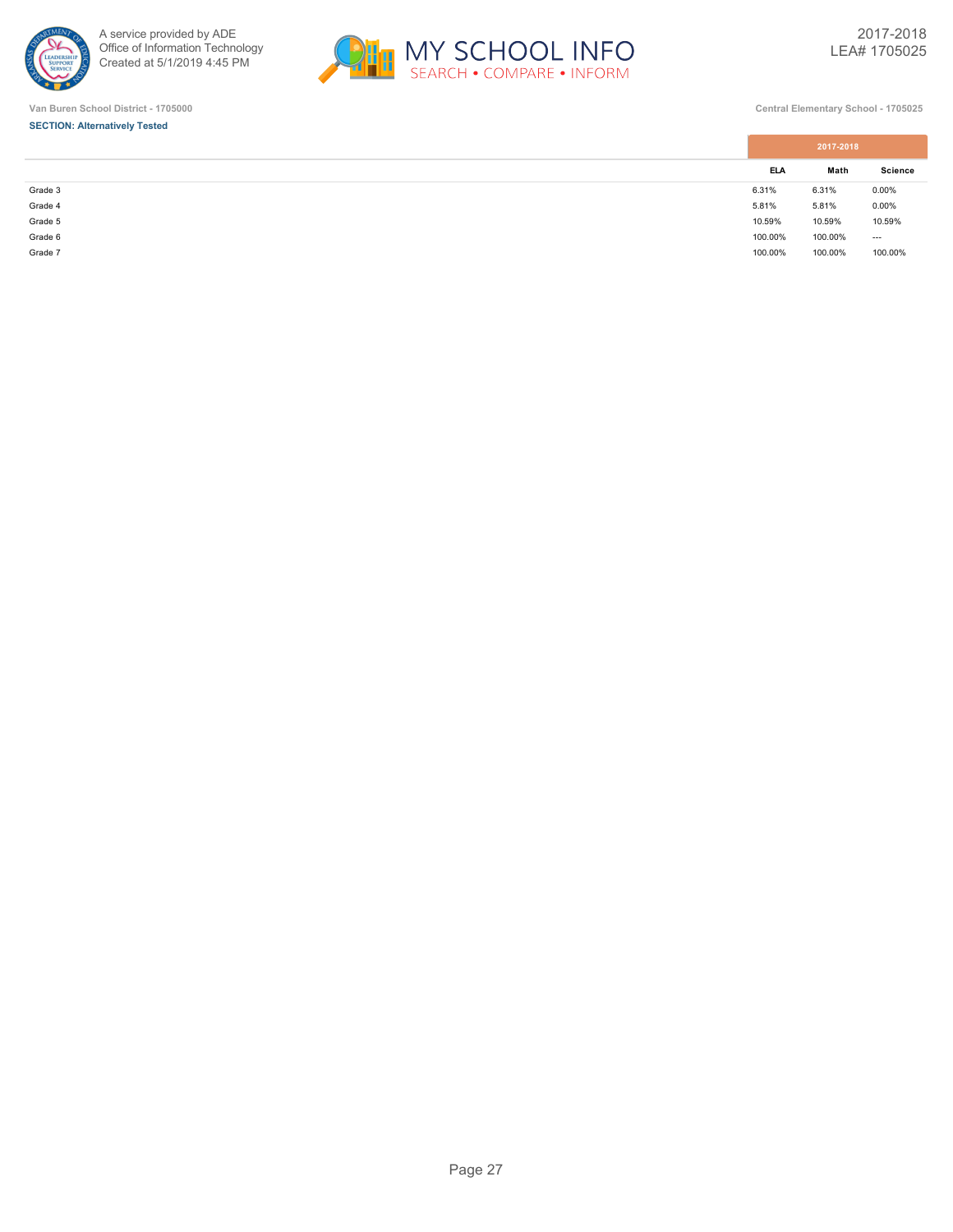





|         |            | 2017-2018 |                          |
|---------|------------|-----------|--------------------------|
|         | <b>ELA</b> | Math      | Science                  |
| Grade 3 | 6.31%      | 6.31%     | 0.00%                    |
| Grade 4 | 5.81%      | 5.81%     | 0.00%                    |
| Grade 5 | 10.59%     | 10.59%    | 10.59%                   |
| Grade 6 | 100.00%    | 100.00%   | $\hspace{0.05cm} \ldots$ |
| Grade 7 | 100.00%    | 100.00%   | 100.00%                  |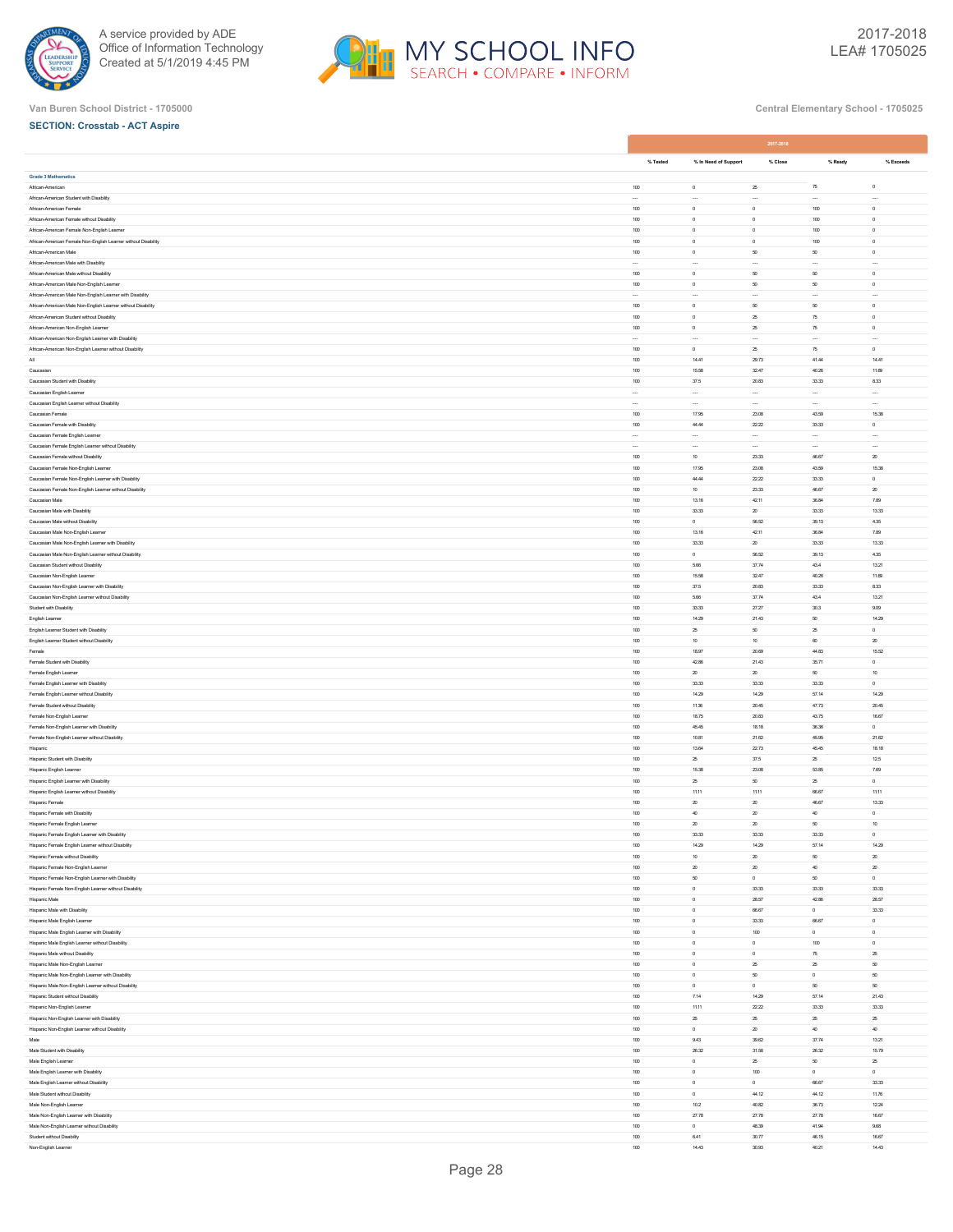



|                                                                                                                 | 2017-2018       |                           |                            |                                 |                           |
|-----------------------------------------------------------------------------------------------------------------|-----------------|---------------------------|----------------------------|---------------------------------|---------------------------|
|                                                                                                                 | % Tested        | % In Need of Support      | % Close                    | % Ready                         | % Exceeds                 |
| <b>Grade 3 Mathematics</b>                                                                                      |                 |                           |                            |                                 |                           |
| African-American                                                                                                | $100\,$         | $\,$ 0 $\,$               | $\rm{2S}$                  | 75                              | $\,$ 0 $\,$               |
| African-American Student with Disability                                                                        | $\sim$          | $\ddotsc$                 | $\ddotsc$                  | $\ddotsc$                       | $\ddotsc$                 |
| African-American Female                                                                                         | 100             | $\,$ 0                    | $\mathbf 0$                | 100                             | $\mathbb O$               |
| African-American Female without Disability<br>African-American Female Non-English Learner                       | $100\,$<br>100  | $\,$ 0 $\,$<br>$\circ$    | $\,$ 0 $\,$<br>$\circ$     | 100<br>100                      | $\,$ 0 $\,$<br>$^{\circ}$ |
| African-American Female Non-English Learner without Disability                                                  | 100             | $\circ$                   | $\mathbf 0$                | 100                             | $\,$ 0 $\,$               |
| African-American Male                                                                                           | 100             | $\,$ 0 $\,$               | $_{50}$                    | $_{50}$                         | $\mathsf{O}$              |
| African-American Male with Disability                                                                           | $\cdots$        | $\cdots$                  | $\sim$                     | $\cdots$                        | $\cdots$                  |
| African-American Male without Disability                                                                        | $100\,$         | $\,$ 0                    | $_{\rm S0}$                | $_{\rm 50}$                     | $\,$ 0                    |
| African-American Male Non-English Learner<br>African-American Male Non-English Learner with Disability          | 100<br>$\cdots$ | $\,$ 0 $\,$<br>$\cdots$   | $_{50}$<br>$\cdots$        | $_{50}$<br>$\ddot{\phantom{0}}$ | $\,$ 0 $\,$<br>$\cdots$   |
| African-American Male Non-English Learner without Disability                                                    | $100\,$         | $\,$ 0                    | $_{\rm S0}$                | $_{\rm 50}$                     | $\,$ 0 $\,$               |
| African-American Student without Disability                                                                     | 100             | $\circ$                   | $\mathbf{z}$               | 75                              | $\mathbb O$               |
| African-American Non-English Learner                                                                            | 100             | $\,$ 0 $\,$               | $\rm{2S}$                  | $75\,$                          | $\,$ 0 $\,$               |
| African-American Non-English Learner with Disability                                                            | à.              | $\sim$                    | $\ddot{\phantom{a}}$       | $\ddotsc$                       | $\ddotsc$                 |
| African-American Non-English Learner without Disability<br>$\mathsf{All}$                                       | 100<br>$100\,$  | $\circ$<br>14.41          | 25<br>29.73                | 75<br>41.44                     | $\circ$<br>14.41          |
| Caucasian                                                                                                       | 100             | 15.58                     | 32.47                      | 40.26                           | 11.69                     |
| Caucasian Student with Disability                                                                               | 100             | 37.5                      | 20.83                      | 33.33                           | 8.33                      |
| Caucasian English Learner                                                                                       | $\cdots$        | $\cdots$                  | $\ddot{\phantom{0}}$       | $\cdots$                        |                           |
| Caucasian English Learner without Disability                                                                    | $\cdots$        | $\cdots$                  | $\sim$                     | $\cdots$                        | $\cdots$                  |
| Caucasian Female<br>Caucasian Female with Disability                                                            | 100<br>100      | 17.95<br>44.44            | 23.08<br>22.22             | 43.59<br>33.33                  | 15.38<br>$\,$ 0 $\,$      |
| Caucasian Female English Learner                                                                                | $\cdots$        | $\cdots$                  | $\ddotsc$                  | $\cdots$                        | $\cdots$                  |
| Caucasian Female English Learner without Disability                                                             | $\cdots$        | $\cdots$                  | $\cdots$                   |                                 | $\cdots$                  |
| Caucasian Female without Disability                                                                             | 100             | 10                        | 23.33                      | 46.67                           | $\rm{20}$                 |
| Caucasian Female Non-English Learner                                                                            | 100             | 17.95                     | 23.08                      | 43.59                           | 15.38<br>$\,$ 0           |
| Caucasian Female Non-English Learner with Disability<br>Caucasian Female Non-English Learner without Disability | $100\,$<br>100  | 44.44<br>10               | $22.22\,$<br>23.33         | 33.33<br>46.67                  | 20                        |
| Caucasian Male                                                                                                  | 100             | 13.16                     | 42.11                      | 36.84                           | 7.89                      |
| Caucasian Male with Disability                                                                                  | 100             | 33.33                     | $\rm{20}$                  | 33.33                           | 13.33                     |
| Caucasian Male without Disability                                                                               | 100             | $\circ$                   | 56.52                      | 39.13                           | 4.35                      |
| Caucasian Male Non-English Learner                                                                              | $100\,$         | 13.16                     | 42.11                      | 36.84                           | 7.89                      |
| Caucasian Male Non-English Learner with Disability<br>Caucasian Male Non-English Learner without Disability     | 100<br>100      | 33.33<br>$\circ$          | $\rm{20}$<br>56.52         | 33.33<br>39.13                  | 13.33<br>4.35             |
| Caucasian Student without Disability                                                                            | $100\,$         | 5.66                      | 37.74                      | 43.4                            | 13.21                     |
| Caucasian Non-English Learner                                                                                   | 100             | 15.58                     | 32.47                      | 40.26                           | 11.69                     |
| Caucasian Non-English Learner with Disability                                                                   | 100             | 37.5                      | 20.83                      | 33.33                           | 8.33                      |
| Caucasian Non-English Learner without Disability                                                                | 100<br>100      | 5.66<br>33.33             | 37.74<br>27.27             | 43.4<br>30.3                    | 13.21<br>9.09             |
| Student with Disability<br>English Learner                                                                      | $100\,$         | 14.29                     | 21.43                      | $_{\rm 50}$                     | 14.29                     |
| English Learner Student with Disability                                                                         | 100             | $\rm{25}$                 | $_{50}$                    | $\rm 25$                        | $\,$ 0 $\,$               |
| English Learner Student without Disability                                                                      | 100             | $10\,$                    | $10$                       | $60\,$                          | $\rm{20}$                 |
| Female                                                                                                          | $100\,$         | 18.97                     | 20.69                      | 44.83                           | 15.52                     |
| Female Student with Disability                                                                                  | 100             | 42.86                     | 21.43<br>$\rm{20}$         | 35.71                           | $\circ$                   |
| Female English Learner<br>Female English Learner with Disability                                                | 100<br>100      | $20\,$<br>33.33           | 33.33                      | $_{50}$<br>33.33                | $10\,$<br>$\mathbb O$     |
| Female English Learner without Disability                                                                       | 100             | 14.29                     | 14.29                      | 57.14                           | 14.29                     |
| Female Student without Disability                                                                               | $100\,$         | 11.36                     | 20.45                      | 47.73                           | 20.45                     |
| Female Non-English Learner                                                                                      | 100             | 18.75                     | 20.83                      | 43.75                           | 16.67                     |
| Female Non-English Learner with Disability                                                                      | 100             | 45.45                     | 18.18                      | 36.36                           | $\,$ 0 $\,$               |
| Female Non-English Learner without Disability<br>Hispanic                                                       | $100\,$<br>100  | 10.81<br>13.64            | 21.62<br>22.73             | 45.95<br>45.45                  | 21.62<br>18.18            |
| Hispanic Student with Disability                                                                                | 100             | 25                        | 37.5                       | 25                              | 12.5                      |
| Hispanic English Learner                                                                                        | 100             | 15.38                     | 23.08                      | 53.85                           | 7.69                      |
| Hispanic English Learner with Disability                                                                        | 100             | $\rm{25}$                 | 60                         | $\rm 25$                        | $^{\circ}$                |
| Hispanic English Learner without Disability                                                                     | $100\,$         | 11.11                     | 11.11                      | 66.67                           | 11.11                     |
| Hispanic Female<br>Hispanic Female with Disability                                                              | 100<br>100      | $\rm{20}$<br>40           | $\rm{20}$<br>$\mathbf{20}$ | 46.67<br>$40\,$                 | 13.33<br>$\,$ 0 $\,$      |
| Hispanic Female English Learner                                                                                 | 100             | $\rm{20}$                 | $\rm{20}$                  | $_{50}$                         | $10\,$                    |
| Hispanic Female English Learner with Disability                                                                 | 100             | 33.33                     | 33.33                      | 33.33                           | $\circ$                   |
| Hispanic Female English Learner without Disability                                                              | 100             | 14.29                     | 14.29                      | 57.14                           | 14.29                     |
| Hispanic Female without Disability                                                                              | 100<br>100      | 10<br>$\mathbf{20}$       | $\rm{20}$<br>$20\,$        | $_{50}$<br>40                   | $\rm{20}$<br>$\rm{20}$    |
| Hispanic Female Non-English Learner<br>Hispanic Female Non-English Learner with Disability                      | 100             | $_{50}$                   | $\,$ 0 $\,$                | $_{\rm 50}$                     | $\mathbb O$               |
| Hispanic Female Non-English Learner without Disability                                                          | 100             | $\circ$                   | 33.33                      | 33.33                           | 33.33                     |
| Hispanic Male                                                                                                   | 100             | $\circ$                   | 28.57                      | 42.86                           | 28.57                     |
| Hispanic Male with Disability                                                                                   | 100             | $\,$ 0                    | 66.67                      | $\,$ 0 $\,$                     | 33.33                     |
| Hispanic Male English Learner<br>Hispanic Male English Learner with Disability                                  | 100<br>100      | $\overline{0}$<br>$\circ$ | 33.33<br>100               | 66.67<br>$\,$ 0 $\,$            | $^{\circ}$<br>$\,$ 0 $\,$ |
| Hispanic Male English Learner without Disability                                                                | 100             | $\circ$                   | $\,$ 0 $\,$                | 100                             | $\mathsf{O}$              |
| Hispanic Male without Disability                                                                                | 100             | $^{\circ}$                | $\circ$                    | $75\,$                          | 25                        |
| Hispanic Male Non-English Learner                                                                               | $100\,$         | $\circ$                   | $\rm{2S}$                  | $\rm 25$                        | $_{\rm 50}$               |
| Hispanic Male Non-English Learner with Disability                                                               | 100             | $\,$ 0 $\,$               | $_{50}$                    | $\,$ 0 $\,$                     | $_{\rm 50}$               |
| Hispanic Male Non-English Learner without Disability                                                            | 100             | $\,$ 0 $\,$               | $\,$ 0 $\,$                | $_{50}$                         | $_{\rm 50}$               |
| Hispanic Student without Disability<br>Hispanic Non-English Learner                                             | $100\,$<br>100  | 7.14<br>11.11             | 14.29<br>22.22             | 57.14<br>33.33                  | 21.43<br>33.33            |
| Hispanic Non-English Learner with Disability                                                                    | 100             | $\rm{2S}$                 | $\rm{2S}$                  | $\rm 25$                        | $\rm{25}$                 |
| Hispanic Non-English Learner without Disability                                                                 | 100             | $\circ$                   | $\rm{20}$                  | $40\,$                          | $40\,$                    |
| Male                                                                                                            | 100             | 9.43                      | 39.62                      | 37.74                           | 13.21                     |
| Male Student with Disability                                                                                    | $100\,$         | 26.32                     | 31.58                      | 26.32                           | 15.79                     |
| Male English Learner<br>Male English Learner with Disability                                                    | 100<br>100      | $^{\circ}$<br>$\,$ 0 $\,$ | $\rm{2S}$<br>100           | $_{50}$<br>$\,$ 0 $\,$          | $\rm 25$<br>$\,$ 0 $\,$   |
| Male English Learner without Disability                                                                         | $100\,$         | $\,$ 0 $\,$               | $\,$ 0 $\,$                | 66.67                           | 33.33                     |
| Male Student without Disability                                                                                 | 100             | $^{\circ}$                | 44.12                      | 44.12                           | 11.76                     |
| Male Non-English Learner                                                                                        | 100             | 10.2                      | 40.82                      | 36.73                           | 12.24                     |
| Male Non-English Learner with Disability                                                                        | 100             | 27.78                     | 27.78                      | 27.78                           | 16.67                     |
| Male Non-English Learner without Disability                                                                     | 100<br>$100\,$  | $^{\circ}$<br>6.41        | 48.39<br>30.77             | 41.94<br>46.15                  | 9.68<br>16.67             |
| Student without Disability<br>Non-English Learner                                                               | 100             | 14.43                     | 30.93                      | 40.21                           | 14.43                     |
|                                                                                                                 |                 |                           |                            |                                 |                           |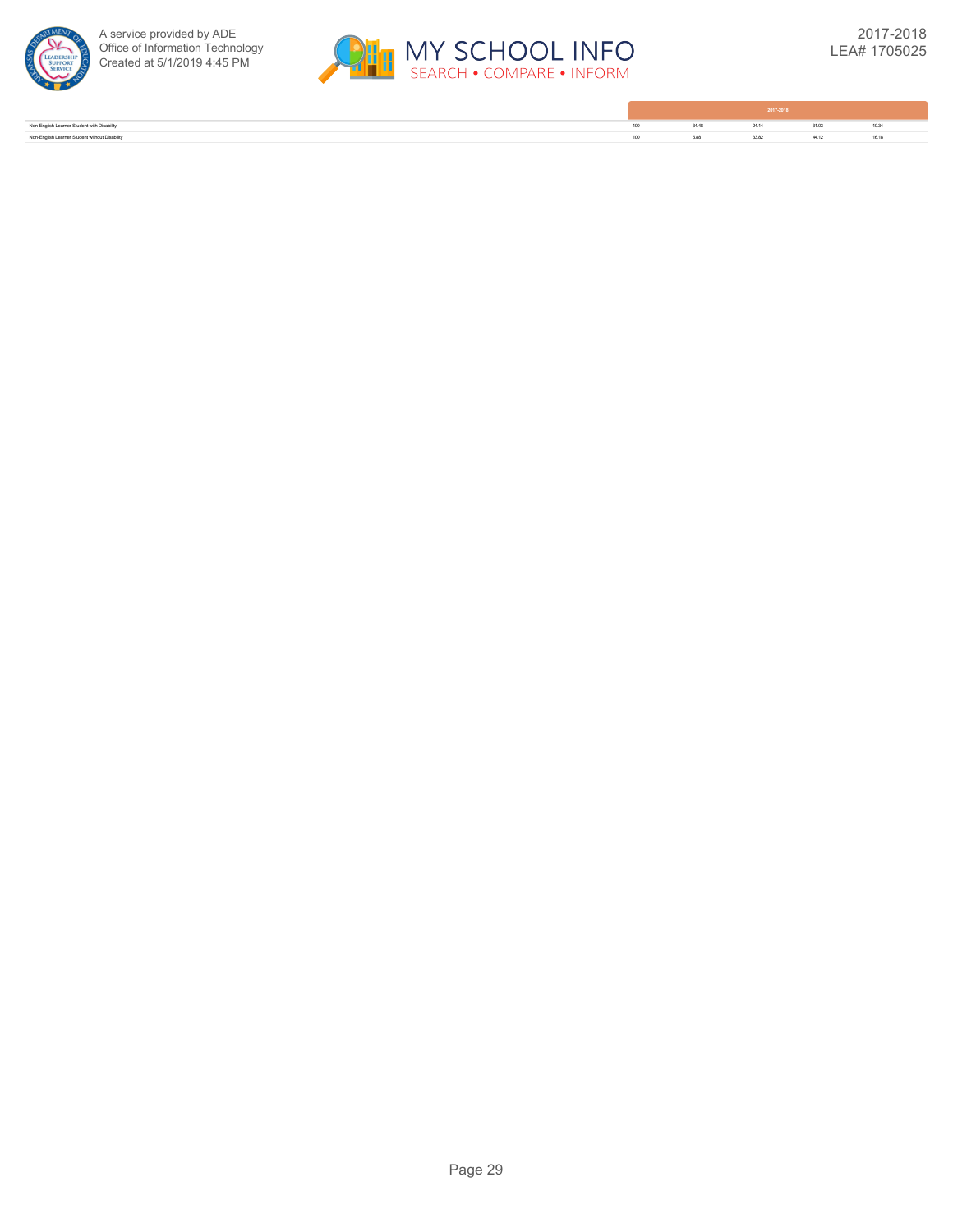



Non-English Learner Student With Disability 100 34.48 31.03 10.34<br>Non-English Learner Student with Disability 10.124.14 31.18 10.18<br>Non-English Learner Student With Disability 10.125.82.82 44.12 16.18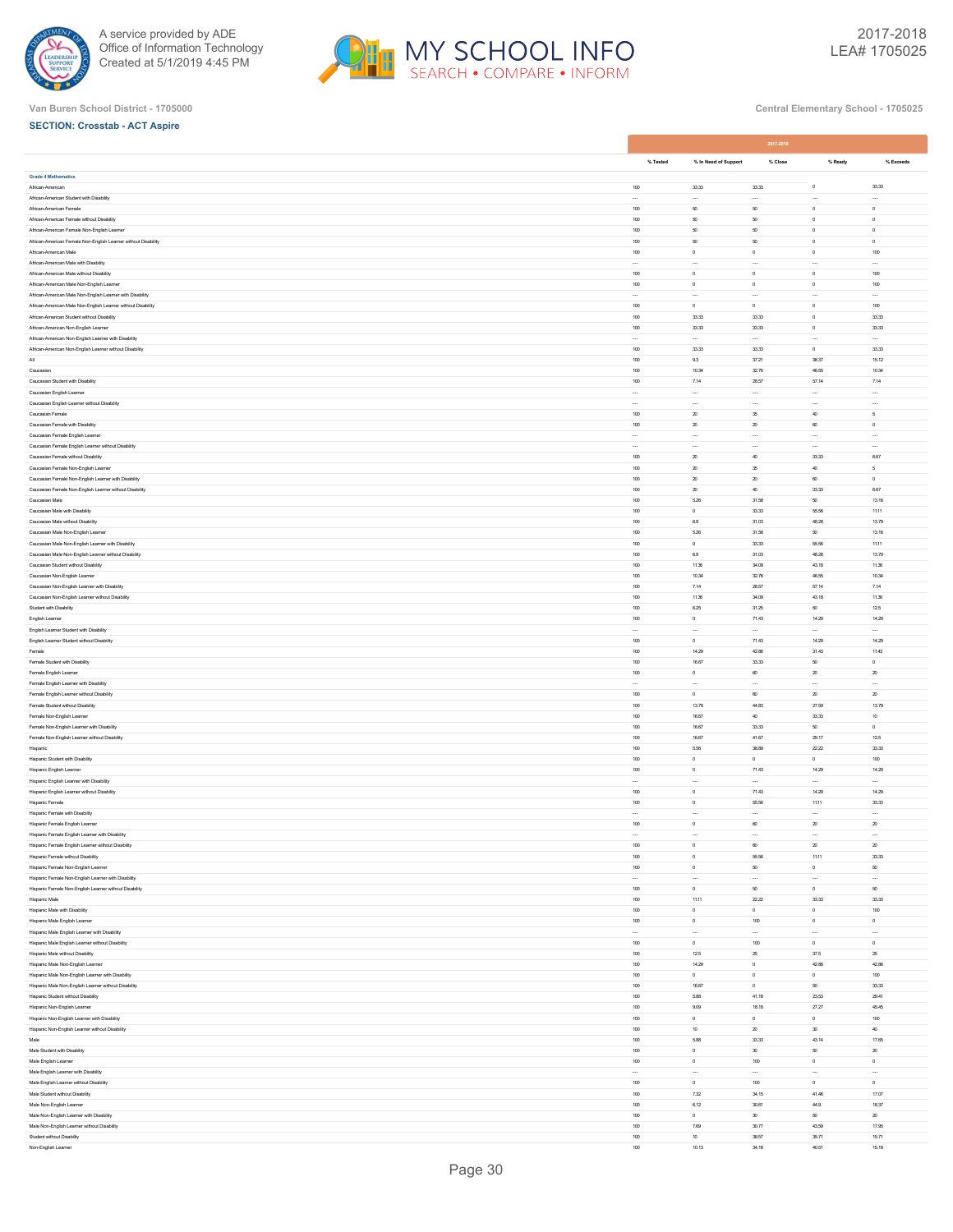



|                                                                                              |                             |                                   | 2017-2018            |                                    |                           |  |
|----------------------------------------------------------------------------------------------|-----------------------------|-----------------------------------|----------------------|------------------------------------|---------------------------|--|
|                                                                                              | % Tested                    | % In Need of Support              | $%$ Close            | % Ready                            | % Exceeds                 |  |
| <b>Grade 4 Mathematics</b>                                                                   |                             |                                   |                      |                                    |                           |  |
| African-American                                                                             | 100                         | 33.33                             | 33.33                | $\,$ 0 $\,$                        | 33.33                     |  |
| African-American Student with Disability                                                     | $\cdots$                    | $\cdots$                          | $\cdots$             | $\cdots$                           | $\cdots$                  |  |
| African-American Female<br>African-American Female without Disability                        | 100<br>100                  | 60<br>$_{50}$                     | $_{50}$<br>50        | $\,$ 0 $\,$<br>$\circ$             | $\,$ 0 $\,$<br>$\circ$    |  |
| African-American Female Non-English Learner                                                  | $100\,$                     | $_{50}$                           | $_{50}$              | $\,$ 0                             | $\,$ 0                    |  |
| African-American Female Non-English Learner without Disability                               | 100                         | $_{\rm 50}$                       | $_{\rm 50}$          | $\,$ 0 $\,$                        | $\,$ 0 $\,$               |  |
| African-American Male                                                                        | 100                         | $\,$ 0 $\,$                       | $\,$ 0 $\,$          | $\,$ 0 $\,$                        | 100                       |  |
| African-American Male with Disability<br>African-American Male without Disability            | $\ddot{\phantom{0}}$<br>100 | $\ddot{\phantom{a}}$<br>$\circ$   | $\sim$<br>$\circ$    | $\ddot{\phantom{a}}$<br>$^{\circ}$ | 100                       |  |
| African-American Male Non-English Learner                                                    | 100                         | $\,$ 0 $\,$                       | $\,$ 0 $\,$          | $\,$ 0 $\,$                        | 100                       |  |
| African-American Male Non-English Learner with Disability                                    | $\sim$                      | $\sim$                            | $\sim$               | $\ddotsc$                          | $\sim$                    |  |
| African-American Male Non-English Learner without Disability                                 | 100                         | $\circ$                           | $\circ$              | $\circ$                            | 100                       |  |
| African-American Student without Disability                                                  | $100\,$                     | 33.33                             | 33.33                | $\,$ 0 $\,$                        | 33.33                     |  |
| African-American Non-English Learner<br>African-American Non-English Learner with Disability | 100                         | 33.33                             | 33.33                | $\circ$                            | 33.33                     |  |
| African-American Non-English Learner without Disability                                      | $\cdots$<br>$100\,$         | $\cdots$<br>33.33                 | $\cdots$<br>33.33    | $\cdots$<br>$\,$ 0                 | $\cdots$<br>33.33         |  |
| All                                                                                          | 100                         | 9.3                               | 37.21                | 38.37                              | 15.12                     |  |
| Caucasian                                                                                    | 100                         | 10.34                             | 32.76                | 46.55                              | 10.34                     |  |
| Caucasian Student with Disability                                                            | 100                         | 7.14                              | 28.57                | 57.14                              | 7.14                      |  |
| Caucasian English Learner                                                                    | $\cdots$                    | $\sim$                            | $\cdots$             | $\ddotsc$                          | $\cdots$                  |  |
| Caucasian English Learner without Disability<br>Caucasian Female                             | $\ddot{\phantom{0}}$<br>100 | $\ddot{\phantom{a}}$<br>$\rm{20}$ | $36\,$               | $40\,$                             | $\sqrt{5}$                |  |
| Caucasian Female with Disability                                                             | 100                         | $20\,$                            | $20\,$               | $60\,$                             | $\,$ 0 $\,$               |  |
| Caucasian Female English Learner                                                             | $\cdots$                    | $\cdots$                          | $\ddotsc$            | $\cdots$                           | $\cdots$                  |  |
| Caucasian Female English Learner without Disability                                          | $\cdots$                    | $\cdots$                          | $\cdots$             | $\cdots$                           | $\cdots$                  |  |
| Caucasian Female without Disability                                                          | 100                         | $20\,$                            | 40                   | 33.33                              | 6.67                      |  |
| Caucasian Female Non-English Learner<br>Caucasian Female Non-English Learner with Disability | 100<br>100                  | $\rm{20}$<br>$20\,$               | $36\,$<br>$\rm{20}$  | $40\,$<br>60                       | $\overline{5}$<br>$\circ$ |  |
| Caucasian Female Non-English Learner without Disability                                      | $100\,$                     | 20                                | $40\,$               | 33.33                              | 6.67                      |  |
| Caucasian Male                                                                               | 100                         | 5.26                              | 31.58                | $_{50}$                            | 13.16                     |  |
| Caucasian Male with Disability                                                               | 100                         | $\circ$                           | 33.33                | 55.56                              | 11.11                     |  |
| Caucasian Male without Disability                                                            | $100\,$                     | 6.9<br>5.26                       | 31.03<br>31.58       | 48.28<br>50                        | 13.79<br>13.16            |  |
| Caucasian Male Non-English Learner<br>Caucasian Male Non-English Learner with Disability     | 100<br>100                  | $\circ$                           | 33.33                | 55.56                              | 11.11                     |  |
| Caucasian Male Non-English Learner without Disability                                        | 100                         | 6.9                               | 31.03                | 48.28                              | 13.79                     |  |
| Caucasian Student without Disability                                                         | 100                         | 11.36                             | 34.09                | 43.18                              | 11.36                     |  |
| Caucasian Non-English Learner                                                                | $100\,$                     | 10.34                             | 32.76                | 46.55                              | 10.34                     |  |
| Caucasian Non-English Learner with Disability                                                | 100                         | 7.14                              | 28.57                | 57.14                              | 7.14                      |  |
| Caucasian Non-English Learner without Disability<br>Student with Disability                  | 100<br>$100\,$              | 11.36<br>$626\,$                  | 34.09<br>31.25       | 43.18<br>$_{50}$                   | 11.36<br>12.5             |  |
| English Learner                                                                              | 100                         | $\circ$                           | 71.43                | 14.29                              | 14.29                     |  |
| English Learner Student with Disability                                                      | $\cdots$                    | $\cdots$                          | $\cdots$             | $\cdots$                           | $\ddotsc$                 |  |
| English Learner Student without Disability                                                   | 100                         | $\circ$                           | 71.43                | 14.29                              | 14.29                     |  |
| Female                                                                                       | 100                         | 14.29                             | 42.86                | 31.43                              | 11.43                     |  |
| Female Student with Disability<br>Female English Learner                                     | $100\,$<br>100              | 16.67<br>$\circ$                  | 33.33<br>$60\,$      | $_{\rm 50}$<br>$\rm{20}$           | $\,$ 0 $\,$<br>$20\,$     |  |
| Female English Learner with Disability                                                       | $\cdots$                    | $\cdots$                          | $\cdots$             | $\cdots$                           | $\cdots$                  |  |
| Female English Learner without Disability                                                    | $100\,$                     | $\,$ 0 $\,$                       | $60$                 | $\rm 20$                           | $\rm 20$                  |  |
| Female Student without Disability                                                            | 100                         | 13.79                             | 44.83                | 27.59                              | 13.79                     |  |
| Female Non-English Learner                                                                   | 100                         | 16.67                             | 40                   | 33.33                              | $10\,$                    |  |
| Female Non-English Learner with Disability<br>Female Non-English Learner without Disability  | 100<br>100                  | 16.67<br>16.67                    | 33.33<br>41.67       | $_{50}$<br>29.17                   | $\,$ 0 $\,$<br>12.5       |  |
| Hispanic                                                                                     | $100\,$                     | 5.56                              | 38.89                | 22.22                              | 33.33                     |  |
| Hispanic Student with Disability                                                             | 100                         | $\circ$                           | $\,$ 0 $\,$          | $\,$ 0 $\,$                        | 100                       |  |
| Hispanic English Learner                                                                     | 100                         | $\,$ 0 $\,$                       | 71.43                | 14.29                              | 14.29                     |  |
| Hispanic English Learner with Disability                                                     |                             |                                   |                      |                                    |                           |  |
| Hispanic English Learner without Disability<br>Hispanic Female                               | 100<br>100                  | $\circ$<br>$\,$ 0 $\,$            | 71.43<br>55.56       | 14.29<br>11.11                     | 14.29<br>33.33            |  |
| Hispanic Female with Disability                                                              | $\sim$                      | $\sim$                            |                      | $\ddot{\phantom{a}}$               | $\sim$                    |  |
| Hispanic Female English Learner                                                              | 100                         | $\circ$                           | 60                   | 20                                 | 20                        |  |
| Hispanic Female English Learner with Disability                                              |                             |                                   |                      |                                    |                           |  |
| Hispanic Female English Learner without Disability                                           | 100<br>100                  | $\circ$                           | 60                   | 20                                 | 20                        |  |
| Hispanic Female without Disability<br>Hispanic Female Non-English Learner                    | $100\,$                     | $\,$ 0 $\,$<br>$\,$ 0             | 55.56<br>$_{\rm 50}$ | 11.11<br>$\,$ 0 $\,$               | 33.33<br>$_{\rm 50}$      |  |
| Hispanic Female Non-English Learner with Disability                                          | $\cdots$                    | $\sim$                            | $\ddotsc$            | $\cdots$                           | $\cdots$                  |  |
| Hispanic Female Non-English Learner without Disability                                       | 100                         | $\circ$                           | 60                   | $\circ$                            | $_{50}$                   |  |
| Hispanic Male                                                                                | 100                         | 11.11                             | 22.22                | 33.33                              | 33.33                     |  |
| Hispanic Male with Disability<br>Hispanic Male English Learner                               | 100                         | $\circ$<br>$\,$ 0 $\,$            | $\circ$              | $\circ$                            | 100                       |  |
| Hispanic Male English Learner with Disability                                                | $100\,$<br>$\ldots$         | $\cdots$                          | $100\,$<br>$\ddotsc$ | $\,$ 0<br>$\cdots$                 | $\,$ 0 $\,$<br>$\ldots$   |  |
| Hispanic Male English Learner without Disability                                             | 100                         | $\,$ 0 $\,$                       | 100                  | $\,$ 0 $\,$                        | $\,$ 0 $\,$               |  |
| Hispanic Male without Disability                                                             | 100                         | 12.5                              | $\rm{2S}$            | 37.5                               | $\rm 25$                  |  |
| Hispanic Male Non-English Learner                                                            | 100                         | 14.29                             | $\circ$              | 42.86                              | 42.86                     |  |
| Hispanic Male Non-English Learner with Disability                                            | 100                         | $\,$ 0 $\,$                       | $\,$ 0 $\,$          | $\,$ 0 $\,$                        | 100                       |  |
| Hispanic Male Non-English Learner without Disability<br>Hispanic Student without Disability  | 100<br>100                  | 16.67<br>5.88                     | $\circ$<br>41.18     | 50<br>23.53                        | 33.33<br>29.41            |  |
| Hispanic Non-English Learner                                                                 | $100\,$                     | $9.09$                            | 18.18                | 27.27                              | 45.45                     |  |
| Hispanic Non-English Learner with Disability                                                 | 100                         | $\circ$                           | $\,$ 0 $\,$          | $\circ$                            | 100                       |  |
| Hispanic Non-English Learner without Disability                                              | 100                         | $10\,$                            | $20\,$               | $30\,$                             | $40\,$                    |  |
| Male                                                                                         | 100                         | 5.88                              | 33.33                | 43.14                              | 17.65                     |  |
| Male Student with Disability<br>Male English Learner                                         | 100<br>100                  | $\circ$<br>$\,$ 0 $\,$            | 30<br>100            | 50<br>$\circ$                      | 20<br>$\circ$             |  |
| Male English Learner with Disability                                                         | $\ldots$                    | $\cdots$                          | $\cdots$             | $\cdots$                           | $\ldots$                  |  |
| Male English Learner without Disability                                                      | 100                         | $\circ$                           | 100                  | $\circ$                            | $\circ$                   |  |
| Male Student without Disability                                                              | 100                         | $7.32\,$                          | 34.15                | 41.46                              | 17.07                     |  |
| Male Non-English Learner                                                                     | 100                         | 6.12                              | 30.61                | 44.9                               | 18.37                     |  |
| Male Non-English Learner with Disability                                                     | 100                         | $\,$ 0 $\,$                       | 30                   | $_{50}$                            | $20\,$                    |  |
| Male Non-English Learner without Disability<br>Student without Disability                    | $100\,$<br>100              | 7.69<br>10 <sup>10</sup>          | 30.77<br>38.57       | 43.59<br>35.71                     | 17.95<br>15.71            |  |
| Non-English Learner                                                                          | 100                         | 10.13                             | 34.18                | 40.51                              | 15.19                     |  |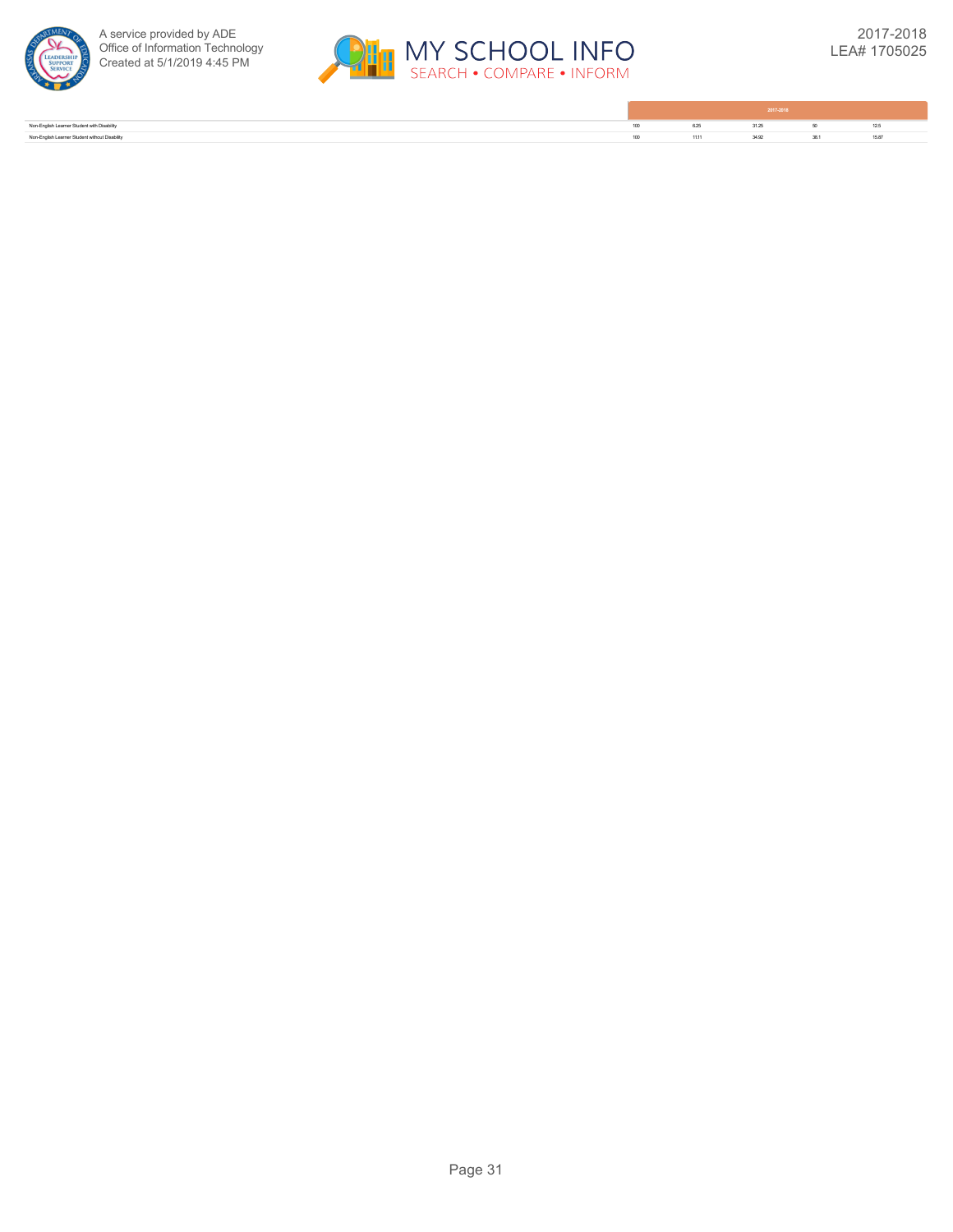



Non-English Learner Student with Disability 100 6.25 31.25 50 12.5 Non-English Learner Student without Disability 100 11.11 34.92 38.1 15.87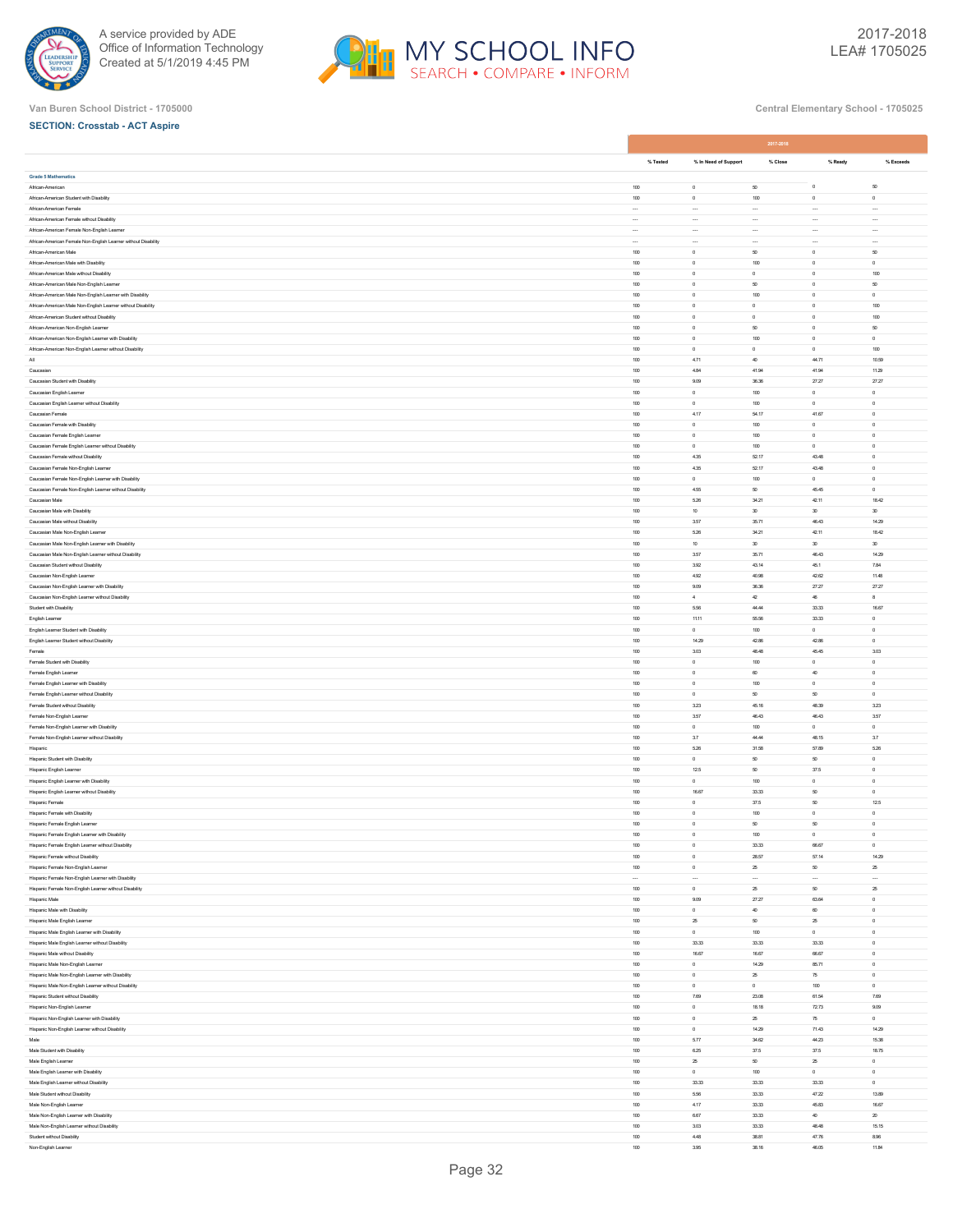



|                                                                                                 |                |                      | 2017-2018            |                            |                            |
|-------------------------------------------------------------------------------------------------|----------------|----------------------|----------------------|----------------------------|----------------------------|
|                                                                                                 | % Tested       | % In Need of Support | % Close              | % Ready                    | % Exceeds                  |
|                                                                                                 |                |                      |                      |                            |                            |
| <b>Grade 5 Mathematics</b><br>African-American                                                  | 100            | $\,$ 0 $\,$          | $_{50}$              | $\mathbb O$                | $_{\rm 50}$                |
| African-American Student with Disability                                                        | $100\,$        | $\,$ 0 $\,$          | $100\,$              | $\mathbb O$                | $\mathbb O$                |
| African-American Female                                                                         | $\cdots$       | $\cdots$             | $\ddotsc$            | $\cdots$                   | $\cdots$                   |
| African-American Female without Disability                                                      | $\cdots$       | $\cdots$             | $\cdots$             | $\cdots$                   | $\cdots$                   |
| African-American Female Non-English Learner                                                     | $\cdots$       | $\ddotsc$            | $\ddot{\phantom{0}}$ |                            |                            |
| African-American Female Non-English Learner without Disability                                  | $\cdots$       | $\cdots$             | $\ddotsc$            | $\cdots$                   | $\cdots$                   |
| African-American Male                                                                           | $100\,$        | $\,$ 0 $\,$          | $_{\rm S0}$          | $\mathbb O$                | $_{\rm 50}$                |
| African-American Male with Disability                                                           | 100            | $\,$ 0 $\,$          | 100                  | $\,$ 0 $\,$                | $\,$ 0 $\,$                |
| African-American Male without Disability                                                        | 100            | $\,$ 0 $\,$          | $\,$ 0 $\,$          | $\,$ 0 $\,$                | 100                        |
| African-American Male Non-English Learner                                                       | $100\,$        | $\circ$              | $_{50}$              | $\,0\,$                    | $_{\rm 50}$                |
| African-American Male Non-English Learner with Disability                                       | 100            | $\circ$              | 100                  | $\circ$                    | $\circ$                    |
| African-American Male Non-English Learner without Disability                                    | 100            | $\circ$              | $\,$ 0 $\,$          | $\,$ 0 $\,$                | 100                        |
| African-American Student without Disability                                                     | 100            | $\circ$              | $\,0\,$              | $\mathbb O$                | 100                        |
| African-American Non-English Learner                                                            | 100            | $\circ$              | $_{50}$              | $\mathbb O$                | $_{\rm 50}$                |
| African-American Non-English Learner with Disability                                            | $100\,$        | $\,$ 0 $\,$          | 100                  | $\mathbb O$                | $\mathbb O$                |
| African-American Non-English Learner without Disability                                         | 100            | $^{\circ}$           | $\,$ 0 $\,$          | $\mathbb O$                | 100                        |
| All                                                                                             | 100            | 4.71                 | $40\,$               | 44.71                      | 10.59                      |
| Caucasian                                                                                       | $100\,$        | 4.84                 | 41.94                | 41.94                      | 11.29                      |
| Caucasian Student with Disability                                                               | 100            | 9.09                 | 36.36                | 27.27                      | 27.27                      |
| Caucasian English Learner                                                                       | 100            | $\circ$              | 100                  | $\,$ 0 $\,$                | $\,$ 0 $\,$                |
| Caucasian English Learner without Disability                                                    | 100            | $\,$ 0 $\,$          | 100                  | $\mathbb O$                | $\,$ 0 $\,$                |
| Caucasian Female                                                                                | 100<br>$100\,$ | 4.17<br>$\circ$      | 54.17<br>$100\,$     | 41.67<br>$\,0\,$           | $^{\circ}$<br>$\,$ 0       |
| Caucasian Female with Disability                                                                | 100            | $\circ$              |                      |                            |                            |
| Caucasian Female English Learner<br>Caucasian Female English Learner without Disability         | 100            | $\,$ 0 $\,$          | 100<br>100           | $\,$ 0 $\,$<br>$\,$ 0 $\,$ | $\,$ 0 $\,$<br>$\,$ 0 $\,$ |
| Caucasian Female without Disability                                                             | $100\,$        | 4.35                 | 52.17                | 43.48                      | $\,$ 0                     |
| Caucasian Female Non-English Learner                                                            | 100            | 4.35                 | 62.17                | 43.48                      | $\mathbb O$                |
| Caucasian Female Non-English Learner with Disability                                            | 100            | $\,$ 0 $\,$          | 100                  | $\mathbb O$                | $\,$ 0 $\,$                |
| Caucasian Female Non-English Learner without Disability                                         | 100            | 4.55                 | $_{50}$              | 45.45                      | $\mathbb O$                |
| Caucasian Male                                                                                  | 100            | 5.26                 | 34.21                | 42.11                      | 18.42                      |
| Caucasian Male with Disability                                                                  | $100\,$        | $10$                 | $_{30}$              | $30\,$                     | $_{\rm 30}$                |
| Caucasian Male without Disability                                                               | 100            | 3.57                 | 35.71                | 46.43                      | 14.29                      |
| Caucasian Male Non-English Learner                                                              | 100            | 5.26                 | 34.21                | 42.11                      | 18.42                      |
| Caucasian Male Non-English Learner with Disability                                              | $100\,$        | $10\,$               | $_{30}$              | $30\,$                     | $_{\rm 30}$                |
| Caucasian Male Non-English Learner without Disability                                           | 100            | 3.57                 | 35.71                | 46.43                      | 14.29                      |
| Caucasian Student without Disability                                                            | 100            | 3.92                 | 43.14                | 45.1                       | 7.84                       |
| Caucasian Non-English Learner                                                                   | 100            | 4.92                 | 40.98                | 42.62                      | 11.48                      |
| Caucasian Non-English Learner with Disability                                                   | 100            | 9.09                 | 36.36                | 27.27                      | 27.27                      |
| Caucasian Non-English Learner without Disability                                                | $100\,$        | $\boldsymbol{4}$     | $42\,$               | $46\,$                     | 8                          |
| Student with Disability                                                                         | 100            | 5.56                 | 44.44                | 33.33                      | 16.67                      |
| English Learner                                                                                 | 100            | 11.11                | 55.56                | 33.33                      | $\,$ 0 $\,$                |
| English Learner Student with Disability                                                         | $100\,$        | $\circ$              | $100\,$              | $\mathbb O$                | $\,$ 0                     |
| English Learner Student without Disability                                                      | 100            | 14.29                | 42.86                | 42.86                      | $^{\circ}$                 |
| Female                                                                                          | 100            | 3.03                 | 48.48                | 45.45                      | 3.03                       |
| Female Student with Disability                                                                  | 100            | $^{\circ}$           | 100                  | $\mathbb O$                | $\mathbb O$                |
| Female English Learner                                                                          | 100            | $\circ$              | $60\,$               | 40                         | $\mathbb O$                |
| Female English Learner with Disability                                                          | $100\,$        | $\,$ 0 $\,$          | $100\,$              | $\,$ 0 $\,$                | $\,$ 0 $\,$                |
| Female English Learner without Disability                                                       | 100            | $\circ$              | $_{50}$              | $_{50}$                    | $\mathbb O$                |
| Female Student without Disability                                                               | 100<br>100     | 3.23<br>3.57         | 45.16                | 48.39                      | 3.23                       |
| Female Non-English Learner<br>Female Non-English Learner with Disability                        | 100            | $^{\circ}$           | 46.43<br>100         | 46.43<br>$^{\circ}$        | $3.57\,$<br>$\mathbf{0}$   |
| Female Non-English Learner without Disability                                                   | 100            | 3.7                  | 44.44                | 48.15                      | $3.7\,$                    |
| Hispanic                                                                                        | 100            | 5.26                 | 31.58                | 57.89                      | 5.26                       |
| Hispanic Student with Disability                                                                | 100            | $^{\circ}$           | $_{50}$              | $_{50}$                    | $^{\circ}$                 |
| Hispanic English Learner                                                                        | $100\,$        | 12.5                 | $_{\rm S0}$          | 37.5                       | $\,$ 0                     |
| Hispanic English Learner with Disability                                                        | 100            | $\circ$              | 100                  | $\mathbb O$                | $\mathbb O$                |
| Hispanic English Learner without Disability                                                     | 100            | 16.67                | 33.33                | $_{50}$                    | $\,$ 0 $\,$                |
| Hispanic Female                                                                                 | $100\,$        | $\circ$              | $37.5\,$             | $_{\rm 50}$                | 12.5                       |
| Hispanic Female with Disability                                                                 | 100            | $\circ$              | 100                  | $\mathbb O$                | $\mathbb O$                |
| Hispanic Female English Learner                                                                 | 100            | $\,$ 0 $\,$          | $_{50}$              | $_{50}$                    | $\,$ 0 $\,$                |
| Hispanic Female English Learner with Disability                                                 | 100            | $\Omega$             | 100                  | $\circ$                    | $\circ$                    |
| Hispanic Female English Learner without Disability                                              | 100            | $\circ$              | 33.33                | 66.67                      | $^{\circ}$                 |
| Hispanic Female without Disability                                                              | 100            | $\,$ 0 $\,$          | 28.57                | 57.14                      | 14.29                      |
| Hispanic Female Non-English Learner                                                             | 100            | $\circ$              | $\rm{2S}$            | $_{50}$                    | $\rm 25$                   |
| Hispanic Female Non-English Learner with Disability                                             |                | $\cdots$             | $\cdots$             | $\cdots$                   | $\cdots$                   |
| Hispanic Female Non-English Learner without Disability                                          | $\cdots$       |                      |                      | $_{\rm 50}$<br>63.64       | $\rm{25}$                  |
|                                                                                                 | $100\,$        | $\,$ 0 $\,$          | $\rm{2S}$            |                            | $^{\circ}$                 |
| Hispanic Male                                                                                   | 100            | 9.09                 | 27.27                |                            |                            |
| Hispanic Male with Disability                                                                   | 100            | $\circ$              | $40\,$               | $_{60}$                    | $\mathbb O$                |
| Hispanic Male English Learner                                                                   | 100            | $\rm{25}$            | $_{50}$              | $\rm 25$                   | $\,$ 0 $\,$                |
| Hispanic Male English Learner with Disability                                                   | 100            | $^{\circ}$           | 100                  | $^{\circ}$                 | $^{\circ}$                 |
| Hispanic Male English Learner without Disability                                                | $100\,$        | 33.33                | 33.33                | 33.33                      | $\mathbb O$                |
| Hispanic Male without Disability                                                                | 100            | 16.67                | 16.67                | 66.67                      | $\,$ 0 $\,$                |
| Hispanic Male Non-English Learner                                                               | 100            | $\,$ 0 $\,$          | 14.29                | 85.71                      | $\,$ 0 $\,$                |
| Hispanic Male Non-English Learner with Disability                                               | $100\,$<br>100 | $\circ$<br>$\circ$   | $\rm{2S}$<br>$\circ$ | $\bf 75$<br>100            | $\,$ 0<br>$^{\circ}$       |
| Hispanic Male Non-English Learner without Disability                                            |                |                      |                      |                            |                            |
| Hispanic Student without Disability<br>Hispanic Non-English Learner                             | 100<br>100     | 7.69<br>$\circ$      | 23.08<br>18.18       | 61.54<br>72.73             | 7.69<br>9.09               |
|                                                                                                 | 100            | $\circ$              | 25                   | 75                         | $\circ$                    |
| Hispanic Non-English Learner with Disability<br>Hispanic Non-English Learner without Disability | $100\,$        | $\,$ 0 $\,$          | 14.29                | 71.43                      | 14.29                      |
| Male                                                                                            | 100            | 5.77                 | 34.62                | 44.23                      | 15.38                      |
| Male Student with Disability                                                                    | 100            | 6.25                 | 37.5                 | 37.5                       | 18.75                      |
| Male English Learner                                                                            | 100            | $\rm{25}$            | $_{\rm S0}$          | $\rm 25$                   | $\mathbb O$                |
| Male English Learner with Disability                                                            | 100            | $\circ$              | 100                  | $^{\circ}$                 | $^{\circ}$                 |
| Male English Learner without Disability                                                         | 100            | 33.33                | 33.33                | 33.33                      | $\mathbb O$                |
| Male Student without Disability                                                                 | 100            | 5.56                 | 33.33                | 47.22                      | 13.89                      |
| Male Non-English Learner                                                                        | 100            | 4.17                 | 33.33                | 45.83                      | 16.67                      |
| Male Non-English Learner with Disability                                                        | $100\,$        | 6.67                 | 33.33                | $40\,$                     | $\rm{20}$                  |
| Male Non-English Learner without Disability                                                     | 100            | 3.03                 | 33.33                | 48.48                      | 15.15                      |
| Student without Disability<br>Non-English Learner                                               | 100<br>$100\,$ | 4.48<br>3.96         | 38.81<br>38.16       | 47.76<br>46.05             | 8.96<br>11.84              |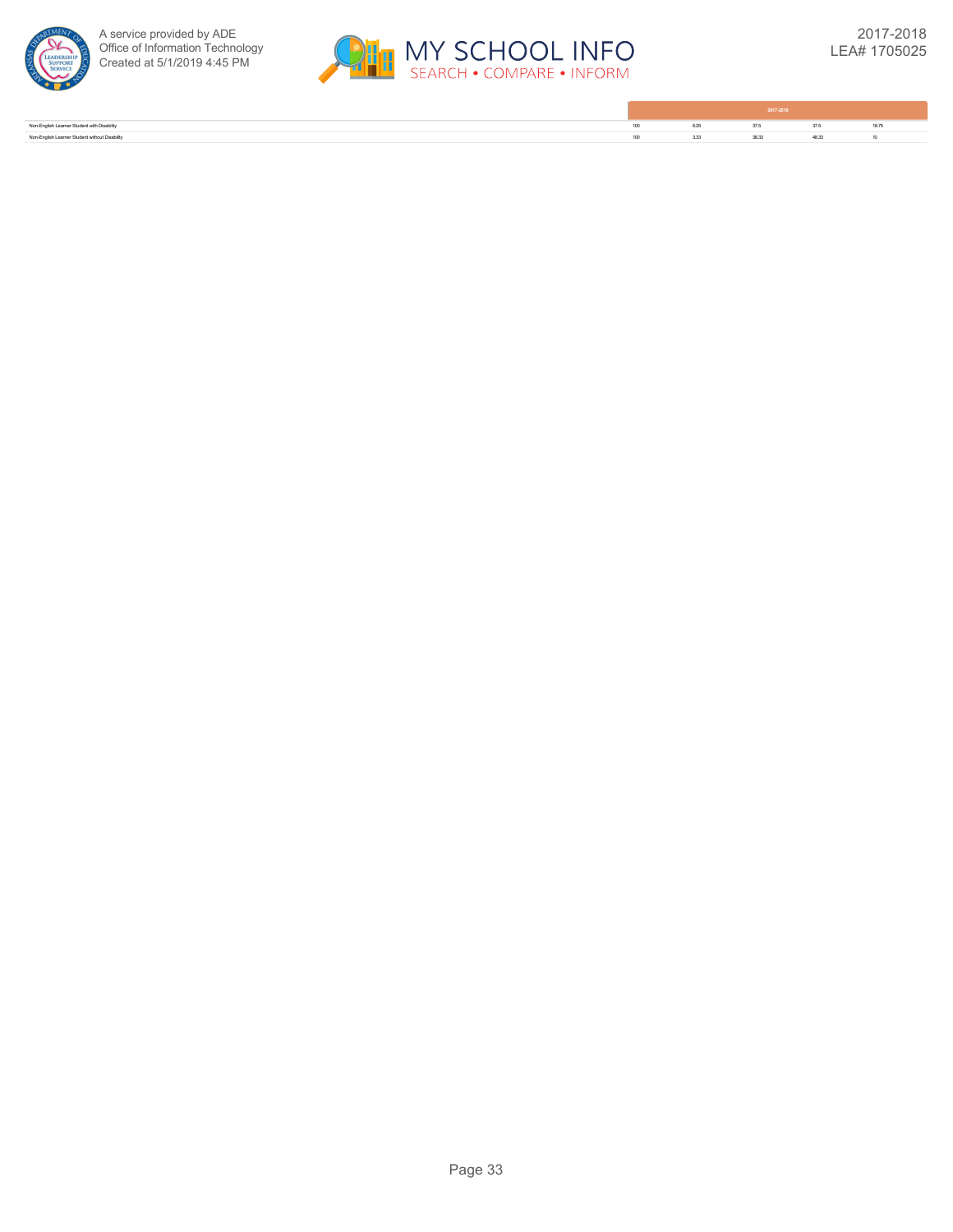



Non-English Learner Student With Disability 100 6.25 18.75 18.75 18.75 18.75 18.75 18.75 18.75 18.75 18.75 18.<br>Non-English Learner Student with Disability 100 1.1 1.2 1.2 1.2 1.2 1.2 1.2 1.33 48.33 10.33 10.33 10.33 10.33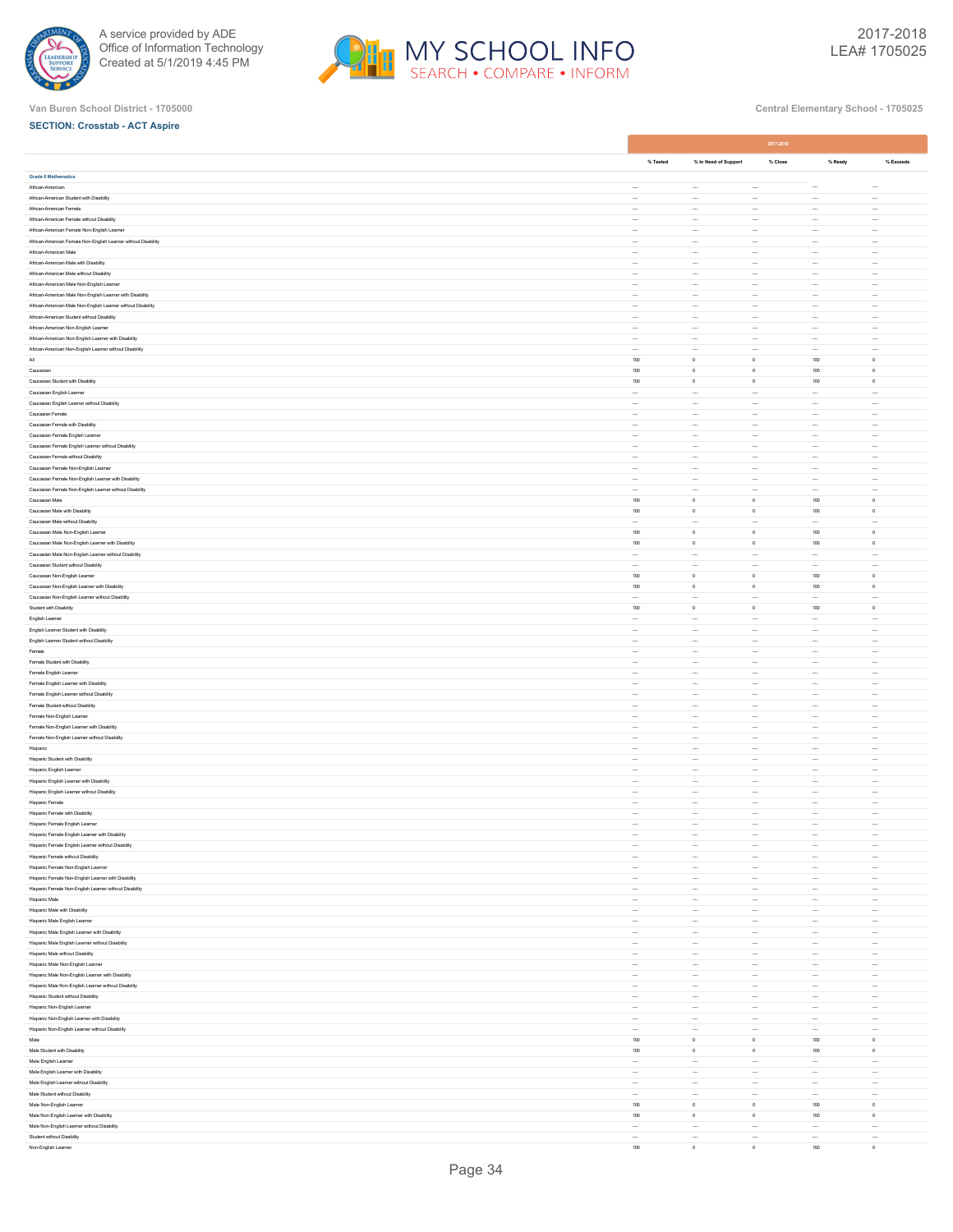



|                                                                                                                 |                      |                                | 2017-2018               |                       |                                      |
|-----------------------------------------------------------------------------------------------------------------|----------------------|--------------------------------|-------------------------|-----------------------|--------------------------------------|
|                                                                                                                 | $%$ Tested           | % In Need of Support           | $\%$ Close              | % Ready               | % Exceeds                            |
| <b>Grade 6 Mathematics</b>                                                                                      |                      |                                |                         |                       |                                      |
| African-American                                                                                                | $\cdots$             | $\cdots$                       | $\cdots$                | $\cdots$              | $\cdots$                             |
| African-American Student with Disability                                                                        | $\cdots$             | $\cdots$                       | $\cdots$                | $\cdots$              | $\cdots$                             |
| African-American Female                                                                                         | $\cdots$             | $\sim$                         | $\cdots$                | $\cdots$              | $\cdots$                             |
| African-American Female without Disability                                                                      | $\ldots$             | $\ddot{\phantom{0}}$           | $\ldots$                | $\cdots$              | $\cdots$                             |
| African-American Female Non-English Learner                                                                     | $\cdots$             | $\cdots$                       | $\cdots$                | $\cdots$              | $\cdots$                             |
| African-American Female Non-English Learner without Disability<br>African-American Male                         | $\cdots$<br>$\cdots$ | $\ddot{\phantom{a}}$<br>$\sim$ | $\cdots$<br>$\cdots$    | $\ddotsc$<br>$\cdots$ | $\cdots$<br>$\cdots$                 |
| African-American Male with Disability                                                                           | $\ldots$             | $\cdots$                       | $\ldots$                | $\cdots$              | $\cdots$                             |
| African-American Male without Disability                                                                        | à.                   | $\sim$                         | $\ddotsc$               | $\ddotsc$             |                                      |
| African-American Male Non-English Learner                                                                       | $\cdots$             | $\sim$                         | $\cdots$                | $\cdots$              | $\cdots$                             |
| African-American Male Non-English Learner with Disability                                                       | $\cdots$             | $\ddot{\phantom{0}}$           | $\ddot{\phantom{0}}$    | $\ddotsc$             |                                      |
| African-American Male Non-English Learner without Disability                                                    | $\ddotsc$            | $\sim$                         | $\sim$                  | $\ddotsc$             | $\cdots$                             |
| African-American Student without Disability                                                                     | $\cdots$             | $\cdots$                       | $\cdots$                | $\cdots$              | $\cdots$                             |
| African-American Non-English Learner                                                                            | $\cdots$<br>$\cdots$ | $\cdots$<br>$\cdots$           | $\cdots$<br>$\ddotsc$   | $\cdots$<br>$\cdots$  | $\cdots$<br>$\cdots$                 |
| African-American Non-English Learner with Disability<br>African-American Non-English Learner without Disability | $\cdots$             | $\cdots$                       | $\cdots$                | $\cdots$              | $\cdots$                             |
| All                                                                                                             | 100                  | $\,0\,$                        | $\,$ 0 $\,$             | 100                   | $\mathsf{O}$                         |
| Caucasian                                                                                                       | 100                  | $^{\circ}$                     | $\circ$                 | 100                   | $\circ$                              |
| Caucasian Student with Disability                                                                               | $100\,$              | $\,$ 0 $\,$                    | $\,$ 0 $\,$             | $100\,$               | $\,$ 0 $\,$                          |
| Caucasian English Learner                                                                                       | $\ldots$             | $\cdots$                       | $\cdots$                | $\cdots$              | $\cdots$                             |
| Caucasian English Learner without Disability                                                                    | $\cdots$             | $\cdots$                       | $\ddot{\phantom{0}}$    | $\cdots$              | $\cdots$                             |
| Caucasian Female                                                                                                | $\cdots$             | $\sim$                         | $\cdots$                | $\ddotsc$             | $\cdots$                             |
| Caucasian Female with Disability                                                                                | $\cdots$<br>$\ldots$ | $\sim$<br>$\cdots$             | $\cdots$<br>$\cdots$    | $\cdots$<br>$\cdots$  | $\cdots$<br>$\cdots$                 |
| Caucasian Female English Learner<br>Caucasian Female English Learner without Disability                         | $\ddot{\phantom{a}}$ | $\sim$                         | $\sim$                  |                       | $\cdots$                             |
| Caucasian Female without Disability                                                                             | $\cdots$             | $\cdots$                       | $\cdots$                | $\cdots$              | $\cdots$                             |
| Caucasian Female Non-English Learner                                                                            | $\cdots$             | $\ddotsc$                      | $\cdots$                | $\cdots$              | $\cdots$                             |
| Caucasian Female Non-English Learner with Disability                                                            | ä,                   | $\sim$                         | $\ddotsc$               | $\ddotsc$             | $\ddotsc$                            |
| Caucasian Female Non-English Learner without Disability                                                         | $\cdots$             | $\cdots$                       | $\cdots$                | $\cdots$              | $\cdots$                             |
| Caucasian Male<br>Caucasian Male with Disability                                                                | $100\,$              | $\,$ 0 $\,$                    | $\,$ 0 $\,$<br>$\circ$  | 100                   | $\,$ 0 $\,$<br>$^{\circ}$            |
| Caucasian Male without Disability                                                                               | 100<br>$\cdots$      | $\circ$<br>$\cdots$            | $\cdots$                | 100<br>$\cdots$       | $\cdots$                             |
| Caucasian Male Non-English Learner                                                                              | 100                  | $\,$ 0 $\,$                    | $\,$ 0 $\,$             | 100                   | $\mathsf{O}$                         |
| Caucasian Male Non-English Learner with Disability                                                              | 100                  | $^{\circ}$                     | $\circ$                 | 100                   | $\circ$                              |
| Caucasian Male Non-English Learner without Disability                                                           | $\cdots$             | $\sim$                         | $\ddot{\phantom{0}}$    | $\ddotsc$             | $\cdots$                             |
| Caucasian Student without Disability                                                                            | $\cdots$             | $\ddot{\phantom{0}}$           | $\ddotsc$               | $\cdots$              | $\cdots$                             |
| Caucasian Non-English Learner                                                                                   | 100                  | $\,$ 0 $\,$                    | $\,$ 0 $\,$             | 100                   | $\,$ 0 $\,$                          |
| Caucasian Non-English Learner with Disability                                                                   | $100\,$              | $\,$ 0 $\,$                    | $\,$ 0 $\,$             | $100\,$               | $\mathbb O$                          |
| Caucasian Non-English Learner without Disability<br>Student with Disability                                     | $\cdots$<br>100      | $\cdots$<br>$\,$ 0 $\,$        | $\cdots$<br>$\,$ 0 $\,$ | $\cdots$<br>100       | $\cdots$<br>$\mathsf{O}$             |
| English Learner                                                                                                 |                      | $\sim$                         | $\ddotsc$               |                       | $\cdots$                             |
| English Learner Student with Disability                                                                         | $\cdots$             | $\cdots$                       | $\cdots$                | $\cdots$              | $\cdots$                             |
| English Learner Student without Disability                                                                      | $\cdots$             | $\ddot{\phantom{0}}$           | $\cdots$                | $\ddotsc$             |                                      |
| Female                                                                                                          | $\cdots$             | $\sim$                         | $\sim$                  | $\ddotsc$             | $\overline{\phantom{a}}$             |
| Female Student with Disability                                                                                  | $\cdots$             | $\cdots$                       | $\cdots$                | $\cdots$              | $\cdots$                             |
| Female English Learner                                                                                          | $\cdots$             | $\cdots$                       | $\cdots$                | $\cdots$              | $\cdots$                             |
| Female English Learner with Disability<br>Female English Learner without Disability                             | $\cdots$<br>$\cdots$ | $\cdots$<br>$\cdots$           | $\ddotsc$<br>$\cdots$   | $\cdots$<br>$\cdots$  | $\cdots$<br>$\cdots$                 |
| Female Student without Disability                                                                               | $\cdots$             | $\ddot{\phantom{0}}$           | $\ddotsc$               | $\cdots$              | $\cdots$                             |
| Female Non-English Learner                                                                                      | $\cdots$             | $\cdots$                       | $\cdots$                | $\cdots$              | $\cdots$                             |
| Female Non-English Learner with Disability                                                                      | $\cdots$             | $\cdots$                       | $\ddot{\phantom{0}}$    | $\ddot{\phantom{0}}$  | $\cdots$                             |
| Female Non-English Learner without Disability                                                                   | $\cdots$             | $\ddot{\phantom{0}}$           | $\cdots$                | $\cdots$              | $\cdots$                             |
| Hispanic                                                                                                        | $\cdots$             | $\cdots$                       | $\ddot{\phantom{0}}$    | $\cdots$              | $\cdots$                             |
| Hispanic Student with Disability                                                                                | $\sim$               | $\sim$                         | $\ddot{\phantom{0}}$    | $\ddotsc$             | $\cdots$                             |
| Hispanic English Learner<br>Hispanic English Learner with Disability                                            | $\cdots$<br>$\ldots$ | $\sim$<br>$\cdots$             | $\cdots$<br>$\cdots$    | $\cdots$<br>$\cdots$  | $\cdots$<br>$\cdots$                 |
| Hispanic English Learner without Disability                                                                     | $\cdots$             |                                | $\sim$                  |                       |                                      |
| Hispanic Female                                                                                                 | $\cdots$             | $\sim$                         | $\cdots$                | $\cdots$              | $\cdots$                             |
| Hispanic Female with Disability                                                                                 | $\ddotsc$            | $\ddot{\phantom{a}}$           | $\ddot{\phantom{0}}$    | $\ddotsc$             | $\cdots$                             |
| Hispanic Female English Learner                                                                                 | $\cdots$             | $\ddotsc$                      | $\sim$                  | $\ddotsc$             | $\overline{\phantom{a}}$             |
| Hispanic Female English Learner with Disability                                                                 |                      | $\cdots$                       | $\cdots$                | $\cdots$              | $\cdots$                             |
| Hispanic Female English Learner without Disability<br>Hispanic Female without Disability                        | $\cdots$<br>$\ldots$ | $\cdots$<br>$\sim$             | $\cdots$<br>$\cdots$    | $\cdots$<br>$\cdots$  | $\cdots$<br>$\cdots$                 |
| Hispanic Female Non-English Learner                                                                             | $\cdots$             | $\cdots$                       | $\cdots$                | $\cdots$              | $\cdots$                             |
| Hispanic Female Non-English Learner with Disability                                                             | $\ldots$             | $\cdots$                       | $\cdots$                | $\cdots$              | $\ldots$                             |
| Hispanic Female Non-English Learner without Disability                                                          | $\cdots$             | $\sim$                         | $\sim$                  | $\cdots$              | $\ldots$                             |
| Hispanic Male                                                                                                   | $\cdots$             | $\ddot{\phantom{0}}$           | $\cdots$                | $\cdots$              | $\cdots$                             |
| Hispanic Male with Disability                                                                                   | $\ldots$             | $\cdots$                       | $\cdots$                | $\cdots$              | $\cdots$                             |
| Hispanic Male English Learner<br>Hispanic Male English Learner with Disability                                  | $\ldots$             | $\cdots$                       | $\ldots$                | $\ldots$              | $\ldots$                             |
| Hispanic Male English Learner without Disability                                                                | $\cdots$<br>$\cdots$ | $\cdots$<br>$\sim$             | $\cdots$<br>$\cdots$    | $\cdots$<br>$\cdots$  | $\cdots$<br>$\ldots$                 |
| Hispanic Male without Disability                                                                                | $\ldots$             | $\cdots$                       | $\cdots$                | $\ldots$              | $\ldots$                             |
| Hispanic Male Non-English Learner                                                                               | $\sim$               | $\sim$                         | $\sim$                  | $\ddotsc$             |                                      |
| Hispanic Male Non-English Learner with Disability                                                               | $\cdots$             | $\cdots$                       | $\cdots$                | $\cdots$              | $\ldots$                             |
| Hispanic Male Non-English Learner without Disability                                                            | $\ldots$             | $\ddot{\phantom{0}}$           | $\ldots$                | $\cdots$              | $\cdots$                             |
| Hispanic Student without Disability                                                                             | $\cdots$             | $\sim$                         | $\sim$                  | $\ddotsc$             | $\overline{\phantom{a}}$             |
| Hispanic Non-English Learner                                                                                    | $\cdots$             | $\cdots$                       | $\cdots$                | $\cdots$              | $\cdots$                             |
| Hispanic Non-English Learner with Disability<br>Hispanic Non-English Learner without Disability                 | $\cdots$<br>$\cdots$ | $\cdots$<br>$\sim$             | $\cdots$<br>$\sim$      | $\cdots$<br>$\cdots$  | $\cdots$<br>$\overline{\phantom{a}}$ |
| Male                                                                                                            | 100                  | $\circ$                        | $\circ$                 | 100                   | $\circ$                              |
| Male Student with Disability                                                                                    | 100                  | $\,$ 0 $\,$                    | $\,$ 0 $\,$             | 100                   | $\mathsf{O}$                         |
| Male English Learner                                                                                            | $\cdots$             | $\cdots$                       | $\cdots$                | $\cdots$              | $\cdots$                             |
| Male English Learner with Disability                                                                            | $\cdots$             | $\ddot{\phantom{a}}$           | $\ddot{\phantom{0}}$    | $\cdots$              | $\cdots$                             |
| Male English Learner without Disability                                                                         | $\ldots$             | $\ddot{\phantom{0}}$           | $\cdots$                | $\cdots$              | $\cdots$                             |
| Male Student without Disability                                                                                 | $\ldots$             | $\cdots$                       | $\ldots$                | $\ldots$              | $\cdots$                             |
| Male Non-English Learner<br>Male Non-English Learner with Disability                                            | $100\,$<br>100       | $\,$ 0<br>$\circ$              | $\,$ 0 $\,$<br>$\circ$  | $100\,$<br>100        | $\,$ 0 $\,$<br>$\circ$               |
| Male Non-English Learner without Disability                                                                     | $\ldots$             | $\cdots$                       | $\cdots$                | $\cdots$              | $\cdots$                             |
| Student without Disability                                                                                      | $\sim$               | $\ddotsc$                      | $\sim$                  | $\ddotsc$             |                                      |
| Non-English Learner                                                                                             | 100                  | $\circ$                        | $\,$ 0 $\,$             | 100                   | $\mathsf{O}$                         |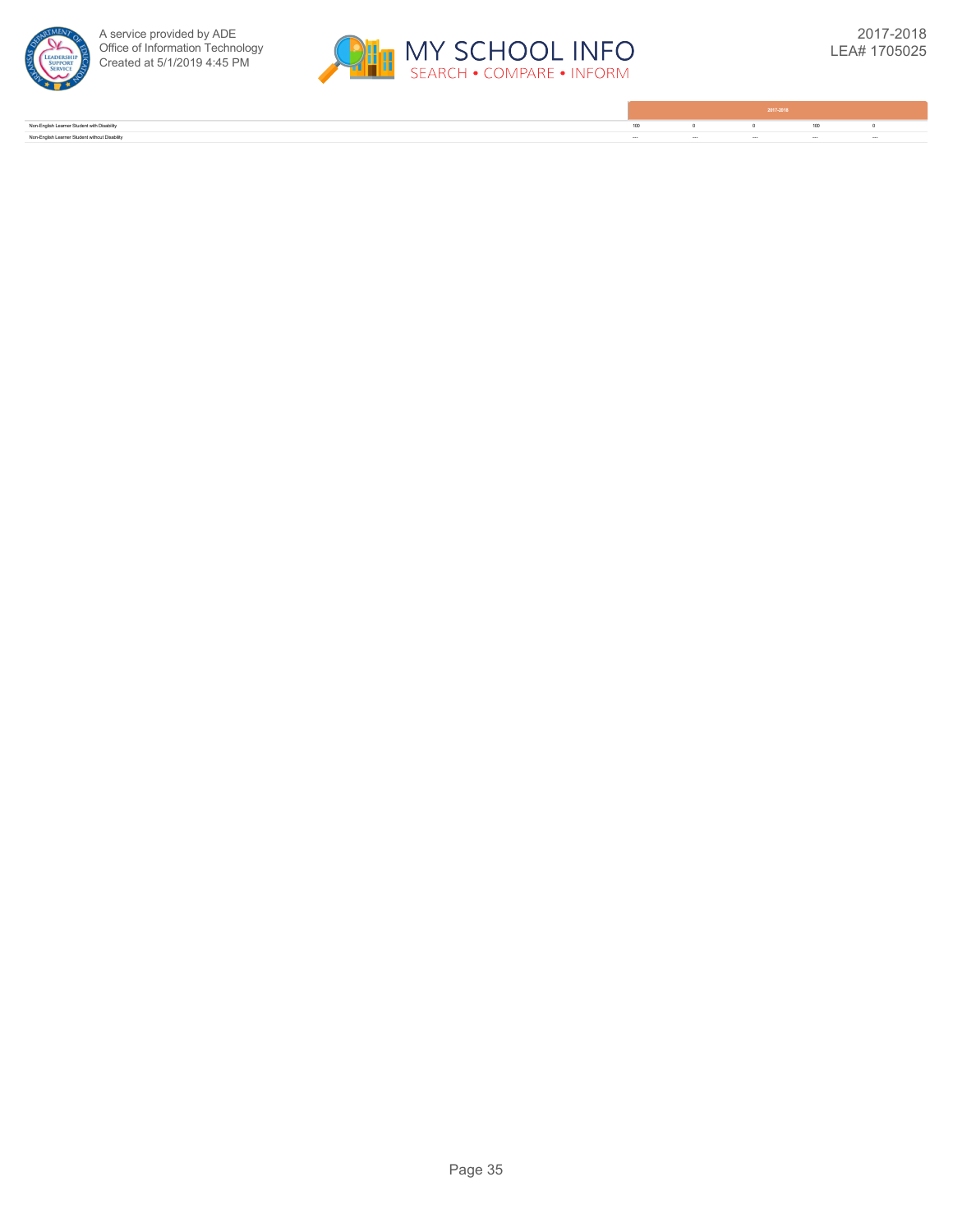



Non-English Learner Student with Disability 100 0 0 100 0 Non-English Learner Student without Disability --- --- --- --- ---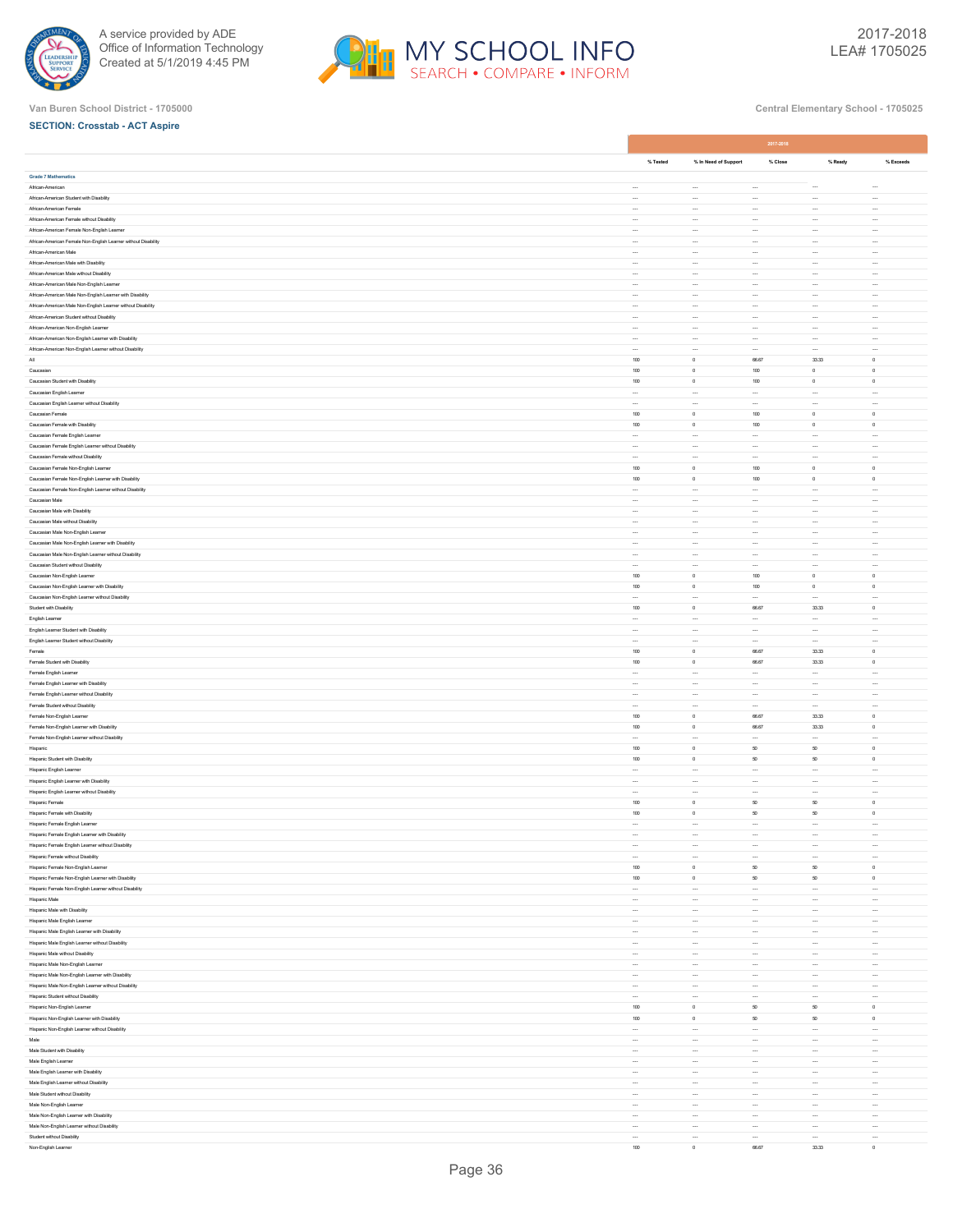



|                                                                                                                 |                             |                                  | 2017-2018                        |                          |                                      |
|-----------------------------------------------------------------------------------------------------------------|-----------------------------|----------------------------------|----------------------------------|--------------------------|--------------------------------------|
|                                                                                                                 | % Tested                    | % In Need of Support             | % Close                          | % Ready                  | % Exceeds                            |
| <b>Grade 7 Mathematics</b>                                                                                      |                             |                                  |                                  |                          |                                      |
| African-American                                                                                                | $\cdots$                    | $\cdots$                         | $\cdots$                         | $\cdots$                 | $\cdots$                             |
| African-American Student with Disability                                                                        | $\cdots$                    | $\overline{\phantom{a}}$         | $\cdots$                         | $\cdots$                 | $\cdots$                             |
| African-American Female                                                                                         | $\cdots$                    | $\cdots$                         | $\cdots$                         | $\cdots$                 | $\cdots$                             |
| African-American Female without Disability                                                                      | $\cdots$                    | $\cdots$                         | $\cdots$                         | $\cdots$                 | $\cdots$                             |
| African-American Female Non-English Learner                                                                     | $\cdots$                    | $\ddot{\phantom{0}}$             | $\ddot{\phantom{0}}$             | $\cdots$                 | $\cdots$                             |
| African-American Female Non-English Learner without Disability                                                  | $\cdots$                    | $\cdots$                         | $\cdots$                         | $\cdots$                 | $\cdots$                             |
| African-American Male<br>African-American Male with Disability                                                  | $\cdots$<br>$\cdots$        | $\ddot{\phantom{a}}$<br>$\cdots$ | $\ddot{\phantom{0}}$<br>$\cdots$ | $\ddotsc$<br>$\cdots$    | $\cdots$<br>$\cdots$                 |
| African-American Male without Disability                                                                        | $\cdots$                    | $\cdots$                         | $\ldots$                         | $\cdots$                 | $\cdots$                             |
| African-American Male Non-English Learner                                                                       | $\cdots$                    | $\sim$                           | $\cdots$                         | $\ddotsc$                | $\cdots$                             |
| African-American Male Non-English Learner with Disability                                                       | $\cdots$                    | $\sim$                           | $\cdots$                         | $\cdots$                 | $\cdots$                             |
| African-American Male Non-English Learner without Disability                                                    | $\cdots$                    | $\cdots$                         | $\cdots$                         | $\cdots$                 | $\cdots$                             |
| African-American Student without Disability                                                                     | $\ddot{\phantom{a}}$        | i.                               | $\ddotsc$                        | $\ddotsc$                | $\ddotsc$                            |
| African-American Non-English Learner                                                                            | $\cdots$                    | $\cdots$                         | $\cdots$                         | $\cdots$                 | $\cdots$                             |
| African-American Non-English Learner with Disability                                                            | $\cdots$                    | $\ddotsc$                        | $\ddotsc$                        | $\cdots$                 | $\cdots$                             |
| African-American Non-English Learner without Disability                                                         | $\ddot{\phantom{a}}$        | $\sim$                           | $\ddotsc$                        | $\ddotsc$                | $\cdots$                             |
| All<br>Caucasian                                                                                                | 100<br>$100\,$              | $\circ$<br>$\,$ 0 $\,$           | 66.67<br>$100\,$                 | 33.33<br>$\mathbb O$     | $\circ$<br>$\mathbb O$               |
| Caucasian Student with Disability                                                                               | 100                         | $^{\circ}$                       | 100                              | $^{\circ}$               | $\mathbf{0}$                         |
| Caucasian English Learner                                                                                       | $\cdots$                    | $\cdots$                         | $\cdots$                         | $\cdots$                 | $\cdots$                             |
| Caucasian English Learner without Disability                                                                    | $\cdots$                    | $\ddotsc$                        | $\cdots$                         | $\cdots$                 | $\cdots$                             |
| Caucasian Female                                                                                                | 100                         | $^{\circ}$                       | 100                              | $\circ$                  | $\circ$                              |
| Caucasian Female with Disability                                                                                | $100\,$                     | $\,$ 0                           | $100\,$                          | $\,$ 0 $\,$              | $\,$ 0 $\,$                          |
| Caucasian Female English Learner                                                                                | $\cdots$                    | $\ddotsc$                        | $\sim$                           | $\cdots$                 | $\cdots$                             |
| Caucasian Female English Learner without Disability                                                             | $\cdots$                    | $\cdots$                         | $\cdots$                         | $\cdots$                 | $\cdots$                             |
| Caucasian Female without Disability                                                                             | $\sim$                      |                                  |                                  | $\ddotsc$                | $\ddotsc$                            |
| Caucasian Female Non-English Learner                                                                            | 100                         | $\circ$                          | 100                              | $\circ$                  | $\circ$                              |
| Caucasian Female Non-English Learner with Disability<br>Caucasian Female Non-English Learner without Disability | 100<br>$\ddot{\phantom{a}}$ | $\,$ 0 $\,$<br>$\sim$            | 100<br>$\ddotsc$                 | $\mathbb O$<br>$\ddotsc$ | $\mathsf{O}$<br>$\cdots$             |
| Caucasian Male                                                                                                  | $\cdots$                    | $\sim$                           | $\cdots$                         | $\cdots$                 | $\cdots$                             |
| Caucasian Male with Disability                                                                                  | $\cdots$                    | $\ddotsc$                        | $\ddot{\phantom{0}}$             | $\ddotsc$                |                                      |
| Caucasian Male without Disability                                                                               | $\cdots$                    | $\sim$                           | $\sim$                           | $\ddotsc$                | $\cdots$                             |
| Caucasian Male Non-English Learner                                                                              | $\cdots$                    | $\cdots$                         | $\cdots$                         | $\cdots$                 | $\cdots$                             |
| Caucasian Male Non-English Learner with Disability                                                              | $\cdots$                    | $\cdots$                         | $\cdots$                         | $\cdots$                 | $\cdots$                             |
| Caucasian Male Non-English Learner without Disability                                                           | $\cdots$                    | $\cdots$                         | $\ddotsc$                        | $\cdots$                 | $\cdots$                             |
| Caucasian Student without Disability                                                                            | $\cdots$                    | $\cdots$                         | $\cdots$                         | $\cdots$                 | $\cdots$                             |
| Caucasian Non-English Learner                                                                                   | 100                         | $\circ$                          | 100                              | $\,$ 0 $\,$              | $\,$ 0 $\,$                          |
| Caucasian Non-English Learner with Disability                                                                   | 100                         | $^{\circ}$                       | 100                              | $\circ$                  | $\circ$                              |
| Caucasian Non-English Learner without Disability<br>Student with Disability                                     | $\ddot{\phantom{0}}$<br>100 | $\sim$<br>$\,$ 0 $\,$            | 66.67                            | 33.33                    | $\ddotsc$<br>$\mathsf{O}$            |
| English Learner                                                                                                 | $\cdots$                    | $\cdots$                         | $\ddot{\phantom{0}}$             | $\cdots$                 | $\cdots$                             |
| English Learner Student with Disability                                                                         | $\cdots$                    | $\sim$                           | $\cdots$                         | $\ddotsc$                | $\cdots$                             |
| English Learner Student without Disability                                                                      | $\cdots$                    | $\cdots$                         | $\cdots$                         | $\cdots$                 | $\cdots$                             |
| Female                                                                                                          | 100                         | $\,$ 0 $\,$                      | 66.67                            | 33.33                    | $\,$ 0 $\,$                          |
| Female Student with Disability                                                                                  | 100                         | $\circ$                          | 66.67                            | 33.33                    | $\,$ 0 $\,$                          |
| Female English Learner                                                                                          | $\cdots$                    | $\sim$                           | $\cdots$                         | $\cdots$                 | $\cdots$                             |
| Female English Learner with Disability                                                                          | $\cdots$                    | $\ddotsc$                        | $\cdots$                         | $\cdots$                 | $\cdots$                             |
| Female English Learner without Disability<br>Female Student without Disability                                  | ä,                          | <b>Sec</b>                       | $\ddotsc$                        | $\ddotsc$                | $\ddotsc$                            |
| Female Non-English Learner                                                                                      | $\cdots$<br>$100\,$         | $\cdots$<br>$\,$ 0 $\,$          | $\cdots$<br>66.67                | $\cdots$<br>33.33        | $\cdots$<br>$\mathbb O$              |
| Female Non-English Learner with Disability                                                                      | 100                         | $^{\circ}$                       | 66.67                            | 33.33                    | $\circ$                              |
| Female Non-English Learner without Disability                                                                   | $\cdots$                    | $\cdots$                         | $\cdots$                         | $\cdots$                 | $\cdots$                             |
| Hispanic                                                                                                        | 100                         | $\,$ 0 $\,$                      | $_{50}$                          | $_{50}$                  | $\mathsf{O}$                         |
| Hispanic Student with Disability                                                                                | 100                         | $^{\circ}$                       | 50                               | $_{50}$                  | $\circ$                              |
| Hispanic English Learner                                                                                        | $\cdots$                    | $\sim$                           | $\ddotsc$                        | $\ddotsc$                | $\cdots$                             |
| Hispanic English Learner with Disability                                                                        | $\cdots$                    | $\ddotsc$                        | $\ddotsc$                        | $\cdots$                 | $\cdots$                             |
| Hispanic English Learner without Disability                                                                     | $\cdots$                    | $\cdots$                         | $\ddot{\phantom{0}}$             | $\cdots$                 | $\cdots$                             |
| Hispanic Female                                                                                                 | $100\,$<br>100              | $\,$ 0                           | $_{\rm S0}$                      | $_{\rm 50}$              | $\,$ 0 $\,$                          |
| Hispanic Female with Disability<br>Hispanic Female English Learner                                              | $\cdots$                    | $\circ$<br>$\ddotsc$             | $_{50}$<br>$\ddot{\phantom{0}}$  | $_{50}$<br>              | $\mathbb O$<br>$\cdots$              |
| Hispanic Female English Learner with Disability                                                                 | ä,                          | ÷.                               |                                  |                          |                                      |
| Hispanic Female English Learner without Disability                                                              | $\cdots$                    | $\sim$                           | $\cdots$                         | $\cdots$                 | $\cdots$                             |
| Hispanic Female without Disability                                                                              | $\ldots$                    | $\cdots$                         | $\cdots$                         | $\cdots$                 |                                      |
| Hispanic Female Non-English Learner                                                                             | 100                         | $\circ$                          | 50                               | $_{50}$                  | $\mathsf{O}$                         |
| Hispanic Female Non-English Learner with Disability                                                             | 100                         | $\,$ 0 $\,$                      | 50                               | $_{50}$                  | $\mathsf{O}$                         |
| Hispanic Female Non-English Learner without Disability                                                          | $\cdots$                    | $\ldots$                         | $\cdots$                         | $\ldots$                 | $\ldots$                             |
| Hispanic Male                                                                                                   | $\cdots$                    | $\sim$                           | $\cdots$                         | $\cdots$                 | $\cdots$                             |
| Hispanic Male with Disability                                                                                   | $\cdots$<br>$\ldots$        | $\cdots$<br>$\cdots$             | $\cdots$<br>$\cdots$             | $\cdots$<br>$\cdots$     | $\cdots$<br>$\cdots$                 |
| Hispanic Male English Learner<br>Hispanic Male English Learner with Disability                                  | $\cdots$                    | $\sim$                           | $\cdots$                         | $\cdots$                 | $\cdots$                             |
| Hispanic Male English Learner without Disability                                                                | $\cdots$                    | $\cdots$                         | $\cdots$                         | $\cdots$                 | $\cdots$                             |
| Hispanic Male without Disability                                                                                | $\cdots$                    | $\cdots$                         | $\cdots$                         | $\cdots$                 | $\cdots$                             |
| Hispanic Male Non-English Learner                                                                               | $\ldots$                    | $\cdots$                         | $\ldots$                         | $\ldots$                 | $\cdots$                             |
| Hispanic Male Non-English Learner with Disability                                                               | $\cdots$                    | $\ddot{\phantom{a}}$             | $\cdots$                         | $\ddotsc$                | $\cdots$                             |
| Hispanic Male Non-English Learner without Disability                                                            | $\cdots$                    | $\sim$                           | $\cdots$                         | $\cdots$                 | $\ldots$                             |
| Hispanic Student without Disability                                                                             | $\ldots$                    | $\cdots$                         | $\cdots$                         | $\cdots$                 | $\ldots$                             |
| Hispanic Non-English Learner                                                                                    | 100                         | $\,$ 0 $\,$                      | $_{50}$                          | $_{50}$                  | $\,$ 0 $\,$                          |
| Hispanic Non-English Learner with Disability                                                                    | 100                         | $\circ$                          | 60                               | $_{50}$                  | $\circ$                              |
| Hispanic Non-English Learner without Disability<br>Male                                                         | $\cdots$<br>$\sim$          | $\cdots$<br>$\sim$               | $\ddotsc$<br>$\sim$              | $\cdots$<br>$\ddotsc$    | $\cdots$<br>$\overline{\phantom{a}}$ |
| Male Student with Disability                                                                                    | $\cdots$                    | $\cdots$                         | $\cdots$                         | $\cdots$                 | $\cdots$                             |
| Male English Learner                                                                                            | $\ldots$                    | $\cdots$                         | $\cdots$                         | $\cdots$                 | $\cdots$                             |
| Male English Learner with Disability                                                                            | $\cdots$                    | $\cdots$                         | $\cdots$                         | $\cdots$                 | $\cdots$                             |
| Male English Learner without Disability                                                                         | $\cdots$                    | $\cdots$                         | $\cdots$                         | $\cdots$                 | $\cdots$                             |
| Male Student without Disability                                                                                 | $\cdots$                    | $\cdots$                         | $\cdots$                         | $\cdots$                 | $\cdots$                             |
| Male Non-English Learner                                                                                        | $\cdots$                    | $\cdots$                         | $\cdots$                         | $\cdots$                 | $\cdots$                             |
| Male Non-English Learner with Disability                                                                        | $\cdots$                    | $\ddot{\phantom{a}}$             | $\cdots$                         | $\cdots$                 | $\cdots$                             |
| Male Non-English Learner without Disability                                                                     | $\ldots$                    | $\cdots$                         | $\cdots$                         | $\cdots$                 | $\cdots$                             |
| Student without Disability                                                                                      | $\ldots$                    | $\cdots$                         | $\ldots$                         | $\cdots$                 | $\cdots$                             |
| Non-English Learner                                                                                             | $100\,$                     | $\,$ 0 $\,$                      | 66.67                            | 33.33                    | $\mathbb O$                          |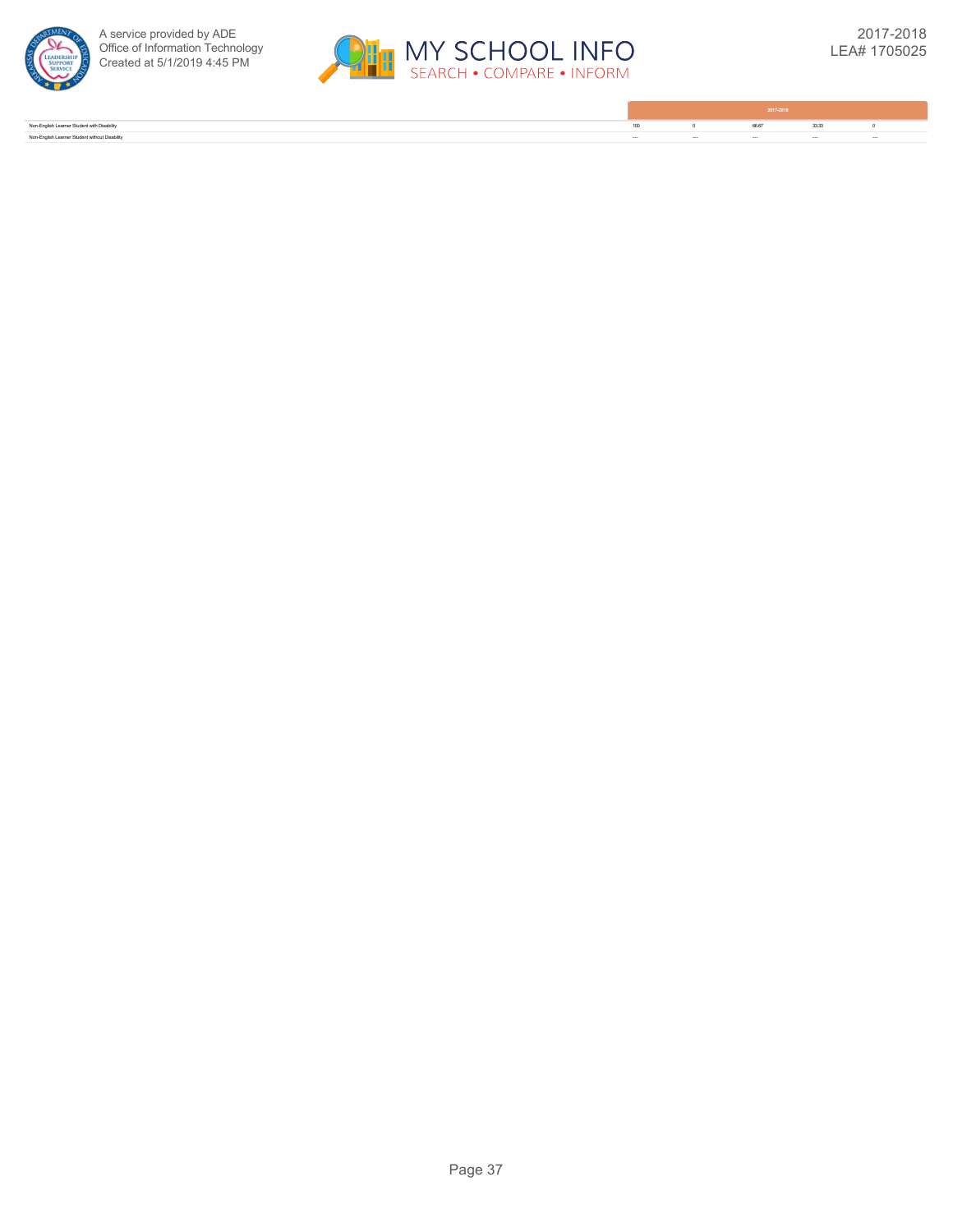



Non-English Learner Student with Disability 100 0 66.67 33.33 0 Non-English Learner Student without Disability --- --- --- --- ---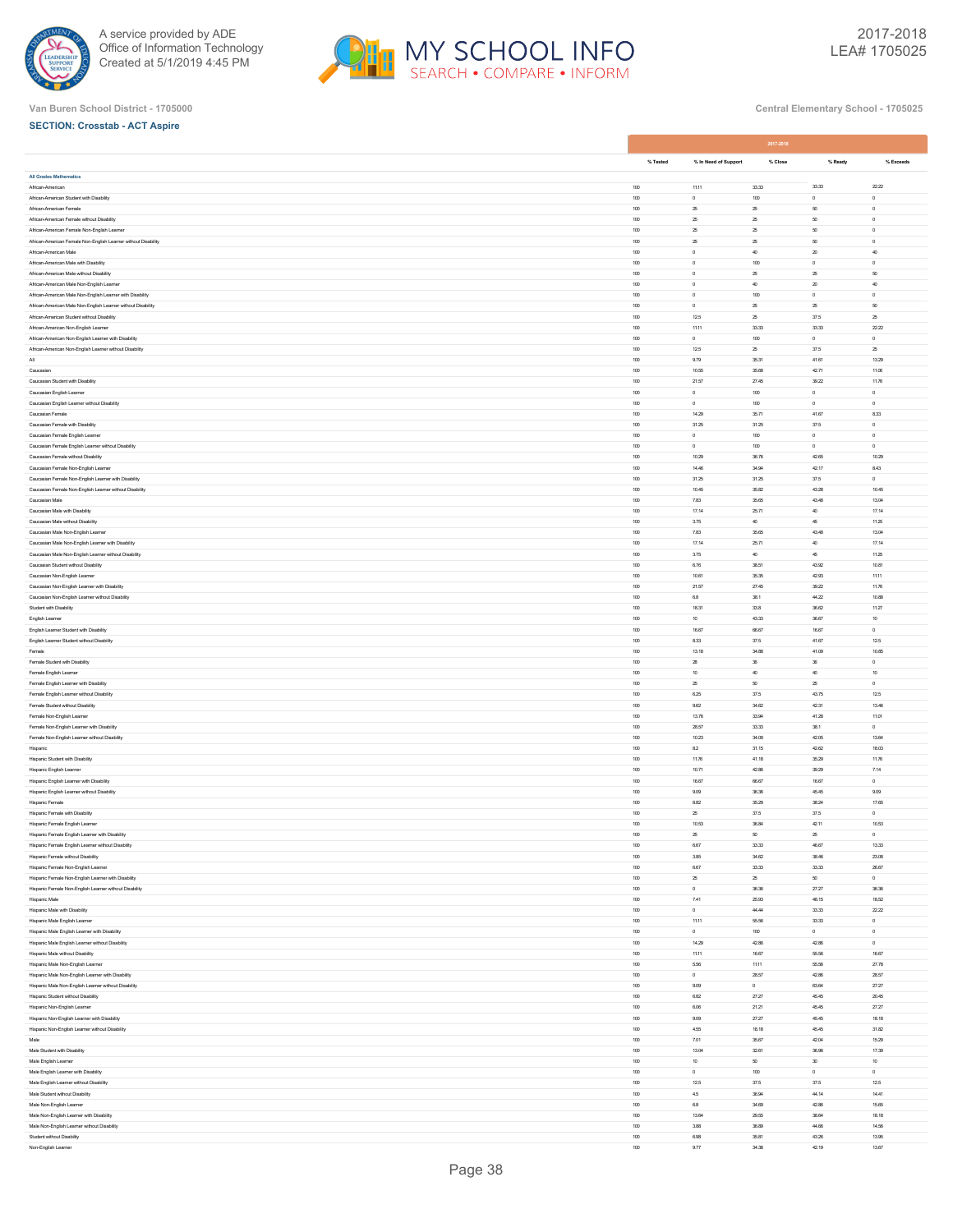



|                                                                                                                 |                |                      | 2017-2018              |                       |                         |
|-----------------------------------------------------------------------------------------------------------------|----------------|----------------------|------------------------|-----------------------|-------------------------|
|                                                                                                                 | $%$ Tested     | % In Need of Support | $\%$ Close             | % Ready               | % Exceeds               |
| <b>All Grades Mathematics</b>                                                                                   |                |                      |                        |                       |                         |
| African-American                                                                                                | 100            | 11.11                | 33.33                  | 33.33                 | 22.22                   |
| African-American Student with Disability                                                                        | 100            | $^{\circ}$           | 100                    | $^{\circ}$            | $^{\circ}$              |
| African-American Female<br>African-American Female without Disability                                           | $100\,$<br>100 | $\rm{25}$<br>25      | $\rm{2S}$<br>$\rm{2S}$ | $_{\rm 50}$<br>50     | $\,$ 0<br>$\mathbb O$   |
| African-American Female Non-English Learner                                                                     | 100            | $\rm{z}$             | $\rm{2S}$              | $_{50}$               | $\,$ 0 $\,$             |
| African-American Female Non-English Learner without Disability                                                  | $100\,$        | $\rm{25}$            | $\rm{2S}$              | $_{\rm 50}$           | $\,$ 0 $\,$             |
| African-American Male                                                                                           | 100            | $\circ$              | $40$                   | $\rm{20}$             | 40                      |
| African-American Male with Disability                                                                           | 100            | $\,$ 0 $\,$          | 100                    | $\,$ 0 $\,$           | $\,$ 0 $\,$             |
| African-American Male without Disability<br>African-American Male Non-English Learner                           | 100<br>100     | $\,$ 0<br>$^{\circ}$ | $\rm{2S}$<br>$40$      | $\rm 25$<br>$\rm{20}$ | $_{\rm 50}$<br>$40\,$   |
| African-American Male Non-English Learner with Disability                                                       | $100\,$        | $\,$ 0 $\,$          | 100                    | $\,$ 0 $\,$           | $\,$ 0 $\,$             |
| African-American Male Non-English Learner without Disability                                                    | 100            | $\circ$              | $\rm{2S}$              | $\rm 25$              | $_{\rm 50}$             |
| African-American Student without Disability                                                                     | 100            | 12.5                 | $\rm{2S}$              | 37.5                  | $\rm{25}$               |
| African-American Non-English Learner                                                                            | $100\,$        | 11.11                | 33.33                  | 33.33                 | 22.22                   |
| African-American Non-English Learner with Disability<br>African-American Non-English Learner without Disability | 100<br>100     | $^{\circ}$<br>12.5   | 100<br>$\rm{2S}$       | $^{\circ}$<br>37.5    | $^{\circ}$<br>$\rm{25}$ |
| All                                                                                                             | 100            | 9.79                 | 35.31                  | 41.61                 | 13.29                   |
| Caucasian                                                                                                       | 100            | 10.55                | 35.68                  | 42.71                 | 11.06                   |
| Caucasian Student with Disability                                                                               | $100\,$        | 21.57                | 27.45                  | 39.22                 | 11.76                   |
| Caucasian English Learner                                                                                       | 100            | $\,$ 0 $\,$          | 100                    | $\mathbb O$           | $\,$ 0 $\,$             |
| Caucasian English Learner without Disability                                                                    | 100            | $\,$ 0 $\,$          | 100                    | $\,$ 0 $\,$           | $\,$ 0 $\,$             |
| Caucasian Female<br>Caucasian Female with Disability                                                            | $100\,$<br>100 | 14.29<br>31.25       | 35.71<br>31.25         | 41.67<br>37.5         | 8.33<br>$^{\circ}$      |
| Caucasian Female English Learner                                                                                | 100            | $\circ$              | 100                    | $\,$ 0 $\,$           | $\,$ 0 $\,$             |
| Caucasian Female English Learner without Disability                                                             | 100            | $\circ$              | 100                    | $\mathbb O$           | $\mathbb O$             |
| Caucasian Female without Disability                                                                             | 100            | 10.29                | 36.76                  | 42.65                 | 10.29                   |
| Caucasian Female Non-English Learner                                                                            | $100\,$        | 14.46                | 34.94                  | 42.17                 | 8.43                    |
| Caucasian Female Non-English Learner with Disability                                                            | 100            | 31.25                | 31.25                  | 37.5                  | $\mathbb O$             |
| Caucasian Female Non-English Learner without Disability                                                         | 100            | 10.45                | 35.82                  | 43.28                 | 10.45                   |
| Caucasian Male<br>Caucasian Male with Disability                                                                | $100\,$<br>100 | 7.83<br>17.14        | 35.65<br>25.71         | 43.48<br>40           | 13.04<br>17.14          |
| Caucasian Male without Disability                                                                               | 100            | 3.75                 | $40\,$                 | $45\,$                | 11.25                   |
| Caucasian Male Non-English Learner                                                                              | 100            | 7.83                 | 35.65                  | 43.48                 | 13.04                   |
| Caucasian Male Non-English Learner with Disability                                                              | 100            | 17.14                | 25.71                  | 40                    | 17.14                   |
| Caucasian Male Non-English Learner without Disability                                                           | $100\,$        | $3.76\,$             | $40\,$                 | $45\,$                | 11.25                   |
| Caucasian Student without Disability                                                                            | 100            | 6.76                 | 38.51                  | 43.92                 | 10.81                   |
| Caucasian Non-English Learner                                                                                   | 100            | 10.61                | 35.35                  | 42.93                 | 11.11                   |
| Caucasian Non-English Learner with Disability<br>Caucasian Non-English Learner without Disability               | $100\,$<br>100 | 21.57<br>6.8         | 27.45<br>38.1          | 39.22<br>44.22        | 11.76<br>10.88          |
| Student with Disability                                                                                         | 100            | 18.31                | 33.8                   | 36.62                 | 11.27                   |
| English Learner                                                                                                 | 100            | 10                   | 43.33                  | 36.67                 | $10\,$                  |
| English Learner Student with Disability                                                                         | 100            | 16.67                | 66.67                  | 16.67                 | $^{\circ}$              |
| English Learner Student without Disability                                                                      | $100\,$        | 8.33                 | $37.5\,$               | 41.67                 | 12.5                    |
| Female                                                                                                          | 100            | 13.18                | 34.88                  | 41.09                 | 10.85                   |
| Female Student with Disability<br>Female English Learner                                                        | 100<br>$100\,$ | 28<br>$10$           | $_{36}$<br>$40\,$      | $36\,$<br>$40\,$      | $\mathbb O$<br>$10\,$   |
| Female English Learner with Disability                                                                          | 100            | 25                   | 50                     | 25                    | $^{\circ}$              |
| Female English Learner without Disability                                                                       | 100            | 6.25                 | 37.5                   | 43.75                 | 12.5                    |
| Female Student without Disability                                                                               | 100            | 9.62                 | 34.62                  | 42.31                 | 13.46                   |
| Female Non-English Learner                                                                                      | 100            | 13.76                | 33.94                  | 41.28                 | 11.01                   |
| Female Non-English Learner with Disability                                                                      | $100\,$        | 28.57                | 33.33                  | 38.1                  | $\,$ 0                  |
| Female Non-English Learner without Disability<br>Hispanic                                                       | 100<br>100     | 10.23<br>82          | 34.09<br>31.15         | 42.05<br>42.62        | 13.64<br>18.03          |
| Hispanic Student with Disability                                                                                | $100\,$        | 11.76                | 41.18                  | 35.29                 | 11.76                   |
| Hispanic English Learner                                                                                        | 100            | 10.71                | 42.86                  | 39.29                 | 7.14                    |
| Hispanic English Learner with Disability                                                                        | 100            | 16.67                | 66.67                  | 16.67                 | $\,$ 0 $\,$             |
| Hispanic English Learner without Disability                                                                     | 100            | 9.09                 | 36.36                  | 45.45                 | 9.09                    |
| Hispanic Female                                                                                                 | 100            | 8.82                 | 35.29                  | 38.24                 | 17.65                   |
| Hispanic Female with Disability                                                                                 | 100            | $\rm{25}$            | $37.5\,$               | 37.5                  | $\,$ 0 $\,$             |
| Hispanic Female English Learner<br>Hispanic Female English Learner with Disability                              | 100<br>100     | 10.53<br>$\rm{2S}$   | 36.84<br>$_{50}$       | 42.11<br>$\rm 25$     | 10.53<br>$\circ$        |
| Hispanic Female English Learner without Disability                                                              | $100\,$        | 6.67                 | 33.33                  | 46.67                 | 13.33                   |
| Hispanic Female without Disability                                                                              | 100            | 3.85                 | 34.62                  | 38.46                 | 23.08                   |
| Hispanic Female Non-English Learner                                                                             | 100            | 6.67                 | 33.33                  | 33.33                 | 26.67                   |
| Hispanic Female Non-English Learner with Disability                                                             | 100            | $\rm{25}$            | $\rm{2S}$              | $_{50}$               | $\mathsf{O}$            |
| Hispanic Female Non-English Learner without Disability<br>Hispanic Male                                         | 100<br>$100\,$ | $\circ$<br>7,41      | 36.36<br>25.93         | 27.27<br>48.15        | 36.36<br>18.52          |
| Hispanic Male with Disability                                                                                   | 100            | $\,$ 0 $\,$          | 44.44                  | 33.33                 | 22.22                   |
| Hispanic Male English Learner                                                                                   | 100            | 11.11                | 55.56                  | 33.33                 | $\,$ 0 $\,$             |
| Hispanic Male English Learner with Disability                                                                   | $100\,$        | $\circ$              | $100\,$                | $\mathbb O$           | $\mathbb O$             |
| Hispanic Male English Learner without Disability                                                                | 100            | 14.29                | 42.86                  | 42.86                 | $\circ$                 |
| Hispanic Male without Disability                                                                                | 100            | 11.11                | 16.67                  | 55.56                 | 16.67                   |
| Hispanic Male Non-English Learner                                                                               | 100<br>100     | 5.56<br>$\circ$      | 11.11<br>28.57         | 55.56<br>42.86        | 27.78<br>28.57          |
| Hispanic Male Non-English Learner with Disability<br>Hispanic Male Non-English Learner without Disability       | $100\,$        | 9.09                 | $\,$ 0 $\,$            | 63.64                 | 27.27                   |
| Hispanic Student without Disability                                                                             | 100            | 6.82                 | 27.27                  | 45.45                 | 20.45                   |
| Hispanic Non-English Learner                                                                                    | 100            | 6.06                 | 21.21                  | 45.45                 | 27.27                   |
| Hispanic Non-English Learner with Disability                                                                    | 100            | 9.09                 | 27.27                  | 45.45                 | 18.18                   |
| Hispanic Non-English Learner without Disability                                                                 | 100            | 4.55                 | 18.18                  | 45.45                 | 31.82                   |
| Male                                                                                                            | 100            | 7.01                 | 35.67                  | 42.04                 | 15.29                   |
| Male Student with Disability<br>Male English Learner                                                            | 100<br>100     | 13.04<br>10          | 32.61<br>50            | 36.96<br>30           | 17.39<br>10             |
| Male English Learner with Disability                                                                            | $100\,$        | $\circ$              | $100\,$                | $\circ$               | $\circ$                 |
| Male English Learner without Disability                                                                         | 100            | 12.5                 | 37.5                   | 37.5                  | 12.5                    |
| Male Student without Disability                                                                                 | 100            | $45\,$               | 36.94                  | 44.14                 | 14.41                   |
| Male Non-English Learner                                                                                        | $100\,$        | 6.8                  | 34.69                  | 42.86                 | 15.65                   |
| Male Non-English Learner with Disability                                                                        | 100            | 13.64                | 29.55                  | 38.64                 | 18.18                   |
| Male Non-English Learner without Disability<br>Student without Disability                                       | 100<br>100     | 3.88<br>6.98         | 36.89<br>35.81         | 44.66<br>43.26        | 14.56<br>13.95          |
| Non-English Learner                                                                                             | 100            | 9.77                 | 34.38                  | 42.19                 | 13.67                   |
|                                                                                                                 |                |                      |                        |                       |                         |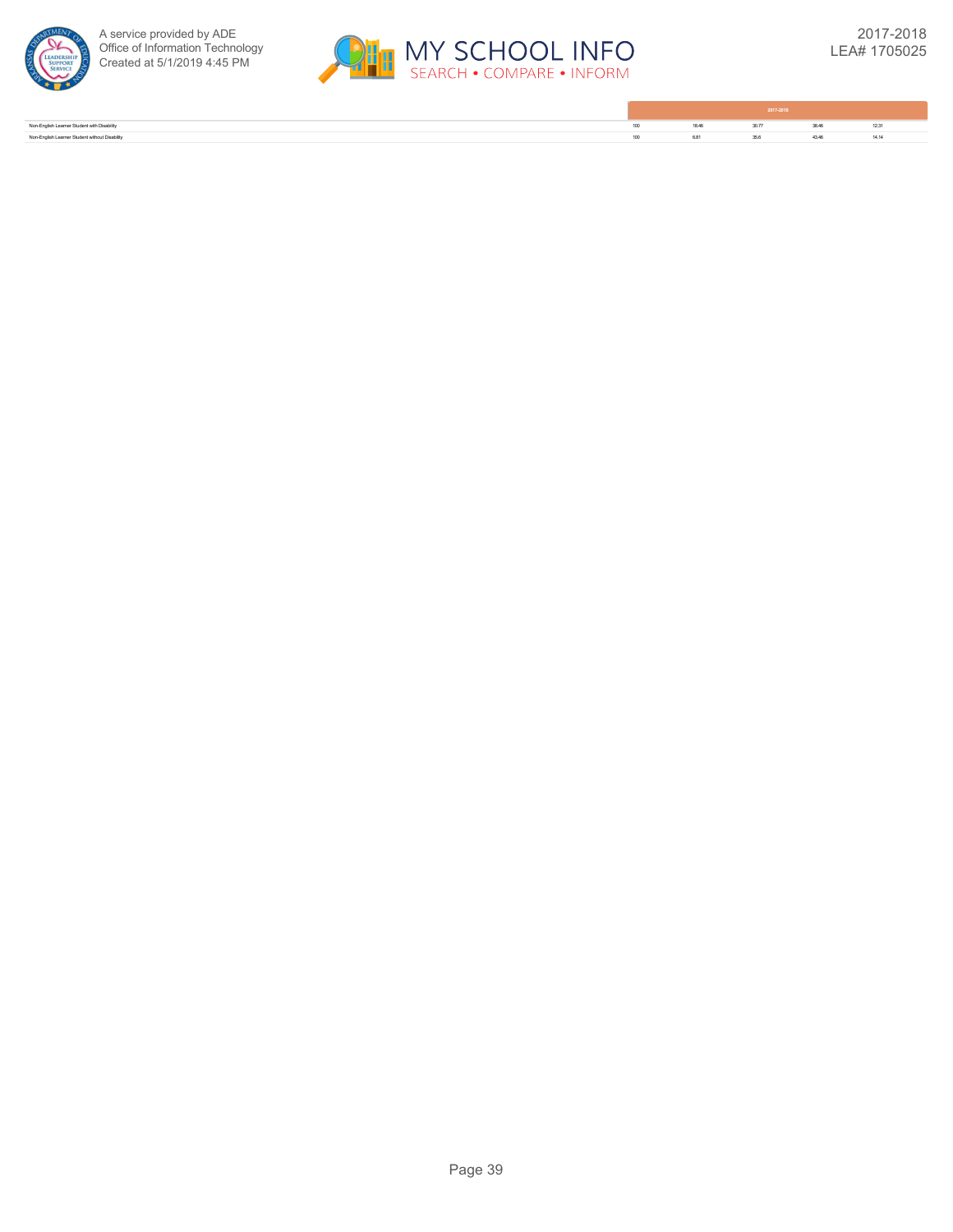



Non-English Learner Student With Disability 100 18.46 12.31<br>Non-English Learner Student with Disability 100 18.46 14.14<br>Non-English Learner Student With Disability 100 6.81 35.6 43.46 14.14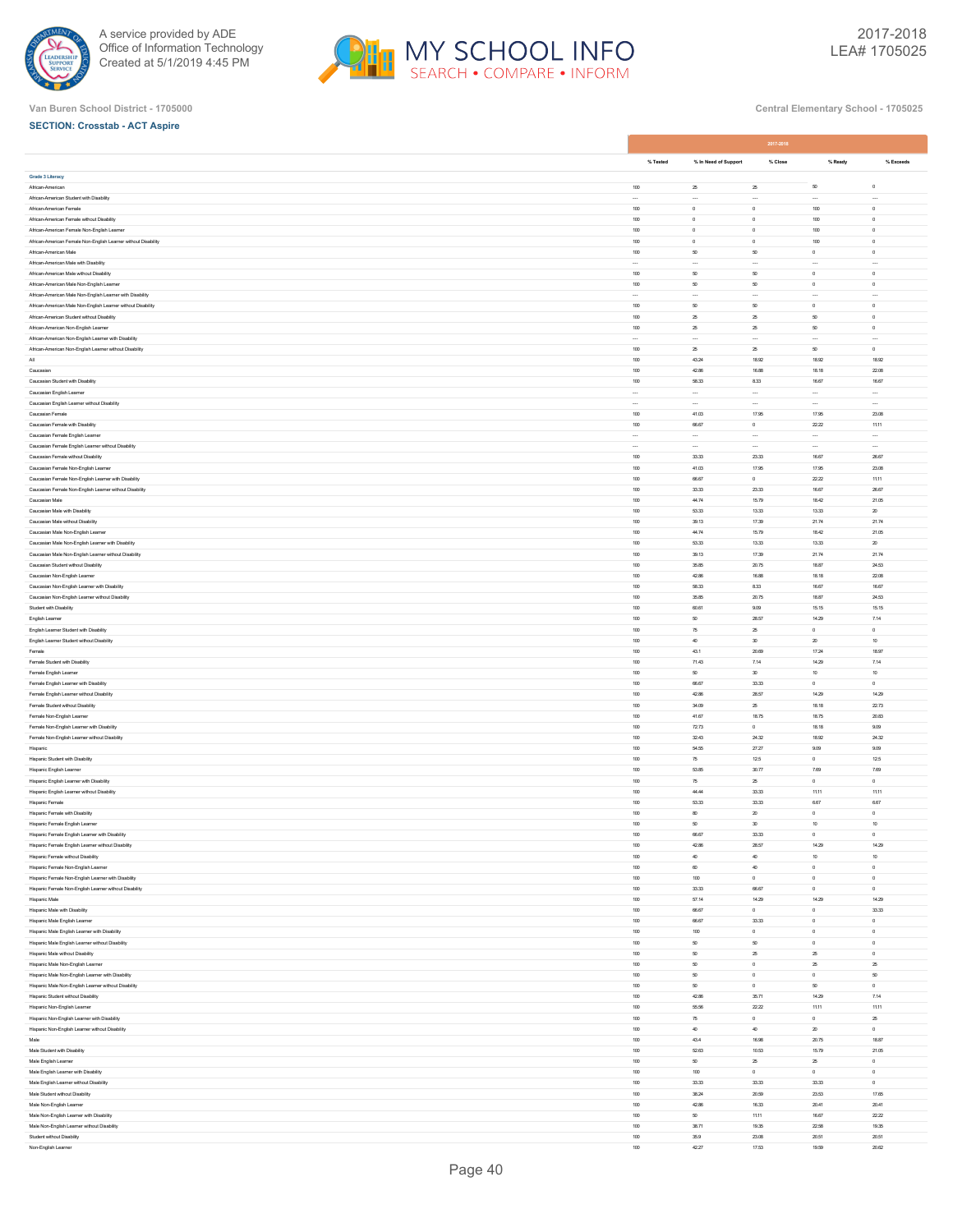



|                                                                                                               |                      | 2017-2018              |                            |                         |                             |
|---------------------------------------------------------------------------------------------------------------|----------------------|------------------------|----------------------------|-------------------------|-----------------------------|
|                                                                                                               | % Tested             | % In Need of Support   | % Close                    | % Ready                 | % Exceeds                   |
| Grade 3 Literacy                                                                                              |                      |                        |                            |                         |                             |
| African-American                                                                                              | 100                  | $\rm{2S}$              | $\rm{2S}$                  | $_{\rm 50}$             | $\mathbb O$                 |
| African-American Student with Disability                                                                      | $\ddot{\phantom{a}}$ |                        | $\cdots$                   | $\ddotsc$               | $\ddotsc$                   |
| African-American Female                                                                                       | 100                  | $^{\circ}$             | $\circ$                    | 100                     | $\circ$                     |
| African-American Female without Disability<br>African-American Female Non-English Learner                     | 100<br>100           | $\,$ 0 $\,$<br>$\,0\,$ | $\,$ 0 $\,$<br>$\,$ 0 $\,$ | 100<br>100              | $\,$ 0 $\,$<br>$\,$ 0 $\,$  |
| African-American Female Non-English Learner without Disability                                                | 100                  | $\circ$                | $\mathbf 0$                | 100                     | $\mathbb O$                 |
| African-American Male                                                                                         | $100\,$              | $_{50}$                | $_{\rm S0}$                | $\mathbb O$             | $\mathbb O$                 |
| African-American Male with Disability                                                                         | $\sim$               | $\sim$                 | $\ddotsc$                  | $\ddotsc$               | $\ddotsc$                   |
| African-American Male without Disability                                                                      | 100                  | 60                     | $_{50}$                    | $\,$ 0 $\,$             | $\mathbb O$                 |
| African-American Male Non-English Learner<br>African-American Male Non-English Learner with Disability        | $100\,$<br>$\cdots$  | $_{50}$<br>$\cdots$    | $_{\rm S0}$<br>$\ddotsc$   | $\mathbb O$<br>$\cdots$ | $\mathbb O$<br>$\cdots$     |
| African-American Male Non-English Learner without Disability                                                  | 100                  | $_{50}$                | $_{50}$                    | $\mathbb O$             | $\mathbb O$                 |
| African-American Student without Disability                                                                   | 100                  | $\rm{25}$              | $\rm{2S}$                  | $_{50}$                 | $\,$ 0 $\,$                 |
| African-American Non-English Learner                                                                          | 100                  | $\mathbf{z}$           | $\rm{2S}$                  | $_{50}$                 | $\mathbf{0}$                |
| African-American Non-English Learner with Disability                                                          |                      |                        | $\cdots$                   |                         | $\cdots$                    |
| African-American Non-English Learner without Disability<br>$\mathsf{All}$                                     | 100<br>100           | $\rm{25}$<br>43.24     | $\rm{2S}$<br>18.92         | $_{50}$<br>18.92        | $\,$ 0 $\,$<br>18.92        |
| Caucasian                                                                                                     | $100\,$              | 42.86                  | 16.88                      | 18.18                   | 22.08                       |
| Caucasian Student with Disability                                                                             | 100                  | 58.33                  | 8.33                       | 16.67                   | 16.67                       |
| Caucasian English Learner                                                                                     | $\cdots$             | $\cdots$               | $\cdots$                   | $\cdots$                | $\cdots$                    |
| Caucasian English Learner without Disability                                                                  | $\sim$               | $\sim$                 | $\ddot{\phantom{a}}$       | $\ddotsc$               | $\ddotsc$                   |
| Caucasian Female                                                                                              | 100                  | 41.03                  | 17.95                      | 17.95                   | 23.08                       |
| Caucasian Female with Disability                                                                              | $100\,$              | 66.67                  | $\,$ 0 $\,$                | 22.22                   | $11.11\,$                   |
| Caucasian Female English Learner<br>Caucasian Female English Learner without Disability                       | $\sim$<br>$\cdots$   | $\sim$<br>$\cdots$     | $\sim$<br>$\cdots$         | <br>$\cdots$            | $\cdots$<br>$\cdots$        |
| Caucasian Female without Disability                                                                           | $100\,$              | 33.33                  | 23.33                      | 16.67                   | 26.67                       |
| Caucasian Female Non-English Learner                                                                          | 100                  | 41.03                  | 17.95                      | 17.95                   | 23.08                       |
| Caucasian Female Non-English Learner with Disability                                                          | 100                  | 66.67                  | $\mathbf 0$                | 22.22                   | 11.11                       |
| Caucasian Female Non-English Learner without Disability                                                       | 100                  | 33.33                  | 23.33                      | 16.67                   | 26.67                       |
| Caucasian Male                                                                                                | 100                  | 44.74                  | 15.79                      | 18.42                   | 21.05                       |
| Caucasian Male with Disability<br>Caucasian Male without Disability                                           | $100\,$<br>100       | 53.33<br>39.13         | 13.33<br>17.39             | 13.33<br>21.74          | $\rm{20}$<br>21.74          |
| Caucasian Male Non-English Learner                                                                            | 100                  | 44.74                  | 15.79                      | 18.42                   | 21.05                       |
| Caucasian Male Non-English Learner with Disability                                                            | $100\,$              | 53.33                  | 13.33                      | 13.33                   | $\rm{20}$                   |
| Caucasian Male Non-English Learner without Disability                                                         | 100                  | 39.13                  | 17.39                      | 21.74                   | 21.74                       |
| Caucasian Student without Disability                                                                          | 100                  | 35.85                  | 20.75                      | 18.87                   | 24.53                       |
| Caucasian Non-English Learner                                                                                 | 100                  | 42.86                  | 16.88                      | 18.18                   | 22.08                       |
| Caucasian Non-English Learner with Disability                                                                 | 100                  | 58.33                  | 8.33                       | 16.67                   | 16.67                       |
| Caucasian Non-English Learner without Disability<br>Student with Disability                                   | $100\,$<br>100       | 35.85<br>60.61         | 20.75<br>9.09              | 18.87<br>15.15          | 24.53<br>15.15              |
| English Learner                                                                                               | 100                  | $_{50}$                | 28.57                      | 14.29                   | 7.14                        |
| English Learner Student with Disability                                                                       | $100\,$              | $75\,$                 | $\rm{2S}$                  | $\mathbb O$             | $\mathbb O$                 |
| English Learner Student without Disability                                                                    | 100                  | 40                     | 30                         | 20                      | 10                          |
| Female                                                                                                        | 100                  | 43.1                   | 20.69                      | 17.24                   | 18.97                       |
| Female Student with Disability                                                                                | 100                  | 71.43                  | 7.14                       | 14.29                   | 7.14                        |
| Female English Learner<br>Female English Learner with Disability                                              | 100<br>$100\,$       | $_{\rm S0}$<br>66.67   | 30<br>33.33                | $10\,$<br>$\,$ 0        | $10\,$<br>$\,$ 0            |
| Female English Learner without Disability                                                                     | 100                  | 42.86                  | 28.57                      | 14.29                   | 14.29                       |
| Female Student without Disability                                                                             | 100                  | 34.09                  | $\rm{2S}$                  | 18.18                   | 22.73                       |
| Female Non-English Learner                                                                                    | $100\,$              | 41.67                  | 18.75                      | 18.75                   | 20.83                       |
| Female Non-English Learner with Disability                                                                    | 100                  | 72.73                  | $\mathbf 0$                | 18.18                   | 9.09                        |
| Female Non-English Learner without Disability                                                                 | 100                  | 32.43                  | 24.32                      | 18.92                   | 24.32                       |
| Hispanic<br>Hispanic Student with Disability                                                                  | 100<br>100           | 54.55<br>75            | 27.27<br>12.5              | 9.09<br>$\circ$         | 9.09<br>12.5                |
| Hispanic English Learner                                                                                      | $100\,$              | 53.85                  | 30.77                      | 7.69                    | 7.69                        |
| Hispanic English Learner with Disability                                                                      | 100                  | 75                     | $\rm{2S}$                  | $\mathbb O$             | $^{\circ}$                  |
| Hispanic English Learner without Disability                                                                   | 100                  | 44.44                  | 33.33                      | 11.11                   | 11.11                       |
| Hispanic Female                                                                                               | $100\,$              | 53.33                  | 33.33                      | 6.67                    | 6.67                        |
| Hispanic Female with Disability<br>Hispanic Female English Learner                                            | 100<br>100           | 80<br>$_{50}$          | 20<br>$_{30}$              | $^{\circ}$<br>$10\,$    | $^{\circ}$<br>$10\,$        |
| Hispanic Female English Learner with Disability                                                               | 100                  | 66.67                  | 33.33                      | $\,$ 0                  | $\,$ 0                      |
| Hispanic Female English Learner without Disability                                                            | 100                  | 42.86                  | 28.57                      | 14.29                   | 14.29                       |
| Hispanic Female without Disability                                                                            | $100\,$              | $40$                   | $40\,$                     | $10\,$                  | $10\,$                      |
| Hispanic Female Non-English Learner                                                                           | 100                  | $_{60}$                | 40                         | $\circ$                 | $\mathbb O$                 |
| Hispanic Female Non-English Learner with Disability<br>Hispanic Female Non-English Learner without Disability | 100<br>$100\,$       | 100<br>33.33           | $\,$ 0 $\,$<br>66.67       | $\,$ 0 $\,$<br>$\,$ 0   | $\mathsf{O}$<br>$\,$ 0 $\,$ |
| Hispanic Male                                                                                                 | 100                  | 57.14                  | 14.29                      | 14.29                   | 14.29                       |
| Hispanic Male with Disability                                                                                 | 100                  | 66.67                  | $\,$ 0 $\,$                | $\,$ 0 $\,$             | 33.33                       |
| Hispanic Male English Learner                                                                                 | 100                  | 66.67                  | 33.33                      | $\,$ 0 $\,$             | $\mathbb O$                 |
| Hispanic Male English Learner with Disability                                                                 | 100                  | 100                    | $\mathbf 0$                | $\mathbb O$             | $\mathbb O$                 |
| Hispanic Male English Learner without Disability                                                              | 100                  | $_{50}$                | $_{\rm S0}$                | $\,$ 0 $\,$             | $\,$ 0 $\,$                 |
| Hispanic Male without Disability<br>Hispanic Male Non-English Learner                                         | 100<br>100           | 60<br>$_{50}$          | $\rm{2S}$<br>$\mathbf 0$   | $\rm 25$<br>$\rm 25$    | $\mathbb O$<br>$\rm{25}$    |
| Hispanic Male Non-English Learner with Disability                                                             | $100\,$              | $_{50}$                | $\,$ 0 $\,$                | $\,$ 0 $\,$             | $_{\rm 50}$                 |
| Hispanic Male Non-English Learner without Disability                                                          | 100                  | 60                     | $\circ$                    | 50                      | $^{\circ}$                  |
| Hispanic Student without Disability                                                                           | 100                  | 42.86                  | 35.71                      | 14.29                   | 7.14                        |
| Hispanic Non-English Learner                                                                                  | 100                  | 55.56                  | 22.22                      | 11.11                   | 11.11                       |
| Hispanic Non-English Learner with Disability                                                                  | 100                  | 75                     | $\circ$                    | $\circ$                 | 25                          |
| Hispanic Non-English Learner without Disability                                                               | $100\,$              | $40$                   | $40\,$                     | $\rm{20}$               | $\,$ 0                      |
| Male<br>Male Student with Disability                                                                          | 100<br>100           | 43.4<br>62.63          | 16.98<br>10.53             | 20.75<br>15.79          | 18.87<br>21.05              |
| Male English Learner                                                                                          | $100\,$              | $_{50}$                | $\rm{2S}$                  | $\rm 25$                | $\,$ 0 $\,$                 |
| Male English Learner with Disability                                                                          | 100                  | 100                    | $\mathbf 0$                | $\mathbb O$             | $\mathbb O$                 |
| Male English Learner without Disability                                                                       | 100                  | 33.33                  | 33.33                      | 33.33                   | $\mathsf{O}$                |
| Male Student without Disability                                                                               | 100                  | 38.24                  | 20.59                      | 23.53                   | 17.65                       |
| Male Non-English Learner                                                                                      | 100                  | 42.86                  | 16.33                      | 20.41                   | 20.41                       |
| Male Non-English Learner with Disability<br>Male Non-English Learner without Disability                       | $100\,$<br>100       | $_{50}$<br>38.71       | 11.11<br>19.35             | 16.67<br>22.58          | 22.22<br>19.35              |
| Student without Disability                                                                                    | 100                  | 35.9                   | 23.08                      | 20.51                   | 20.51                       |
| Non-English Learner                                                                                           | 100                  | 42.27                  | 17.53                      | 19.59                   | 20.62                       |
|                                                                                                               |                      |                        |                            |                         |                             |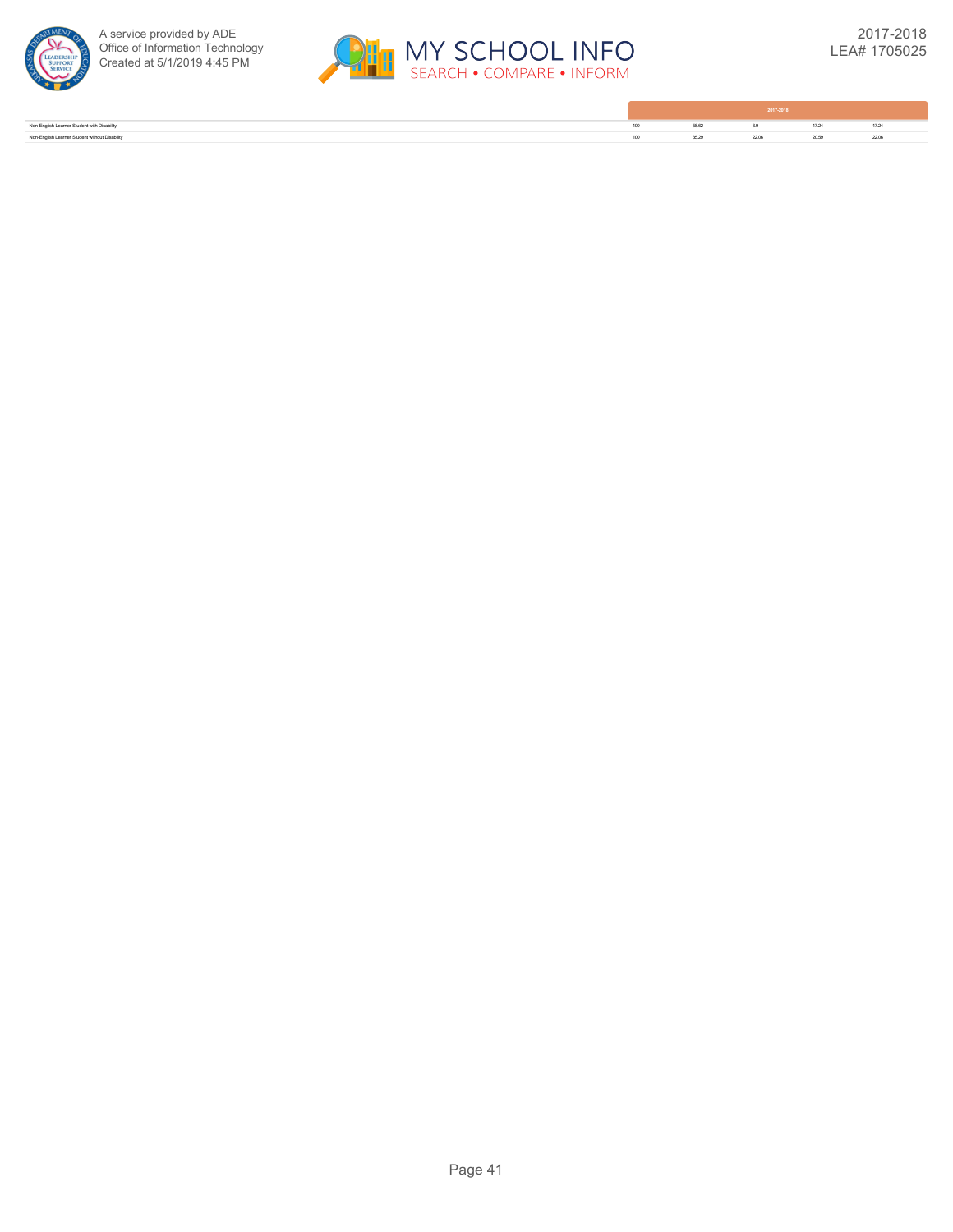



Non-English Learner Student With Disability 100 58.62 6.9 17.24 17.24 17.24 17.24 17.24 17.24 17.24 17.24 17.2<br>Non-English Learner Student with Disability 100 35.29 22.06 22.06 22.06 22.06 22.06 22.06 20.59 22.06 22.06 20.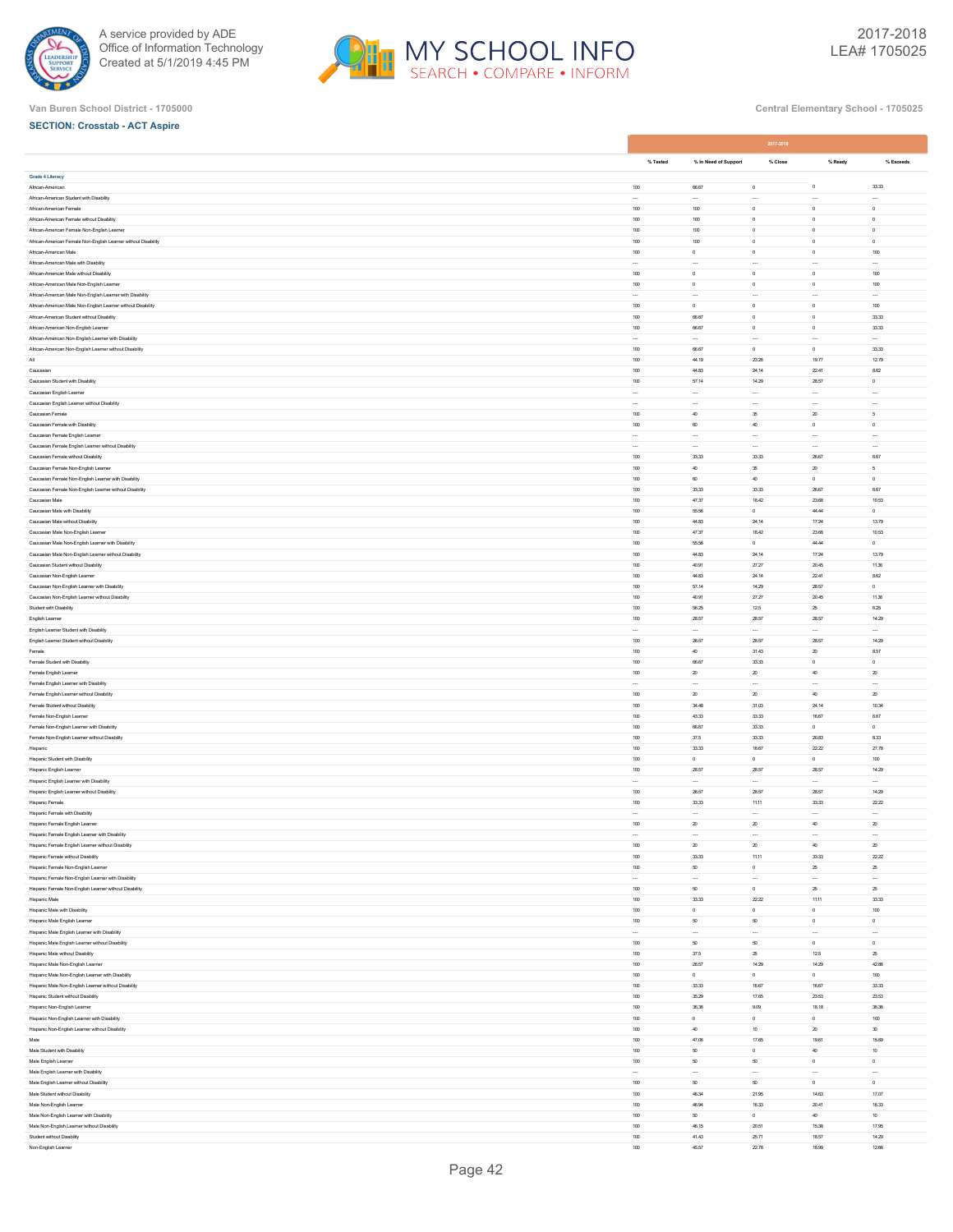



|                                                                                                                           | 2017-2018       |                       |                                     |                                     |                     |  |  |  |
|---------------------------------------------------------------------------------------------------------------------------|-----------------|-----------------------|-------------------------------------|-------------------------------------|---------------------|--|--|--|
|                                                                                                                           | % Tested        | % In Need of Support  | % Close                             | % Ready                             | % Exceeds           |  |  |  |
| Grade 4 Literacy                                                                                                          |                 |                       |                                     |                                     |                     |  |  |  |
| African-American                                                                                                          | 100             | 66.67                 | $\circ$                             | $\,$ 0 $\,$                         | 33.33               |  |  |  |
| African-American Student with Disability                                                                                  | $\cdots$        | $\cdots$              | $\ddotsc$                           | $\ddotsc$                           | $\cdots$            |  |  |  |
| African-American Female                                                                                                   | 100             | 100                   | $\,$ 0 $\,$                         | $\,$ 0 $\,$                         | $\,$ 0 $\,$         |  |  |  |
| African-American Female without Disability<br>African-American Female Non-English Learner                                 | 100<br>$100\,$  | 100<br>$100\,$        | $\circ$<br>$\,$ 0                   | $\circ$<br>$\,$ 0                   | $\circ$<br>$\,$ 0   |  |  |  |
| African-American Female Non-English Learner without Disability                                                            | 100             | 100                   | $\,$ 0 $\,$                         | $\,$ 0 $\,$                         | $\,$ 0 $\,$         |  |  |  |
| African-American Male                                                                                                     | 100             | $\,$ 0 $\,$           | $\,$ 0 $\,$                         | $\,$ 0 $\,$                         | 100                 |  |  |  |
| African-American Male with Disability                                                                                     |                 | $\ddot{\phantom{a}}$  | $\sim$                              | $\ddot{\phantom{a}}$                |                     |  |  |  |
| African-American Male without Disability                                                                                  | 100             | $\circ$               | $\circ$                             | $\circ$                             | 100                 |  |  |  |
| African-American Male Non-English Learner                                                                                 | 100<br>$\sim$   | $\,$ 0 $\,$<br>$\sim$ | $\,$ 0 $\,$<br>$\ddot{\phantom{a}}$ | $\,$ 0 $\,$<br>$\ddot{\phantom{a}}$ | 100<br>$\sim$       |  |  |  |
| African-American Male Non-English Learner with Disability<br>African-American Male Non-English Learner without Disability | 100             | $\circ$               | $\circ$                             | $\circ$                             | 100                 |  |  |  |
| African-American Student without Disability                                                                               | $100\,$         | 66.67                 | $\,$ 0 $\,$                         | $\,$ 0                              | 33.33               |  |  |  |
| African-American Non-English Learner                                                                                      | 100             | 66.67                 | $\,$ 0 $\,$                         | $\,$ 0 $\,$                         | 33.33               |  |  |  |
| African-American Non-English Learner with Disability                                                                      | $\cdots$        | $\cdots$              | $\cdots$                            | $\ddotsc$                           | $\cdots$            |  |  |  |
| African-American Non-English Learner without Disability                                                                   | $100\,$         | 66.67                 | $\,$ 0 $\,$                         | $\,$ 0                              | 33.33               |  |  |  |
| All                                                                                                                       | 100             | 44.19                 | 23.26                               | 19.77                               | 12.79               |  |  |  |
| Caucasian<br>Caucasian Student with Disability                                                                            | 100<br>100      | 44.83<br>57.14        | 24.14<br>14.29                      | 22.41<br>28.57                      | 8.62<br>$\,$ 0 $\,$ |  |  |  |
| Caucasian English Learner                                                                                                 | $\cdots$        | $\cdots$              | $\sim$                              | $\ddotsc$                           | $\cdots$            |  |  |  |
| Caucasian English Learner without Disability                                                                              | $\cdots$        | $\sim$                | $\ddot{\phantom{0}}$                | $\cdots$                            | $\cdots$            |  |  |  |
| Caucasian Female                                                                                                          | 100             | 40                    | $36\,$                              | $\rm{20}$                           | $\sqrt{5}$          |  |  |  |
| Caucasian Female with Disability                                                                                          | 100             | $_{60}$               | $40\,$                              | $\,$ 0 $\,$                         | $\,$ 0 $\,$         |  |  |  |
| Caucasian Female English Learner                                                                                          | $\cdots$        | $\sim$                | $\ddot{\phantom{0}}$                | $\ddotsc$                           | $\ddotsc$           |  |  |  |
| Caucasian Female English Learner without Disability<br>Caucasian Female without Disability                                | $\cdots$<br>100 | $\cdots$<br>33.33     | $\cdots$<br>33.33                   | $\cdots$<br>26.67                   | $\cdots$<br>6.67    |  |  |  |
| Caucasian Female Non-English Learner                                                                                      | 100             | $40\,$                | 35                                  | $\rm{20}$                           | $\overline{5}$      |  |  |  |
| Caucasian Female Non-English Learner with Disability                                                                      | 100             | 60                    | 40                                  | $\circ$                             | $\circ$             |  |  |  |
| Caucasian Female Non-English Learner without Disability                                                                   | $100\,$         | 33.33                 | 33.33                               | 26.67                               | 6.67                |  |  |  |
| Caucasian Male                                                                                                            | 100             | 47.37                 | 18.42                               | 23.68                               | 10.53               |  |  |  |
| Caucasian Male with Disability                                                                                            | 100             | 55.56                 | $\,$ 0 $\,$                         | 44.44                               | $\,$ 0 $\,$         |  |  |  |
| Caucasian Male without Disability                                                                                         | $100\,$<br>100  | 44.83<br>47.37        | 24.14<br>18.42                      | 17.24<br>23.68                      | 13.79<br>10.53      |  |  |  |
| Caucasian Male Non-English Learner<br>Caucasian Male Non-English Learner with Disability                                  | 100             | 55.56                 | $\circ$                             | 44.44                               | $\circ$             |  |  |  |
| Caucasian Male Non-English Learner without Disability                                                                     | 100             | 44.83                 | 24.14                               | 17.24                               | 13.79               |  |  |  |
| Caucasian Student without Disability                                                                                      | 100             | 40.91                 | 27.27                               | 20.45                               | 11.36               |  |  |  |
| Caucasian Non-English Learner                                                                                             | $100\,$         | 44.83                 | 24.14                               | 22.41                               | 8.62                |  |  |  |
| Caucasian Non-English Learner with Disability                                                                             | 100             | 57.14                 | 14.29                               | 28.57                               | $\,$ 0 $\,$         |  |  |  |
| Caucasian Non-English Learner without Disability                                                                          | 100             | 40.91                 | 27.27                               | 20.45                               | 11.36               |  |  |  |
| Student with Disability<br>English Learner                                                                                | $100\,$<br>100  | 56.25<br>28.57        | $12.5\,$<br>28.57                   | $\rm 25$<br>28.57                   | 6.25<br>14.29       |  |  |  |
| English Learner Student with Disability                                                                                   | $\cdots$        | $\cdots$              | $\cdots$                            | $\ddotsc$                           | $\cdots$            |  |  |  |
| English Learner Student without Disability                                                                                | 100             | 28.57                 | 28.57                               | 28.57                               | 14.29               |  |  |  |
| Female                                                                                                                    | 100             | 40                    | 31.43                               | $\rm{20}$                           | 8.57                |  |  |  |
| Female Student with Disability                                                                                            | $100\,$         | 66.67                 | 33.33                               | $\,$ 0 $\,$                         | $\,$ 0 $\,$         |  |  |  |
| Female English Learner                                                                                                    | 100             | $\mathbf{20}$         | $20\,$                              | $40\,$                              | $20\,$              |  |  |  |
| Female English Learner with Disability                                                                                    | $\cdots$        | $\cdots$              | $\cdots$                            | $\ddotsc$                           | $\cdots$            |  |  |  |
| Female English Learner without Disability<br>Female Student without Disability                                            | $100\,$<br>100  | $\rm{20}$<br>34.48    | $\rm{20}$<br>31.03                  | $40\,$<br>24.14                     | $\rm 20$<br>10.34   |  |  |  |
| Female Non-English Learner                                                                                                | 100             | 43.33                 | 33.33                               | 16.67                               | 6.67                |  |  |  |
| Female Non-English Learner with Disability                                                                                | 100             | 66.67                 | 33.33                               | $\,$ 0 $\,$                         | $\,$ 0 $\,$         |  |  |  |
| Female Non-English Learner without Disability                                                                             | 100             | 37.5                  | 33.33                               | 20.83                               | 8.33                |  |  |  |
| Hispanic                                                                                                                  | $100\,$         | 33.33                 | 16.67                               | 22.22                               | 27.78               |  |  |  |
| Hispanic Student with Disability<br>Hispanic English Learner                                                              | 100<br>100      | $\,$ 0 $\,$<br>28.57  | $\,$ 0 $\,$<br>28.57                | $\,$ 0 $\,$<br>28.57                | 100<br>14.29        |  |  |  |
| Hispanic English Learner with Disability                                                                                  |                 |                       |                                     |                                     |                     |  |  |  |
| Hispanic English Learner without Disability                                                                               | 100             | 28.57                 | 28.57                               | 28.57                               | 14.29               |  |  |  |
| Hispanic Female                                                                                                           | 100             | 33.33                 | 11.11                               | 33.33                               | 22.22               |  |  |  |
| Hispanic Female with Disability                                                                                           | $\sim$          | $\sim$                | $\ddot{\phantom{a}}$                | $\ddot{\phantom{a}}$                | $\sim$              |  |  |  |
| Hispanic Female English Learner<br>Hispanic Female English Learner with Disability                                        | 100             | 20                    | 20                                  | 40                                  | 20                  |  |  |  |
| Hispanic Female English Learner without Disability                                                                        | 100             | 20                    | 20                                  | 40                                  | 20                  |  |  |  |
| Hispanic Female without Disability                                                                                        | 100             | 33.33                 | 11.11                               | 33.33                               | 22.22               |  |  |  |
| Hispanic Female Non-English Learner                                                                                       | 100             | $_{50}$               | $\,$ 0 $\,$                         | $\rm 25$                            | $\rm 25$            |  |  |  |
| Hispanic Female Non-English Learner with Disability                                                                       | $\cdots$        | $\cdots$              | $\cdots$                            | $\ddotsc$                           | $\cdots$            |  |  |  |
| Hispanic Female Non-English Learner without Disability                                                                    | 100             | $_{50}$               | $\circ$                             | $\rm 25$                            | $\rm{25}$           |  |  |  |
| Hispanic Male                                                                                                             | 100<br>100      | 33.33                 | 22.22                               | 11.11<br>$\circ$                    | 33.33<br>100        |  |  |  |
| Hispanic Male with Disability<br>Hispanic Male English Learner                                                            | $100\,$         | $\circ$<br>$_{50}$    | $\circ$<br>$_{\rm 50}$              | $\,$ 0                              | $\,$ 0 $\,$         |  |  |  |
| Hispanic Male English Learner with Disability                                                                             | $\cdots$        | $\sim$                | $\cdots$                            | $\cdots$                            | $\cdots$            |  |  |  |
| Hispanic Male English Learner without Disability                                                                          | 100             | 60                    | 60                                  | $\,$ 0 $\,$                         | $\,$ 0 $\,$         |  |  |  |
| Hispanic Male without Disability                                                                                          | $100\,$         | $37.5\,$              | $\rm{2S}$                           | 12.5                                | $\rm 25$            |  |  |  |
| Hispanic Male Non-English Learner                                                                                         | 100             | 28.57                 | 14.29                               | 14.29                               | 42.86               |  |  |  |
| Hispanic Male Non-English Learner with Disability                                                                         | 100             | $\,$ 0 $\,$           | $\,$ 0 $\,$                         | $\,$ 0 $\,$                         | 100                 |  |  |  |
| Hispanic Male Non-English Learner without Disability<br>Hispanic Student without Disability                               | 100<br>100      | 33.33<br>35.29        | 16.67<br>17.65                      | 16.67<br>23.53                      | 33.33<br>23.53      |  |  |  |
| Hispanic Non-English Learner                                                                                              | $100\,$         | 36.36                 | 9.09                                | 18.18                               | 36.36               |  |  |  |
| Hispanic Non-English Learner with Disability                                                                              | 100             | $\circ$               | $\,$ 0 $\,$                         | $\circ$                             | 100                 |  |  |  |
| Hispanic Non-English Learner without Disability                                                                           | 100             | $40\,$                | $10$                                | $\rm{20}$                           | $30\,$              |  |  |  |
| Male                                                                                                                      | $100\,$         | 47.06                 | 17.65                               | 19.61                               | 15.69               |  |  |  |
| Male Student with Disability                                                                                              | 100             | 50                    | $\circ$                             | 40                                  | 10                  |  |  |  |
| Male English Learner                                                                                                      | 100             | 60                    | 60                                  | $\circ$                             | $\circ$             |  |  |  |
| Male English Learner with Disability<br>Male English Learner without Disability                                           | $\cdots$<br>100 | $\cdots$<br>60        | $\cdots$<br>60                      | $\ddotsc$<br>$\circ$                | $\cdots$<br>$\circ$ |  |  |  |
| Male Student without Disability                                                                                           | $100\,$         | 46.34                 | 21.95                               | 14.63                               | 17.07               |  |  |  |
| Male Non-English Learner                                                                                                  | 100             | 46.94                 | 16.33                               | 20.41                               | 16.33               |  |  |  |
| Male Non-English Learner with Disability                                                                                  | 100             | 60                    | $\,$ 0 $\,$                         | $40\,$                              | $10\,$              |  |  |  |
| Male Non-English Learner without Disability                                                                               | $100\,$         | 46.15                 | 20.51                               | 15.38                               | 17.95               |  |  |  |
| Student without Disability                                                                                                | 100             | 41.43                 | 25.71                               | 18.57                               | 14.29               |  |  |  |
| Non-English Learner                                                                                                       | 100             | 45.57                 | 22.78                               | 18.99                               | 12.66               |  |  |  |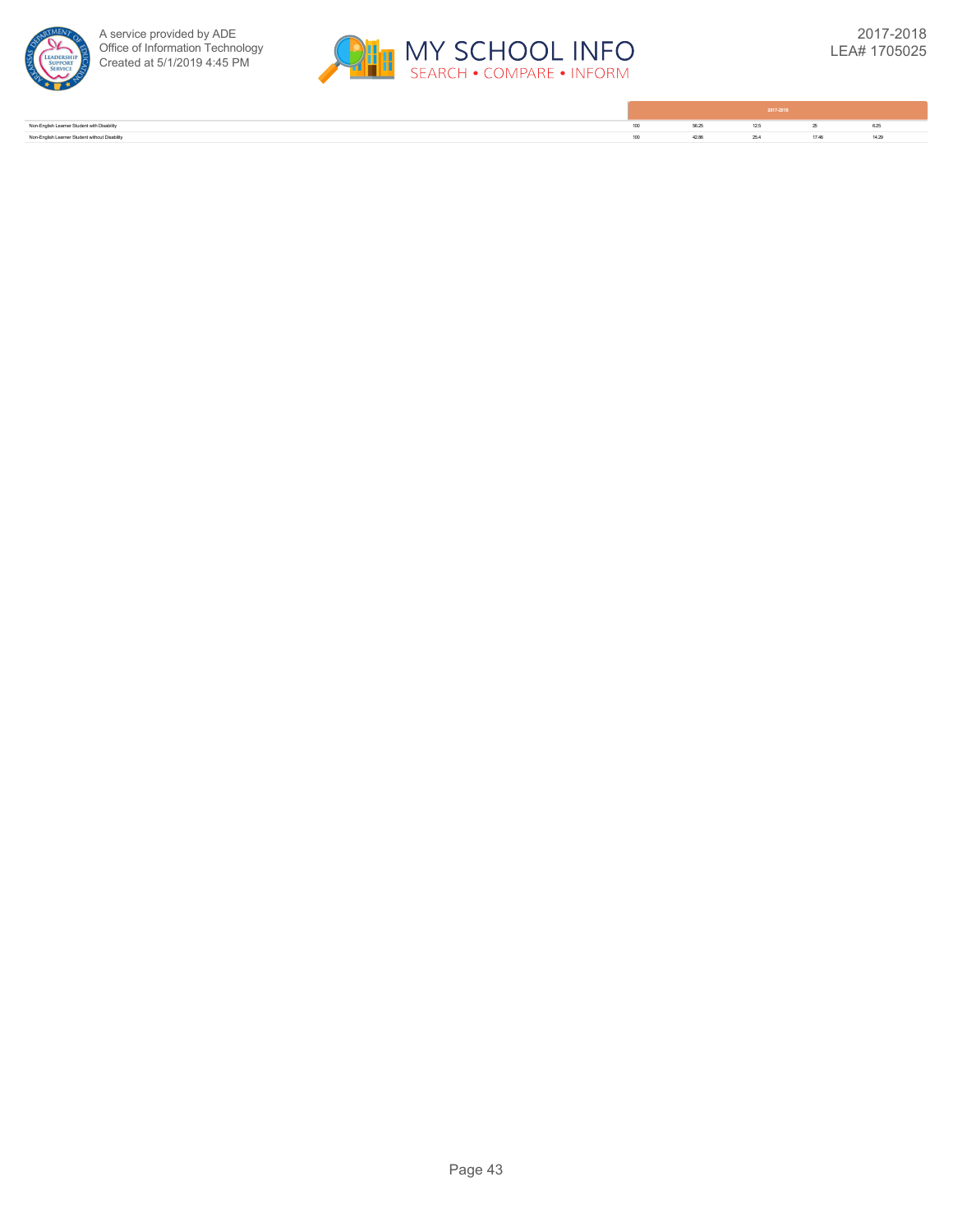



Non-English Learner Student with Disability 100 56.25 12.5 25 6.25 Non-English Learner Student without Disability 100 42.86 25.4 17.46 14.29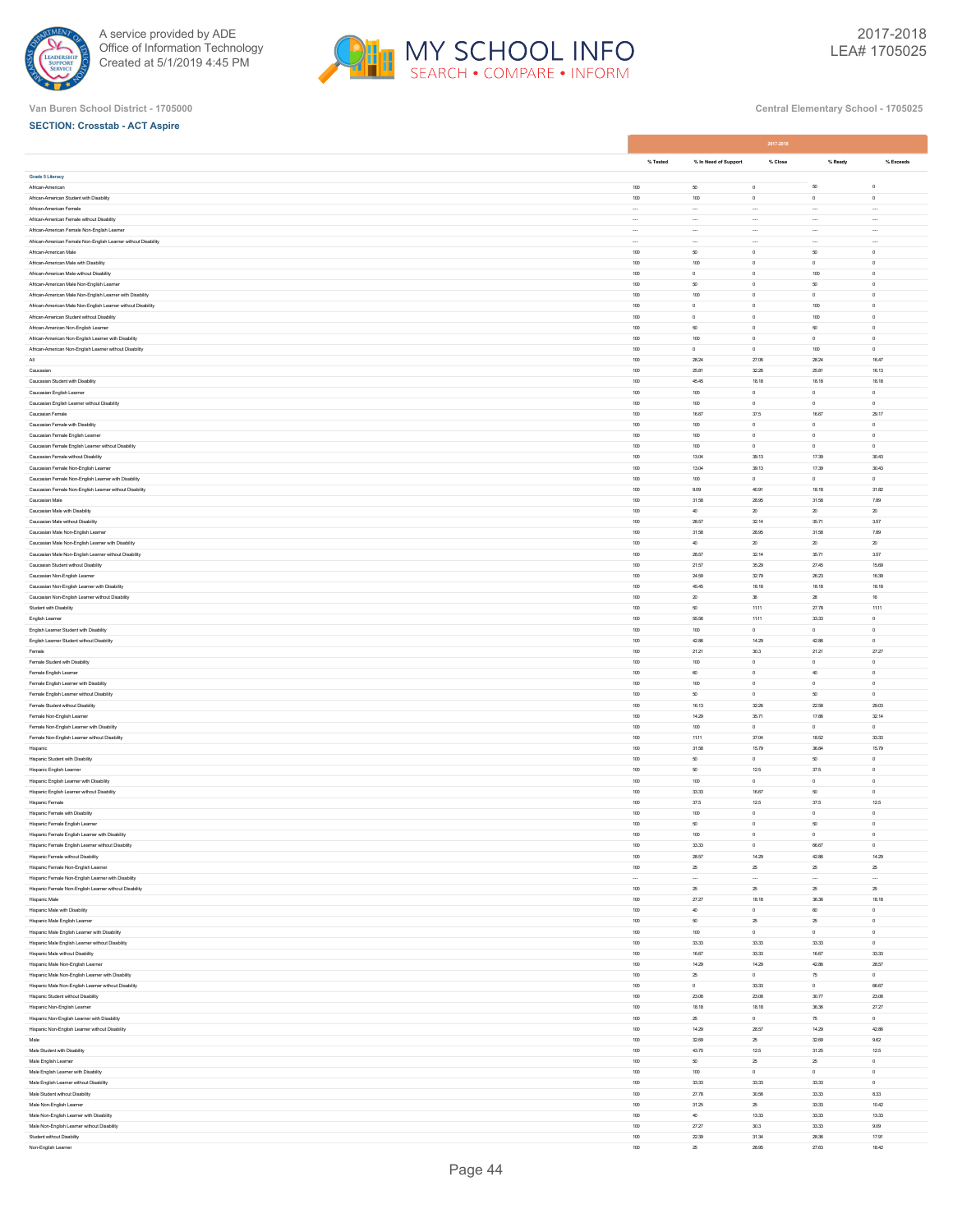



|                                                                                                             |                      |                        | 2017-2018              |                        |                        |
|-------------------------------------------------------------------------------------------------------------|----------------------|------------------------|------------------------|------------------------|------------------------|
|                                                                                                             | $%$ Tested           | % In Need of Support   | $\%$ Close             | % Ready                | $%$ Exceeds            |
| <b>Grade 5 Literacy</b>                                                                                     |                      |                        |                        |                        |                        |
| African-American                                                                                            | 100                  | 60                     | $\,$ 0                 | $_{50}$                | $\circ$                |
| African-American Student with Disability                                                                    | 100                  | 100                    | $\circ$                | $\circ$                | $\circ$                |
| African-American Female<br>African-American Female without Disability                                       | $\cdots$<br>$\cdots$ | $\cdots$<br>$\cdots$   | $\ddotsc$<br>$\ddotsc$ | $\cdots$<br>$\ddotsc$  | $\cdots$<br>$\ddotsc$  |
| African-American Female Non-English Learner                                                                 | $\cdots$             | $\cdots$               | $\cdots$               | $\cdots$               | $\cdots$               |
| African-American Female Non-English Learner without Disability                                              | $\ddotsc$            |                        | $\ddot{\phantom{0}}$   | $\ddot{\phantom{0}}$   |                        |
| African-American Male                                                                                       | 100                  | 60                     | $\,$ 0 $\,$            | $_{50}$                | $\circ$                |
| African-American Male with Disability                                                                       | 100                  | 100                    | $\,$ 0 $\,$            | $\,$ 0 $\,$            | $\,$ 0 $\,$            |
| African-American Male without Disability                                                                    | 100                  | $\,0\,$                | $\,$ 0 $\,$            | 100                    | $\,0\,$                |
| African-American Male Non-English Learner<br>African-American Male Non-English Learner with Disability      | 100<br>100           | 50<br>100              | $\circ$<br>$\,$ 0 $\,$ | $_{50}$<br>$\,$ 0 $\,$ | $\circ$<br>$\,$ 0 $\,$ |
| African-American Male Non-English Learner without Disability                                                | 100                  | $\circ$                | $\,$ 0 $\,$            | 100                    | $\circ$                |
| African-American Student without Disability                                                                 | 100                  | $\,$ 0 $\,$            | $\,$ 0 $\,$            | 100                    | $\,$ 0 $\,$            |
| African-American Non-English Learner                                                                        | 100                  | $_{50}$                | $\,$ 0                 | $_{50}$                | $\,$ 0 $\,$            |
| African-American Non-English Learner with Disability                                                        | 100                  | 100                    | $\circ$                | $\circ$                | $\circ$                |
| African-American Non-English Learner without Disability                                                     | 100                  | $\circ$                | $\,$ 0 $\,$            | 100                    | $\circ$                |
| All                                                                                                         | 100                  | 28.24                  | 27.06                  | 28.24                  | 16.47                  |
| Caucasian<br>Caucasian Student with Disability                                                              | 100<br>100           | 25.81<br>45.45         | 32.26<br>18.18         | 25.81<br>18.18         | 16.13<br>18.18         |
| Caucasian English Learner                                                                                   | 100                  | 100                    | $\,$ 0                 | $\,0\,$                | $\,$ 0 $\,$            |
| Caucasian English Learner without Disability                                                                | 100                  | 100                    | $\,$ 0 $\,$            | $\,$ 0 $\,$            | $\,$ 0 $\,$            |
| Caucasian Female                                                                                            | 100                  | 16.67                  | $37.5\,$               | 16.67                  | 29.17                  |
| Caucasian Female with Disability                                                                            | 100                  | 100                    | $\circ$                | $\circ$                | $\circ$                |
| Caucasian Female English Learner                                                                            | 100                  | 100                    | $\,$ 0 $\,$            | $\,$ 0 $\,$            | $\,$ 0 $\,$            |
| Caucasian Female English Learner without Disability                                                         | 100                  | 100                    | $\circ$                | $\circ$                | $\circ$                |
| Caucasian Female without Disability<br>Caucasian Female Non-English Learner                                 | 100<br>100           | 13.04<br>13.04         | 39.13<br>39.13         | 17.39<br>17.39         | 30.43<br>30.43         |
| Caucasian Female Non-English Learner with Disability                                                        | 100                  | 100                    | $\,$ 0 $\,$            | $\circ$                | $\circ$                |
| Caucasian Female Non-English Learner without Disability                                                     | 100                  | 9.09                   | 40.91                  | 18.18                  | 31.82                  |
| Caucasian Male                                                                                              | 100                  | 31.58                  | 28.95                  | 31.58                  | 7.89                   |
| Caucasian Male with Disability                                                                              | 100                  | 40                     | $20\,$                 | 20                     | 20                     |
| Caucasian Male without Disability                                                                           | 100                  | 28.57                  | 32.14                  | 35.71                  | 3.57                   |
| Caucasian Male Non-English Learner                                                                          | 100                  | 31.58                  | 28.95                  | 31.58                  | 7.89                   |
| Caucasian Male Non-English Learner with Disability<br>Caucasian Male Non-English Learner without Disability | 100<br>100           | 40<br>28.57            | 20<br>32.14            | 20<br>35.71            | 20<br>3.57             |
| Caucasian Student without Disability                                                                        | 100                  | 21.57                  | 35.29                  | 27.45                  | 15.69                  |
| Caucasian Non-English Learner                                                                               | 100                  | 24.59                  | 32.79                  | 26.23                  | 16.39                  |
| Caucasian Non-English Learner with Disability                                                               | 100                  | 45.45                  | 18.18                  | 18.18                  | 18.18                  |
| Caucasian Non-English Learner without Disability                                                            | 100                  | 20                     | 36                     | 28                     | 16                     |
| Student with Disability                                                                                     | 100                  | 60                     | 11.11                  | 27.78                  | 11.11                  |
| English Learner                                                                                             | 100                  | 55.56                  | 11.11                  | 33.33                  | $\,$ 0                 |
| English Learner Student with Disability<br>English Learner Student without Disability                       | 100<br>100           | 100<br>42.86           | $\circ$<br>14.29       | $\circ$<br>42.86       | $\circ$<br>$\,$ 0 $\,$ |
| Female                                                                                                      | 100                  | 21.21                  | 30.3                   | 21.21                  | 27.27                  |
| Female Student with Disability                                                                              | 100                  | 100                    | $\,$ 0 $\,$            | $\,$ 0 $\,$            | $\,$ 0 $\,$            |
| Female English Learner                                                                                      | 100                  | $_{60}$                | $\,$ 0                 | $40\,$                 | $\,$ 0 $\,$            |
| Female English Learner with Disability                                                                      | 100                  | 100                    | $\circ$                | $\circ$                | $\circ$                |
| Female English Learner without Disability                                                                   | 100                  | 60                     | $\,$ 0 $\,$            | $_{50}$                | $\circ$                |
| Female Student without Disability                                                                           | 100<br>100           | 16.13<br>14.29         | 32.26<br>35.71         | 22.58<br>17.86         | 29.03<br>32.14         |
| Female Non-English Learner<br>Female Non-English Learner with Disability                                    | 100                  | 100                    | $\,$ 0                 | $\circ$                | $\,$ 0                 |
| Female Non-English Learner without Disability                                                               | 100                  | 11.11                  | 37.04                  | 18.52                  | 33.33                  |
| Hispanic                                                                                                    | 100                  | 31.58                  | 15.79                  | 36.84                  | 15.79                  |
| Hispanic Student with Disability                                                                            | 100                  | $_{\rm 50}$            | $\,$ 0                 | $_{50}$                | $\circ$                |
| Hispanic English Learner                                                                                    | 100                  | 50                     | 12.5                   | 37.5                   | $^{\circ}$             |
| Hispanic English Learner with Disability                                                                    | 100                  | 100                    | $\,$ 0 $\,$            | $\circ$                | $\circ$<br>$\,$ 0      |
| Hispanic English Learner without Disability<br>Hispanic Female                                              | 100<br>100           | 33.33<br>37.5          | 16.67<br>125           | 50<br>37.5             | 12.5                   |
| Hispanic Female with Disability                                                                             | 100                  | 100                    | $\,$ 0 $\,$            | $\,$ 0 $\,$            | $\,$ 0 $\,$            |
| Hispanic Female English Learner                                                                             | 100                  | 60                     | $\circ$                | 50                     | $\circ$                |
| Hispanic Female English Learner with Disability                                                             | 100                  | 100                    | $\,$ 0                 | $\circ$                | $\,$ 0                 |
| Hispanic Female English Learner without Disability                                                          | 100                  | 33.33                  | $\,$ 0 $\,$            | 66.67                  | $\,$ 0                 |
| Hispanic Female without Disability                                                                          | 100<br>100           | 28.57<br>$\mathbf{25}$ | 14.29<br>$\rm{2S}$     | 42.86<br>$\rm 25$      | 14.29<br>$\rm 25$      |
| Hispanic Female Non-English Learner<br>Hispanic Female Non-English Learner with Disability                  | $\cdots$             | $\ldots$               | $\cdots$               | $\cdots$               | $\ddotsc$              |
| Hispanic Female Non-English Learner without Disability                                                      | 100                  | 25                     | $\mathbf{z}$           | $\rm{25}$              | $\rm{25}$              |
| Hispanic Male                                                                                               | 100                  | 27.27                  | 18.18                  | 36.36                  | 18.18                  |
| Hispanic Male with Disability                                                                               | 100                  | 40                     | $\,$ 0                 | $60$                   | $\,$ 0 $\,$            |
| Hispanic Male English Learner                                                                               | 100                  | 60                     | $\rm{2S}$              | $\rm{25}$              | $\,$ 0 $\,$            |
| Hispanic Male English Learner with Disability                                                               | 100                  | 100                    | $\,$ 0                 | $\circ$                | $\,$ 0                 |
| Hispanic Male English Learner without Disability                                                            | 100<br>100           | 33.33<br>16.67         | 33.33<br>33.33         | 33.33<br>16.67         | $\circ$<br>33.33       |
| Hispanic Male without Disability<br>Hispanic Male Non-English Learner                                       | 100                  | 14.29                  | 14.29                  | 42.86                  | 28.57                  |
| Hispanic Male Non-English Learner with Disability                                                           | 100                  | $\rm{25}$              | $\circ$                | 75                     | $\circ$                |
| Hispanic Male Non-English Learner without Disability                                                        | 100                  | $\,$ 0 $\,$            | 33.33                  | $\,$ 0 $\,$            | 66.67                  |
| Hispanic Student without Disability                                                                         | 100                  | 23.08                  | 23.08                  | 30.77                  | 23.08                  |
| Hispanic Non-English Learner                                                                                | 100                  | 18.18                  | 18.18                  | 36.36                  | 27.27                  |
| Hispanic Non-English Learner with Disability                                                                | 100                  | $\rm{25}$              | $\,$ 0                 | $75\,$                 | $\,$ 0 $\,$            |
| Hispanic Non-English Learner without Disability<br>Male                                                     | 100<br>100           | 14.29<br>32.69         | 28.57<br>$\rm{2S}$     | 14.29<br>32.69         | 42.86<br>9.62          |
| Male Student with Disability                                                                                | 100                  | 43.75                  | 12.5                   | 31.25                  | 12.5                   |
| Male English Learner                                                                                        | 100                  | 60                     | 25                     | 25                     | $\circ$                |
| Male English Learner with Disability                                                                        | 100                  | 100                    | $\,$ 0                 | $\circ$                | $\,$ 0                 |
| Male English Learner without Disability                                                                     | 100                  | 33.33                  | 33.33                  | 33.33                  | $\,$ 0 $\,$            |
| Male Student without Disability                                                                             | 100                  | 27.78                  | 30.56                  | 33.33                  | 8.33                   |
| Male Non-English Learner                                                                                    | 100<br>100           | 31.25<br>40            | $\rm{2S}$<br>13.33     | 33.33<br>33.33         | 10.42<br>13.33         |
| Male Non-English Learner with Disability<br>Male Non-English Learner without Disability                     | 100                  | 27.27                  | 30.3                   | 33.33                  | 9.09                   |
| Student without Disability                                                                                  | 100                  | 22.39                  | 31.34                  | 28.36                  | 17.91                  |
| Non-English Learner                                                                                         | 100                  | $\rm{25}$              | 28.95                  | 27.63                  | 18.42                  |
|                                                                                                             |                      |                        |                        |                        |                        |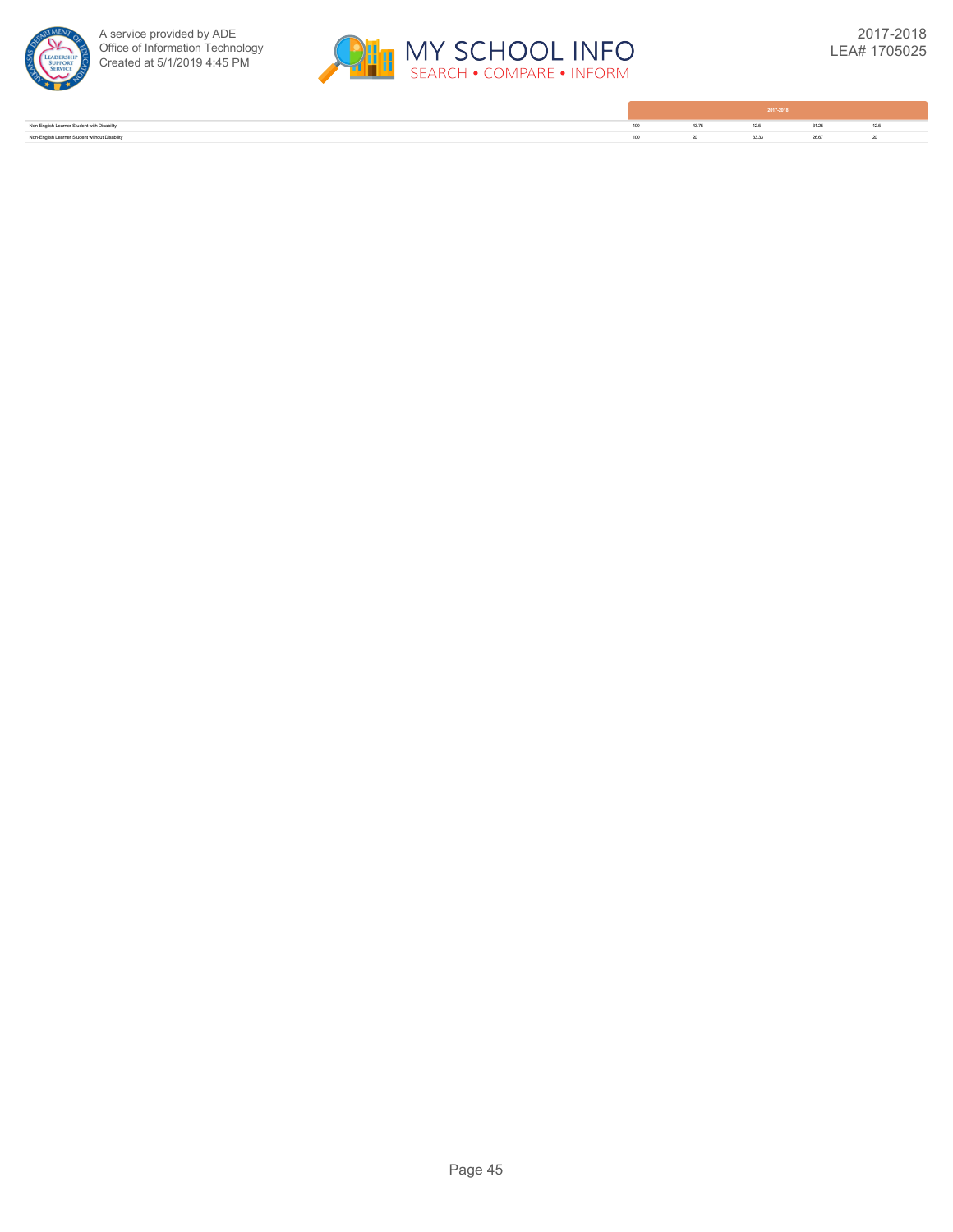



Non-English Learner Student with Disability 100 43.75 12.5 31.25 12.5 Non-English Learner Student without Disability 100 20 33.33 26.67 20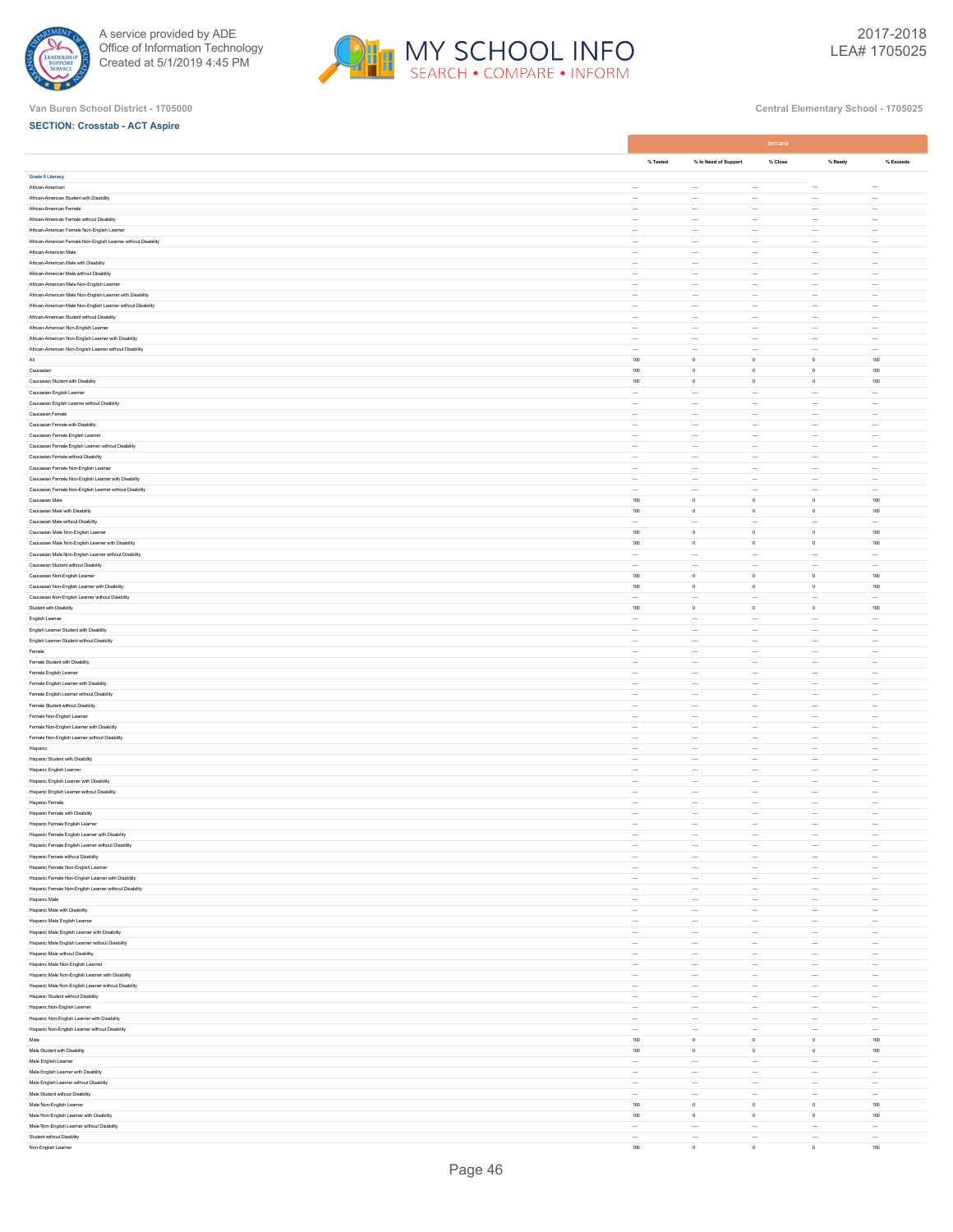



|                                                                                                                 | 2017-2018                        |                                  |                                   |                         |                                  |  |  |  |
|-----------------------------------------------------------------------------------------------------------------|----------------------------------|----------------------------------|-----------------------------------|-------------------------|----------------------------------|--|--|--|
|                                                                                                                 | % Tested                         | % In Need of Support             | % Close                           | % Ready                 | % Exceeds                        |  |  |  |
| Grade 6 Literacy                                                                                                |                                  |                                  |                                   |                         |                                  |  |  |  |
| African-American                                                                                                | $\cdots$                         | $\cdots$                         | $\cdots$                          | $\cdots$                | $\cdots$                         |  |  |  |
| African-American Student with Disability                                                                        | $\ldots$                         | $\cdots$                         | $\cdots$                          | $\cdots$                | $\cdots$                         |  |  |  |
| African-American Female                                                                                         | $\sim$                           | $\sim$                           | $\sim$                            | $\ddotsc$               | $\cdots$                         |  |  |  |
| African-American Female without Disability                                                                      | $\cdots$<br>$\cdots$             | $\sim$<br>$\ddotsc$              | $\cdots$<br>$\ddot{\phantom{0}}$  | $\cdots$<br>$\ddotsc$   | $\cdots$<br>                     |  |  |  |
| African-American Female Non-English Learner<br>African-American Female Non-English Learner without Disability   | $\cdots$                         | $\sim$                           | $\sim$                            | $\ddotsc$               | $\overline{\phantom{a}}$         |  |  |  |
| African-American Male                                                                                           | $\cdots$                         | $\cdots$                         | $\cdots$                          | $\cdots$                | $\cdots$                         |  |  |  |
| African-American Male with Disability                                                                           | $\cdots$                         | $\cdots$                         | $\cdots$                          | $\cdots$                | $\cdots$                         |  |  |  |
| African-American Male without Disability                                                                        | $\cdots$                         | $\cdots$                         | $\ddotsc$                         | $\cdots$                | $\cdots$                         |  |  |  |
| African-American Male Non-English Learner                                                                       | $\cdots$                         | $\cdots$                         | $\cdots$                          | $\cdots$                | $\cdots$                         |  |  |  |
| African-American Male Non-English Learner with Disability                                                       | $\cdots$                         | $\sim$                           | $\ddot{\phantom{0}}$              |                         | $\cdots$                         |  |  |  |
| African-American Male Non-English Learner without Disability<br>African-American Student without Disability     | $\cdots$                         | $\cdots$<br>$\ddot{\phantom{a}}$ | $\cdots$                          | $\cdots$<br>$\ddotsc$   | $\cdots$                         |  |  |  |
| African-American Non-English Learner                                                                            | $\cdots$<br>$\cdots$             | $\cdots$                         | $\ddot{\phantom{0}}$<br>$\cdots$  | $\cdots$                | $\ddot{\phantom{0}}$<br>$\cdots$ |  |  |  |
| African-American Non-English Learner with Disability                                                            | $\cdots$                         | $\cdots$                         | $\ddotsc$                         | $\cdots$                | $\cdots$                         |  |  |  |
| African-American Non-English Learner without Disability                                                         | $\ddot{\phantom{a}}$             |                                  |                                   |                         |                                  |  |  |  |
| All                                                                                                             | 100                              | $\circ$                          | $\circ$                           | $\circ$                 | 100                              |  |  |  |
| Caucasian                                                                                                       | 100                              | $\,$ 0 $\,$                      | $\,$ 0 $\,$                       | $\,$ 0 $\,$             | 100                              |  |  |  |
| Caucasian Student with Disability                                                                               | 100                              | $\circ$                          | $\,$ 0 $\,$                       | $\,$ 0 $\,$             | 100                              |  |  |  |
| Caucasian English Learner<br>Caucasian English Learner without Disability                                       | $\cdots$                         | $\cdots$<br>$\ddot{\phantom{0}}$ | $\cdots$<br>$\ddotsc$             | $\cdots$                | $\cdots$                         |  |  |  |
| Caucasian Female                                                                                                | $\cdots$<br>$\sim$               | <b>Sec</b>                       | $\sim$                            | $\cdots$<br>$\ddotsc$   | $\cdots$<br>$\ddotsc$            |  |  |  |
| Caucasian Female with Disability                                                                                | $\cdots$                         | $\cdots$                         | $\cdots$                          | $\cdots$                | $\cdots$                         |  |  |  |
| Caucasian Female English Learner                                                                                | $\cdots$                         | $\ddot{\phantom{0}}$             | $\ddot{\phantom{0}}$              |                         |                                  |  |  |  |
| Caucasian Female English Learner without Disability                                                             | $\cdots$                         | $\cdots$                         | $\cdots$                          | $\cdots$                | $\cdots$                         |  |  |  |
| Caucasian Female without Disability                                                                             | $\cdots$                         | $\cdots$                         | $\cdots$                          | $\cdots$                | $\cdots$                         |  |  |  |
| Caucasian Female Non-English Learner                                                                            | $\cdots$                         | $\cdots$                         | $\cdots$                          | $\cdots$                | $\cdots$                         |  |  |  |
| Caucasian Female Non-English Learner with Disability<br>Caucasian Female Non-English Learner without Disability | $\cdots$<br>$\cdots$             | $\cdots$                         | $\cdots$<br>$\ddot{\phantom{0}}$  | $\cdots$                | $\cdots$                         |  |  |  |
| Caucasian Male                                                                                                  | 100                              | $\circ$                          | $\,$ 0 $\,$                       | $\,$ 0 $\,$             | 100                              |  |  |  |
| Caucasian Male with Disability                                                                                  | 100                              | $\,$ 0 $\,$                      | $\,$ 0 $\,$                       | $\,$ 0 $\,$             | 100                              |  |  |  |
| Caucasian Male without Disability                                                                               | $\ddot{\phantom{0}}$             | $\sim$                           | $\ddot{\phantom{0}}$              | $\ddotsc$               |                                  |  |  |  |
| Caucasian Male Non-English Learner                                                                              | 100                              | $\circ$                          | $\mathbf 0$                       | $\circ$                 | 100                              |  |  |  |
| Caucasian Male Non-English Learner with Disability                                                              | 100                              | $\,$ 0 $\,$                      | $\,$ 0 $\,$                       | $\mathbb O$             | 100                              |  |  |  |
| Caucasian Male Non-English Learner without Disability                                                           |                                  | $\sim$                           | $\ddotsc$                         | $\ddotsc$               |                                  |  |  |  |
| Caucasian Student without Disability<br>Caucasian Non-English Learner                                           | $\cdots$<br>$100\,$              | $\cdots$<br>$\,$ 0 $\,$          | $\cdots$<br>$\,$ 0 $\,$           | $\cdots$<br>$\mathbb O$ | $\cdots$<br>$100\,$              |  |  |  |
| Caucasian Non-English Learner with Disability                                                                   | 100                              | $\,$ 0 $\,$                      | $\,$ 0 $\,$                       | $\,$ 0 $\,$             | 100                              |  |  |  |
| Caucasian Non-English Learner without Disability                                                                | $\cdots$                         | $\cdots$                         | $\cdots$                          | $\cdots$                | $\cdots$                         |  |  |  |
| Student with Disability                                                                                         | $100\,$                          | $\,$ 0 $\,$                      | $\,$ 0 $\,$                       | $\mathbb O$             | $100\,$                          |  |  |  |
| English Learner                                                                                                 | $\sim$                           | $\cdots$                         | $\ddotsc$                         | $\cdots$                | $\cdots$                         |  |  |  |
| English Learner Student with Disability                                                                         | $\cdots$                         | $\cdots$                         | $\cdots$                          | $\cdots$                | $\cdots$                         |  |  |  |
| English Learner Student without Disability                                                                      | $\cdots$<br>$\cdots$             | $\ddot{\phantom{0}}$<br>$\cdots$ | $\ddotsc$<br>$\cdots$             | $\cdots$<br>$\cdots$    | $\cdots$<br>$\cdots$             |  |  |  |
| Female<br>Female Student with Disability                                                                        | $\cdots$                         | $\cdots$                         | $\ddot{\phantom{0}}$              | $\ddot{\phantom{0}}$    | $\cdots$                         |  |  |  |
| Female English Learner                                                                                          | $\cdots$                         | $\cdots$                         | $\cdots$                          | $\cdots$                | $\cdots$                         |  |  |  |
| Female English Learner with Disability                                                                          | $\cdots$                         | $\cdots$                         | $\cdots$                          | $\cdots$                | $\cdots$                         |  |  |  |
| Female English Learner without Disability                                                                       | $\cdots$                         | $\sim$                           | $\cdots$                          | $\ddotsc$               | $\cdots$                         |  |  |  |
| Female Student without Disability                                                                               | $\cdots$                         | $\sim$                           | $\cdots$                          | $\cdots$                | $\cdots$                         |  |  |  |
| Female Non-English Learner                                                                                      | $\ldots$                         | $\cdots$                         | $\cdots$                          | $\cdots$                | $\cdots$                         |  |  |  |
| Female Non-English Learner with Disability                                                                      | $\ddot{\phantom{a}}$<br>$\cdots$ | $\sim$<br>$\cdots$               | $\sim$<br>$\cdots$                | <br>$\cdots$            | <br>$\cdots$                     |  |  |  |
| Female Non-English Learner without Disability<br>Hispanic                                                       | $\cdots$                         | $\ddot{\phantom{0}}$             | $\cdots$                          | $\cdots$                | $\cdots$                         |  |  |  |
| Hispanic Student with Disability                                                                                | $\sim$                           | $\ddotsc$                        | $\ddotsc$                         | $\ddotsc$               | $\ddotsc$                        |  |  |  |
| Hispanic English Learner                                                                                        | $\cdots$                         | $\cdots$                         | $\cdots$                          | $\cdots$                | $\cdots$                         |  |  |  |
| Hispanic English Learner with Disability                                                                        | $\cdots$                         | $\ddot{\phantom{0}}$             | $\cdots$                          |                         |                                  |  |  |  |
| Hispanic English Learner without Disability                                                                     | $\cdots$                         | $\cdots$                         | $\ddotsc$                         | $\cdots$                | $\cdots$                         |  |  |  |
| Hispanic Female                                                                                                 | $\cdots$                         | $\cdots$                         | $\cdots$                          | $\cdots$                | $\cdots$                         |  |  |  |
| Hispanic Female with Disability<br>Hispanic Female English Learner                                              | $\cdots$<br>$\cdots$             | $\ddot{\phantom{0}}$<br>$\cdots$ | $\ddot{\phantom{0}}$<br>$\ddotsc$ | $\cdots$<br>$\cdots$    | $\cdots$<br>$\cdots$             |  |  |  |
| Hispanic Female English Learner with Disability                                                                 |                                  |                                  |                                   |                         |                                  |  |  |  |
| Hispanic Female English Learner without Disability                                                              | $\ldots$                         | $\cdots$                         | $\cdots$                          | $\cdots$                | $\cdots$                         |  |  |  |
| Hispanic Female without Disability                                                                              | $\ldots$                         | $\cdots$                         | $\cdots$                          | $\ldots$                | $\ldots$                         |  |  |  |
| Hispanic Female Non-English Learner                                                                             | $\cdots$                         | $\cdots$                         | $\cdots$                          | $\cdots$                | $\cdots$                         |  |  |  |
| Hispanic Female Non-English Learner with Disability                                                             | $\cdots$                         | $\cdots$                         | $\cdots$                          | $\cdots$                | $\ldots$                         |  |  |  |
| Hispanic Female Non-English Learner without Disability<br>Hispanic Male                                         | $\cdots$<br>$\sim$               | $\cdots$<br>$\sim$               | $\cdots$<br>$\sim$                | $\ldots$<br>$\ddotsc$   | $\ldots$<br>$\cdots$             |  |  |  |
| Hispanic Male with Disability                                                                                   | $\cdots$                         | $\cdots$                         | $\cdots$                          | $\cdots$                | $\ldots$                         |  |  |  |
| Hispanic Male English Learner                                                                                   | $\ldots$                         | $\cdots$                         | $\ldots$                          | $\cdots$                | $\cdots$                         |  |  |  |
| Hispanic Male English Learner with Disability                                                                   | $\cdots$                         | $\sim$                           | $\sim$                            | $\ddotsc$               | $\overline{\phantom{a}}$         |  |  |  |
| Hispanic Male English Learner without Disability                                                                | $\cdots$                         | $\cdots$                         | $\cdots$                          | $\cdots$                | $\cdots$                         |  |  |  |
| Hispanic Male without Disability                                                                                | $\cdots$                         | $\cdots$                         | $\cdots$                          | $\cdots$                | $\cdots$                         |  |  |  |
| Hispanic Male Non-English Learner<br>Hispanic Male Non-English Learner with Disability                          | $\cdots$<br>$\cdots$             | $\cdots$<br>$\cdots$             | $\cdots$<br>$\cdots$              | $\ddotsc$<br>$\cdots$   | $\cdots$<br>$\cdots$             |  |  |  |
| Hispanic Male Non-English Learner without Disability                                                            | $\ldots$                         | $\cdots$                         | $\cdots$                          | $\cdots$                | $\cdots$                         |  |  |  |
| Hispanic Student without Disability                                                                             | $\cdots$                         | $\sim$                           | $\cdots$                          | $\cdots$                | $\cdots$                         |  |  |  |
| Hispanic Non-English Learner                                                                                    | $\cdots$                         | $\cdots$                         | $\cdots$                          | $\cdots$                | $\cdots$                         |  |  |  |
| Hispanic Non-English Learner with Disability                                                                    | $\ldots$                         | $\cdots$                         | $\cdots$                          | $\cdots$                | $\cdots$                         |  |  |  |
| Hispanic Non-English Learner without Disability                                                                 | $\ldots$                         | $\cdots$                         | $\cdots$                          | $\cdots$                | $\ldots$                         |  |  |  |
| Male                                                                                                            | $100\,$                          | $\,$ 0 $\,$                      | $\,$ 0 $\,$                       | $\,$ 0 $\,$             | $100\,$                          |  |  |  |
| Male Student with Disability<br>Male English Learner                                                            | 100<br>$\ldots$                  | $^{\circ}$<br>$\cdots$           | $\mathbf 0$<br>$\ldots$           | $\circ$<br>$\cdots$     | 100<br>$\ldots$                  |  |  |  |
| Male English Learner with Disability                                                                            | ä,                               | $\sim$                           | $\sim$                            | $\ddotsc$               | $\overline{\phantom{a}}$         |  |  |  |
| Male English Learner without Disability                                                                         | $\cdots$                         | $\cdots$                         | $\cdots$                          | $\cdots$                | $\cdots$                         |  |  |  |
| Male Student without Disability                                                                                 | $\cdots$                         | $\ddot{\phantom{0}}$             | $\cdots$                          | $\cdots$                | $\cdots$                         |  |  |  |
| Male Non-English Learner                                                                                        | 100                              | $\circ$                          | $\mathbf 0$                       | $\circ$                 | 100                              |  |  |  |
| Male Non-English Learner with Disability                                                                        | 100                              | $\circ$                          | $\,$ 0 $\,$                       | $\mathbb O$             | 100                              |  |  |  |
| Male Non-English Learner without Disability<br>Student without Disability                                       | $\cdots$<br>$\cdots$             | $\cdots$<br>$\cdots$             | $\cdots$<br>$\ddotsc$             | $\cdots$<br>$\cdots$    | $\cdots$<br>$\cdots$             |  |  |  |
| Non-English Learner                                                                                             | 100                              | $\circ$                          | $\mathbf 0$                       | $\mathbb O$             | 100                              |  |  |  |
|                                                                                                                 |                                  |                                  |                                   |                         |                                  |  |  |  |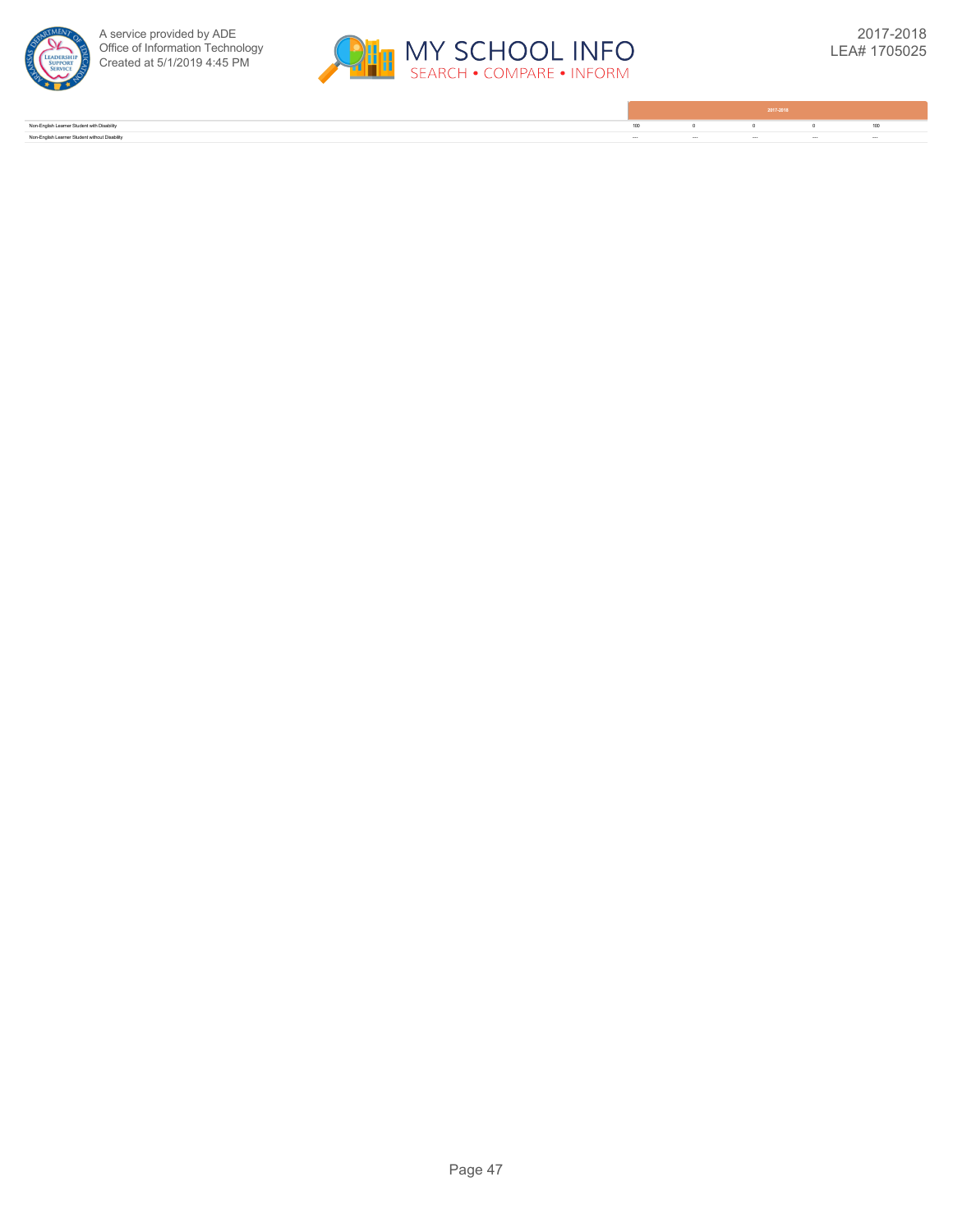



Non-English Learner Student with Disability 100 0 0 0 100 Non-English Learner Student without Disability --- --- --- --- ---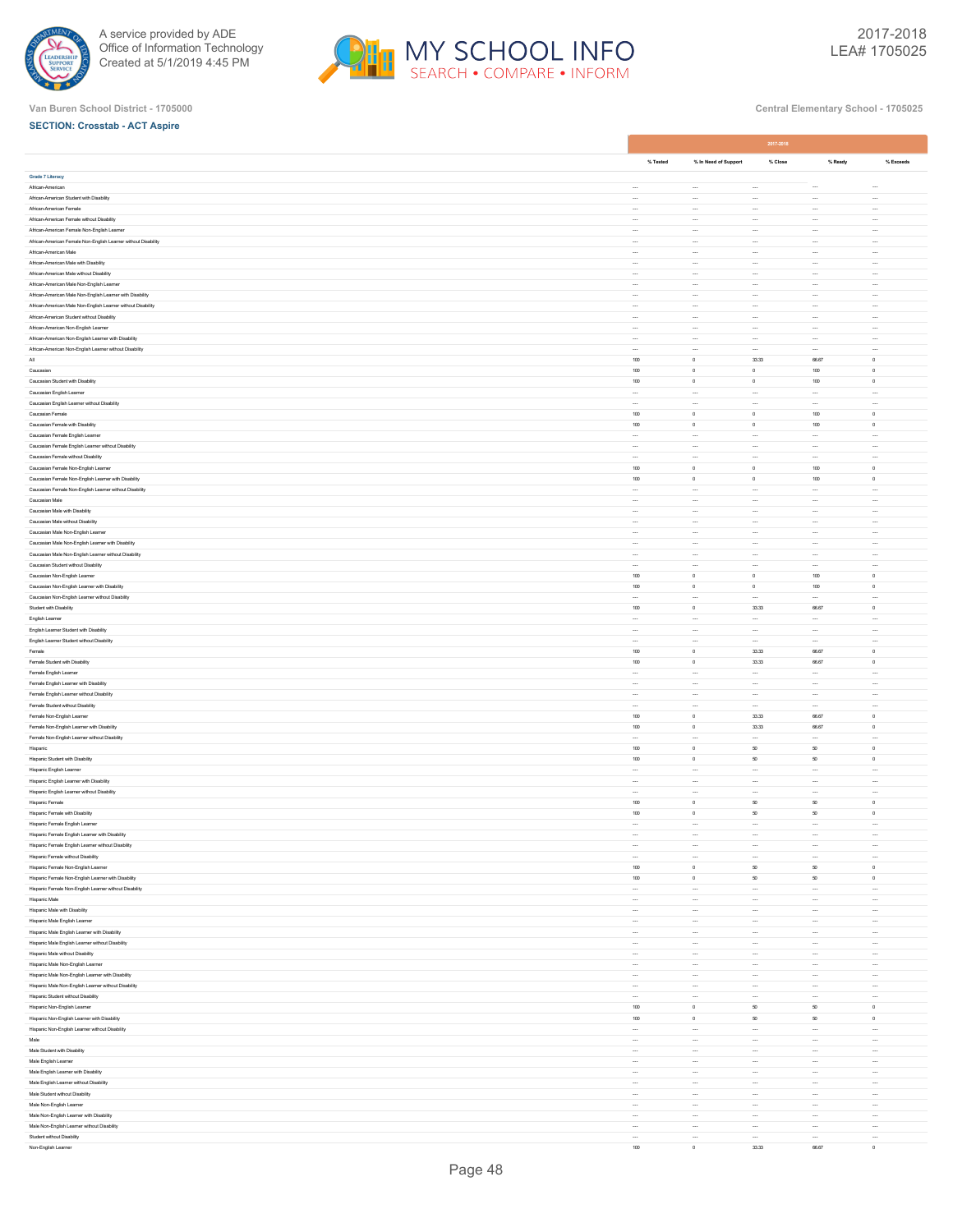



|                                                                                                                 | 2017-2018                        |                          |                                   |                         |                                      |  |  |  |
|-----------------------------------------------------------------------------------------------------------------|----------------------------------|--------------------------|-----------------------------------|-------------------------|--------------------------------------|--|--|--|
|                                                                                                                 | $%$ Tested                       | % In Need of Support     | % Close                           | % Ready                 | % Exceeds                            |  |  |  |
| Grade 7 Literacy                                                                                                |                                  |                          |                                   |                         |                                      |  |  |  |
| African-American                                                                                                | $\cdots$                         | $\cdots$                 | $\cdots$                          | $\cdots$                | $\cdots$                             |  |  |  |
| African-American Student with Disability                                                                        | $\cdots$                         | $\cdots$<br>$\sim$       | $\ldots$                          | $\cdots$<br>$\ddotsc$   | $\cdots$                             |  |  |  |
| African-American Female<br>African-American Female without Disability                                           | <br>$\cdots$                     | $\cdots$                 | $\ddot{\phantom{a}}$<br>$\cdots$  | $\cdots$                | $\cdots$<br>$\cdots$                 |  |  |  |
| African-American Female Non-English Learner                                                                     | $\cdots$                         | $\sim$                   | $\ddot{\phantom{0}}$              | $\ddotsc$               |                                      |  |  |  |
| African-American Female Non-English Learner without Disability                                                  | $\sim$                           | $\sim$                   | $\sim$                            | $\ddotsc$               | $\overline{\phantom{a}}$             |  |  |  |
| African-American Male                                                                                           | $\cdots$                         | $\cdots$                 | $\cdots$                          | $\cdots$                | $\cdots$                             |  |  |  |
| African-American Male with Disability                                                                           | $\cdots$                         | $\cdots$                 | $\cdots$                          | $\cdots$                | $\cdots$                             |  |  |  |
| African-American Male without Disability<br>African-American Male Non-English Learner                           | $\cdots$<br>$\cdots$             | $\sim$<br>$\cdots$       | $\ddotsc$<br>$\cdots$             | $\cdots$<br>$\cdots$    | $\cdots$<br>$\cdots$                 |  |  |  |
| African-American Male Non-English Learner with Disability                                                       | $\cdots$                         | $\sim$                   | $\ddot{\phantom{0}}$              |                         | $\cdots$                             |  |  |  |
| African-American Male Non-English Learner without Disability                                                    | $\cdots$                         | $\sim$                   | $\cdots$                          | $\cdots$                | $\cdots$                             |  |  |  |
| African-American Student without Disability                                                                     | $\cdots$                         | $\sim$                   | $\ddot{\phantom{0}}$              | $\ddotsc$               | $\ddotsc$                            |  |  |  |
| African-American Non-English Learner                                                                            | $\cdots$                         | $\sim$                   | $\cdots$                          | $\cdots$                | $\cdots$                             |  |  |  |
| African-American Non-English Learner with Disability<br>African-American Non-English Learner without Disability | $\cdots$<br>$\ddot{\phantom{0}}$ | $\cdots$                 | $\cdots$<br>$\sim$                | $\cdots$                | $\cdots$                             |  |  |  |
| All                                                                                                             | 100                              | $\circ$                  | 33.33                             | 66.67                   | $\circ$                              |  |  |  |
| Caucasian                                                                                                       | 100                              | $\,$ 0 $\,$              | $\,$ 0 $\,$                       | 100                     | $\mathbb O$                          |  |  |  |
| Caucasian Student with Disability                                                                               | 100                              | $\circ$                  | $\,$ 0 $\,$                       | 100                     | $\,$ 0 $\,$                          |  |  |  |
| Caucasian English Learner                                                                                       | $\cdots$                         | $\cdots$                 | $\cdots$                          | $\cdots$                | $\cdots$                             |  |  |  |
| Caucasian English Learner without Disability<br>Caucasian Female                                                | $\cdots$<br>100                  | $\sim$<br>$\circ$        | $\ddotsc$<br>$\circ$              | $\cdots$<br>100         | $\cdots$<br>$\mathbb O$              |  |  |  |
| Caucasian Female with Disability                                                                                | 100                              | $\circ$                  | $\circ$                           | 100                     | $\mathbb O$                          |  |  |  |
| Caucasian Female English Learner                                                                                | $\ddotsc$                        | $\sim$                   | $\ddot{\phantom{0}}$              | $\ddotsc$               |                                      |  |  |  |
| Caucasian Female English Learner without Disability                                                             | $\cdots$                         | $\sim$                   | $\overline{\phantom{a}}$          | $\cdots$                | $\cdots$                             |  |  |  |
| Caucasian Female without Disability                                                                             | $\cdots$                         | $\cdots$                 | $\cdots$                          | $\cdots$                | $\cdots$                             |  |  |  |
| Caucasian Female Non-English Learner                                                                            | 100<br>100                       | $\,0\,$<br>$\circ$       | $\,$ 0 $\,$<br>$\circ$            | 100<br>100              | $\mathbb O$<br>$\circ$               |  |  |  |
| Caucasian Female Non-English Learner with Disability<br>Caucasian Female Non-English Learner without Disability | $\ddotsc$                        | $\cdots$                 | $\cdots$                          | $\ddotsc$               | $\cdots$                             |  |  |  |
| Caucasian Male                                                                                                  | $\ldots$                         | $\sim$                   | $\cdots$                          | $\cdots$                | $\cdots$                             |  |  |  |
| Caucasian Male with Disability                                                                                  | $\cdots$                         | $\cdots$                 | $\cdots$                          |                         | $\cdots$                             |  |  |  |
| Caucasian Male without Disability                                                                               | $\cdots$                         | $\overline{\phantom{a}}$ | $\ddot{\phantom{0}}$              | $\ddotsc$               | $\cdots$                             |  |  |  |
| Caucasian Male Non-English Learner                                                                              | $\cdots$<br>$\cdots$             | $\cdots$<br>$\cdots$     | $\cdots$<br>$\cdots$              | $\cdots$<br>$\cdots$    | $\cdots$<br>$\cdots$                 |  |  |  |
| Caucasian Male Non-English Learner with Disability<br>Caucasian Male Non-English Learner without Disability     | à.                               | $\sim$                   | $\ddot{\phantom{a}}$              | $\ddotsc$               |                                      |  |  |  |
| Caucasian Student without Disability                                                                            | $\cdots$                         | $\sim$                   | $\overline{\phantom{a}}$          | $\cdots$                | $\cdots$                             |  |  |  |
| Caucasian Non-English Learner                                                                                   | $100\,$                          | $\,$ 0 $\,$              | $\,$ 0 $\,$                       | 100                     | $\,$ 0 $\,$                          |  |  |  |
| Caucasian Non-English Learner with Disability                                                                   | 100                              | $\circ$                  | $\,$ 0 $\,$                       | 100                     | $\,$ 0 $\,$                          |  |  |  |
| Caucasian Non-English Learner without Disability                                                                | $\cdots$                         | $\cdots$                 | $\cdots$                          | $\cdots$                | $\cdots$                             |  |  |  |
| Student with Disability<br>English Learner                                                                      | $100\,$<br>$\sim$                | $\,$ 0 $\,$<br>$\sim$    | 33.33<br>$\ddotsc$                | 66.67<br>$\ddotsc$      | $\,$ 0 $\,$<br>$\cdots$              |  |  |  |
| English Learner Student with Disability                                                                         | $\cdots$                         | $\cdots$                 | $\cdots$                          | $\cdots$                | $\cdots$                             |  |  |  |
| English Learner Student without Disability                                                                      | $\cdots$                         | $\sim$                   | $\cdots$                          | $\cdots$                | $\cdots$                             |  |  |  |
| Female                                                                                                          | 100                              | $\circ$                  | 33.33                             | 66.67                   | $\circ$                              |  |  |  |
| Female Student with Disability                                                                                  | $100\,$<br>$\ldots$              | $\,$ 0 $\,$<br>$\sim$    | 33.33<br>$\cdots$                 | 66.67<br>$\cdots$       | $\,$ 0 $\,$<br>$\cdots$              |  |  |  |
| Female English Learner<br>Female English Learner with Disability                                                | $\cdots$                         | $\sim$                   | $\cdots$                          | $\cdots$                | $\cdots$                             |  |  |  |
| Female English Learner without Disability                                                                       | $\ddotsc$                        | $\sim$                   | $\cdots$                          | $\ddotsc$               | $\cdots$                             |  |  |  |
| Female Student without Disability                                                                               | $\cdots$                         | $\sim$                   | $\cdots$                          | $\cdots$                | $\cdots$                             |  |  |  |
| Female Non-English Learner                                                                                      | 100                              | $\,$ 0 $\,$              | 33.33                             | 66.67                   | $\mathbb O$                          |  |  |  |
| Female Non-English Learner with Disability                                                                      | 100<br>$\cdots$                  | $\,0\,$<br>$\sim$        | 33.33<br>$\overline{\phantom{a}}$ | 66.67<br>$\cdots$       | $\,$ 0 $\,$<br>$\cdots$              |  |  |  |
| Female Non-English Learner without Disability<br>Hispanic                                                       | $100\,$                          | $\,$ 0 $\,$              | $_{50}$                           | $_{\rm 50}$             | $\,$ 0 $\,$                          |  |  |  |
| Hispanic Student with Disability                                                                                | 100                              | $\circ$                  | $_{50}$                           | $_{50}$                 | $\,$ 0 $\,$                          |  |  |  |
| Hispanic English Learner                                                                                        | $\cdots$                         | $\cdots$                 | $\cdots$                          | $\cdots$                | $\cdots$                             |  |  |  |
| Hispanic English Learner with Disability                                                                        | $\ldots$                         | $\sim$                   | $\ddot{\phantom{0}}$              |                         | $\cdots$                             |  |  |  |
| Hispanic English Learner without Disability<br>Hispanic Female                                                  | $\cdots$<br>100                  | $\sim$<br>$\circ$        | $\ddotsc$<br>$_{50}$              | $\cdots$<br>$_{50}$     | $\cdots$<br>$\mathbb O$              |  |  |  |
| Hispanic Female with Disability                                                                                 | 100                              | $\,0\,$                  | $_{50}$                           | $_{50}$                 | $\,$ 0 $\,$                          |  |  |  |
| Hispanic Female English Learner                                                                                 | $\cdots$                         | $\sim$                   | $\ddotsc$                         | $\cdots$                | $\overline{\phantom{a}}$             |  |  |  |
| Hispanic Female English Learner with Disability                                                                 |                                  |                          |                                   |                         |                                      |  |  |  |
| Hispanic Female English Learner without Disability                                                              | $\ldots$                         | $\cdots$                 | $\cdots$                          | $\cdots$                | $\cdots$                             |  |  |  |
| Hispanic Female without Disability<br>Hispanic Female Non-English Learner                                       | $\ldots$<br>$100\,$              | $\cdots$<br>$\,$ 0 $\,$  | $\ldots$<br>$_{50}$               | $\cdots$<br>$_{\rm 50}$ | $\cdots$<br>$\mathbb O$              |  |  |  |
| Hispanic Female Non-English Learner with Disability                                                             | 100                              | $\,$ 0 $\,$              | 50                                | $_{50}$                 | $\circ$                              |  |  |  |
| Hispanic Female Non-English Learner without Disability                                                          | $\cdots$                         | $\cdots$                 | $\cdots$                          | $\cdots$                | $\ldots$                             |  |  |  |
| Hispanic Male                                                                                                   |                                  | $\sim$                   | $\sim$                            | $\ddotsc$               | $\cdots$                             |  |  |  |
| Hispanic Male with Disability                                                                                   | $\cdots$                         | $\cdots$                 | $\cdots$                          | $\cdots$                | $\cdots$                             |  |  |  |
| Hispanic Male English Learner<br>Hispanic Male English Learner with Disability                                  | $\ldots$<br>$\cdots$             | $\cdots$<br>$\sim$       | $\ldots$<br>$\cdots$              | $\cdots$<br>$\ddotsc$   | $\cdots$<br>$\cdots$                 |  |  |  |
| Hispanic Male English Learner without Disability                                                                | $\cdots$                         | $\cdots$                 | $\cdots$                          | $\cdots$                | $\cdots$                             |  |  |  |
| Hispanic Male without Disability                                                                                | $\ldots$                         | $\cdots$                 | $\cdots$                          | $\cdots$                | $\cdots$                             |  |  |  |
| Hispanic Male Non-English Learner                                                                               | $\cdots$                         | $\sim$                   | $\cdots$                          | $\ddotsc$               | $\cdots$                             |  |  |  |
| Hispanic Male Non-English Learner with Disability                                                               | $\cdots$                         | $\cdots$                 | $\cdots$                          | $\cdots$                | $\cdots$                             |  |  |  |
| Hispanic Male Non-English Learner without Disability                                                            | $\ldots$                         | $\cdots$                 | $\cdots$                          | $\cdots$                | $\cdots$                             |  |  |  |
| Hispanic Student without Disability<br>Hispanic Non-English Learner                                             | $\cdots$<br>$100\,$              | $\sim$<br>$\,$ 0 $\,$    | $\cdots$<br>$_{\rm 50}$           | $\cdots$<br>$_{\rm 50}$ | $\cdots$<br>$\mathbb O$              |  |  |  |
| Hispanic Non-English Learner with Disability                                                                    | 100                              | $\,$ 0 $\,$              | $_{50}$                           | $_{\rm 50}$             | $\mathbb O$                          |  |  |  |
| Hispanic Non-English Learner without Disability                                                                 | $\ldots$                         | $\cdots$                 | $\cdots$                          | $\cdots$                | $\cdots$                             |  |  |  |
| Male                                                                                                            | $\cdots$                         | $\sim$                   | $\cdots$                          | $\cdots$                | $\cdots$                             |  |  |  |
| Male Student with Disability                                                                                    | $\cdots$                         | $\cdots$                 | $\cdots$                          | $\cdots$                | $\cdots$                             |  |  |  |
| Male English Learner<br>Male English Learner with Disability                                                    | $\cdots$<br>$\cdots$             | $\ldots$<br>$\sim$       | $\cdots$<br>$\ddot{\phantom{0}}$  | $\ldots$<br>$\ddotsc$   | $\ldots$<br>                         |  |  |  |
| Male English Learner without Disability                                                                         | $\cdots$                         | $\cdots$                 | $\cdots$                          | $\cdots$                | $\cdots$                             |  |  |  |
| Male Student without Disability                                                                                 | $\ldots$                         | $\cdots$                 | $\cdots$                          | $\cdots$                | $\cdots$                             |  |  |  |
| Male Non-English Learner                                                                                        | $\ddotsc$                        | $\sim$                   | $\sim$                            | $\ddotsc$               | $\cdots$                             |  |  |  |
| Male Non-English Learner with Disability                                                                        | $\cdots$                         | $\cdots$                 | $\cdots$                          | $\cdots$                | $\cdots$                             |  |  |  |
| Male Non-English Learner without Disability<br>Student without Disability                                       | $\cdots$<br>$\cdots$             | $\cdots$<br>$\sim$       | $\cdots$<br>$\sim$                | $\cdots$<br>$\cdots$    | $\cdots$<br>$\overline{\phantom{a}}$ |  |  |  |
| Non-English Learner                                                                                             | 100                              | $\,$ 0 $\,$              | 33.33                             | 66.67                   | $\mathbb O$                          |  |  |  |
|                                                                                                                 |                                  |                          |                                   |                         |                                      |  |  |  |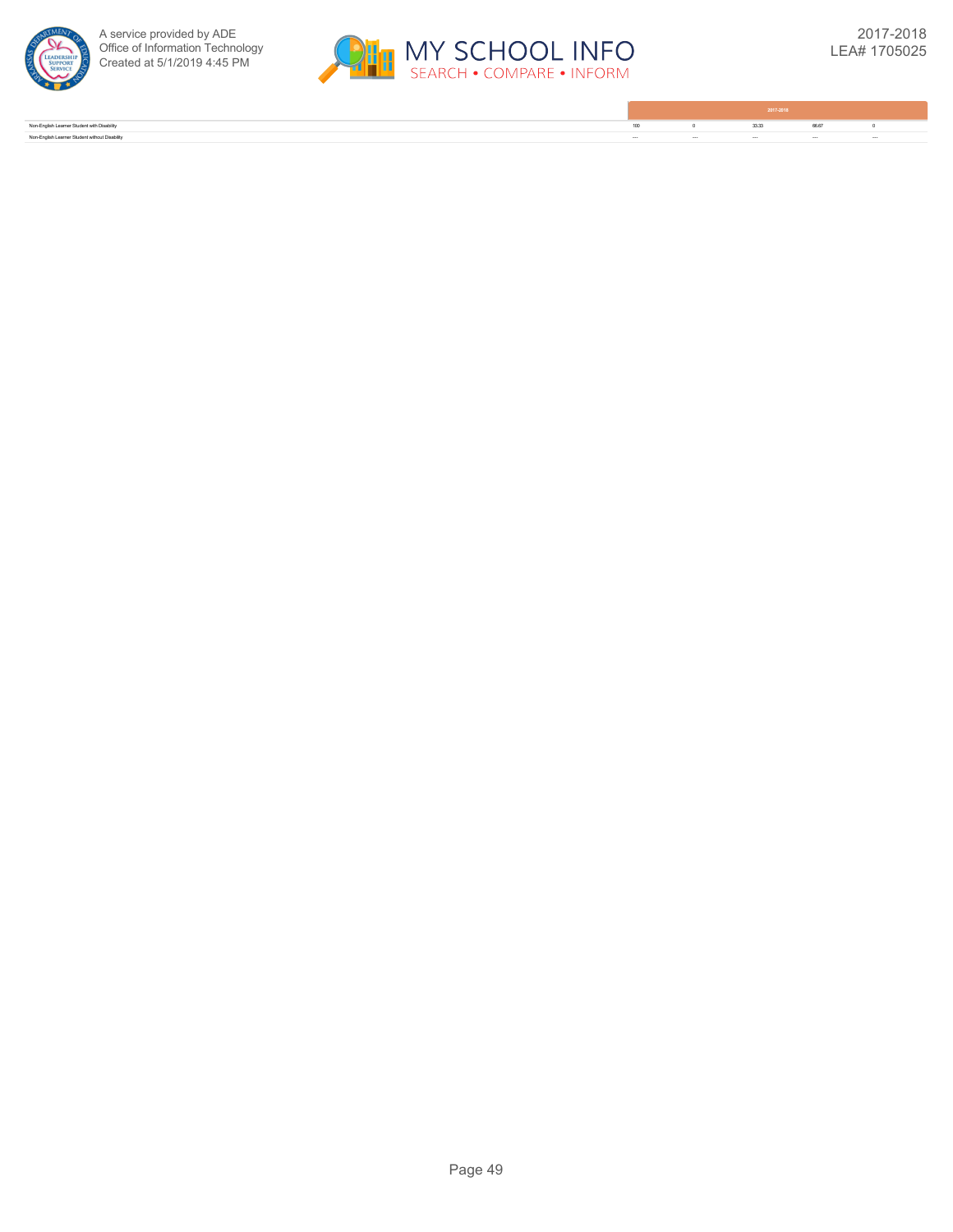



Non-English Learner Student with Disability 100 0 33.33 66.67 0 Non-English Learner Student without Disability --- --- --- --- ---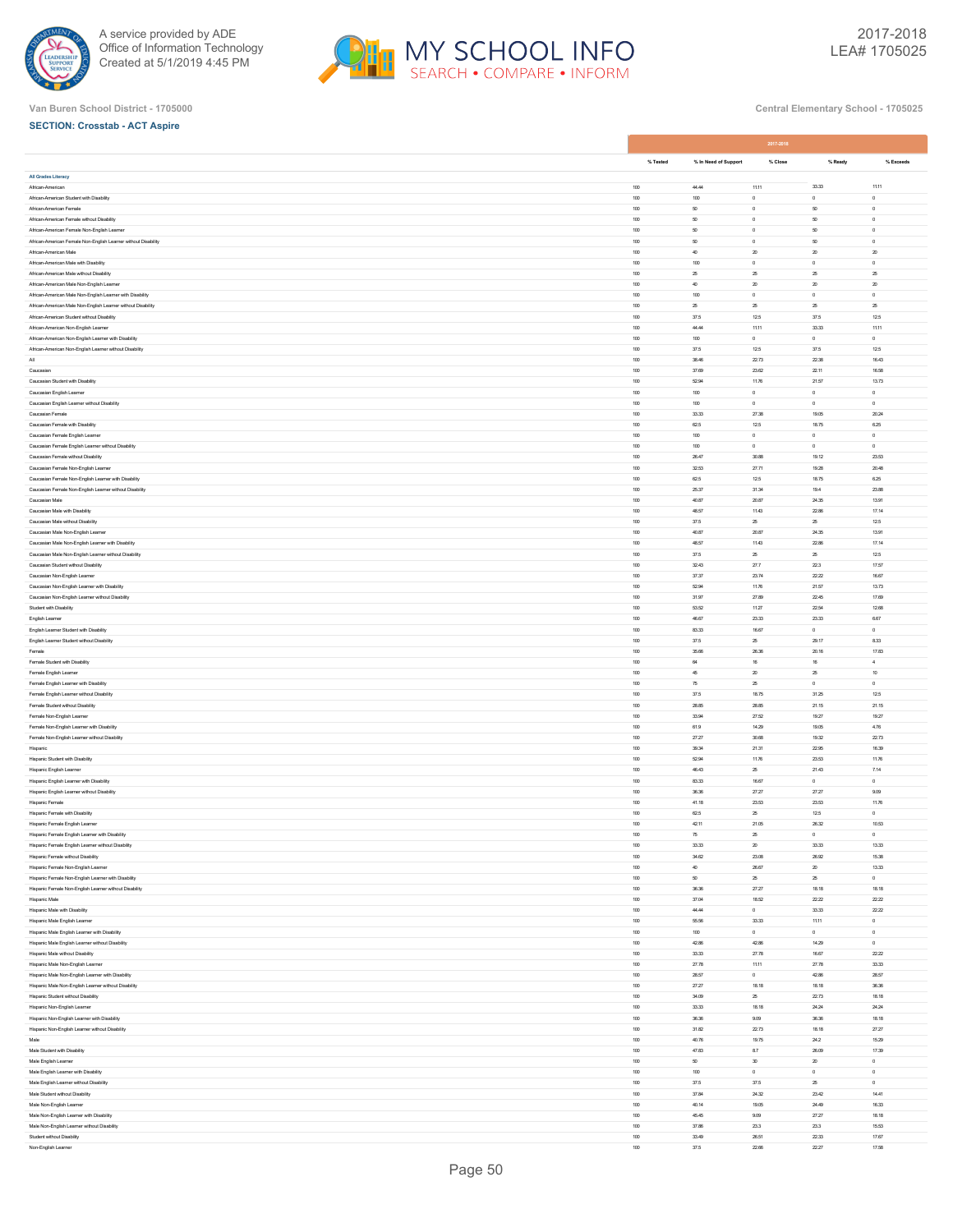



|                                                                                                        |                |                        | 2017-2018              |                       |                            |  |
|--------------------------------------------------------------------------------------------------------|----------------|------------------------|------------------------|-----------------------|----------------------------|--|
|                                                                                                        | % Tested       | % In Need of Support   | % Close                | % Ready               | % Exceeds                  |  |
| <b>All Grades Literacy</b>                                                                             |                |                        |                        |                       |                            |  |
| African-American                                                                                       | $100\,$        | 44.44                  | 11.11                  | 33.33                 | 11.11                      |  |
| African-American Student with Disability                                                               | 100            | 100                    | $\,$ 0                 | $\,$ 0 $\,$           | $\,$ 0 $\,$                |  |
| African-American Female                                                                                | 100            | $_{\rm S0}$            | $\,$ 0 $\,$            | $_{50}$               | $\,$ 0 $\,$                |  |
| African-American Female without Disability<br>African-American Female Non-English Learner              | $100\,$<br>100 | $_{\rm 50}$<br>$_{50}$ | $\circ$<br>$\,$ 0 $\,$ | $_{50}$<br>60         | $\,$ 0<br>$\circ$          |  |
| African-American Female Non-English Learner without Disability                                         | 100            | 60                     | $\,$ 0 $\,$            | $_{50}$               | $\,$ 0 $\,$                |  |
| African-American Male                                                                                  | 100            | 40                     | $20\,$                 | $\rm{20}$             | $\rm{20}$                  |  |
| African-American Male with Disability                                                                  | 100            | 100                    | $\circ$                | $\circ$               | $\circ$                    |  |
| African-American Male without Disability                                                               | $100\,$        | $\rm{25}$              | $\rm{2S}$              | $\rm 25$              | $\rm 25$                   |  |
| African-American Male Non-English Learner<br>African-American Male Non-English Learner with Disability | 100<br>100     | 40<br>100              | $20\,$<br>$\,$ 0 $\,$  | $\rm 20$<br>$\,$ 0    | $\rm{20}$<br>$\,$ 0 $\,$   |  |
| African-American Male Non-English Learner without Disability                                           | $100\,$        | $\rm{z}\rm{s}$         | 25                     | $\rm 25$              | $\rm 25$                   |  |
| African-American Student without Disability                                                            | 100            | 37.5                   | 125                    | 37.5                  | 12.5                       |  |
| African-American Non-English Learner                                                                   | 100            | 44.44                  | 11.11                  | 33.33                 | 11.11                      |  |
| African-American Non-English Learner with Disability                                                   | 100            | 100                    | $\,$ 0                 | $\,$ 0 $\,$           | $\,$ 0 $\,$                |  |
| African-American Non-English Learner without Disability<br>$\mathsf{All}$                              | 100<br>$100\,$ | 37.5<br>38.46          | 125<br>22.73           | 37.5<br>22.38         | 12.5<br>16.43              |  |
| Caucasian                                                                                              | 100            | 37.69                  | 23.62                  | 22.11                 | 16.58                      |  |
| Caucasian Student with Disability                                                                      | 100            | 52.94                  | 11.76                  | 21.57                 | 13.73                      |  |
| Caucasian English Learner                                                                              | 100            | 100                    | $\,$ 0                 | $\,0\,$               | $\,0\,$                    |  |
| Caucasian English Learner without Disability                                                           | 100            | 100                    | $\circ$                | $\circ$               | $\circ$                    |  |
| Caucasian Female                                                                                       | 100            | 33.33                  | 27.38                  | 19.05                 | 20.24                      |  |
| Caucasian Female with Disability<br>Caucasian Female English Learner                                   | 100<br>100     | 62.5<br>100            | 12.5<br>$\circ$        | 18.75<br>$\circ$      | 6.25<br>$\circ$            |  |
| Caucasian Female English Learner without Disability                                                    | $100\,$        | 100                    | $\,$ 0                 | $\,$ 0 $\,$           | $\,$ 0 $\,$                |  |
| Caucasian Female without Disability                                                                    | 100            | 26.47                  | 30.88                  | 19.12                 | 23.53                      |  |
| Caucasian Female Non-English Learner                                                                   | 100            | 32.53                  | 27.71                  | 19.28                 | 20.48                      |  |
| Caucasian Female Non-English Learner with Disability                                                   | $100\,$        | 62.5                   | $12.5\,$               | 18.75                 | 6.25                       |  |
| Caucasian Female Non-English Learner without Disability<br>Caucasian Male                              | 100<br>100     | 25.37<br>40.87         | 31.34<br>20.87         | 19.4<br>24.35         | 23.88<br>13.91             |  |
| Caucasian Male with Disability                                                                         | 100            | 48.57                  | 11.43                  | 22.86                 | 17.14                      |  |
| Caucasian Male without Disability                                                                      | 100            | 37.5                   | 25                     | $\rm{25}$             | 12.5                       |  |
| Caucasian Male Non-English Learner                                                                     | $100\,$        | 40.87                  | 20.87                  | 24.35                 | 13.91                      |  |
| Caucasian Male Non-English Learner with Disability                                                     | 100            | 48.57                  | 11.43                  | 22.86                 | 17.14                      |  |
| Caucasian Male Non-English Learner without Disability                                                  | 100            | 37.5                   | $\rm{2S}$              | $\rm{25}$             | 12.5                       |  |
| Caucasian Student without Disability<br>Caucasian Non-English Learner                                  | $100\,$<br>100 | 32.43<br>37.37         | $27.7\,$<br>23.74      | $22.3\,$<br>22.22     | 17.57<br>16.67             |  |
| Caucasian Non-English Learner with Disability                                                          | 100            | 52.94                  | 11.76                  | 21.57                 | 13.73                      |  |
| Caucasian Non-English Learner without Disability                                                       | 100            | 31.97                  | 27.89                  | 22.45                 | 17.69                      |  |
| Student with Disability                                                                                | 100            | 53.52                  | 11.27                  | 22.54                 | 12.68                      |  |
| English Learner                                                                                        | $100\,$        | 46.67                  | 23.33                  | 23.33                 | 6.67                       |  |
| English Learner Student with Disability<br>English Learner Student without Disability                  | 100<br>100     | 83.33<br>37.5          | 16.67<br>$\rm{2S}$     | $\,$ 0<br>29.17       | $\,$ 0<br>8.33             |  |
| Female                                                                                                 | $100\,$        | 35.66                  | 26.36                  | 20.16                 | 17.83                      |  |
| Female Student with Disability                                                                         | 100            | 64                     | 16                     | 16                    | $\overline{4}$             |  |
| Female English Learner                                                                                 | 100            | $46\,$                 | $20\,$                 | $\rm 25$              | $10\,$                     |  |
| Female English Learner with Disability                                                                 | 100            | 75                     | $\rm{2S}$              | $\,$ 0 $\,$           | $\,$ 0 $\,$                |  |
| Female English Learner without Disability                                                              | 100            | 37.5                   | 18.75                  | 31.25                 | 12.5                       |  |
| Female Student without Disability<br>Female Non-English Learner                                        | $100\,$<br>100 | 28.85<br>33.94         | 28.85<br>27.52         | 21.15<br>19.27        | 21.15<br>19.27             |  |
| Female Non-English Learner with Disability                                                             | 100            | 61.9                   | 14.29                  | 19.05                 | 4.76                       |  |
| Female Non-English Learner without Disability                                                          | $100\,$        | 27.27                  | 30.68                  | 19.32                 | 22.73                      |  |
| Hispanic                                                                                               | 100            | 39.34                  | 21.31                  | 22.95                 | 16.39                      |  |
| Hispanic Student with Disability                                                                       | 100            | 52.94                  | 11.76                  | 23.53                 | 11.76                      |  |
| Hispanic English Learner                                                                               | 100<br>100     | 46.43<br>83.33         | $\rm{2S}$<br>16.67     | 21.43                 | 7.14                       |  |
| Hispanic English Learner with Disability<br>Hispanic English Learner without Disability                | $100\,$        | 36.36                  | 27.27                  | $\circ$<br>27.27      | $\circ$<br>9.09            |  |
| Hispanic Female                                                                                        | 100            | 41.18                  | 23.53                  | 23.53                 | 11.76                      |  |
| Hispanic Female with Disability                                                                        | 100            | 62.5                   | $\rm{2S}$              | 12.5                  | $\circ$                    |  |
| Hispanic Female English Learner                                                                        | 100            | 4211                   | 21.05                  | 26.32                 | 10.53                      |  |
| Hisnanic Female Foolish Learner                                                                        | 100            |                        |                        |                       |                            |  |
| Hispanic Female English Learner without Disability<br>Hispanic Female without Disability               | 100<br>100     | 33.33<br>34.62         | $20\,$<br>23.08        | 33.33<br>26.92        | 13.33<br>15.38             |  |
| Hispanic Female Non-English Learner                                                                    | 100            | 40                     | 26.67                  | 20                    | 13.33                      |  |
| Hispanic Female Non-English Learner with Disability                                                    | $100\,$        | $_{\rm S0}$            | $\rm{2S}$              | $\rm 25$              | $\,$ 0                     |  |
| Hispanic Female Non-English Learner without Disability                                                 | 100            | 36.36                  | 27.27                  | 18.18                 | 18.18                      |  |
| Hispanic Male                                                                                          | 100            | 37.04                  | 18.52                  | 22.22                 | 22.22                      |  |
| Hispanic Male with Disability                                                                          | 100<br>100     | 44.44<br>55.56         | $\,$ 0<br>33.33        | 33.33<br>11.11        | 22.22<br>$\circ$           |  |
| Hispanic Male English Learner<br>Hispanic Male English Learner with Disability                         | 100            | 100                    | $\,$ 0 $\,$            | $\,$ 0 $\,$           | $\,$ 0 $\,$                |  |
| Hispanic Male English Learner without Disability                                                       | 100            | 42.86                  | 42.86                  | 14.29                 | $\circ$                    |  |
| Hispanic Male without Disability                                                                       | 100            | 33.33                  | 27.78                  | 16.67                 | 22.22                      |  |
| Hispanic Male Non-English Learner                                                                      | 100            | 27.78                  | 11.11                  | 27.78                 | 33.33                      |  |
| Hispanic Male Non-English Learner with Disability                                                      | 100<br>100     | 28.57<br>27.27         | $\,$ 0 $\,$<br>18.18   | 42.86<br>18.18        | 28.57<br>36.36             |  |
| Hispanic Male Non-English Learner without Disability<br>Hispanic Student without Disability            | $100\,$        | 34.09                  | $\rm{2S}$              | 22.73                 | 18.18                      |  |
| Hispanic Non-English Learner                                                                           | 100            | 33.33                  | 18.18                  | 24.24                 | 24.24                      |  |
| Hispanic Non-English Learner with Disability                                                           | 100            | 36.36                  | 9.09                   | 36.36                 | 18.18                      |  |
| Hispanic Non-English Learner without Disability                                                        | 100            | 31.82                  | 22.73                  | 18.18                 | 27.27                      |  |
| Male                                                                                                   | 100            | 40.76                  | 19.75                  | 24.2                  | 15.29                      |  |
| Male Student with Disability                                                                           | $100\,$        | 47.83                  | $87\,$                 | 26.09                 | 17.39                      |  |
| Male English Learner<br>Male English Learner with Disability                                           | 100<br>100     | 60<br>100              | 30<br>$\,$ 0 $\,$      | $20\,$<br>$\,$ 0 $\,$ | $\,$ 0 $\,$<br>$\,$ 0 $\,$ |  |
| Male English Learner without Disability                                                                | 100            | $37.5\,$               | 37.5                   | $\rm 25$              | $\,$ 0                     |  |
| Male Student without Disability                                                                        | 100            | 37.84                  | 24.32                  | 23.42                 | 14.41                      |  |
| Male Non-English Learner                                                                               | 100            | 40.14                  | 19.05                  | 24.49                 | 16.33                      |  |
| Male Non-English Learner with Disability                                                               | 100            | 45.45                  | 9.09                   | 27.27                 | 18.18                      |  |
| Male Non-English Learner without Disability<br>Student without Disability                              | 100<br>$100\,$ | 37.86<br>33.49         | 23.3<br>26.51          | 23.3<br>22.33         | 15.53<br>17.67             |  |
| Non-English Learner                                                                                    | 100            | 37.5                   | 22.66                  | 22.27                 | 17.58                      |  |
|                                                                                                        |                |                        |                        |                       |                            |  |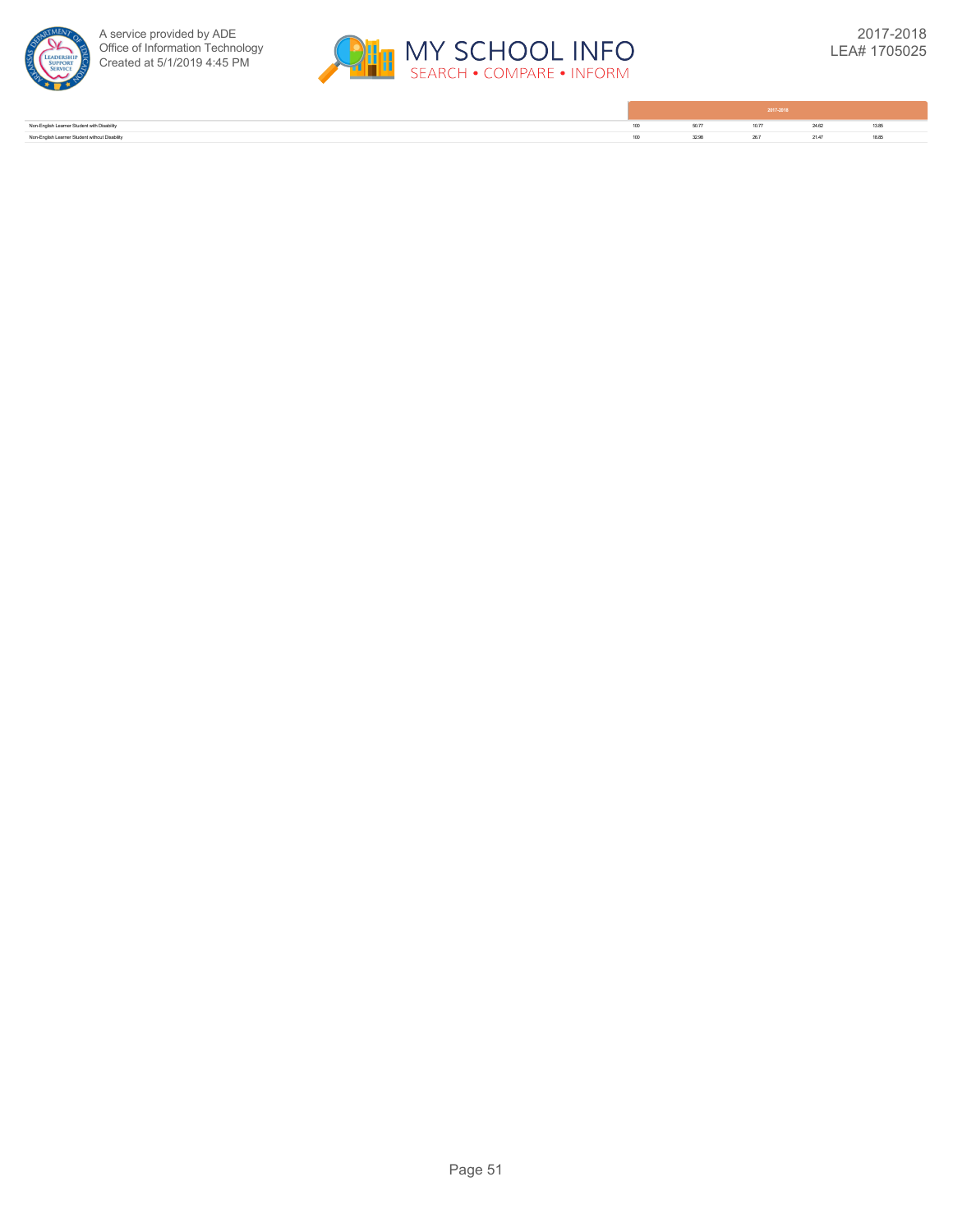



Non-English Learner Student With Disability 100, 2001, 2002, 2002, 2002, 2002, 2002, 2002, 2002, 2002, 2002, 2002, 2002, 2002, 2002, 2002, 2002, 2002, 2002, 2002, 2002, 2002, 2002, 2002, 2002, 2002, 2002, 2002, 2002, 2002,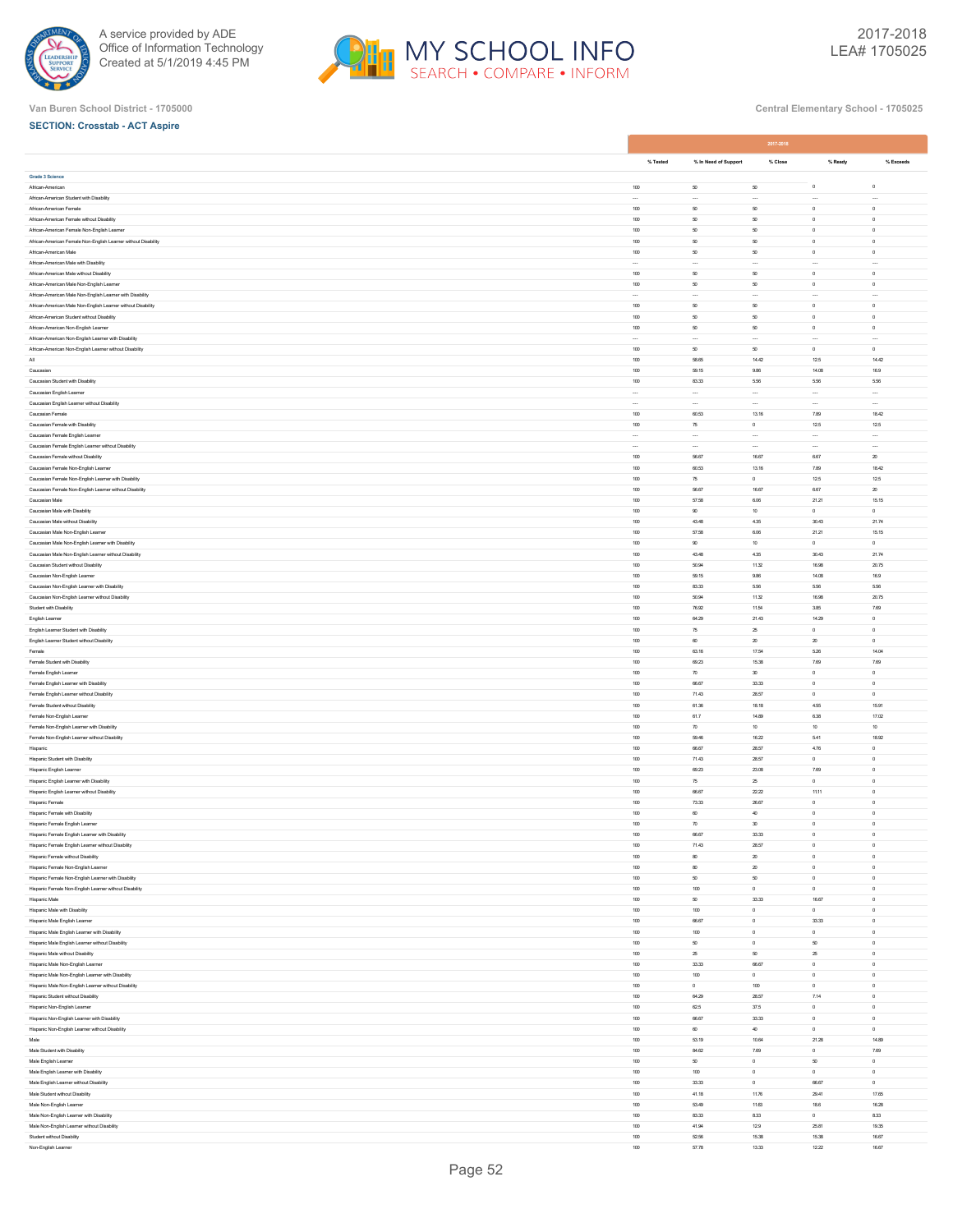



|                                                                                                                 | 2017-2018        |                            |                            |                         |                        |  |  |
|-----------------------------------------------------------------------------------------------------------------|------------------|----------------------------|----------------------------|-------------------------|------------------------|--|--|
|                                                                                                                 | % Tested         | % In Need of Support       | % Close                    | % Ready                 | % Exceeds              |  |  |
| Grade 3 Science                                                                                                 |                  |                            |                            |                         |                        |  |  |
| African-American                                                                                                | $100\,$          | $_{50}$                    | $_{\rm 50}$                | $\,0\,$                 | $\circ$                |  |  |
| African-American Student with Disability                                                                        | $\ddotsc$        | $\sim$                     | $\sim$                     | $\cdots$                | $\cdots$               |  |  |
| African-American Female<br>African-American Female without Disability                                           | 100<br>$100\,$   | $_{50}$<br>$_{50}$         | $_{50}$<br>$_{\rm 50}$     | $\circ$<br>$\mathbb O$  | $\circ$<br>$\circ$     |  |  |
| African-American Female Non-English Learner                                                                     | 100              | $_{50}$                    | 50                         | $\circ$                 | $^{\circ}$             |  |  |
| African-American Female Non-English Learner without Disability                                                  | 100              | $_{50}$                    | $_{50}$                    | $\mathbb O$             | $\,$ 0 $\,$            |  |  |
| African-American Male                                                                                           | 100              | $_{50}$                    | $_{50}$                    | $\,0\,$                 | $\,$ 0                 |  |  |
| African-American Male with Disability                                                                           | $\cdots$         | $\sim$                     | $\sim$                     | $\cdots$                | $\cdots$               |  |  |
| African-American Male without Disability<br>African-American Male Non-English Learner                           | $100\,$<br>100   | $_{50}$<br>$_{50}$         | $_{\rm 50}$<br>$_{50}$     | $\mathsf{o}$<br>$\,0\,$ | $\mathbf 0$<br>$\,$ 0  |  |  |
| African-American Male Non-English Learner with Disability                                                       | $\cdots$         | $\ddot{\phantom{a}}$       | $\cdots$                   |                         |                        |  |  |
| African-American Male Non-English Learner without Disability                                                    | $100\,$          | $_{50}$                    | $_{\rm 50}$                | $\mathsf{o}$            | $\circ$                |  |  |
| African-American Student without Disability                                                                     | 100              | $_{50}$                    | $_{50}$                    | $\circ$                 | $\circ$                |  |  |
| African-American Non-English Learner                                                                            | 100              | $_{50}$                    | $_{50}$                    | $\circ$                 | $\,$ 0 $\,$            |  |  |
| African-American Non-English Learner with Disability<br>African-American Non-English Learner without Disability | $\ddotsc$<br>100 | $\ddot{\phantom{0}}$<br>50 | $\ddot{\phantom{a}}$<br>50 | $\ddotsc$<br>$\circ$    | $\cdots$<br>$\circ$    |  |  |
| $\mathsf{All}$                                                                                                  | $100\,$          | 58.65                      | 14.42                      | 12.5                    | 14.42                  |  |  |
| Caucasian                                                                                                       | 100              | 59.15                      | 9.86                       | 14.08                   | 16.9                   |  |  |
| Caucasian Student with Disability                                                                               | 100              | 83.33                      | 5.56                       | 5.56                    | 5.56                   |  |  |
| Caucasian English Learner                                                                                       | $\cdots$         | $\cdots$                   | $\cdots$                   | $\cdots$                | $\cdots$               |  |  |
| Caucasian English Learner without Disability<br>Caucasian Female                                                | $\cdots$<br>100  | $\cdots$<br>60.53          | $\sim$<br>13.16            | $\cdots$<br>7.89        | <br>18.42              |  |  |
| Caucasian Female with Disability                                                                                | 100              | $75\,$                     | $\,$ 0 $\,$                | 12.5                    | 12.5                   |  |  |
| Caucasian Female English Learner                                                                                | $\cdots$         | $\cdots$                   | $\cdots$                   | $\cdots$                |                        |  |  |
| Caucasian Female English Learner without Disability                                                             |                  |                            |                            |                         |                        |  |  |
| Caucasian Female without Disability<br>Caucasian Female Non-English Learner                                     | 100              | 56.67                      | 16.67                      | 6.67                    | $20\,$                 |  |  |
|                                                                                                                 | 100<br>$100\,$   | 60.53<br>$7\!$             | 13.16<br>$\mathbf 0$       | 7.89<br>12.5            | 18.42<br>12.5          |  |  |
| Caucasian Female Non-English Learner with Disability<br>Caucasian Female Non-English Learner without Disability | 100              | 56.67                      | 16.67                      | 6.67                    | 20                     |  |  |
| Caucasian Male                                                                                                  | 100              | 57.58                      | 6.06                       | 21.21                   | 15.15                  |  |  |
| Caucasian Male with Disability                                                                                  | 100              | $90\,$                     | $10$                       | $\circ$                 | $\circ$                |  |  |
| Caucasian Male without Disability                                                                               | 100              | 43.48                      | 4.35                       | 30.43                   | 21.74                  |  |  |
| Caucasian Male Non-English Learner                                                                              | $100\,$<br>100   | 57.58<br>$90\,$            | $_{\rm 6.06}$<br>$10$      | 21.21<br>$\circ$        | 15.15<br>$\,$ 0        |  |  |
| Caucasian Male Non-English Learner with Disability<br>Caucasian Male Non-English Learner without Disability     | 100              | 43.48                      | 4.35                       | 30.43                   | 21.74                  |  |  |
| Caucasian Student without Disability                                                                            | $100\,$          | 50.94                      | 11.32                      | 16.98                   | 20.75                  |  |  |
| Caucasian Non-English Learner                                                                                   | 100              | 59.15                      | 9.86                       | 14.08                   | 16.9                   |  |  |
| Caucasian Non-English Learner with Disability                                                                   | 100              | 83.33                      | 5.56                       | 5.56                    | 5.56                   |  |  |
| Caucasian Non-English Learner without Disability<br>Student with Disability                                     | 100<br>100       | 50.94<br>76.92             | 11.32<br>11.54             | 16.98<br>3.85           | 20.75<br>7.69          |  |  |
| English Learner                                                                                                 | $100\,$          | 64.29                      | 21.43                      | 14.29                   | $\mathbb O$            |  |  |
| English Learner Student with Disability                                                                         | 100              | $75\,$                     | $\rm{2S}$                  | $\circ$                 | $\,$ 0                 |  |  |
| English Learner Student without Disability                                                                      | 100              | $_{60}$                    | $\rm{20}$                  | $20\,$                  | $\,$ 0 $\,$            |  |  |
| Female                                                                                                          | $100\,$          | 63.16                      | 17.54                      | $_{\rm 5.26}$           | 14.04                  |  |  |
| Female Student with Disability<br>Female English Learner                                                        | 100<br>100       | 69.23<br>$70\,$            | 15.38<br>$_{30}$           | 7.69<br>$\mathbb O$     | 7.69<br>$\circ$        |  |  |
| Female English Learner with Disability                                                                          | 100              | 66.67                      | 33.33                      | $\circ$                 | $\circ$                |  |  |
| Female English Learner without Disability                                                                       | 100              | 71.43                      | 28.57                      | $\circ$                 | $\circ$                |  |  |
| Female Student without Disability                                                                               | $100\,$          | 61.36                      | 18.18                      | 4.55                    | 15.91                  |  |  |
| Female Non-English Learner                                                                                      | 100              | 61.7                       | 14.89                      | 6.38                    | 17.02                  |  |  |
| Female Non-English Learner with Disability<br>Female Non-English Learner without Disability                     | 100<br>$100\,$   | $70\,$<br>59.46            | $10$<br>16.22              | $10\,$<br>5.41          | $10\,$<br>18.92        |  |  |
| Hispanic                                                                                                        | 100              | 66.67                      | 28.57                      | 4.76                    | $\circ$                |  |  |
| Hispanic Student with Disability                                                                                | 100              | 71.43                      | 28.57                      | $\circ$                 | $\circ$                |  |  |
| Hispanic English Learner                                                                                        | 100              | 69.23                      | 23.08                      | 7.69                    | $\,$ 0                 |  |  |
| Hispanic English Learner with Disability                                                                        | 100              | 75                         | 25                         | $\circ$                 | $\circ$                |  |  |
| Hispanic English Learner without Disability                                                                     | $100\,$          | 66.67                      | $22.22\,$                  | 11.11                   | $\mathbb O$            |  |  |
| Hispanic Female<br>Hispanic Female with Disability                                                              | 100<br>100       | 73.33<br>$_{60}$           | 26.67<br>$40\,$            | $\circ$<br>$\mathsf{o}$ | $\,$ 0<br>$\circ$      |  |  |
| Hispanic Female English Learner                                                                                 | $100\,$          | $70\,$                     | $30\,$                     | $\mathsf{o}$            | $\mathsf{o}$           |  |  |
| Hispanic Female English Learner with Disability                                                                 | 100              | 66.67                      | 33.33                      | $\circ$                 | $\circ$                |  |  |
| Hispanic Female English Learner without Disability                                                              | 100              | 71.43                      | 28.57                      | $\,$ 0                  | $\circ$                |  |  |
| Hispanic Female without Disability                                                                              | 100<br>100       | $_{80}$<br>80              | $\rm{20}$<br>$\mathbf{z}$  | $\circ$<br>$\circ$      | $\circ$<br>$\circ$     |  |  |
| Hispanic Female Non-English Learner<br>Hispanic Female Non-English Learner with Disability                      | $100\,$          | $_{50}$                    | $_{\rm 50}$                | $\,$ 0                  | $\circ$                |  |  |
| Hispanic Female Non-English Learner without Disability                                                          | 100              | 100                        | $\mathbf 0$                | $\circ$                 | $\circ$                |  |  |
| Hispanic Male                                                                                                   | 100              | $_{50}$                    | 33.33                      | 16.67                   | $\circ$                |  |  |
| Hispanic Male with Disability                                                                                   | $100\,$          | 100                        | $\mathbf 0$                | $\circ$                 | $\circ$                |  |  |
| Hispanic Male English Learner<br>Hispanic Male English Learner with Disability                                  | 100<br>100       | 66.67<br>$100\,$           | $\circ$<br>$\mathbf 0$     | 33.33<br>$\circ$        | $\circ$<br>$\,$ 0 $\,$ |  |  |
| Hispanic Male English Learner without Disability                                                                | 100              | $_{50}$                    | $\,0\,$                    | 50                      | $\,$ 0                 |  |  |
| Hispanic Male without Disability                                                                                | 100              | 25                         | 50                         | $\overline{\mathbf{z}}$ | $\circ$                |  |  |
| Hispanic Male Non-English Learner                                                                               | $100\,$          | 33.33                      | 66.67                      | $\mathsf 0$             | $\mathbb O$            |  |  |
| Hispanic Male Non-English Learner with Disability                                                               | 100              | 100                        | $\,0\,$                    | $\circ$                 | $\,$ 0                 |  |  |
| Hispanic Male Non-English Learner without Disability                                                            | 100              | $\,$ 0 $\,$                | 100                        | $\circ$                 | $\circ$<br>$\mathbb O$ |  |  |
| Hispanic Student without Disability<br>Hispanic Non-English Learner                                             | $100\,$<br>100   | 64.29<br>625               | 28.57<br>37.5              | 7.14<br>$\circ$         | $\circ$                |  |  |
| Hispanic Non-English Learner with Disability                                                                    | 100              | 66.67                      | 33.33                      | $\,$ 0                  | $\,$ 0 $\,$            |  |  |
| Hispanic Non-English Learner without Disability                                                                 | 100              | $_{60}$                    | $40\,$                     | $\circ$                 | $\mathbb O$            |  |  |
| Male                                                                                                            | 100              | 53.19                      | 10.64                      | 21.28                   | 14.89                  |  |  |
| Male Student with Disability                                                                                    | $100\,$          | 84.62                      | 7.69                       | $\mathsf{o}$            | 7.69                   |  |  |
| Male English Learner<br>Male English Learner with Disability                                                    | 100<br>100       | $_{50}$<br>$100\,$         | $\mathbf 0$<br>$\mathbf 0$ | 50<br>$\circ$           | $\circ$<br>$\,$ 0 $\,$ |  |  |
| Male English Learner without Disability                                                                         | $100\,$          | 33.33                      | $\,$ 0 $\,$                | 66.67                   | $\,$ 0 $\,$            |  |  |
| Male Student without Disability                                                                                 | 100              | 41.18                      | 11.76                      | 29.41                   | 17.65                  |  |  |
| Male Non-English Learner                                                                                        | 100              | 53.49                      | 11.63                      | 18.6                    | 16.28                  |  |  |
| Male Non-English Learner with Disability                                                                        | 100              | 83.33                      | 8.33                       | $\mathbb O$             | 8.33                   |  |  |
| Male Non-English Learner without Disability                                                                     | 100<br>$100\,$   | 41.94<br>52.56             | 129<br>15.38               | 25.81<br>15.38          | 19.35<br>16.67         |  |  |
| Student without Disability<br>Non-English Learner                                                               | 100              | 57.78                      | 13.33                      | 12.22                   | 16.67                  |  |  |
|                                                                                                                 |                  |                            |                            |                         |                        |  |  |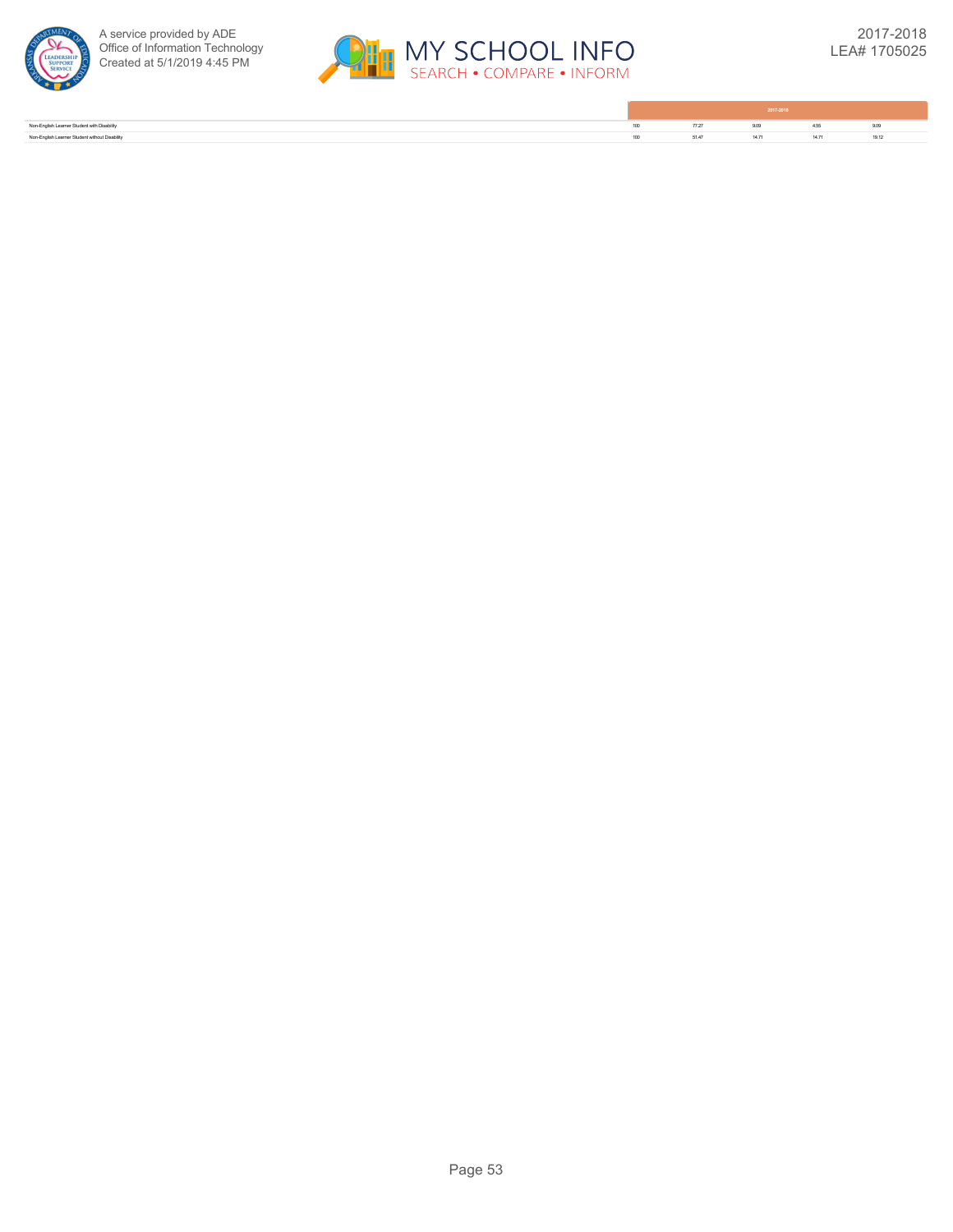



Non-English Learner Student with Disability 100 77.27 9.09 4.55 9.09 Non-English Learner Student without Disability 100 51.47 14.71 14.71 19.12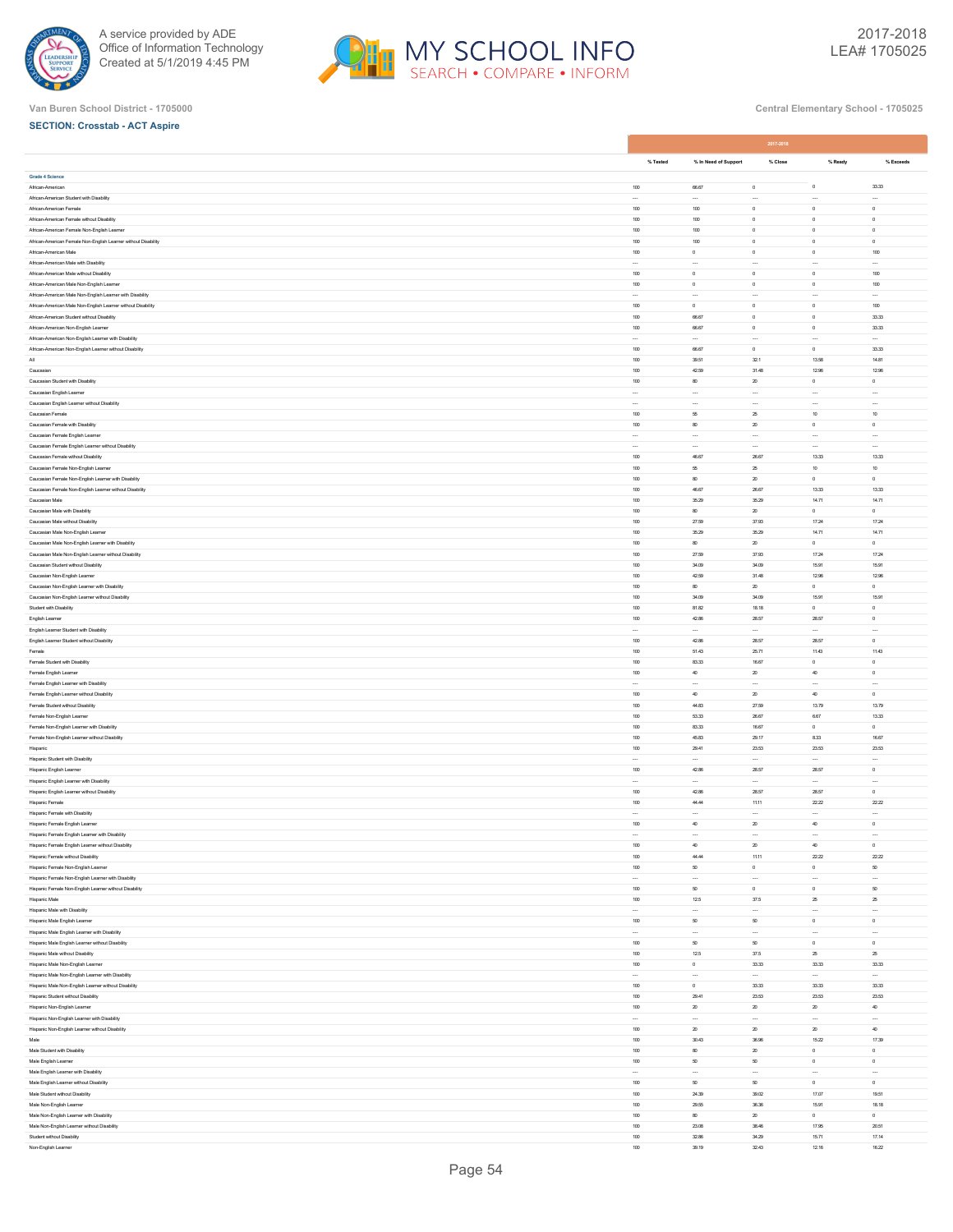



|                                                                                                                 | 2017-2018       |                         |                                     |                                     |                         |  |  |
|-----------------------------------------------------------------------------------------------------------------|-----------------|-------------------------|-------------------------------------|-------------------------------------|-------------------------|--|--|
|                                                                                                                 | % Tested        | % In Need of Support    | % Close                             | % Ready                             | % Exceeds               |  |  |
| Grade 4 Science                                                                                                 |                 |                         |                                     |                                     |                         |  |  |
| African-American                                                                                                | 100             | 66.67                   | $\circ$                             | $\,$ 0 $\,$                         | 33.33                   |  |  |
| African-American Student with Disability                                                                        | $\cdots$        | $\cdots$                | $\ddotsc$                           | $\ddotsc$                           | $\cdots$                |  |  |
| African-American Female                                                                                         | 100             | 100                     | $\,$ 0 $\,$                         | $\,$ 0 $\,$                         | $\,$ 0 $\,$             |  |  |
| African-American Female without Disability<br>African-American Female Non-English Learner                       | 100<br>$100\,$  | 100<br>100              | $\circ$<br>$\,$ 0                   | $\circ$<br>$\,$ 0                   | $\circ$<br>$\,$ 0       |  |  |
| African-American Female Non-English Learner without Disability                                                  | 100             | 100                     | $\,$ 0 $\,$                         | $\,$ 0 $\,$                         | $\,$ 0 $\,$             |  |  |
| African-American Male                                                                                           | 100             | $\,$ 0 $\,$             | $\,$ 0 $\,$                         | $\,$ 0 $\,$                         | 100                     |  |  |
| African-American Male with Disability                                                                           |                 | $\ddot{\phantom{a}}$    | $\sim$                              | $\ddot{\phantom{a}}$                |                         |  |  |
| African-American Male without Disability                                                                        | 100             | $\circ$                 | $\circ$                             | $\circ$                             | 100                     |  |  |
| African-American Male Non-English Learner<br>African-American Male Non-English Learner with Disability          | 100<br>$\sim$   | $\,$ 0 $\,$<br>$\sim$   | $\,$ 0 $\,$<br>$\ddot{\phantom{a}}$ | $\,$ 0 $\,$<br>$\ddot{\phantom{a}}$ | 100<br>$\sim$           |  |  |
| African-American Male Non-English Learner without Disability                                                    | 100             | $\circ$                 | $\circ$                             | $\circ$                             | 100                     |  |  |
| African-American Student without Disability                                                                     | $100\,$         | 66.67                   | $\,$ 0 $\,$                         | $\,$ 0                              | 33.33                   |  |  |
| African-American Non-English Learner                                                                            | 100             | 66.67                   | $\,$ 0 $\,$                         | $\,$ 0 $\,$                         | 33.33                   |  |  |
| African-American Non-English Learner with Disability                                                            | $\cdots$        | $\cdots$                | $\cdots$                            | $\ddotsc$                           | $\cdots$                |  |  |
| African-American Non-English Learner without Disability<br>All                                                  | $100\,$<br>100  | 66.67<br>39.51          | $\,$ 0 $\,$<br>321                  | $\,$ 0 $\,$<br>13.58                | 33.33<br>14.81          |  |  |
| Caucasian                                                                                                       | 100             | 42.59                   | 31.48                               | 12.96                               | 12.96                   |  |  |
| Caucasian Student with Disability                                                                               | 100             | 80                      | $20\,$                              | $\,$ 0 $\,$                         | $\,$ 0 $\,$             |  |  |
| Caucasian English Learner                                                                                       | $\cdots$        | $\cdots$                | $\sim$                              | $\ddotsc$                           | $\cdots$                |  |  |
| Caucasian English Learner without Disability                                                                    | $\cdots$        | $\sim$                  |                                     | $\cdots$                            |                         |  |  |
| Caucasian Female<br>Caucasian Female with Disability                                                            | 100<br>100      | 55<br>80                | $\rm{2S}$<br>$\rm{20}$              | $10\,$<br>$\,$ 0 $\,$               | $10$<br>$\,$ 0 $\,$     |  |  |
| Caucasian Female English Learner                                                                                | $\cdots$        | $\sim$                  | $\ddot{\phantom{a}}$                | $\ddotsc$                           | $\ddotsc$               |  |  |
| Caucasian Female English Learner without Disability                                                             | $\cdots$        | $\cdots$                | $\cdots$                            | $\cdots$                            | $\cdots$                |  |  |
| Caucasian Female without Disability                                                                             | 100             | 46.67                   | 26.67                               | 13.33                               | 13.33                   |  |  |
| Caucasian Female Non-English Learner                                                                            | 100             | 55                      | $\rm{2S}$                           | $10\,$                              | $10\,$                  |  |  |
| Caucasian Female Non-English Learner with Disability<br>Caucasian Female Non-English Learner without Disability | 100<br>$100\,$  | 80<br>46.67             | 20<br>26.67                         | $\circ$<br>13.33                    | $\circ$<br>13.33        |  |  |
| Caucasian Male                                                                                                  | 100             | 35.29                   | 35.29                               | 14.71                               | 14.71                   |  |  |
| Caucasian Male with Disability                                                                                  | 100             | 80                      | $\rm{20}$                           | $\circ$                             | $\,$ 0 $\,$             |  |  |
| Caucasian Male without Disability                                                                               | $100\,$         | 27.59                   | 37.93                               | 17.24                               | 17.24                   |  |  |
| Caucasian Male Non-English Learner                                                                              | 100             | 35.29                   | 35.29                               | 14.71                               | 14.71                   |  |  |
| Caucasian Male Non-English Learner with Disability                                                              | 100<br>100      | 80<br>27.59             | $20\,$<br>37.93                     | $\circ$<br>17.24                    | $\circ$<br>17.24        |  |  |
| Caucasian Male Non-English Learner without Disability<br>Caucasian Student without Disability                   | 100             | 34.09                   | 34.09                               | 15.91                               | 15.91                   |  |  |
| Caucasian Non-English Learner                                                                                   | $100\,$         | 42.59                   | 31.48                               | 12.96                               | 12.96                   |  |  |
| Caucasian Non-English Learner with Disability                                                                   | 100             | 80                      | $20\,$                              | $\,$ 0 $\,$                         | $\,$ 0 $\,$             |  |  |
| Caucasian Non-English Learner without Disability                                                                | 100             | 34.09                   | 34.09                               | 15.91                               | 15.91                   |  |  |
| Student with Disability<br>English Learner                                                                      | $100\,$<br>100  | 81.82<br>42.86          | 18.18<br>28.57                      | $\,$ 0<br>28.57                     | $\,0\,$<br>$\circ$      |  |  |
| English Learner Student with Disability                                                                         | $\cdots$        | $\cdots$                | $\cdots$                            | $\ddotsc$                           | $\cdots$                |  |  |
| English Learner Student without Disability                                                                      | 100             | 42.86                   | 28.57                               | 28.57                               | $\circ$                 |  |  |
| Female                                                                                                          | 100             | 51.43                   | 25.71                               | 11.43                               | 11.43                   |  |  |
| Female Student with Disability                                                                                  | $100\,$         | 83.33                   | 16.67                               | $\,$ 0 $\,$                         | $\,$ 0 $\,$             |  |  |
| Female English Learner<br>Female English Learner with Disability                                                | 100<br>$\cdots$ | 40<br>$\cdots$          | $20\,$<br>$\cdots$                  | $40\,$<br>$\ddotsc$                 | $\,$ 0 $\,$<br>$\cdots$ |  |  |
| Female English Learner without Disability                                                                       | $100\,$         | $40\,$                  | $\rm{20}$                           | $40\,$                              | $\,$ 0 $\,$             |  |  |
| Female Student without Disability                                                                               | 100             | 44.83                   | 27.59                               | 13.79                               | 13.79                   |  |  |
| Female Non-English Learner                                                                                      | 100             | 53.33                   | 26.67                               | 6.67                                | 13.33                   |  |  |
| Female Non-English Learner with Disability                                                                      | 100             | 83.33                   | 16.67                               | $\,$ 0 $\,$                         | $\,$ 0 $\,$             |  |  |
| Female Non-English Learner without Disability<br>Hispanic                                                       | 100<br>$100\,$  | 45.83<br>29.41          | 29.17<br>23.53                      | 8.33<br>23.53                       | 16.67<br>23.53          |  |  |
| Hispanic Student with Disability                                                                                | $\cdots$        | $\sim$                  | $\ddot{\phantom{a}}$                |                                     |                         |  |  |
| Hispanic English Learner                                                                                        | 100             | 42.86                   | 28.57                               | 28.57                               | $\,$ 0 $\,$             |  |  |
| Hispanic English Learner with Disability                                                                        |                 |                         |                                     |                                     |                         |  |  |
| Hispanic English Learner without Disability                                                                     | 100             | 42.86                   | 28.57                               | 28.57                               | $\circ$                 |  |  |
| Hispanic Female<br>Hispanic Female with Disability                                                              | 100<br>$\sim$   | 44.44<br>$\sim$         | 11.11<br>$\ddot{\phantom{a}}$       | 22.22<br>$\ddot{\phantom{a}}$       | 22.22<br>$\sim$         |  |  |
| Hispanic Female English Learner                                                                                 | 100             | 40                      | 20                                  | 40                                  | $\circ$                 |  |  |
| Hispanic Female English Learner with Disability                                                                 |                 |                         |                                     |                                     |                         |  |  |
| Hispanic Female English Learner without Disability                                                              | 100             | 40                      | 20                                  | $40\,$                              | $\circ$                 |  |  |
| Hispanic Female without Disability                                                                              | 100             | 44.44                   | 11.11                               | 22.22                               | 22.22                   |  |  |
| Hispanic Female Non-English Learner<br>Hispanic Female Non-English Learner with Disability                      | 100<br>$\cdots$ | $_{\rm 50}$<br>$\cdots$ | $\,$ 0 $\,$<br>$\cdots$             | $\,$ 0 $\,$<br>$\sim$               | $_{\rm 50}$<br>$\cdots$ |  |  |
| Hispanic Female Non-English Learner without Disability                                                          | 100             | 60                      | $\circ$                             | $\circ$                             | $_{50}$                 |  |  |
| Hispanic Male                                                                                                   | 100             | 12.5                    | 37.5                                | $\rm 25$                            | $\rm 25$                |  |  |
| Hispanic Male with Disability                                                                                   | $\cdots$        | $\cdots$                | $\cdots$                            | $\ddotsc$                           | $\cdots$                |  |  |
| Hispanic Male English Learner                                                                                   | $100\,$         | $_{50}$<br>$\sim$       | $_{\rm 50}$                         | $\,$ 0                              | $\,$ 0                  |  |  |
| Hispanic Male English Learner with Disability<br>Hispanic Male English Learner without Disability               | $\cdots$<br>100 | 60                      | $\cdots$<br>60                      | $\cdots$<br>$\,$ 0 $\,$             | $\cdots$<br>$\,$ 0 $\,$ |  |  |
| Hispanic Male without Disability                                                                                | $100\,$         | $12.5\,$                | $37.5\,$                            | $\rm 25$                            | $\rm 25$                |  |  |
| Hispanic Male Non-English Learner                                                                               | 100             | $\circ$                 | 33.33                               | 33.33                               | 33.33                   |  |  |
| Hispanic Male Non-English Learner with Disability                                                               | $\cdots$        | $\cdots$                | $\cdots$                            | $\ddotsc$                           | $\cdots$                |  |  |
| Hispanic Male Non-English Learner without Disability                                                            | 100             | $\circ$                 | 33.33                               | 33.33                               | 33.33                   |  |  |
| Hispanic Student without Disability<br>Hispanic Non-English Learner                                             | 100<br>100      | 29.41<br>$\rm{20}$      | 23.53<br>$\rm{20}$                  | 23.53<br>$\rm 20$                   | 23.53<br>$40\,$         |  |  |
| Hispanic Non-English Learner with Disability                                                                    | $\ddotsc$       | $\sim$                  | $\ddotsc$                           | $\ddotsc$                           | $\ddotsc$               |  |  |
| Hispanic Non-English Learner without Disability                                                                 | 100             | $20\,$                  | $20\,$                              | $\rm{20}$                           | $40\,$                  |  |  |
| Male                                                                                                            | $100\,$         | 30.43                   | 36.96                               | 15.22                               | 17.39                   |  |  |
| Male Student with Disability                                                                                    | 100             | 80                      | 20                                  | $\circ$                             | $\circ$                 |  |  |
| Male English Learner                                                                                            | 100<br>$\cdots$ | 60<br>$\cdots$          | 60<br>$\cdots$                      | $\circ$<br>$\ddotsc$                | $\circ$<br>$\cdots$     |  |  |
| Male English Learner with Disability<br>Male English Learner without Disability                                 | 100             | 60                      | 60                                  | $\circ$                             | $\circ$                 |  |  |
| Male Student without Disability                                                                                 | $100\,$         | 24.39                   | 39.02                               | 17.07                               | 19.51                   |  |  |
| Male Non-English Learner                                                                                        | 100             | 29.55                   | 36.36                               | 15.91                               | 18.18                   |  |  |
| Male Non-English Learner with Disability                                                                        | 100             | 80                      | $20\,$                              | $\,$ 0 $\,$                         | $\,$ 0 $\,$             |  |  |
| Male Non-English Learner without Disability                                                                     | $100\,$         | 23.08                   | 38.46                               | 17.95                               | 20.51                   |  |  |
| Student without Disability<br>Non-English Learner                                                               | 100<br>100      | 32.86<br>39.19          | 34.29<br>32.43                      | 15.71<br>12.16                      | 17.14<br>16.22          |  |  |
|                                                                                                                 |                 |                         |                                     |                                     |                         |  |  |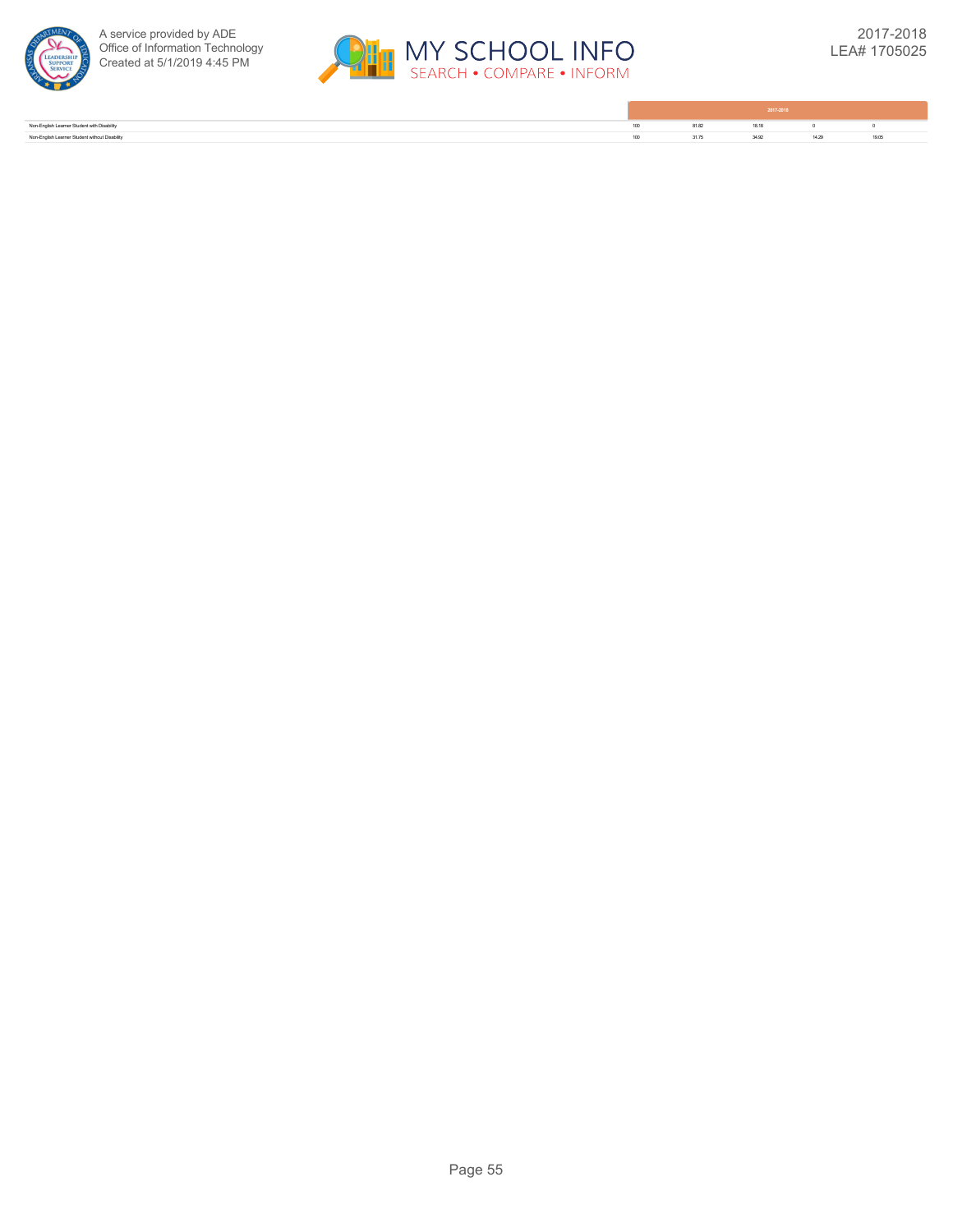



Non-English Learner Student with Disability 100 81.82 18.18 0 0 Non-English Learner Student without Disability 100 31.75 34.92 14.29 19.05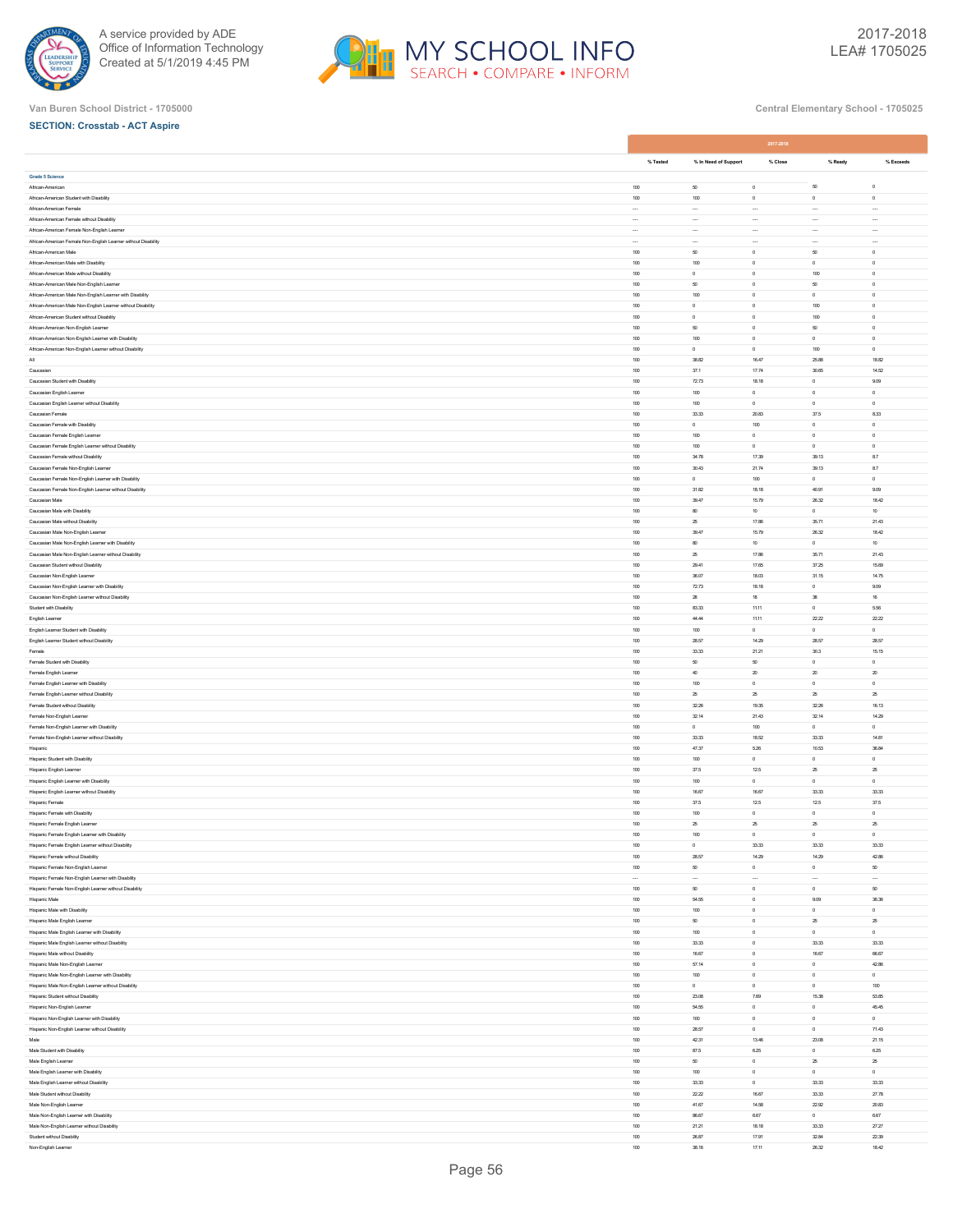



|                                                                                                               | 2017-2018             |                       |                         |                        |                            |  |  |
|---------------------------------------------------------------------------------------------------------------|-----------------------|-----------------------|-------------------------|------------------------|----------------------------|--|--|
|                                                                                                               | % Tested              | % In Need of Support  | $\%$ Close              | % Ready                | % Exceeds                  |  |  |
| Grade 5 Science                                                                                               |                       |                       |                         |                        |                            |  |  |
| African-American                                                                                              | 100                   | 60                    | $\,$ 0 $\,$             | 60                     | $\,$ 0 $\,$                |  |  |
| African-American Student with Disability                                                                      | 100                   | 100                   | $\,$ 0 $\,$             | $\,$ 0 $\,$            | $\,$ 0 $\,$                |  |  |
| African-American Female                                                                                       | $\ddot{\phantom{a}}$  | ш,                    | $\sim$                  | $\sim$                 |                            |  |  |
| African-American Female without Disability                                                                    | $\cdots$              | $\cdots$              | $\cdots$                | $\cdots$               | $\cdots$                   |  |  |
| African-American Female Non-English Learner                                                                   | $\cdots$<br>$\ddotsc$ | $\sim$<br>$\sim$      | $\ddotsc$<br>$\ddotsc$  | $\ddotsc$<br>$\ddotsc$ | $\ddotsc$<br>$\ddotsc$     |  |  |
| African-American Female Non-English Learner without Disability<br>African-American Male                       | 100                   | 60                    | $\,$ 0 $\,$             | 60                     | $\,$ 0 $\,$                |  |  |
| African-American Male with Disability                                                                         | $100\,$               | 100                   | $\,$ 0                  | $\,$ 0 $\,$            | $\,$ 0 $\,$                |  |  |
| African-American Male without Disability                                                                      | 100                   | $\circ$               | $\circ$                 | 100                    | $\circ$                    |  |  |
| African-American Male Non-English Learner                                                                     | 100                   | $_{50}$               | $\,$ 0 $\,$             | $_{50}$                | $\circ$                    |  |  |
| African-American Male Non-English Learner with Disability                                                     | 100                   | 100                   | $\,$ 0 $\,$             | $\circ$                | $\,$ 0 $\,$                |  |  |
| African-American Male Non-English Learner without Disability                                                  | 100                   | $\circ$               | $\circ$                 | 100                    | $\circ$                    |  |  |
| African-American Student without Disability                                                                   | $100\,$               | $\,$ 0 $\,$           | $\,$ 0 $\,$             | 100                    | $\,$ 0                     |  |  |
| African-American Non-English Learner<br>African-American Non-English Learner with Disability                  | 100<br>100            | $_{50}$<br>100        | $\,$ 0<br>$\,$ 0 $\,$   | 50<br>$\,$ 0 $\,$      | $\,$ 0 $\,$<br>$\,$ 0 $\,$ |  |  |
| African-American Non-English Learner without Disability                                                       | $100\,$               | $\circ$               | $\,$ 0                  | 100                    | $\circ$                    |  |  |
| All                                                                                                           | 100                   | 38.82                 | 16.47                   | 25.88                  | 18.82                      |  |  |
| Caucasian                                                                                                     | 100                   | 37.1                  | 17.74                   | 30.65                  | 14.52                      |  |  |
| Caucasian Student with Disability                                                                             | 100                   | 72.73                 | 18.18                   | $\circ$                | 9.09                       |  |  |
| Caucasian English Learner                                                                                     | 100                   | 100                   | $\circ$                 | $\circ$                | $\circ$                    |  |  |
| Caucasian English Learner without Disability                                                                  | $100\,$               | 100                   | $\,$ 0                  | $\,$ 0 $\,$            | $\,$ 0 $\,$                |  |  |
| Caucasian Female                                                                                              | 100                   | 33.33                 | 20.83                   | 37.5                   | 8.33                       |  |  |
| Caucasian Female with Disability                                                                              | 100                   | $\circ$               | 100                     | $\circ$                | $\circ$                    |  |  |
| Caucasian Female English Learner                                                                              | $100\,$               | 100<br>100            | $\,$ 0 $\,$<br>$\circ$  | $\,$ 0 $\,$<br>$\circ$ | $\,$ 0 $\,$<br>$\circ$     |  |  |
| Caucasian Female English Learner without Disability<br>Caucasian Female without Disability                    | 100<br>100            | 34.78                 | 17.39                   | 39.13                  | 8.7                        |  |  |
| Caucasian Female Non-English Learner                                                                          | 100                   | 30.43                 | 21.74                   | 39.13                  | 8.7                        |  |  |
| Caucasian Female Non-English Learner with Disability                                                          | 100                   | $\circ$               | 100                     | $\circ$                | $\circ$                    |  |  |
| Caucasian Female Non-English Learner without Disability                                                       | $100\,$               | 31.82                 | 18.18                   | 40.91                  | 9.09                       |  |  |
| Caucasian Male                                                                                                | 100                   | 39.47                 | 15.79                   | 26.32                  | 18.42                      |  |  |
| Caucasian Male with Disability                                                                                | 100                   | 80                    | $10$                    | $\,$ 0 $\,$            | $10\,$                     |  |  |
| Caucasian Male without Disability                                                                             | $100\,$               | $\rm{25}$             | 17.86                   | 35.71                  | 21.43                      |  |  |
| Caucasian Male Non-English Learner                                                                            | 100                   | 39.47                 | 15.79                   | 26.32                  | 18.42                      |  |  |
| Caucasian Male Non-English Learner with Disability                                                            | 100                   | 80                    | 10                      | $\,$ 0 $\,$            | $10\,$                     |  |  |
| Caucasian Male Non-English Learner without Disability<br>Caucasian Student without Disability                 | 100<br>100            | $_{\rm 25}$<br>29.41  | 17.86<br>17.65          | 35.71<br>37.25         | 21.43<br>15.69             |  |  |
| Caucasian Non-English Learner                                                                                 | $100\,$               | 36.07                 | 18.03                   | 31.15                  | 14.75                      |  |  |
| Caucasian Non-English Learner with Disability                                                                 | 100                   | 72.73                 | 18.18                   | $\circ$                | 9.09                       |  |  |
| Caucasian Non-English Learner without Disability                                                              | 100                   | 28                    | $18$                    | 38                     | $16\,$                     |  |  |
| Student with Disability                                                                                       | $100\,$               | 83.33                 | 11.11                   | $\,$ 0 $\,$            | 5.56                       |  |  |
| English Learner                                                                                               | 100                   | 44.44                 | 11.11                   | 22.22                  | 22.22                      |  |  |
| English Learner Student with Disability                                                                       | 100                   | 100                   | $\,$ 0 $\,$             | $\circ$                | $\circ$                    |  |  |
| English Learner Student without Disability                                                                    | 100                   | 28.57                 | 14.29                   | 28.57                  | 28.57                      |  |  |
| Female                                                                                                        | 100                   | 33.33                 | 21.21                   | 30.3                   | 15.15                      |  |  |
| Female Student with Disability                                                                                | $100\,$               | $_{\rm 50}$           | $_{\rm S0}$             | $\,$ 0                 | $\,0\,$                    |  |  |
| Female English Learner<br>Female English Learner with Disability                                              | 100<br>100            | 40<br>100             | $20\,$<br>$\,$ 0 $\,$   | $20\,$<br>$\,$ 0 $\,$  | $20\,$<br>$\,$ 0 $\,$      |  |  |
| Female English Learner without Disability                                                                     | $100\,$               | $\rm{z}\rm{s}$        | $\rm{2S}$               | 25                     | $\rm 25$                   |  |  |
| Female Student without Disability                                                                             | 100                   | 32.26                 | 19.35                   | 32.26                  | 16.13                      |  |  |
| Female Non-English Learner                                                                                    | 100                   | 32.14                 | 21.43                   | 32.14                  | 14.29                      |  |  |
| Female Non-English Learner with Disability                                                                    | 100                   | $\,0\,$               | 100                     | $\circ$                | $\circ$                    |  |  |
| Female Non-English Learner without Disability                                                                 | 100                   | 33.33                 | 18.52                   | 33.33                  | 14.81                      |  |  |
| Hispanic                                                                                                      | $100\,$               | 47.37                 | $_{\rm 5.26}$           | 10.53                  | 36.84                      |  |  |
| Hispanic Student with Disability                                                                              | 100                   | 100                   | $\circ$                 | $\circ$<br>$\rm{25}$   | $\circ$                    |  |  |
| Hispanic English Learner<br>Hispanic English Learner with Disability                                          | 100<br>$100\,$        | 37.5<br>100           | 12.5<br>$\,$ 0 $\,$     | $\,$ 0 $\,$            | $\rm{25}$<br>$\,$ 0 $\,$   |  |  |
| Hispanic English Learner without Disability                                                                   | 100                   | 16.67                 | 16.67                   | 33.33                  | 33.33                      |  |  |
| Hispanic Female                                                                                               | 100                   | 37.5                  | 12.5                    | 12.5                   | 37.5                       |  |  |
| Hispanic Female with Disability                                                                               | 100                   | 100                   | $\,$ 0                  | $\,0\,$                | $\,$ 0 $\,$                |  |  |
| Hispanic Female English Learner                                                                               | 100                   | $\rm{2S}$             | 25                      | 25                     | $\rm{2S}$                  |  |  |
| Hispanic Female English Learner with Disability                                                               | 100                   | 100                   | $\circ$                 | $\circ$                | $\,$ 0                     |  |  |
| Hispanic Female English Learner without Disability                                                            | 100                   | $\,0\,$               | 33.33                   | 33.33                  | 33.33                      |  |  |
| Hispanic Female without Disability                                                                            | 100                   | 28.57                 | 14.29                   | 14.29                  | 42.86                      |  |  |
| Hispanic Female Non-English Learner                                                                           | $100\,$<br>$\cdots$   | $_{\rm 50}$<br>$\sim$ | $\,$ 0 $\,$<br>$\cdots$ | $\,0\,$<br>$\cdots$    | $_{\rm 50}$<br>$\cdots$    |  |  |
| Hispanic Female Non-English Learner with Disability<br>Hispanic Female Non-English Learner without Disability | 100                   | 60                    | $\,$ 0 $\,$             | $\,$ 0 $\,$            | $_{50}$                    |  |  |
| Hispanic Male                                                                                                 | 100                   | 54.55                 | $\,$ 0 $\,$             | 9.09                   | 36.36                      |  |  |
| Hispanic Male with Disability                                                                                 | 100                   | 100                   | $\circ$                 | $^{\circ}$             | $^{\circ}$                 |  |  |
| Hispanic Male English Learner                                                                                 | $100\,$               | $_{\rm 50}$           | $\,$ 0 $\,$             | 25                     | $\rm 25$                   |  |  |
| Hispanic Male English Learner with Disability                                                                 | 100                   | 100                   | $\,$ 0 $\,$             | $\circ$                | $\circ$                    |  |  |
| Hispanic Male English Learner without Disability                                                              | 100                   | 33.33                 | $\,$ 0 $\,$             | 33.33                  | 33.33                      |  |  |
| Hispanic Male without Disability                                                                              | $100\,$               | 16.67                 | $\,$ 0                  | 16.67                  | 66.67                      |  |  |
| Hispanic Male Non-English Learner                                                                             | 100                   | 57.14                 | $\circ$                 | $\circ$                | 42.86                      |  |  |
| Hispanic Male Non-English Learner with Disability<br>Hispanic Male Non-English Learner without Disability     | 100<br>100            | 100<br>$\,0\,$        | $\,$ 0 $\,$<br>$\,$ 0   | $\circ$<br>$\,0\,$     | $\circ$<br>100             |  |  |
| Hispanic Student without Disability                                                                           | 100                   | 23.08                 | 7.69                    | 15.38                  | 53.85                      |  |  |
| Hispanic Non-English Learner                                                                                  | $100\,$               | 54.55                 | $\,$ 0 $\,$             | $\,0\,$                | 45.45                      |  |  |
| Hispanic Non-English Learner with Disability                                                                  | 100                   | 100                   | $\,$ 0                  | $\circ$                | $\,$ 0 $\,$                |  |  |
| Hispanic Non-English Learner without Disability                                                               | 100                   | 28.57                 | $\,$ 0 $\,$             | $\,$ 0 $\,$            | 71.43                      |  |  |
| Male                                                                                                          | $100\,$               | 42.31                 | 13.46                   | 23.08                  | 21.15                      |  |  |
| Male Student with Disability                                                                                  | 100                   | 87.5                  | 6.25                    | $^{\circ}$             | 6.25                       |  |  |
| Male English Learner                                                                                          | 100                   | 60                    | $\,$ 0 $\,$             | $\rm{25}$              | $\rm 25$                   |  |  |
| Male English Learner with Disability                                                                          | 100                   | 100                   | $\,$ 0 $\,$             | $\circ$                | $\circ$                    |  |  |
| Male English Learner without Disability<br>Male Student without Disability                                    | 100<br>$100\,$        | 33.33<br>22.22        | $\,$ 0 $\,$<br>16.67    | 33.33<br>33.33         | 33.33<br>27.78             |  |  |
| Male Non-English Learner                                                                                      | 100                   | 41.67                 | 14.58                   | 22.92                  | 20.83                      |  |  |
| Male Non-English Learner with Disability                                                                      | 100                   | 86.67                 | 6.67                    | $\circ$                | 6.67                       |  |  |
| Male Non-English Learner without Disability                                                                   | $100\,$               | 21.21                 | 18.18                   | 33.33                  | 27.27                      |  |  |
| Student without Disability                                                                                    | 100                   | 26.87                 | 17.91                   | 32.84                  | 22.39                      |  |  |
| Non-English Learner                                                                                           | 100                   | 38.16                 | 17.11                   | 26.32                  | 18.42                      |  |  |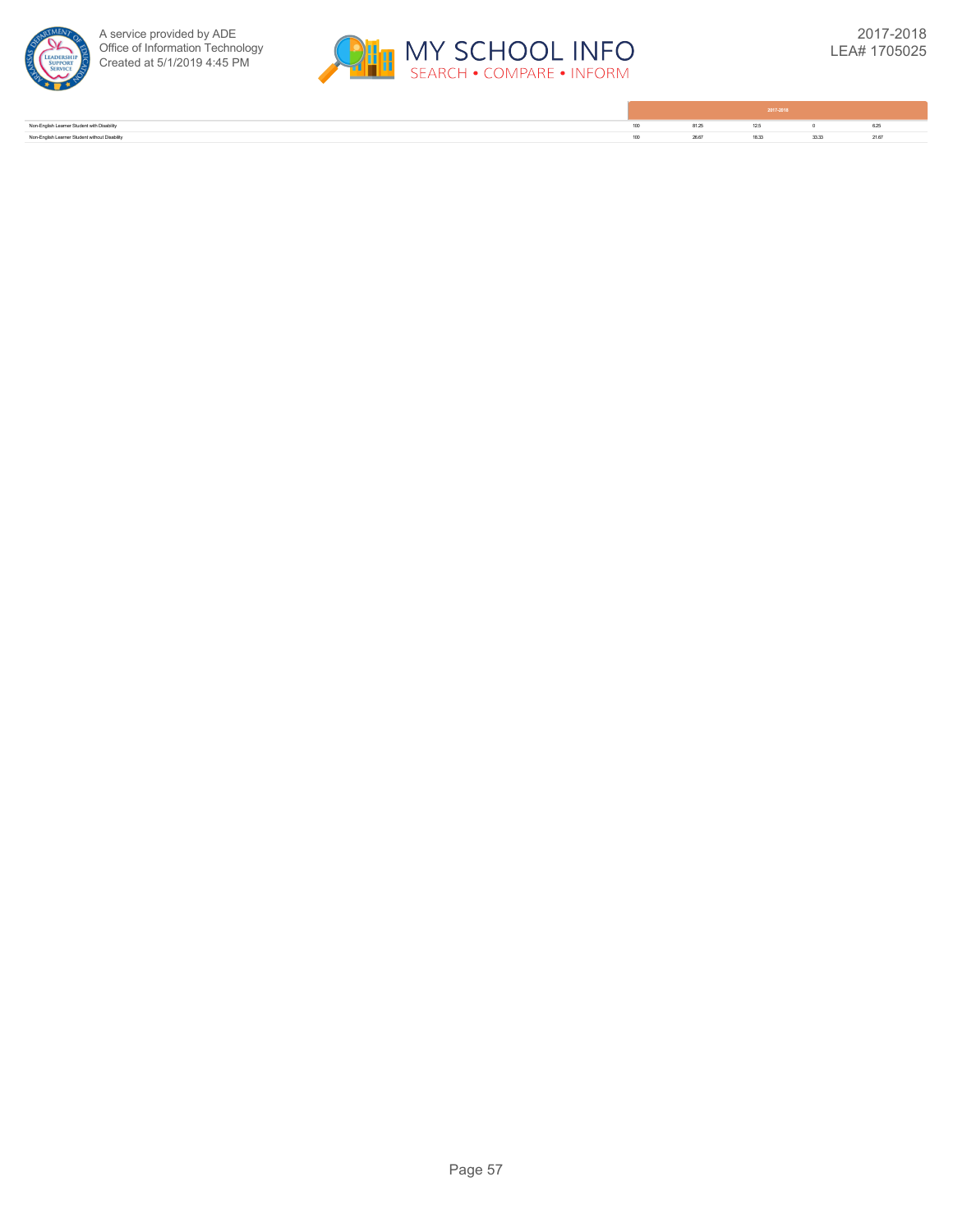



Non-English Learner Student with Disability 100 81.25 12.5 0 6.25 Non-English Learner Student without Disability 100 26.67 18.33 33.33 21.67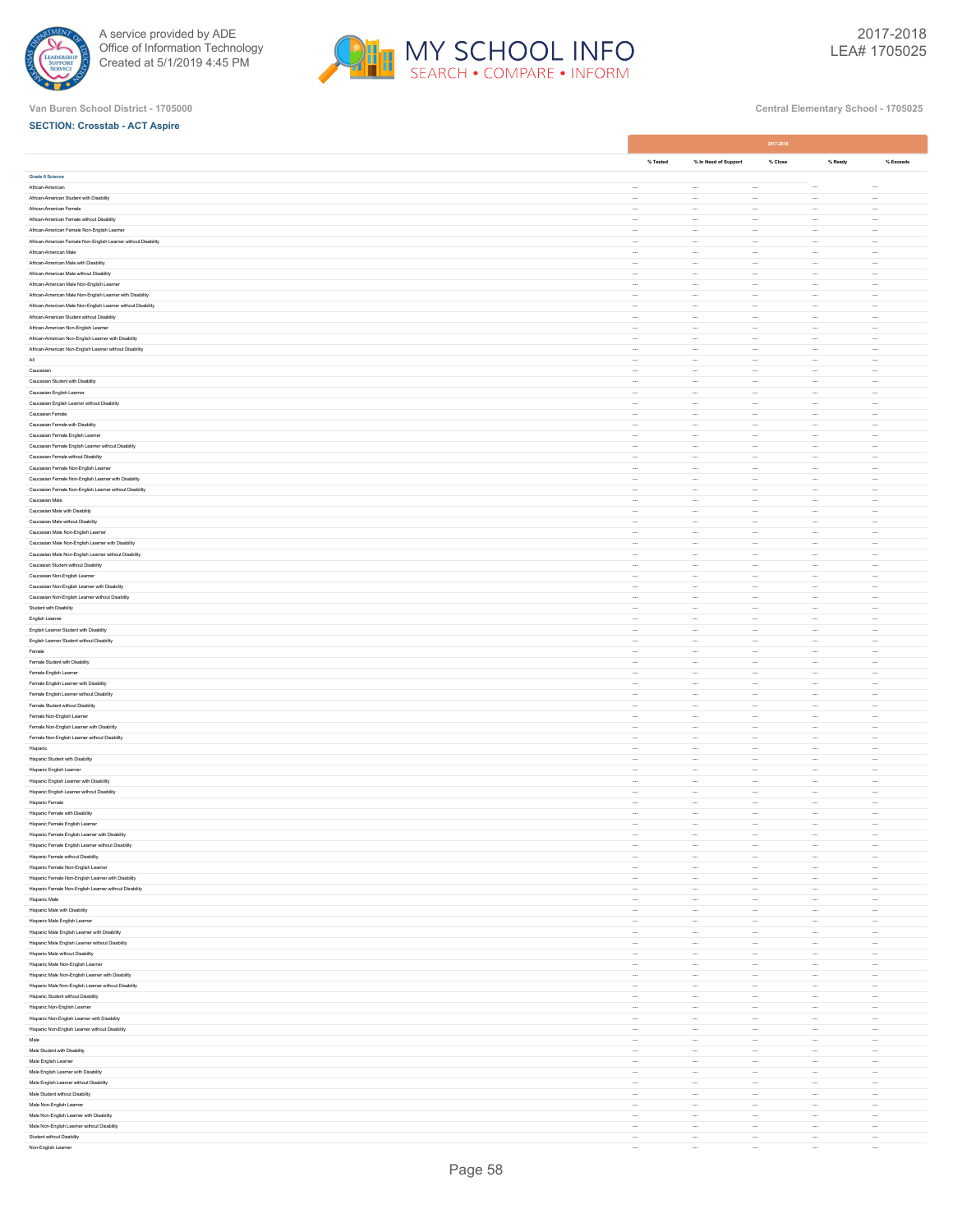



|                                                                                                                 |                                  |                                      | 2017-2018                         |                      |                          |
|-----------------------------------------------------------------------------------------------------------------|----------------------------------|--------------------------------------|-----------------------------------|----------------------|--------------------------|
|                                                                                                                 | $\%$ Tested                      | % In Need of Support                 | $\%$ Close                        | % Ready              | % Exceeds                |
| <b>Grade 6 Science</b>                                                                                          |                                  |                                      |                                   |                      |                          |
| African-American                                                                                                | $\cdots$                         | $\cdots$                             | $\ldots$                          | $\cdots$             | $\cdots$                 |
| African-American Student with Disability                                                                        | $\cdots$                         | $\cdots$                             | $\cdots$                          | $\cdots$             | $\cdots$                 |
| African-American Female                                                                                         | $\cdots$                         | $\ddotsc$                            | $\cdots$                          | $\cdots$             | $\cdots$                 |
| African-American Female without Disability                                                                      | $\ddotsc$                        | $\sim$                               | $\ddotsc$                         | $\ddotsc$            | $\ddotsc$                |
| African-American Female Non-English Learner                                                                     | $\cdots$                         | $\cdots$                             | $\cdots$                          | $\cdots$             | $\cdots$                 |
| African-American Female Non-English Learner without Disability                                                  | $\cdots$                         | $\ddotsc$                            | $\cdots$                          | $\cdots$             | $\cdots$                 |
| African-American Male                                                                                           | $\cdots$                         | $\cdots$                             | $\cdots$                          | $\cdots$             | $\cdots$                 |
| African-American Male with Disability                                                                           | $\cdots$                         | $\cdots$                             | $\cdots$                          | $\cdots$             | $\cdots$                 |
| African-American Male without Disability                                                                        | $\cdots$                         | $\cdots$                             | $\cdots$                          | $\cdots$             | $\cdots$                 |
| African-American Male Non-English Learner                                                                       | $\cdots$                         | $\cdots$                             | $\ddotsc$                         | $\cdots$             | $\cdots$                 |
| African-American Male Non-English Learner with Disability                                                       | $\cdots$                         | $\sim$                               | $\cdots$                          | $\ddotsc$            | $\cdots$                 |
| African-American Male Non-English Learner without Disability<br>African-American Student without Disability     | $\cdots$<br>$\cdots$             | $\cdots$<br>$\cdots$                 | $\ddotsc$<br>$\ddot{\phantom{0}}$ | $\cdots$<br>$\cdots$ | $\cdots$<br>$\cdots$     |
| African-American Non-English Learner                                                                            | $\cdots$                         | $\cdots$                             | $\ddot{\phantom{0}}$              | $\ddot{\phantom{0}}$ | $\cdots$                 |
| African-American Non-English Learner with Disability                                                            | $\cdots$                         | $\cdots$                             | $\cdots$                          | $\cdots$             | $\cdots$                 |
| African-American Non-English Learner without Disability                                                         | $\cdots$                         | $\cdots$                             | $\cdots$                          | $\cdots$             | $\cdots$                 |
| All                                                                                                             | à.                               | $\sim$                               | $\ddot{\phantom{a}}$              | $\ddotsc$            |                          |
| Caucasian                                                                                                       | $\cdots$                         | $\cdots$                             | $\cdots$                          | $\cdots$             | $\cdots$                 |
| Caucasian Student with Disability                                                                               | $\ddotsc$                        | $\ddot{\phantom{0}}$                 | $\ddot{\phantom{0}}$              | $\ddotsc$            |                          |
| Caucasian English Learner                                                                                       | $\sim$                           | $\sim$                               | $\sim$                            | $\cdots$             | $\overline{\phantom{a}}$ |
| Caucasian English Learner without Disability                                                                    | $\cdots$                         | $\cdots$                             | $\cdots$                          | $\cdots$             | $\cdots$                 |
| Caucasian Female                                                                                                | $\cdots$                         | $\cdots$                             | $\cdots$                          | $\cdots$             | $\cdots$                 |
| Caucasian Female with Disability                                                                                | $\cdots$                         | $\cdots$                             | $\ddotsc$                         | $\cdots$             | $\cdots$                 |
| Caucasian Female English Learner                                                                                | $\cdots$                         | $\cdots$                             | $\cdots$                          | $\cdots$             | $\cdots$                 |
| Caucasian Female English Learner without Disability                                                             | $\ddotsc$                        | $\ddotsc$                            | $\ddot{\phantom{0}}$              | $\cdots$             | $\cdots$                 |
| Caucasian Female without Disability                                                                             | $\cdots$                         | $\cdots$                             | $\cdots$                          | $\cdots$             | $\cdots$                 |
| Caucasian Female Non-English Learner                                                                            | $\cdots$                         | $\cdots$                             | $\ddot{\phantom{0}}$              | $\ddot{\phantom{0}}$ | $\cdots$                 |
| Caucasian Female Non-English Learner with Disability<br>Caucasian Female Non-English Learner without Disability | $\cdots$<br>$\cdots$             | $\cdots$<br>$\cdots$                 | $\cdots$<br>$\cdots$              | $\cdots$<br>$\cdots$ | $\cdots$<br>$\cdots$     |
| Caucasian Male                                                                                                  |                                  | $\sim$                               | $\cdots$                          | $\ddotsc$            |                          |
| Caucasian Male with Disability                                                                                  | $\cdots$<br>$\cdots$             | $\cdots$                             | $\ddotsc$                         | $\cdots$             | $\cdots$<br>$\cdots$     |
| Caucasian Male without Disability                                                                               | $\cdots$                         | $\cdots$                             | $\cdots$                          | $\cdots$             | $\cdots$                 |
| Caucasian Male Non-English Learner                                                                              | $\sim$                           | $\sim$                               | $\ddotsc$                         | $\ddotsc$            | $\ddotsc$                |
| Caucasian Male Non-English Learner with Disability                                                              | $\cdots$                         | $\cdots$                             | $\cdots$                          | $\cdots$             | $\cdots$                 |
| Caucasian Male Non-English Learner without Disability                                                           | $\cdots$                         | $\ddotsc$                            | $\cdots$                          | $\cdots$             | $\cdots$                 |
| Caucasian Student without Disability                                                                            |                                  | $\sim$                               | $\ddotsc$                         |                      | $\ddotsc$                |
| Caucasian Non-English Learner                                                                                   | $\cdots$                         | $\cdots$                             | $\cdots$                          | $\cdots$             | $\cdots$                 |
| Caucasian Non-English Learner with Disability                                                                   | $\cdots$                         | $\ddot{\phantom{0}}$                 | $\ddot{\phantom{0}}$              |                      |                          |
| Caucasian Non-English Learner without Disability                                                                | $\cdots$                         | $\cdots$                             | $\ddotsc$                         | $\cdots$             | $\cdots$                 |
| Student with Disability                                                                                         | $\cdots$                         | $\cdots$                             | $\cdots$                          | $\cdots$             | $\cdots$                 |
| English Learner                                                                                                 | $\cdots$                         | $\cdots$                             | $\cdots$                          | $\cdots$             | $\cdots$                 |
| English Learner Student with Disability                                                                         | $\cdots$                         | $\cdots$                             | $\ddotsc$                         | $\cdots$             | $\cdots$                 |
| English Learner Student without Disability                                                                      | $\cdots$                         | $\cdots$                             | $\cdots$                          | $\cdots$             | $\cdots$                 |
| Female<br>Female Student with Disability                                                                        | $\cdots$                         | $\ddot{\phantom{0}}$                 | $\ddotsc$<br>$\ddot{\phantom{0}}$ | $\cdots$<br>$\cdots$ | $\cdots$                 |
|                                                                                                                 | $\cdots$                         | $\cdots$<br>$\overline{\phantom{a}}$ | $\ddot{\phantom{0}}$              | $\ddotsc$            | $\cdots$<br>$\ddotsc$    |
| Female English Learner<br>Female English Learner with Disability                                                | $\cdots$<br>$\cdots$             | $\cdots$                             | $\cdots$                          | $\cdots$             | $\cdots$                 |
| Female English Learner without Disability                                                                       | $\cdots$                         | $\cdots$                             | $\cdots$                          | $\cdots$             | $\cdots$                 |
| Female Student without Disability                                                                               | $\ddot{\phantom{a}}$             | $\sim$                               | $\ddotsc$                         | $\ddotsc$            | $\cdots$                 |
| Female Non-English Learner                                                                                      | $\cdots$                         | $\cdots$                             | $\cdots$                          | $\cdots$             | $\cdots$                 |
| Female Non-English Learner with Disability                                                                      | $\ddotsc$                        | $\sim$                               | $\ddot{\phantom{0}}$              | $\ddotsc$            |                          |
| Female Non-English Learner without Disability                                                                   | $\sim$                           | $\ddotsc$                            | $\sim$                            | $\ddotsc$            | $\overline{\phantom{a}}$ |
| Hispanic                                                                                                        | $\cdots$                         | $\cdots$                             | $\cdots$                          | $\cdots$             | $\cdots$                 |
| Hispanic Student with Disability                                                                                | $\cdots$                         | $\cdots$                             | $\cdots$                          | $\cdots$             | $\cdots$                 |
| Hispanic English Learner                                                                                        | $\cdots$                         | $\cdots$                             | $\ddotsc$                         | $\cdots$             | $\cdots$                 |
| Hispanic English Learner with Disability                                                                        | $\cdots$                         | $\cdots$                             | $\cdots$                          | $\cdots$             | $\cdots$                 |
| Hispanic English Learner without Disability                                                                     | $\cdots$                         | $\ddotsc$                            | $\ddot{\phantom{0}}$              | $\cdots$             | $\cdots$                 |
| Hispanic Female                                                                                                 | $\cdots$                         | $\cdots$                             | $\ddotsc$                         | $\cdots$             | $\cdots$                 |
| Hispanic Female with Disability                                                                                 | $\cdots$                         | $\sim$                               | $\cdots$                          | $\ddot{\phantom{0}}$ | $\cdots$                 |
| Hispanic Female English Learner<br>Hispanic Female English Learner with Disability                              | $\cdots$<br>$\cdots$             | $\cdots$<br>$\cdots$                 | $\cdots$<br>$\cdots$              | $\cdots$<br>$\cdots$ | $\cdots$<br>$\cdots$     |
| Hispanic Female English Learner without Disability                                                              | $\cdots$                         | $\cdots$                             | $\cdots$                          | $\cdots$             | $\ddotsc$                |
| Hispanic Female without Disability                                                                              | $\cdots$                         | $\sim$                               | $\cdots$                          | $\cdots$             | $\cdots$                 |
| Hispanic Female Non-English Learner                                                                             | $\cdots$                         | $\cdots$                             | $\cdots$                          | $\ldots$             | $\ldots$                 |
| Hispanic Female Non-English Learner with Disability                                                             | $\sim$                           | $\sim$                               | $\sim$                            | $\ddotsc$            | $\cdots$                 |
| Hispanic Female Non-English Learner without Disability                                                          | $\cdots$                         | $\cdots$                             | $\cdots$                          | $\cdots$             | $\ldots$                 |
| Hispanic Male                                                                                                   | $\cdots$                         | $\cdots$                             | $\cdots$                          | $\cdots$             | $\ldots$                 |
| Hispanic Male with Disability                                                                                   | $\sim$                           | $\sim$                               | $\sim$                            | $\ddotsc$            | $\cdots$                 |
| Hispanic Male English Learner                                                                                   | $\cdots$                         | $\cdots$                             | $\cdots$                          | $\cdots$             | $\cdots$                 |
| Hispanic Male English Learner with Disability                                                                   | $\ldots$                         | $\cdots$                             | $\cdots$                          | $\cdots$             | $\cdots$                 |
| Hispanic Male English Learner without Disability                                                                | $\cdots$                         | $\cdots$                             | $\ddotsc$                         | $\ddotsc$            | $\cdots$                 |
| Hispanic Male without Disability                                                                                | $\cdots$                         | $\cdots$                             | $\cdots$                          | $\cdots$             | $\cdots$                 |
| Hispanic Male Non-English Learner                                                                               | $\ldots$<br>$\cdots$             | $\cdots$<br>$\sim$                   | $\cdots$<br>$\sim$                | $\cdots$<br>$\cdots$ | $\cdots$<br>$\cdots$     |
| Hispanic Male Non-English Learner with Disability<br>Hispanic Male Non-English Learner without Disability       |                                  | $\cdots$                             |                                   | $\cdots$             |                          |
| Hispanic Student without Disability                                                                             | $\ddot{\phantom{0}}$<br>$\ldots$ | $\cdots$                             | $\cdots$<br>$\cdots$              | $\cdots$             | $\cdots$<br>$\cdots$     |
| Hispanic Non-English Learner                                                                                    | $\cdots$                         | $\cdots$                             | $\cdots$                          | $\cdots$             | $\cdots$                 |
| Hispanic Non-English Learner with Disability                                                                    | $\cdots$                         | $\ddotsc$                            | $\ddot{\phantom{0}}$              | $\ddotsc$            | $\cdots$                 |
| Hispanic Non-English Learner without Disability                                                                 | $\cdots$                         | $\cdots$                             | $\cdots$                          | $\cdots$             | $\cdots$                 |
| Male                                                                                                            | $\cdots$                         | $\cdots$                             | $\cdots$                          | $\ldots$             | $\ldots$                 |
| Male Student with Disability                                                                                    | $\ddotsc$                        | $\sim$                               | $\sim$                            | $\ddotsc$            |                          |
| Male English Learner                                                                                            | $\cdots$                         | $\cdots$                             | $\cdots$                          | $\cdots$             | $\ldots$                 |
| Male English Learner with Disability                                                                            | $\cdots$                         | $\cdots$                             | $\cdots$                          |                      | $\cdots$                 |
| Male English Learner without Disability                                                                         | $\ddotsc$                        | $\sim$                               | $\sim$                            | $\ddotsc$            | $\cdots$                 |
| Male Student without Disability                                                                                 | $\cdots$                         | $\cdots$                             | $\cdots$                          | $\cdots$             | $\cdots$                 |
| Male Non-English Learner                                                                                        | $\cdots$                         | $\cdots$                             | $\cdots$                          | $\cdots$             | $\cdots$                 |
| Male Non-English Learner with Disability                                                                        | $\cdots$                         | $\cdots$                             | $\cdots$                          | $\ddotsc$            | $\cdots$                 |
| Male Non-English Learner without Disability<br>Student without Disability                                       | $\cdots$<br>$\cdots$             | $\cdots$<br>$\cdots$                 | $\cdots$<br>$\ldots$              | $\cdots$<br>$\cdots$ | $\cdots$<br>$\cdots$     |
| Non-English Learner                                                                                             | $\cdots$                         | $\cdots$                             | $\cdots$                          | $\cdots$             | $\ldots$                 |
|                                                                                                                 |                                  |                                      |                                   |                      |                          |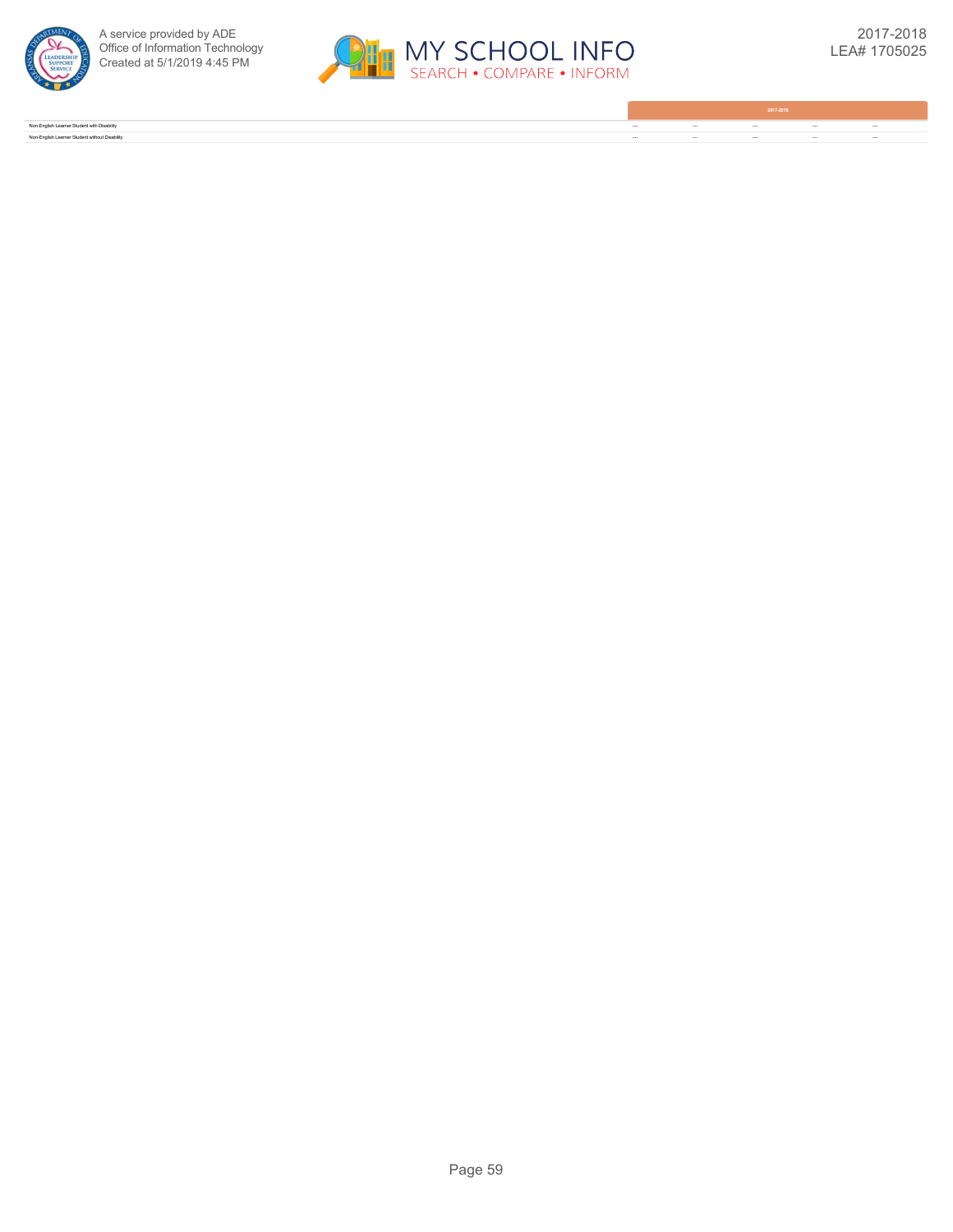



Non-English Learner Student with Disability --- --- --- --- --- Non-English Learner Student without Disability --- --- --- --- ---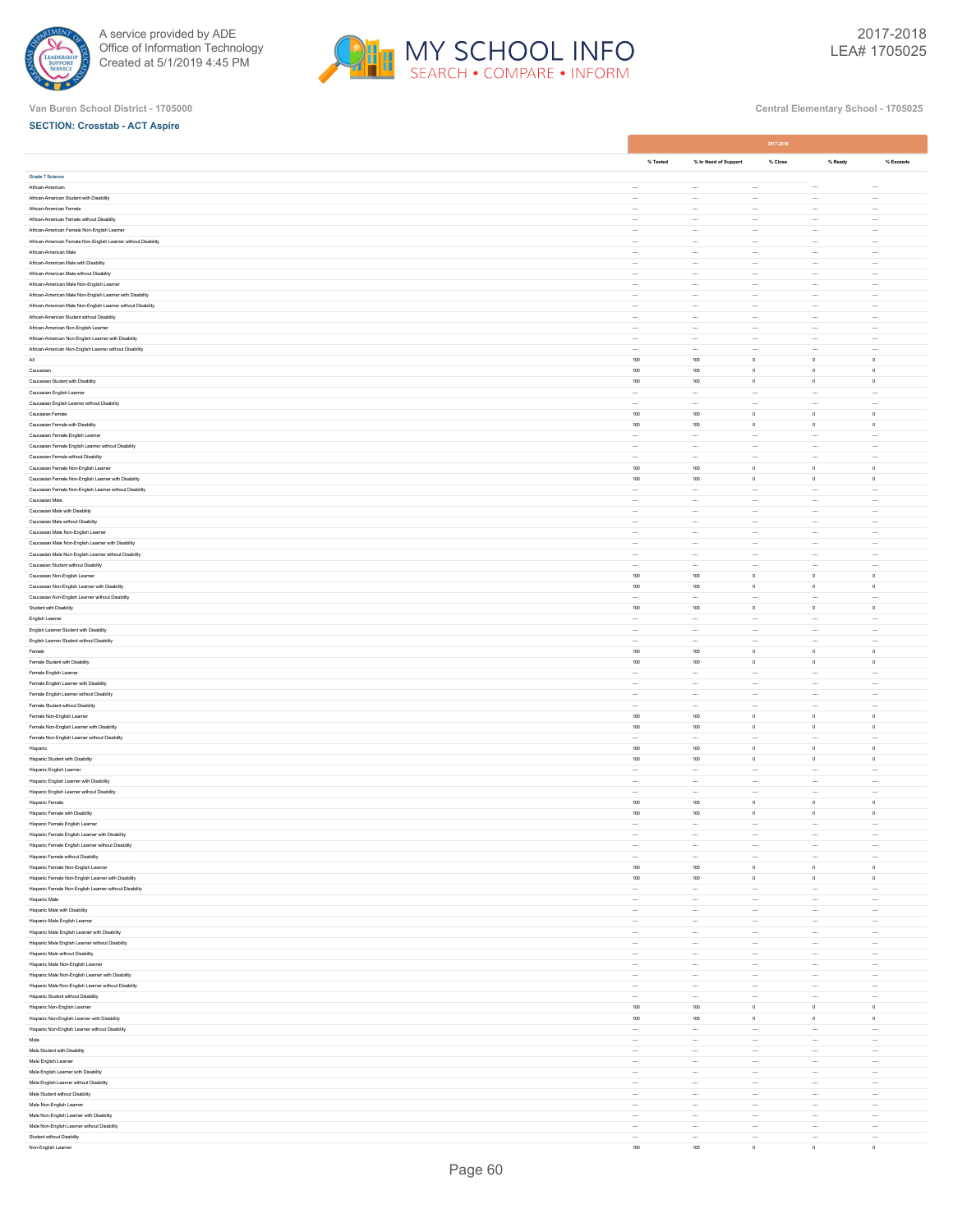



|                                                                                                                 | 2017-2018                        |                                 |                          |                         |                                      |
|-----------------------------------------------------------------------------------------------------------------|----------------------------------|---------------------------------|--------------------------|-------------------------|--------------------------------------|
|                                                                                                                 | $%$ Tested                       | % In Need of Support            | % Close                  | % Ready                 | % Exceeds                            |
| Grade 7 Science                                                                                                 |                                  |                                 |                          |                         |                                      |
| African-American                                                                                                | $\cdots$                         | $\cdots$                        | $\cdots$                 | $\cdots$                | $\cdots$                             |
| African-American Student with Disability                                                                        | $\ldots$                         | $\cdots$                        | $\ldots$                 | $\cdots$                | $\cdots$                             |
| African-American Female<br>African-American Female without Disability                                           | $\sim$<br>$\cdots$               | $\sim$<br>$\sim$                | $\sim$<br>$\cdots$       | $\ddotsc$<br>$\cdots$   | $\cdots$<br>$\cdots$                 |
| African-American Female Non-English Learner                                                                     | $\cdots$                         | $\ddotsc$                       | $\ddot{\phantom{0}}$     | $\ddotsc$               |                                      |
| African-American Female Non-English Learner without Disability                                                  | $\cdots$                         | $\sim$                          | $\sim$                   | $\ddotsc$               | $\overline{\phantom{a}}$             |
| African-American Male                                                                                           | $\cdots$                         | $\cdots$                        | $\cdots$                 | $\cdots$                | $\cdots$                             |
| African-American Male with Disability                                                                           | $\cdots$                         | $\cdots$                        | $\cdots$                 | $\cdots$                | $\cdots$                             |
| African-American Male without Disability<br>African-American Male Non-English Learner                           | $\cdots$<br>$\cdots$             | $\cdots$<br>$\cdots$            | $\ddotsc$<br>$\cdots$    | $\cdots$<br>$\cdots$    | $\cdots$<br>$\cdots$                 |
| African-American Male Non-English Learner with Disability                                                       | $\cdots$                         | $\ddotsc$                       | $\ddot{\phantom{0}}$     | $\cdots$                | $\cdots$                             |
| African-American Male Non-English Learner without Disability                                                    | $\cdots$                         | $\cdots$                        | $\cdots$                 | $\cdots$                | $\cdots$                             |
| African-American Student without Disability                                                                     | $\cdots$                         | $\ddot{\phantom{a}}$            | $\ddot{\phantom{0}}$     | $\ddotsc$               | $\ddotsc$                            |
| African-American Non-English Learner                                                                            | $\cdots$                         | $\cdots$                        | $\cdots$                 | $\cdots$                | $\cdots$                             |
| African-American Non-English Learner with Disability<br>African-American Non-English Learner without Disability | $\cdots$<br>$\ddot{\phantom{a}}$ | $\cdots$                        | $\ddotsc$                | $\cdots$                | $\cdots$                             |
| All                                                                                                             | 100                              | 100                             | $\circ$                  | $\circ$                 | $\circ$                              |
| Caucasian                                                                                                       | 100                              | 100                             | $\,$ 0 $\,$              | $\,$ 0 $\,$             | $\,$ 0 $\,$                          |
| Caucasian Student with Disability                                                                               | 100                              | 100                             | $\,$ 0 $\,$              | $\,$ 0 $\,$             | $\,$ 0 $\,$                          |
| Caucasian English Learner                                                                                       | $\cdots$                         | $\cdots$                        | $\cdots$                 | $\cdots$                | $\cdots$                             |
| Caucasian English Learner without Disability<br>Caucasian Female                                                | $\cdots$<br>100                  | $\cdots$<br>100                 | $\cdots$<br>$\mathbf 0$  | $\cdots$<br>$\mathbb O$ | $\ldots$<br>$\mathbb O$              |
| Caucasian Female with Disability                                                                                | 100                              | 100                             | $\mathbf 0$              | $\,$ 0 $\,$             | $\mathbb O$                          |
| Caucasian Female English Learner                                                                                | $\cdots$                         | $\ddot{\phantom{0}}$            | $\ddot{\phantom{0}}$     | $\ddotsc$               |                                      |
| Caucasian Female English Learner without Disability                                                             | $\cdots$                         | $\cdots$                        | $\ddotsc$                | $\cdots$                | $\cdots$                             |
| Caucasian Female without Disability                                                                             | $\cdots$                         | $\cdots$                        | $\cdots$                 | $\cdots$                | $\cdots$                             |
| Caucasian Female Non-English Learner                                                                            | 100<br>100                       | 100<br>100                      | $\,$ 0 $\,$<br>$\circ$   | $\mathbb O$<br>$\circ$  | $\mathsf{O}$<br>$\circ$              |
| Caucasian Female Non-English Learner with Disability<br>Caucasian Female Non-English Learner without Disability | $\cdots$                         | $\cdots$                        | $\cdots$                 | $\ddotsc$               | $\cdots$                             |
| Caucasian Male                                                                                                  | $\cdots$                         | $\ddot{\phantom{0}}$            | $\ddotsc$                | $\cdots$                | $\cdots$                             |
| Caucasian Male with Disability                                                                                  | $\cdots$                         | $\cdots$                        | $\cdots$                 | $\cdots$                | $\cdots$                             |
| Caucasian Male without Disability                                                                               | $\cdots$                         | $\ddot{\phantom{a}}$            | $\ddot{\phantom{0}}$     | $\ddotsc$               | $\cdots$                             |
| Caucasian Male Non-English Learner<br>Caucasian Male Non-English Learner with Disability                        | $\cdots$<br>$\cdots$             | $\sim$<br>$\cdots$              | $\cdots$<br>$\cdots$     | $\cdots$<br>$\cdots$    | $\cdots$<br>$\cdots$                 |
| Caucasian Male Non-English Learner without Disability                                                           | $\ddot{\phantom{a}}$             | $\sim$                          | $\ddot{\phantom{a}}$     | $\ddotsc$               |                                      |
| Caucasian Student without Disability                                                                            | $\cdots$                         | $\cdots$                        | $\ddotsc$                | $\cdots$                | $\cdots$                             |
| Caucasian Non-English Learner                                                                                   | $100\,$                          | $100\,$                         | $\,$ 0 $\,$              | $\,$ 0 $\,$             | $\,$ 0 $\,$                          |
| Caucasian Non-English Learner with Disability                                                                   | 100                              | 100                             | $\,$ 0 $\,$              | $\,$ 0 $\,$             | $\,$ 0 $\,$                          |
| Caucasian Non-English Learner without Disability                                                                | $\cdots$                         | $\cdots$                        | $\cdots$                 | $\cdots$                | $\cdots$                             |
| Student with Disability<br>English Learner                                                                      | $100\,$<br>$\sim$                | $100\,$<br>$\cdots$             | $\,$ 0 $\,$<br>$\ddotsc$ | $\,$ 0 $\,$<br>$\cdots$ | $\,$ 0 $\,$<br>$\cdots$              |
| English Learner Student with Disability                                                                         | $\cdots$                         | $\cdots$                        | $\cdots$                 | $\cdots$                | $\cdots$                             |
| English Learner Student without Disability                                                                      | $\cdots$                         | $\ddot{\phantom{0}}$            | $\ddotsc$                | $\cdots$                | $\cdots$                             |
| Female                                                                                                          | 100                              | 100                             | $\circ$                  | $\circ$                 | $\circ$                              |
| Female Student with Disability                                                                                  | $100\,$<br>$\ldots$              | $100\,$<br>$\ddot{\phantom{0}}$ | $\,$ 0 $\,$<br>$\cdots$  | $\,$ 0 $\,$<br>$\cdots$ | $\,$ 0 $\,$<br>$\cdots$              |
| Female English Learner<br>Female English Learner with Disability                                                | $\cdots$                         | $\cdots$                        | $\cdots$                 | $\cdots$                | $\cdots$                             |
| Female English Learner without Disability                                                                       | $\cdots$                         | $\sim$                          | $\cdots$                 | $\ddotsc$               | $\cdots$                             |
| Female Student without Disability                                                                               | $\cdots$                         | $\sim$                          | $\ddotsc$                | $\cdots$                | $\cdots$                             |
| Female Non-English Learner                                                                                      | 100                              | 100                             | $\,$ 0 $\,$              | $\,$ 0 $\,$             | $\,$ 0 $\,$                          |
| Female Non-English Learner with Disability                                                                      | 100<br>$\cdots$                  | 100<br>$\cdots$                 | $\,$ 0 $\,$<br>$\cdots$  | $\,$ 0 $\,$<br>$\cdots$ | $\,$ 0 $\,$<br>$\cdots$              |
| Female Non-English Learner without Disability<br>Hispanic                                                       | $100\,$                          | $100\,$                         | $\,$ 0 $\,$              | $\,$ 0 $\,$             | $\,$ 0 $\,$                          |
| Hispanic Student with Disability                                                                                | 100                              | 100                             | $\,$ 0 $\,$              | $\,$ 0 $\,$             | $\,$ 0 $\,$                          |
| Hispanic English Learner                                                                                        | $\cdots$                         | $\cdots$                        | $\cdots$                 | $\cdots$                | $\cdots$                             |
| Hispanic English Learner with Disability                                                                        | $\cdots$                         | $\ddotsc$                       | $\cdots$                 |                         | $\cdots$                             |
| Hispanic English Learner without Disability                                                                     | $\cdots$<br>100                  | $\cdots$<br>100                 | $\cdots$                 | $\cdots$<br>$\mathbb O$ | $\cdots$<br>$\mathbb O$              |
| Hispanic Female<br>Hispanic Female with Disability                                                              | 100                              | 100                             | $\circ$<br>$\,$ 0 $\,$   | $\,$ 0 $\,$             | $\,$ 0 $\,$                          |
| Hispanic Female English Learner                                                                                 | $\cdots$                         | $\cdots$                        | $\sim$                   | $\cdots$                | $\overline{\phantom{a}}$             |
| Hispanic Female English Learner with Disability                                                                 |                                  |                                 |                          |                         |                                      |
| Hispanic Female English Learner without Disability                                                              | $\ldots$                         | $\cdots$                        | $\cdots$                 | $\cdots$                | $\cdots$                             |
| Hispanic Female without Disability<br>Hispanic Female Non-English Learner                                       | $\ldots$<br>$100\,$              | $\cdots$<br>$100\,$             | $\cdots$<br>$\,$ 0 $\,$  | $\ldots$<br>$\,$ 0 $\,$ | $\cdots$<br>$\,$ 0 $\,$              |
| Hispanic Female Non-English Learner with Disability                                                             | 100                              | 100                             | $\mathbf 0$              | $\circ$                 | $\circ$                              |
| Hispanic Female Non-English Learner without Disability                                                          | $\ldots$                         | $\cdots$                        | $\cdots$                 | $\cdots$                | $\ldots$                             |
| Hispanic Male                                                                                                   | $\sim$                           | $\sim$                          | $\sim$                   | $\ddotsc$               | $\cdots$                             |
| Hispanic Male with Disability<br>Hispanic Male English Learner                                                  | $\cdots$                         | $\cdots$                        | $\cdots$                 | $\cdots$                | $\ldots$                             |
| Hispanic Male English Learner with Disability                                                                   | $\ldots$<br>$\cdots$             | $\ddot{\phantom{0}}$<br>$\sim$  | $\cdots$<br>$\sim$       | $\cdots$<br>$\cdots$    | $\cdots$<br>$\overline{\phantom{a}}$ |
| Hispanic Male English Learner without Disability                                                                | $\cdots$                         | $\cdots$                        | $\cdots$                 | $\cdots$                | $\cdots$                             |
| Hispanic Male without Disability                                                                                | $\ldots$                         | $\cdots$                        | $\cdots$                 | $\cdots$                | $\cdots$                             |
| Hispanic Male Non-English Learner                                                                               | $\cdots$                         | $\cdots$                        | $\cdots$                 | $\cdots$                | $\cdots$                             |
| Hispanic Male Non-English Learner with Disability                                                               | $\cdots$                         | $\cdots$                        | $\cdots$                 | $\cdots$                | $\cdots$                             |
| Hispanic Male Non-English Learner without Disability                                                            | $\ldots$<br>$\cdots$             | $\cdots$<br>$\sim$              | $\ldots$<br>$\cdots$     | $\cdots$<br>$\cdots$    | $\cdots$<br>$\cdots$                 |
| Hispanic Student without Disability<br>Hispanic Non-English Learner                                             | $100\,$                          | $100\,$                         | $\,$ 0 $\,$              | $\,$ 0 $\,$             | $\,$ 0 $\,$                          |
| Hispanic Non-English Learner with Disability                                                                    | 100                              | 100                             | $\,$ 0 $\,$              | $\mathbb O$             | $\mathsf{O}$                         |
| Hispanic Non-English Learner without Disability                                                                 | $\ldots$                         | $\cdots$                        | $\cdots$                 | $\cdots$                | $\cdots$                             |
| Male                                                                                                            | $\cdots$                         | $\ddot{\phantom{a}}$            | $\cdots$                 |                         | $\cdots$                             |
| Male Student with Disability                                                                                    | $\cdots$                         | $\sim$                          | $\cdots$                 | $\cdots$                | $\ldots$                             |
| Male English Learner<br>Male English Learner with Disability                                                    | $\ldots$<br>$\cdots$             | $\cdots$<br>$\sim$              | $\cdots$<br>$\sim$       | $\cdots$<br>$\ddotsc$   | $\ldots$<br>                         |
| Male English Learner without Disability                                                                         | $\cdots$                         | $\sim$                          | $\cdots$                 | $\cdots$                | $\ldots$                             |
| Male Student without Disability                                                                                 | $\ldots$                         | $\cdots$                        | $\cdots$                 | $\cdots$                | $\cdots$                             |
| Male Non-English Learner                                                                                        | $\ddotsc$                        | $\sim$                          | $\sim$                   | $\ddotsc$               | $\cdots$                             |
| Male Non-English Learner with Disability                                                                        | $\cdots$                         | $\cdots$                        | $\cdots$                 | $\cdots$                | $\cdots$                             |
| Male Non-English Learner without Disability<br>Student without Disability                                       | $\cdots$<br>$\ldots$             | $\cdots$<br>$\cdots$            | $\cdots$<br>$\ddotsc$    | $\cdots$<br>$\cdots$    | $\cdots$<br>$\overline{\phantom{a}}$ |
| Non-English Learner                                                                                             | 100                              | 100                             | $\mathbf 0$              | $\mathbb O$             | $\mathsf{O}$                         |
|                                                                                                                 |                                  |                                 |                          |                         |                                      |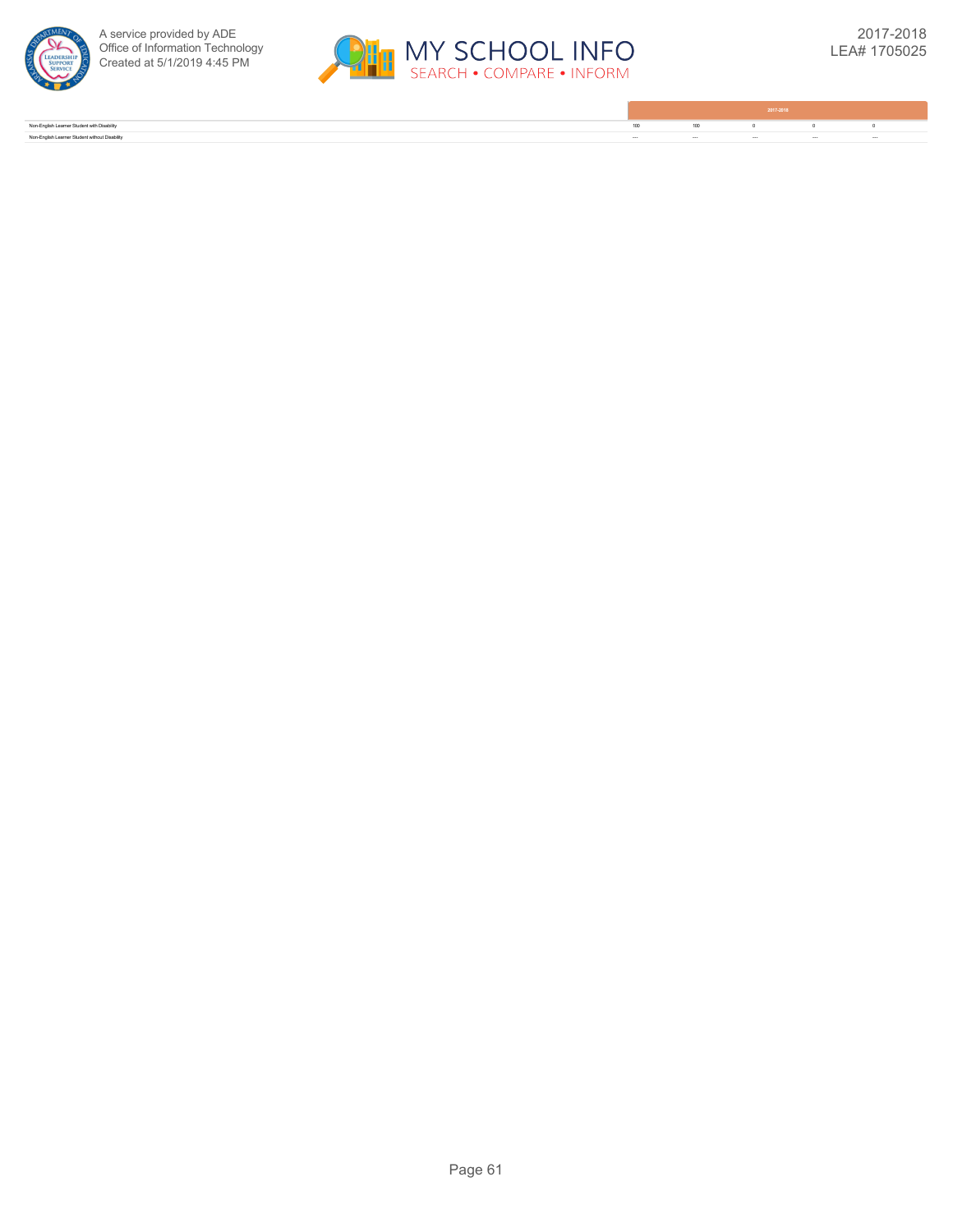



Non-English Learner Student with Disability 100 100 0 0 0 Non-English Learner Student without Disability --- --- --- --- ---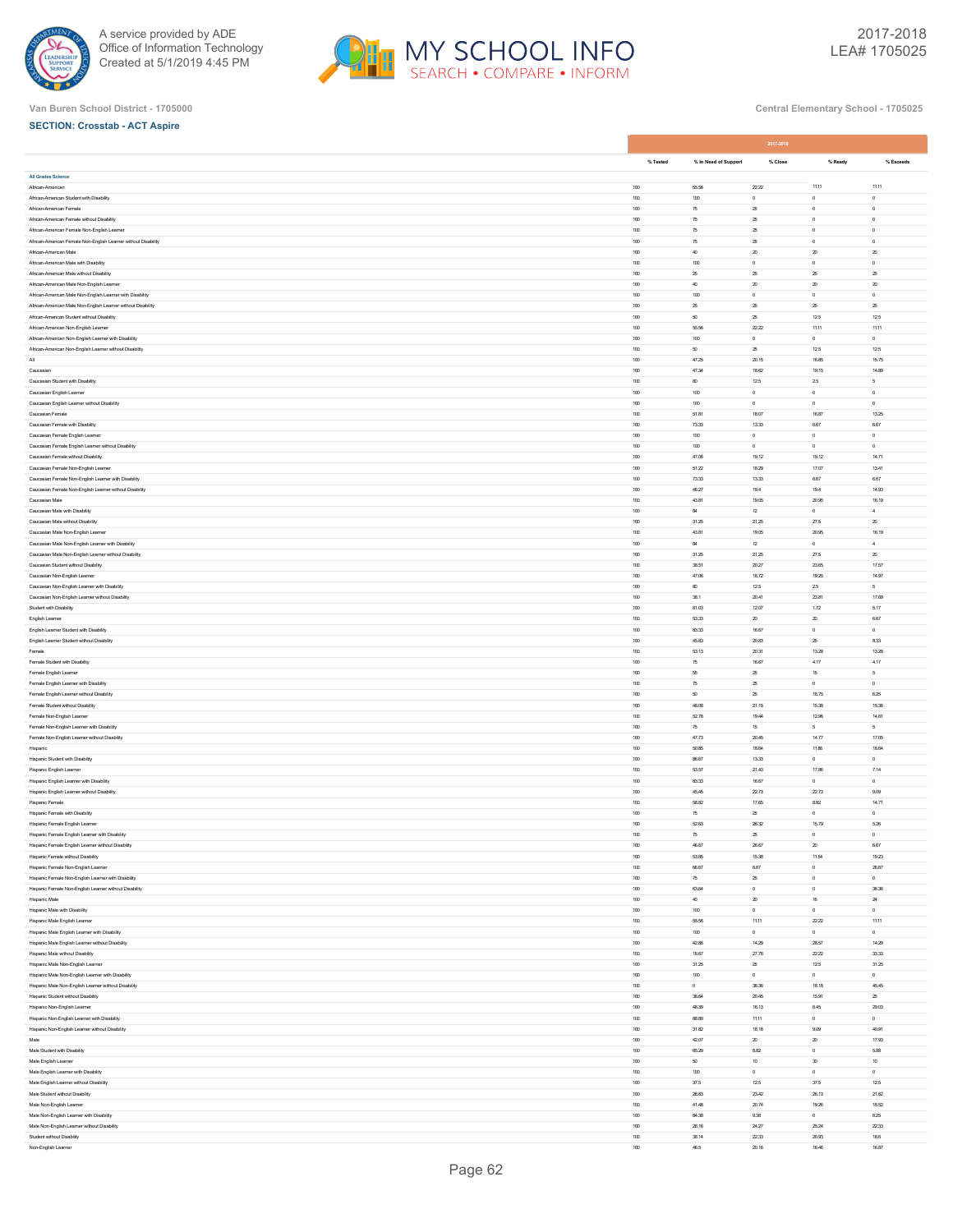



|                                                                                                                           |            |                      |                            | 2017-2018                 |                          |
|---------------------------------------------------------------------------------------------------------------------------|------------|----------------------|----------------------------|---------------------------|--------------------------|
|                                                                                                                           | $%$ Tested | % In Need of Support | % Close                    | % Ready                   | % Exceeds                |
| <b>All Grades Science</b>                                                                                                 |            |                      |                            |                           |                          |
| African-American                                                                                                          | 100        | 55.56                | 22.22                      | 11.11                     | 11.11                    |
| African-American Student with Disability<br>African-American Female                                                       | 100<br>100 | 100<br>$7\!$         | $\circ$<br>$\rm{2S}$       | $^{\circ}$<br>$\,$ 0 $\,$ | $\circ$<br>$\,$ 0 $\,$   |
| African-American Female without Disability                                                                                | 100        | 75                   | $\rm{2S}$                  | $\circ$                   | $\,0\,$                  |
| African-American Female Non-English Learner                                                                               | 100        | 75                   | $\rm{2S}$                  | $\,$ 0 $\,$               | $\,$ 0 $\,$              |
| African-American Female Non-English Learner without Disability<br>African-American Male                                   | 100<br>100 | $75\,$<br>40         | $\rm{25}$<br>$20\,$        | $\,$ 0<br>20              | $\,$ 0<br>$20\,$         |
| African-American Male with Disability                                                                                     | 100        | 100                  | $\circ$                    | $\circ$                   | $\circ$                  |
| African-American Male without Disability                                                                                  | 100        | $\rm{25}$            | 25                         | 25                        | 25                       |
| African-American Male Non-English Learner                                                                                 | 100        | 40                   | $20\,$                     | $\,$ 20 $\,$              | $20\,$                   |
| African-American Male Non-English Learner with Disability<br>African-American Male Non-English Learner without Disability | 100<br>100 | 100<br>$_{\rm 25}$   | $\,$ 0 $\,$<br>$_{\rm 25}$ | $\,$ 0 $\,$<br>25         | $\,$ 0 $\,$<br>25        |
| African-American Student without Disability                                                                               | 100        | 60                   | $\rm{2S}$                  | 12.5                      | 12.5                     |
| African-American Non-English Learner                                                                                      | 100        | 55.56                | 22.22                      | 11.11                     | $11.11\,$                |
| African-American Non-English Learner with Disability                                                                      | 100<br>100 | 100<br>60            | $\circ$<br>$\rm{2S}$       | $^{\circ}$<br>12.5        | $\circ$<br>12.5          |
| African-American Non-English Learner without Disability<br>All                                                            | 100        | 47.25                | 20.15                      | 16.85                     | 15.75                    |
| Caucasian                                                                                                                 | 100        | 47.34                | 18.62                      | 19.15                     | 14.89                    |
| Caucasian Student with Disability                                                                                         | 100        | $_{\rm 80}$          | $12.5\,$                   | $2.5\,$                   | $\sqrt{5}$               |
| Caucasian English Learner<br>Caucasian English Learner without Disability                                                 | 100<br>100 | 100<br>100           | $\circ$<br>$\circ$         | $\circ$<br>$\circ$        | $\circ$<br>$\circ$       |
| Caucasian Female                                                                                                          | 100        | 51.81                | 18.07                      | 16.87                     | 13.25                    |
| Caucasian Female with Disability                                                                                          | 100        | 73.33                | 13.33                      | 6.67                      | 6.67                     |
| Caucasian Female English Learner                                                                                          | 100        | 100                  | $\circ$                    | $\,$ 0 $\,$               | $\,$ 0 $\,$              |
| Caucasian Female English Learner without Disability<br>Caucasian Female without Disability                                | 100<br>100 | 100<br>47.06         | $\,$ 0<br>19.12            | $\circ$<br>19.12          | $\circ$<br>14.71         |
| Caucasian Female Non-English Learner                                                                                      | 100        | 51.22                | 18.29                      | 17.07                     | 13.41                    |
| Caucasian Female Non-English Learner with Disability                                                                      | 100        | 73.33                | 13.33                      | 6.67                      | 6.67                     |
| Caucasian Female Non-English Learner without Disability                                                                   | 100        | 46.27                | 19.4                       | 19.4                      | 14.93                    |
| Caucasian Male<br>Caucasian Male with Disability                                                                          | 100<br>100 | 43.81<br>84          | 19.05<br>12                | 20.95<br>$^{\circ}$       | 16.19<br>$\overline{4}$  |
| Caucasian Male without Disability                                                                                         | 100        | 31.25                | 21.25                      | 27.5                      | $20\,$                   |
| Caucasian Male Non-English Learner                                                                                        | 100        | 43.81                | 19.05                      | 20.95                     | 16.19                    |
| Caucasian Male Non-English Learner with Disability<br>Caucasian Male Non-English Learner without Disability               | 100        | 84                   | 12                         | $^{\circ}$                | $\overline{4}$           |
| Caucasian Student without Disability                                                                                      | 100<br>100 | 31.25<br>38.51       | 21.25<br>20.27             | $27.5\,$<br>23.65         | $\rm 20$<br>17.57        |
| Caucasian Non-English Learner                                                                                             | 100        | 47.06                | 18.72                      | 19.25                     | 14.97                    |
| Caucasian Non-English Learner with Disability                                                                             | 100        | $_{\rm 80}$          | $12.5\,$                   | $2.5\,$                   | $\sqrt{5}$               |
| Caucasian Non-English Learner without Disability<br>Student with Disability                                               | 100<br>100 | 38.1<br>81.03        | 20.41<br>12.07             | 23.81<br>1.72             | 17.69<br>5.17            |
| English Learner                                                                                                           | 100        | 53.33                | $20\,$                     | $20\,$                    | 6.67                     |
| English Learner Student with Disability                                                                                   | 100        | 83.33                | 16.67                      | $\circ$                   | $\circ$                  |
| English Learner Student without Disability                                                                                | 100        | 45.83                | 20.83                      | $\rm 25$                  | 8.33                     |
| Female<br>Female Student with Disability                                                                                  | 100<br>100 | 53.13<br>75          | 20.31<br>16.67             | 13.28<br>4.17             | 13.28<br>4.17            |
| Female English Learner                                                                                                    | 100        | 66                   | $\rm{2S}$                  | $15\,$                    | $\overline{\phantom{a}}$ |
| Female English Learner with Disability                                                                                    | 100        | 75                   | 25                         | $^{\circ}$                | $\circ$                  |
| Female English Learner without Disability                                                                                 | 100        | 60                   | $\rm{2S}$                  | 18.75                     | 6.25                     |
| Female Student without Disability<br>Female Non-English Learner                                                           | 100<br>100 | 48.08<br>62.78       | 21.15<br>19.44             | 15.38<br>12.96            | 15.38<br>14.81           |
| Female Non-English Learner with Disability                                                                                | 100        | $75\,$               | $15\,$                     | $\sqrt{5}$                | $\sqrt{5}$               |
| Female Non-English Learner without Disability                                                                             | 100        | 47.73                | 20.45                      | 14.77                     | 17.05                    |
| Hispanic<br>Hispanic Student with Disability                                                                              | 100<br>100 | 50.85<br>86.67       | 18.64<br>13.33             | 11.86<br>$\,$ 0 $\,$      | 18.64<br>$\,$ 0 $\,$     |
| Hispanic English Learner                                                                                                  | 100        | 53.57                | 21.43                      | 17.86                     | 7.14                     |
| Hispanic English Learner with Disability                                                                                  | 100        | 83.33                | 16.67                      | $^{\circ}$                | $\circ$                  |
| Hispanic English Learner without Disability                                                                               | 100<br>100 | 45.45<br>58.82       | 22.73<br>17.65             | 22.73<br>8.82             | 9.09<br>14.71            |
| Hispanic Female<br>Hispanic Female with Disability                                                                        | 100        | $75\,$               | $\rm{2S}$                  | $\,$ 0 $\,$               | $\circ$                  |
| Hispanic Female English Learner                                                                                           | 100        | 52.63                | 26.32                      | 15.79                     | 5.26                     |
| Hispanic Female English Learner with Disability                                                                           | 100        |                      |                            |                           |                          |
| Hispanic Female English Learner without Disability<br>Hispanic Female without Disability                                  | 100<br>100 | 46.67<br>53.85       | 26.67<br>15.38             | $\rm{20}$<br>11.54        | 6.67<br>19.23            |
| Hispanic Female Non-English Learner                                                                                       | 100        | 66.67                | 6.67                       | $\,$ 0 $\,$               | 26.67                    |
| Hispanic Female Non-English Learner with Disability                                                                       | 100        | 75                   | $\rm{2S}$                  | $\mathbb O$               | $\circ$                  |
| Hispanic Female Non-English Learner without Disability<br>Hispanic Male                                                   | 100<br>100 | 63.64<br>$40\,$      | $\circ$<br>$\rm{20}$       | $\circ$<br>16             | 36.36<br>$24\,$          |
| Hispanic Male with Disability                                                                                             | 100        | 100                  | $\circ$                    | $^{\circ}$                | $\circ$                  |
| Hispanic Male English Learner                                                                                             | 100        | 55.56                | 11.11                      | 22.22                     | 11.11                    |
| Hispanic Male English Learner with Disability                                                                             | 100        | 100                  | $\,$ 0                     | $\,$ 0 $\,$               | $\,$ 0                   |
| Hispanic Male English Learner without Disability<br>Hispanic Male without Disability                                      | 100<br>100 | 42.86<br>16.67       | 14.29<br>27.78             | 28.57<br>22.22            | 14.29<br>33.33           |
| Hispanic Male Non-English Learner                                                                                         | 100        | 31.25                | $_{\rm 25}$                | 12.5                      | 31.25                    |
| Hispanic Male Non-English Learner with Disability                                                                         | 100        | 100                  | $\circ$                    | $^{\circ}$                | $\circ$                  |
| Hispanic Male Non-English Learner without Disability                                                                      | 100        | $\,$ 0               | 36.36                      | 18.18                     | 45.45                    |
| Hispanic Student without Disability<br>Hispanic Non-English Learner                                                       | 100<br>100 | 38.64<br>48.39       | 20.45<br>16.13             | 15.91<br>6.45             | 25<br>29.03              |
| Hispanic Non-English Learner with Disability                                                                              | 100        | 88.89                | 11.11                      | $\circ$                   | $\circ$                  |
| Hispanic Non-English Learner without Disability                                                                           | 100        | 31.82                | 18.18                      | 9.09                      | 40.91                    |
| Male                                                                                                                      | 100        | 42.07                | $20\,$                     | $\rm{20}$<br>$\mathbb O$  | 17.93                    |
| Male Student with Disability<br>Male English Learner                                                                      | 100<br>100 | 85.29<br>60          | 8.82<br>10                 | 30                        | 5.88<br>10               |
| Male English Learner with Disability                                                                                      | 100        | 100                  | $\,$ 0                     | $\,$ 0 $\,$               | $\,$ 0                   |
| Male English Learner without Disability                                                                                   | 100        | 37.5                 | 12.5                       | 37.5                      | 12.5                     |
| Male Student without Disability<br>Male Non-English Learner                                                               | 100<br>100 | 28.83<br>41.48       | 23.42<br>20.74             | 26.13<br>19.26            | 21.62<br>18.52           |
| Male Non-English Learner with Disability                                                                                  | 100        | 84.38                | 9.38                       | $^{\circ}$                | 6.25                     |
| Male Non-English Learner without Disability                                                                               | 100        | 28.16                | 24.27                      | 25.24                     | 22.33                    |
| Student without Disability                                                                                                | 100<br>100 | 38.14<br>46.5        | 22.33<br>20.16             | 20.93<br>16.46            | 18.6<br>16.87            |
| Non-English Learner                                                                                                       |            |                      |                            |                           |                          |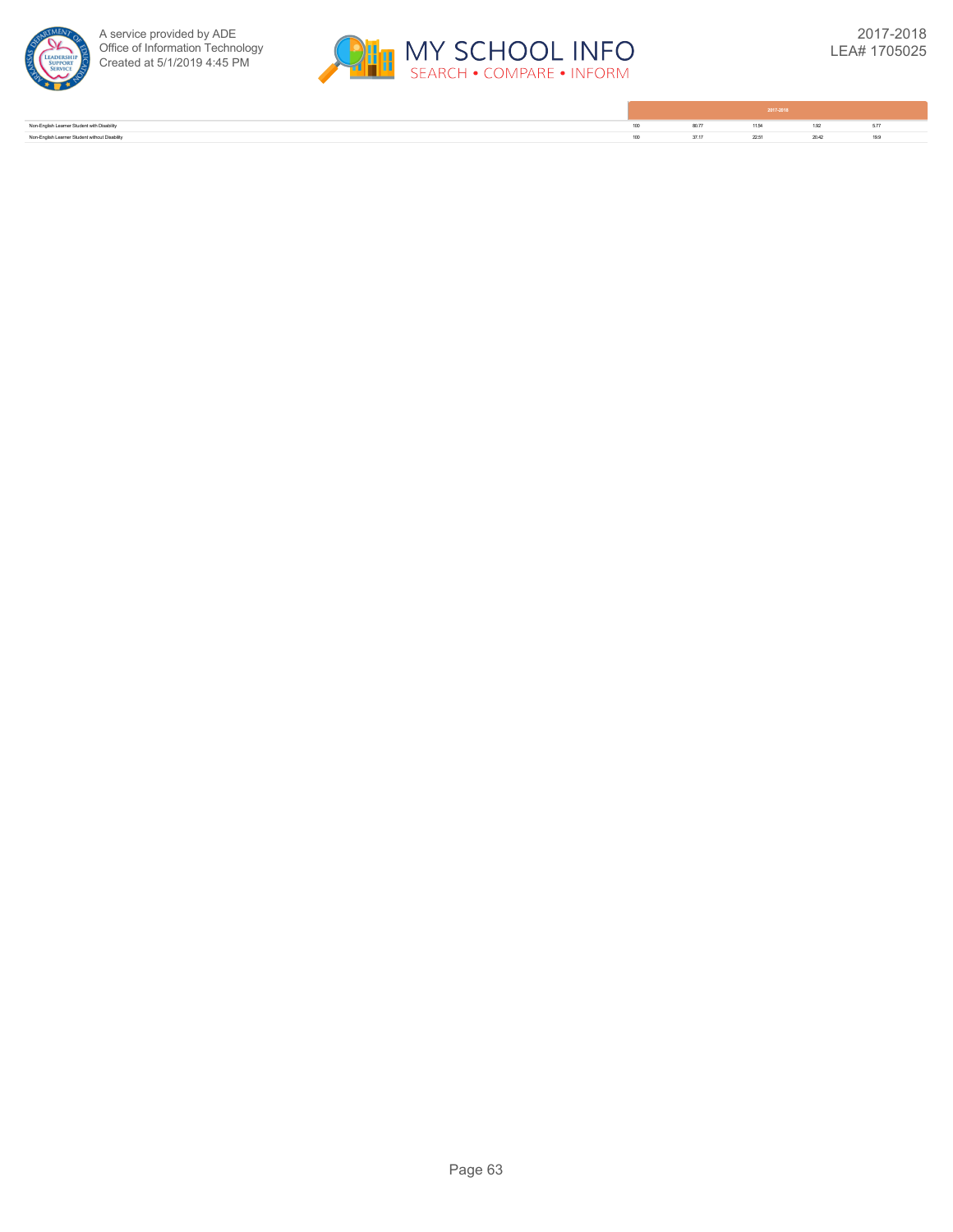



Non-English Learner Student With Disability 100 80.<br>Non-English Learner Student with Disability 100 80.7.17 22.51 20.42 1.93<br>Non-English Learner Student without Disability 100 37.17 22.51 20.42 19.9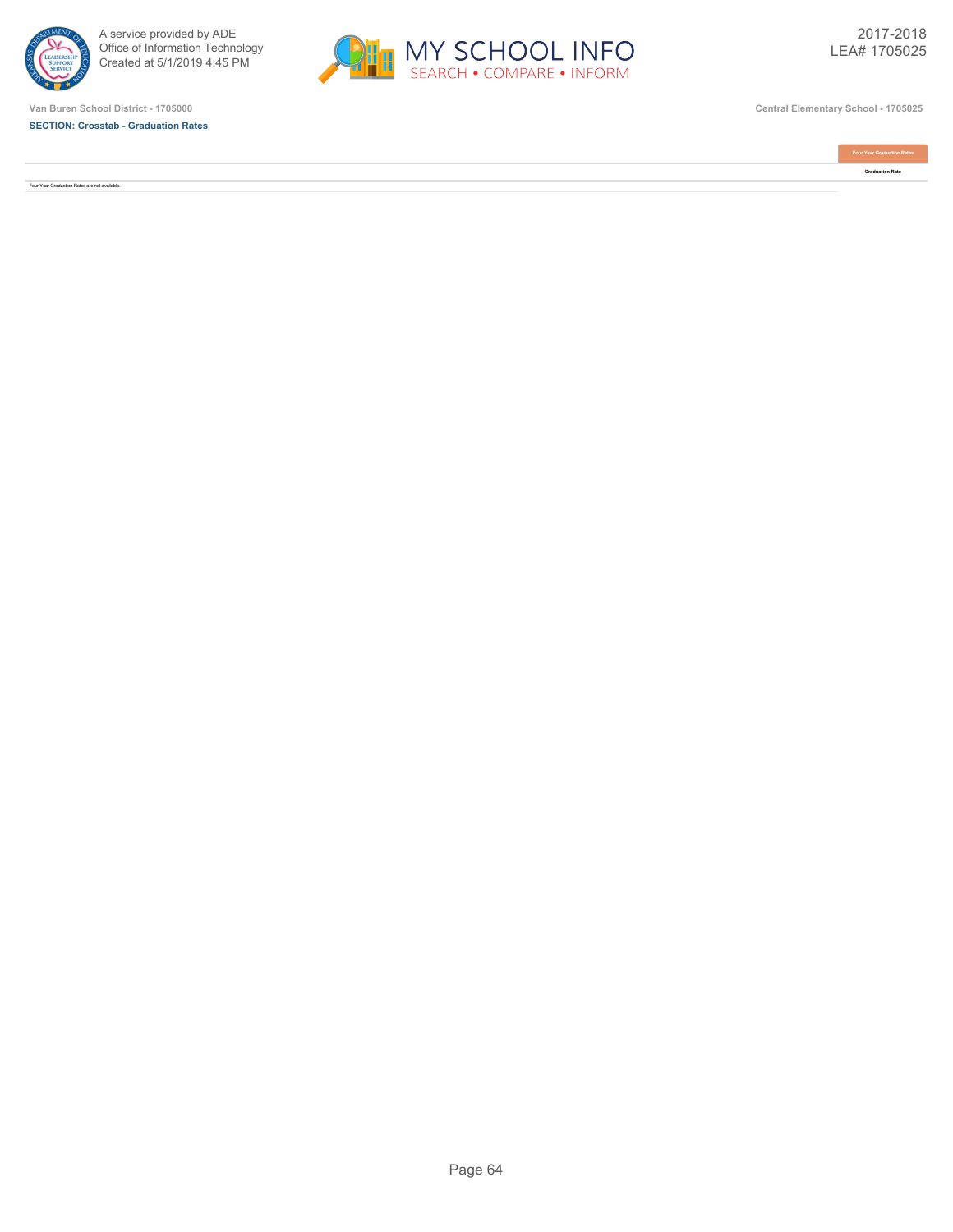

A service provided by ADE Office of Information Technology Created at 5/1/2019 4:45 PM

**SECTION: Crosstab - Graduation Rates**



**Van Buren School District - 1705000 Central Elementary School - 1705025**



Four Year Graduation Rates are not available.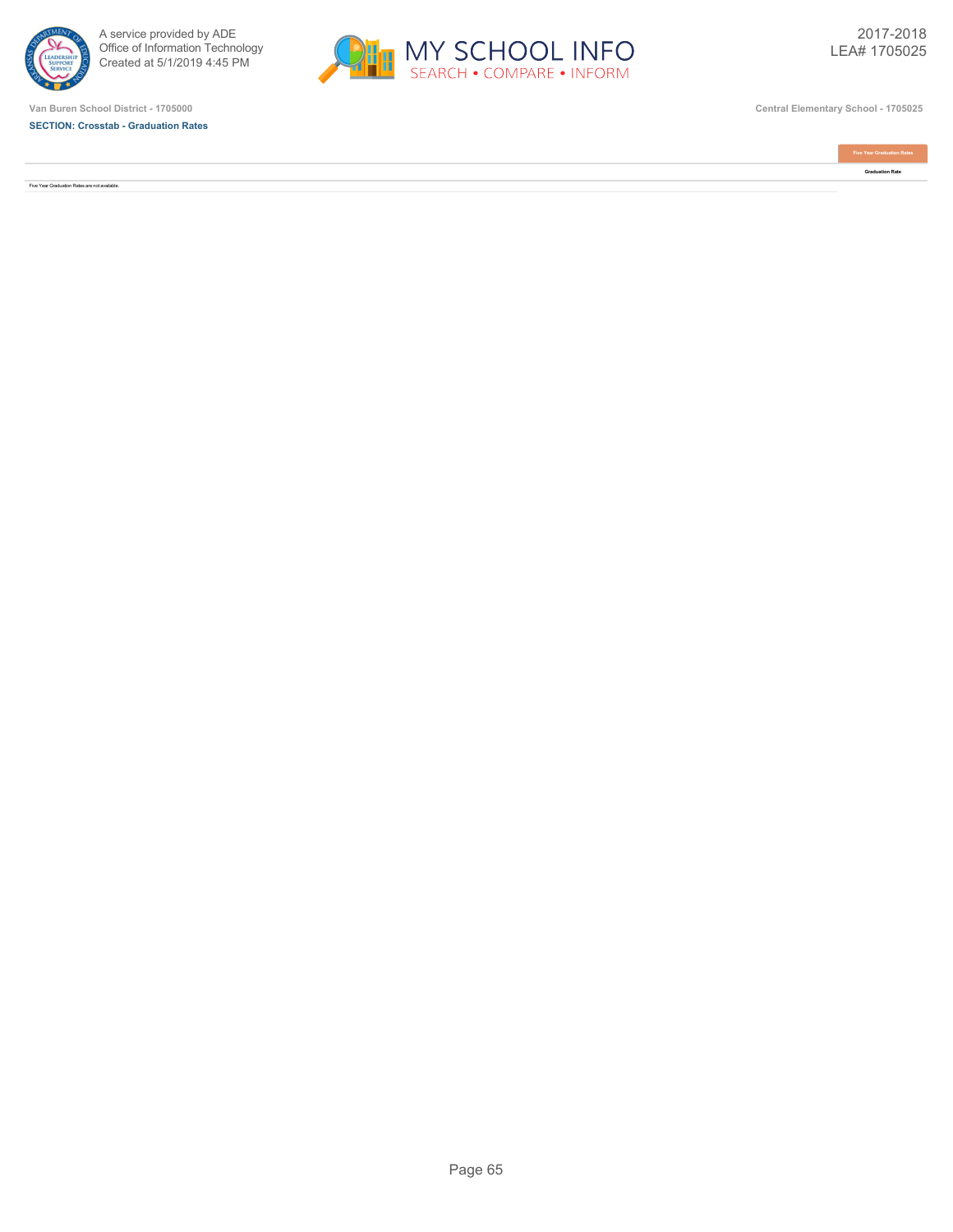

A service provided by ADE Office of Information Technology Created at 5/1/2019 4:45 PM

**SECTION: Crosstab - Graduation Rates**



**Van Buren School District - 1705000 Central Elementary School - 1705025**



Five Year Graduation Rates are not available.

MY SCHOOL INFO